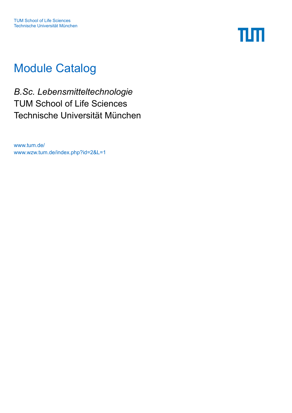

# Module Catalog

*B.Sc. Lebensmitteltechnologie* TUM School of Life Sciences Technische Universität München

[www.tum.de/](https://www.tum.de/) [www.wzw.tum.de/index.php?id=2&L=1](https://www.wzw.tum.de/index.php?id=2&L=1)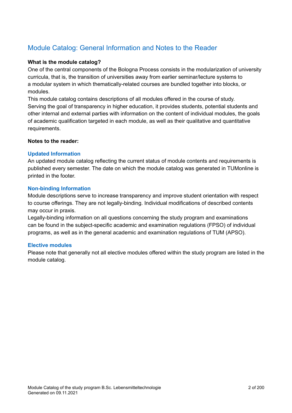# Module Catalog: General Information and Notes to the Reader

### **What is the module catalog?**

One of the central components of the Bologna Process consists in the modularization of university curricula, that is, the transition of universities away from earlier seminar/lecture systems to a modular system in which thematically-related courses are bundled together into blocks, or modules.

This module catalog contains descriptions of all modules offered in the course of study. Serving the goal of transparency in higher education, it provides students, potential students and other internal and external parties with information on the content of individual modules, the goals of academic qualification targeted in each module, as well as their qualitative and quantitative requirements.

### **Notes to the reader:**

### **Updated Information**

An updated module catalog reflecting the current status of module contents and requirements is published every semester. The date on which the module catalog was generated in TUMonline is printed in the footer.

### **Non-binding Information**

Module descriptions serve to increase transparency and improve student orientation with respect to course offerings. They are not legally-binding. Individual modifications of described contents may occur in praxis.

Legally-binding information on all questions concerning the study program and examinations can be found in the subject-specific academic and examination regulations (FPSO) of individual programs, as well as in the general academic and examination regulations of TUM (APSO).

### **Elective modules**

Please note that generally not all elective modules offered within the study program are listed in the module catalog.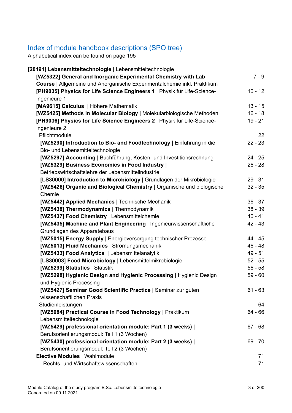# Index of module handbook descriptions (SPO tree)

[Alphabetical index can be found on page 195](#page-194-0)

| [20191] Lebensmitteltechnologie   Lebensmitteltechnologie                                     |           |
|-----------------------------------------------------------------------------------------------|-----------|
| [WZ5322] General and Inorganic Experimental Chemistry with Lab                                | $7 - 9$   |
| Course   Allgemeine und Anorganische Experimentalchemie inkl. Praktikum                       |           |
| [PH9035] Physics for Life Science Engineers 1   Physik für Life-Science-<br>Ingenieure 1      | $10 - 12$ |
| [MA9615] Calculus   Höhere Mathematik                                                         | $13 - 15$ |
| [WZ5425] Methods in Molecular Biology   Molekularbiologische Methoden                         | $16 - 18$ |
| [PH9036] Physics for Life Science Engineers 2   Physik für Life-Science-                      | $19 - 21$ |
| Ingenieure 2                                                                                  |           |
| Pflichtmodule                                                                                 | 22        |
| [WZ5290] Introduction to Bio- and Foodtechnology   Einführung in die                          | $22 - 23$ |
| Bio- und Lebensmitteltechnologie                                                              |           |
| [WZ5297] Accounting   Buchführung, Kosten- und Investitionsrechnung                           | $24 - 25$ |
| [WZ5329] Business Economics in Food Industry                                                  | $26 - 28$ |
| Betriebswirtschaftslehre der Lebensmittelindustrie                                            |           |
| [LS30000] Introduction to Microbiology   Grundlagen der Mikrobiologie                         | $29 - 31$ |
| [WZ5426] Organic and Biological Chemistry   Organische und biologische                        | $32 - 35$ |
| Chemie                                                                                        |           |
| [WZ5442] Applied Mechanics   Technische Mechanik                                              | $36 - 37$ |
| [WZ5438] Thermodynamics   Thermodynamik                                                       | $38 - 39$ |
| [WZ5437] Food Chemistry   Lebensmittelchemie                                                  | $40 - 41$ |
| [WZ5435] Machine and Plant Engineering   Ingenieurwissenschaftliche                           | $42 - 43$ |
| Grundlagen des Apparatebaus                                                                   |           |
| [WZ5015] Energy Supply   Energieversorgung technischer Prozesse                               | $44 - 45$ |
| [WZ5013] Fluid Mechanics   Strömungsmechanik                                                  | $46 - 48$ |
| [WZ5433] Food Analytics   Lebensmittelanalytik                                                | $49 - 51$ |
| [LS30003] Food Microbiology   Lebensmittelmikrobiologie                                       | $52 - 55$ |
| [WZ5299] Statistics   Statistik                                                               | $56 - 58$ |
| [WZ5298] Hygienic Design and Hygienic Processing   Hygienic Design<br>und Hygienic Processing | $59 - 60$ |
| [WZ5427] Seminar Good Scientific Practice   Seminar zur guten                                 | $61 - 63$ |
| wissenschaftlichen Praxis                                                                     |           |
| Studienleistungen                                                                             | 64        |
| [WZ5084] Practical Course in Food Technology   Praktikum                                      | $64 - 66$ |
| Lebensmitteltechnologie                                                                       |           |
| [WZ5429] professional orientation module: Part 1 (3 weeks)                                    | $67 - 68$ |
| Berufsorientierungsmodul: Teil 1 (3 Wochen)                                                   |           |
| [WZ5430] professional orientation module: Part 2 (3 weeks)                                    | $69 - 70$ |
| Berufsorientierungsmodul: Teil 2 (3 Wochen)                                                   |           |
| Elective Modules   Wahlmodule                                                                 | 71        |
| Rechts- und Wirtschaftswissenschaften                                                         | 71        |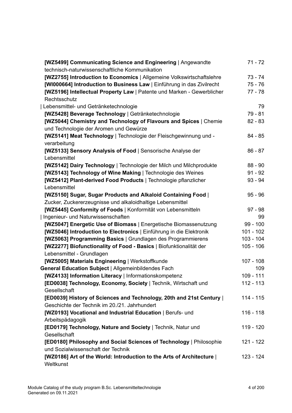| [WZ5499] Communicating Science and Engineering   Angewandte<br>technisch-naturwissenschaftliche Kommunikation | $71 - 72$   |
|---------------------------------------------------------------------------------------------------------------|-------------|
| [WZ2755] Introduction to Economics   Allgemeine Volkswirtschaftslehre                                         | $73 - 74$   |
| [WI000664] Introduction to Business Law   Einführung in das Zivilrecht                                        | $75 - 76$   |
| [WZ5196] Intellectual Property Law   Patente und Marken - Gewerblicher                                        | $77 - 78$   |
| Rechtsschutz                                                                                                  |             |
| Lebensmittel- und Getränketechnologie                                                                         | 79          |
| [WZ5428] Beverage Technology   Getränketechnologie                                                            | 79 - 81     |
|                                                                                                               | $82 - 83$   |
| [WZ5044] Chemistry and Technology of Flavours and Spices   Chemie                                             |             |
| und Technologie der Aromen und Gewürze                                                                        |             |
| [WZ5141] Meat Technology   Technologie der Fleischgewinnung und -<br>verarbeitung                             | $84 - 85$   |
| [WZ5133] Sensory Analysis of Food   Sensorische Analyse der<br>Lebensmittel                                   | $86 - 87$   |
| [WZ5142] Dairy Technology   Technologie der Milch und Milchprodukte                                           | $88 - 90$   |
| [WZ5143] Technology of Wine Making   Technologie des Weines                                                   | $91 - 92$   |
| [WZ5412] Plant-derived Food Products   Technologie pflanzlicher                                               | $93 - 94$   |
| Lebensmittel                                                                                                  |             |
| [WZ5150] Sugar, Sugar Products and Alkaloid Containing Food                                                   | $95 - 96$   |
| Zucker, Zuckererzeugnisse und alkaloidhaltige Lebensmittel                                                    |             |
| [WZ5445] Conformity of Foods   Konformität von Lebensmitteln                                                  | $97 - 98$   |
| Ingenieur- und Naturwissenschaften                                                                            | 99          |
| [WZ5047] Energetic Use of Biomass   Energetische Biomassenutzung                                              | $99 - 100$  |
| [WZ5046] Introduction to Electronics   Einführung in die Elektronik                                           | $101 - 102$ |
| [WZ5063] Programming Basics   Grundlagen des Programmierens                                                   | $103 - 104$ |
| [WZ2277] Biofunctionality of Food - Basics   Biofunktionalität der                                            | $105 - 106$ |
| Lebensmittel - Grundlagen                                                                                     |             |
| [WZ5005] Materials Engineering   Werkstoffkunde                                                               | $107 - 108$ |
| <b>General Education Subject   Allgemeinbildendes Fach</b>                                                    | 109         |
| [WZ4133] Information Literacy   Informationskompetenz                                                         | 109 - 111   |
| [ED0038] Technology, Economy, Society   Technik, Wirtschaft und                                               | $112 - 113$ |
| Gesellschaft                                                                                                  |             |
| [ED0039] History of Sciences and Technology, 20th and 21st Century                                            | $114 - 115$ |
| Geschichte der Technik im 20./21. Jahrhundert                                                                 |             |
| [WZ0193] Vocational and Industrial Education   Berufs- und                                                    | $116 - 118$ |
| Arbeitspädagogik                                                                                              |             |
| [ED0179] Technology, Nature and Society   Technik, Natur und                                                  | 119 - 120   |
| Gesellschaft                                                                                                  |             |
| [ED0180] Philosophy and Social Sciences of Technology   Philosophie                                           | 121 - 122   |
| und Sozialwissenschaft der Technik                                                                            |             |
| [WZ0186] Art of the World: Introduction to the Arts of Architecture                                           | 123 - 124   |
| Weltkunst                                                                                                     |             |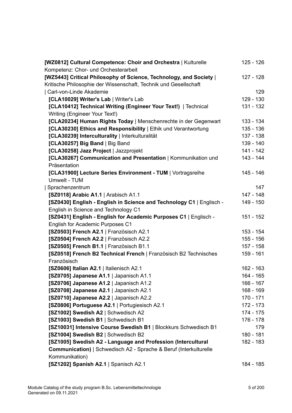| [WZ0812] Cultural Competence: Choir and Orchestra   Kulturelle           | 125 - 126   |
|--------------------------------------------------------------------------|-------------|
| Kompetenz: Chor- und Orchesterarbeit                                     |             |
| [WZ5443] Critical Philosophy of Science, Technology, and Society         | 127 - 128   |
| Kritische Philosophie der Wissenschaft, Technik und Gesellschaft         |             |
| Carl-von-Linde Akademie                                                  | 129         |
| [CLA10029] Writer's Lab   Writer's Lab                                   | 129 - 130   |
| [CLA10412] Technical Writing (Engineer Your Text!)   Technical           | 131 - 132   |
| Writing (Engineer Your Text!)                                            |             |
| [CLA20234] Human Rights Today   Menschenrechte in der Gegenwart          | 133 - 134   |
| [CLA30230] Ethics and Responsibility   Ethik und Verantwortung           | $135 - 136$ |
| [CLA30239] Interculturality   Interkulturalität                          | 137 - 138   |
| [CLA30257] Big Band   Big Band                                           | 139 - 140   |
| [CLA30258] Jazz Project   Jazzprojekt                                    | 141 - 142   |
| [CLA30267] Communication and Presentation   Kommunikation und            | 143 - 144   |
| Präsentation                                                             |             |
| [CLA31900] Lecture Series Environment - TUM   Vortragsreihe              | 145 - 146   |
| <b>Umwelt - TUM</b>                                                      |             |
| Sprachenzentrum                                                          | 147         |
| [SZ0118] Arabic A1.1   Arabisch A1.1                                     | 147 - 148   |
| [SZ0430] English - English in Science and Technology C1   Englisch -     | 149 - 150   |
| English in Science and Technology C1                                     |             |
| [SZ0431] English - English for Academic Purposes C1   Englisch -         | 151 - 152   |
| English for Academic Purposes C1                                         |             |
| [SZ0503] French A2.1   Französisch A2.1                                  | 153 - 154   |
| [SZ0504] French A2.2   Französisch A2.2                                  | 155 - 156   |
| [SZ0505] French B1.1   Französisch B1.1                                  | 157 - 158   |
| [SZ0518] French B2 Technical French   Französisch B2 Technisches         | 159 - 161   |
| Französisch                                                              |             |
| [SZ0606] Italian A2.1   Italienisch A2.1                                 | $162 - 163$ |
| [SZ0705] Japanese A1.1   Japanisch A1.1                                  | 164 - 165   |
| [SZ0706] Japanese A1.2   Japanisch A1.2                                  | 166 - 167   |
| [SZ0708] Japanese A2.1   Japanisch A2.1                                  | 168 - 169   |
| [SZ0710] Japanese A2.2   Japanisch A2.2                                  | 170 - 171   |
| [SZ0806] Portuguese A2.1   Portugiesisch A2.1                            | 172 - 173   |
| [SZ1002] Swedish A2   Schwedisch A2                                      | 174 - 175   |
| [SZ1003] Swedish B1   Schwedisch B1                                      | 176 - 178   |
| [SZ10031] Intensive Course Swedish B1   Blockkurs Schwedisch B1          | 179         |
| [SZ1004] Swedish B2   Schwedisch B2                                      | 180 - 181   |
| [SZ1005] Swedish A2 - Language and Profession (Intercultural             | 182 - 183   |
| <b>Communication)</b>   Schwedisch A2 - Sprache & Beruf (Interkulturelle |             |
| Kommunikation)                                                           |             |
| [SZ1202] Spanish A2.1   Spanisch A2.1                                    | 184 - 185   |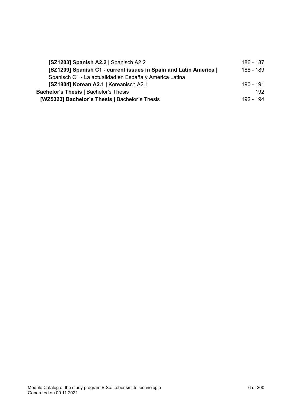| [SZ1203] Spanish A2.2   Spanisch A2.2                           | 186 - 187 |
|-----------------------------------------------------------------|-----------|
| [SZ1209] Spanish C1 - current issues in Spain and Latin America | 188 - 189 |
| Spanisch C1 - La actualidad en España y América Latina          |           |
| [SZ1804] Korean A2.1   Koreanisch A2.1                          | 190 - 191 |
| <b>Bachelor's Thesis   Bachelor's Thesis</b>                    | 192       |
| [WZ5323] Bachelor's Thesis   Bachelor's Thesis                  | 192 - 194 |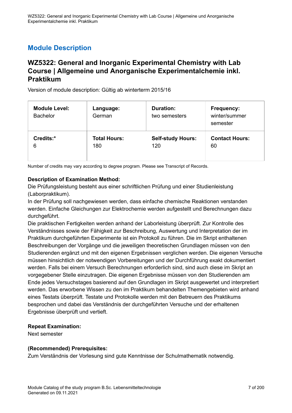### <span id="page-6-0"></span>**WZ5322: General and Inorganic Experimental Chemistry with Lab Course | Allgemeine und Anorganische Experimentalchemie inkl. Praktikum**

Version of module description: Gültig ab winterterm 2015/16

| <b>Module Level:</b><br><b>Bachelor</b> | Language:<br>German | <b>Duration:</b><br>two semesters | Frequency:<br>winter/summer<br>semester |
|-----------------------------------------|---------------------|-----------------------------------|-----------------------------------------|
| Credits:*                               | <b>Total Hours:</b> | <b>Self-study Hours:</b>          | <b>Contact Hours:</b>                   |
| 6                                       | 180                 | 120                               | 60                                      |

Number of credits may vary according to degree program. Please see Transcript of Records.

### **Description of Examination Method:**

Die Prüfungsleistung besteht aus einer schriftlichen Prüfung und einer Studienleistung (Laborpraktikum).

In der Prüfung soll nachgewiesen werden, dass einfache chemische Reaktionen verstanden werden. Einfache Gleichungen zur Elektrochemie werden aufgestellt und Berechnungen dazu durchgeführt.

Die praktischen Fertigkeiten werden anhand der Laborleistung überprüft. Zur Kontrolle des Verständnisses sowie der Fähigkeit zur Beschreibung, Auswertung und Interpretation der im Praktikum durchgeführten Experimente ist ein Protokoll zu führen. Die im Skript enthaltenen Beschreibungen der Vorgänge und die jeweiligen theoretischen Grundlagen müssen von den Studierenden ergänzt und mit den eigenen Ergebnissen verglichen werden. Die eigenen Versuche müssen hinsichtlich der notwendigen Vorbereitungen und der Durchführung exakt dokumentiert werden. Falls bei einem Versuch Berechnungen erforderlich sind, sind auch diese im Skript an vorgegebener Stelle einzutragen. Die eigenen Ergebnisse müssen von den Studierenden am Ende jedes Versuchstages basierend auf den Grundlagen im Skript ausgewertet und interpretiert werden. Das erworbene Wissen zu den im Praktikum behandelten Themengebieten wird anhand eines Testats überprüft. Testate und Protokolle werden mit den Betreuern des Praktikums besprochen und dabei das Verständnis der durchgeführten Versuche und der erhaltenen Ergebnisse überprüft und vertieft.

### **Repeat Examination:**

Next semester

### **(Recommended) Prerequisites:**

Zum Verständnis der Vorlesung sind gute Kenntnisse der Schulmathematik notwendig.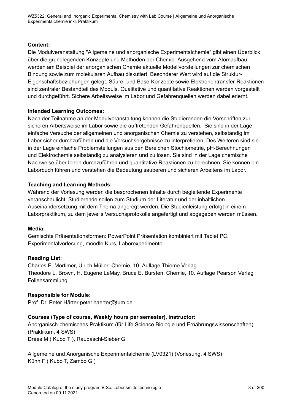### **Content:**

Die Modulveranstaltung "Allgemeine und anorganische Experimentalchemie" gibt einen Überblick über die grundlegenden Konzepte und Methoden der Chemie. Ausgehend vom Atomaufbau werden am Beispiel der anorganischen Chemie aktuelle Modellvorstellungen zur chemischen Bindung sowie zum molekularen Aufbau diskutiert. Besonderer Wert wird auf die Struktur-Eigenschaftsbeziehungen gelegt. Säure- und Base-Konzepte sowie Elektronentransfer-Reaktionen sind zentraler Bestandteil des Moduls. Qualitative und quantitative Reaktionen werden vorgestellt und durchgeführt. Sichere Arbeitsweise im Labor und Gefahrenquellen werden dabei erlernt.

### **Intended Learning Outcomes:**

Nach der Teilnahme an der Modulveranstaltung kennen die Studierenden die Vorschriften zur sicheren Arbeitsweise im Labor sowie die auftretenden Gefahrenquellen. Sie sind in der Lage einfache Versuche der allgemeinen und anorganischen Chemie zu verstehen, selbständig im Labor sicher durchzuführen und die Versuchsergebnisse zu interpretieren. Des Weiteren sind sie in der Lage einfache Problemstellungen aus den Bereichen Stöchiometrie, pH-Berechnungen und Elektrochemie selbständig zu analysieren und zu lösen. Sie sind in der Lage chemische Nachweise über Ionen durchzuführen und quantitative Reaktionen zu berechnen. Sie können ein Laborbuch führen und verstehen die Bedeutung sauberen und sicheren Arbeitens im Labor.

### **Teaching and Learning Methods:**

Während der Vorlesung werden die besprochenen Inhalte durch begleitende Experimente veranschaulicht. Studierende sollen zum Studium der Literatur und der inhaltlichen Auseinandersetzung mit dem Thema angeregt werden. Die Studienleistung erfolgt in einem Laborpraktikum, zu dem jeweils Versuchsprotokolle angefertigt und abgegeben werden müssen.

### **Media:**

Gemischte Präsentationsformen: PowerPoint Präsentation kombiniert mit Tablet PC, Experimentalvorlesung, moodle Kurs, Laborexperimente

### **Reading List:**

Charles E. Mortimer, Ulrich Müller: Chemie, 10. Auflage Thieme Verlag Theodore L. Brown, H. Eugene LeMay, Bruce E. Bursten: Chemie, 10. Auflage Pearson Verlag Foliensammlung

### **Responsible for Module:**

Prof. Dr. Peter Härter peter.haerter@tum.de

### **Courses (Type of course, Weekly hours per semester), Instructor:**

Anorganisch-chemisches Praktikum (für Life Science Biologie und Ernährungswissenschaften) (Praktikum, 4 SWS) Drees M ( Kubo T ), Raudaschl-Sieber G

Allgemeine und Anorganische Experimentalchemie (LV0321) (Vorlesung, 4 SWS) Kühn F ( Kubo T, Zambo G )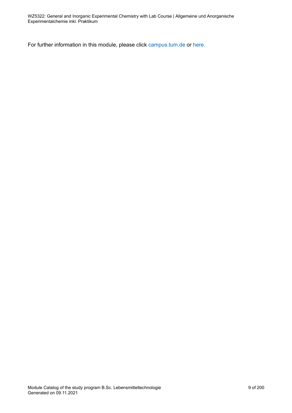For further information in this module, please click<campus.tum.de> or [here.](https://campus.tum.de/tumonline/WBMODHB.wbShowMHBReadOnly?pKnotenNr=1012351&pOrgNr=14190)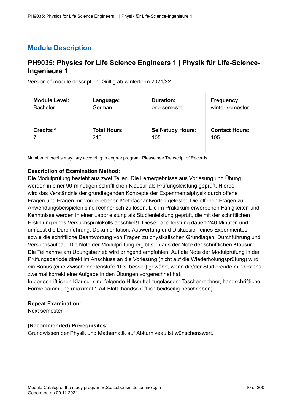### <span id="page-9-0"></span>**PH9035: Physics for Life Science Engineers 1 | Physik für Life-Science-Ingenieure 1**

Version of module description: Gültig ab winterterm 2021/22

| <b>Module Level:</b> | Language:           | <b>Duration:</b>         | Frequency:            |
|----------------------|---------------------|--------------------------|-----------------------|
| <b>Bachelor</b>      | German              | one semester             | winter semester       |
| Credits:*            | <b>Total Hours:</b> | <b>Self-study Hours:</b> | <b>Contact Hours:</b> |
|                      | 210                 | 105                      | 105                   |

Number of credits may vary according to degree program. Please see Transcript of Records.

### **Description of Examination Method:**

Die Modulprüfung besteht aus zwei Teilen. Die Lernergebnisse aus Vorlesung und Übung werden in einer 90-minütigen schriftlichen Klausur als Prüfungsleistung geprüft. Hierbei wird das Verständnis der grundlegenden Konzepte der Experimentalphysik durch offene Fragen und Fragen mit vorgegebenen Mehrfachantworten getestet. Die offenen Fragen zu Anwendungsbeispielen sind rechnerisch zu lösen. Die im Praktikum erworbenen Fähigkeiten und Kenntnisse werden in einer Laborleistung als Studienleistung geprüft, die mit der schriftlichen Erstellung eines Versuchsprotokolls abschließt. Diese Laborleistung dauert 240 Minuten und umfasst die Durchführung, Dokumentation, Auswertung und Diskussion eines Experimentes sowie die schriftliche Beantwortung von Fragen zu physikalischen Grundlagen, Durchführung und Versuchsaufbau. Die Note der Modulprüfung ergibt sich aus der Note der schriftlichen Klausur. Die Teilnahme am Übungsbetrieb wird dringend empfohlen. Auf die Note der Modulprüfung in der Prüfungsperiode direkt im Anschluss an die Vorlesung (nicht auf die Wiederholungsprüfung) wird ein Bonus (eine Zwischennotenstufe "0,3" besser) gewährt, wenn die/der Studierende mindestens zweimal korrekt eine Aufgabe in den Übungen vorgerechnet hat.

In der schriftlichen Klausur sind folgende Hilfsmittel zugelassen: Taschenrechner, handschriftliche Formelsammlung (maximal 1 A4-Blatt, handschriftlich beidseitig beschrieben).

### **Repeat Examination:**

Next semester

### **(Recommended) Prerequisites:**

Grundwissen der Physik und Mathematik auf Abiturniveau ist wünschenswert.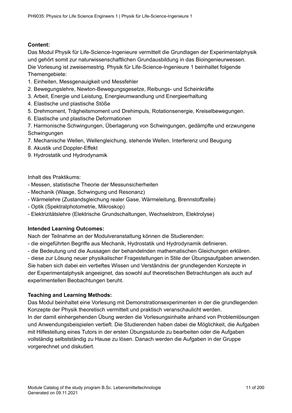### **Content:**

Das Modul Physik für Life-Science-Ingenieure vermittelt die Grundlagen der Experimentalphysik und gehört somit zur naturwissenschaftlichen Grundausbildung in das Bioingenieurwessen. Die Vorlesung ist zweisemestrig. Physik für Life-Science-Ingenieure 1 beinhaltet folgende Themengebiete:

- 1. Einheiten, Messgenauigkeit und Messfehler
- 2. Bewegungslehre, Newton-Bewegungsgesetze, Reibungs- und Scheinkräfte
- 3. Arbeit, Energie und Leistung, Energieumwandlung und Energieerhaltung
- 4. Elastische und plastische Stöße
- 5. Drehmoment, Trägheitsmoment und Drehimpuls, Rotationsenergie, Kreiselbewegungen.
- 6. Elastische und plastische Deformationen

7. Harmonische Schwingungen, Überlagerung von Schwingungen, gedämpfte und erzwungene **Schwingungen** 

- 7. Mechanische Wellen, Wellengleichung, stehende Wellen, Interferenz und Beugung
- 8. Akustik und Doppler-Effekt
- 9. Hydrostatik und Hydrodynamik

Inhalt des Praktikums:

- Messen, statistische Theorie der Messunsicherheiten
- Mechanik (Waage, Schwingung und Resonanz)
- Wärmelehre (Zustandsgleichung realer Gase, Wärmeleitung, Brennstoffzelle)
- Optik (Spektralphotometrie, Mikroskop)
- Elektrizitätslehre (Elektrische Grundschaltungen, Wechselstrom, Elektrolyse)

### **Intended Learning Outcomes:**

Nach der Teilnahme an der Modulveranstaltung können die Studierenden:

- die eingeführten Begriffe aus Mechanik, Hydrostatik und Hydrodynamik definieren.
- die Bedeutung und die Aussagen der behandelnden mathematischen Gleichungen erklären.

- diese zur Lösung neuer physikalischer Fragestellungen in Stile der Übungsaufgaben anwenden. Sie haben sich dabei ein vertieftes Wissen und Verständnis der grundlegenden Konzepte in der Experimentalphysik angeeignet, das sowohl auf theoretischen Betrachtungen als auch auf experimentellen Beobachtungen beruht.

### **Teaching and Learning Methods:**

Das Modul beinhaltet eine Vorlesung mit Demonstrationsexperimenten in der die grundlegenden Konzepte der Physik theoretisch vermittelt und praktisch veranschaulicht werden. In der damit einhergehenden Übung werden die Vorlesungsinhalte anhand von Problemlösungen und Anwendungsbeispielen vertieft. Die Studierenden haben dabei die Möglichkeit, die Aufgaben mit Hilfestellung eines Tutors in der ersten Übungsstunde zu bearbeiten oder die Aufgaben vollständig selbstständig zu Hause zu lösen. Danach werden die Aufgaben in der Gruppe vorgerechnet und diskutiert.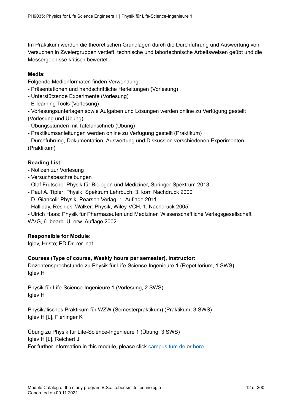Im Praktikum werden die theoretischen Grundlagen durch die Durchführung und Auswertung von Versuchen in Zweiergruppen vertieft, technische und labortechnische Arbeitsweisen geübt und die Messergebnisse kritisch bewertet.

### **Media:**

Folgende Medienformaten finden Verwendung:

- Präsentationen und handschriftliche Herleitungen (Vorlesung)
- Unterstützende Experimente (Vorlesung)
- E-learning Tools (Vorlesung)

- Vorlesungsunterlagen sowie Aufgaben und Lösungen werden online zu Verfügung gestellt (Vorlesung und Übung)

- Übungsstunden mit Tafelanschrieb (Übung)
- Praktikumsanleitungen werden online zu Verfügung gestellt (Praktikum)

- Durchführung, Dokumentation, Auswertung und Diskussion verschiedenen Experimenten (Praktikum)

### **Reading List:**

- Notizen zur Vorlesung
- Versuchsbeschreibungen
- Olaf Frutsche: Physik für Biologen und Mediziner, Springer Spektrum 2013
- Paul A. Tipler: Physik. Spektrum Lehrbuch, 3. korr. Nachdruck 2000
- D. Giancoli: Physik, Pearson Verlag, 1. Auflage 2011
- Halliday, Resnick, Walker: Physik, Wiley-VCH, 1. Nachdruck 2005

- Ulrich Haas: Physik für Pharmazeuten und Mediziner. Wissenschaftliche Verlagsgesellschaft WVG, 6. bearb. U. erw. Auflage 2002

### **Responsible for Module:**

Iglev, Hristo; PD Dr. rer. nat.

### **Courses (Type of course, Weekly hours per semester), Instructor:**

Dozentensprechstunde zu Physik für Life-Science-Ingenieure 1 (Repetitorium, 1 SWS) Iglev H

Physik für Life-Science-Ingenieure 1 (Vorlesung, 2 SWS) Iglev H

Physikalisches Praktikum für WZW (Semesterpraktikum) (Praktikum, 3 SWS) Iglev H [L], Fierlinger K

Übung zu Physik für Life-Science-Ingenieure 1 (Übung, 3 SWS) Iglev H [L], Reichert J For further information in this module, please click<campus.tum.de> or [here.](https://campus.tum.de/tumonline/WBMODHB.wbShowMHBReadOnly?pKnotenNr=1697903&pOrgNr=14179)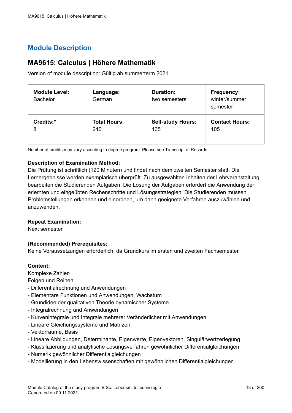### <span id="page-12-0"></span>**MA9615: Calculus | Höhere Mathematik**

Version of module description: Gültig ab summerterm 2021

| <b>Module Level:</b><br><b>Bachelor</b> | Language:<br>German | <b>Duration:</b><br>two semesters | Frequency:<br>winter/summer<br>semester |
|-----------------------------------------|---------------------|-----------------------------------|-----------------------------------------|
| Credits:*                               | <b>Total Hours:</b> | <b>Self-study Hours:</b>          | <b>Contact Hours:</b>                   |
| 8                                       | 240                 | 135                               | 105                                     |

Number of credits may vary according to degree program. Please see Transcript of Records.

### **Description of Examination Method:**

Die Prüfung ist schriftlich (120 Minuten) und findet nach dem zweiten Semester statt. Die Lernergebnisse werden exemplarisch überprüft. Zu ausgewählten Inhalten der Lehrveranstaltung bearbeiten die Studierenden Aufgaben. Die Lösung der Aufgaben erfordert die Anwendung der erlernten und eingeübten Rechenschritte und Lösungsstrategien. Die Studierenden müssen Problemstellungen erkennen und einordnen, um dann geeignete Verfahren auszuwählen und anzuwenden.

### **Repeat Examination:**

Next semester

### **(Recommended) Prerequisites:**

Keine Voraussetzungen erforderlich, da Grundkurs im ersten und zweiten Fachsemester.

### **Content:**

Komplexe Zahlen

Folgen und Reihen

- Differentialrechnung und Anwendungen
- Elementare Funktionen und Anwendungen, Wachstum
- Grundidee der qualitativen Theorie dynamischer Systeme
- Integralrechnung und Anwendungen
- Kurvenintegrale und Integrale mehrerer Veränderlicher mit Anwendungen
- Lineare Gleichungssysteme und Matrizen
- Vektorräume, Basis
- Lineare Abbildungen, Determinante, Eigenwerte, Eigenvektoren, Singulärwertzerlegung
- Klassifizierung und analytische Lösungsverfahren gewöhnlicher Differentialgleichungen
- Numerik gewöhnlicher Differentialgleichungen
- Modellierung in den Lebenswissenschaften mit gewöhnlichen Differentialgleichungen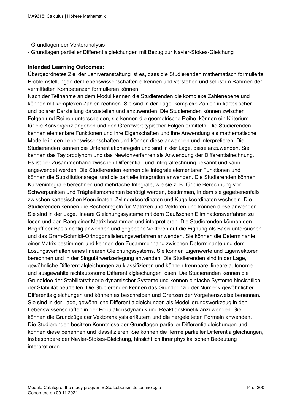- Grundlagen der Vektoranalysis
- Grundlagen partieller Differentialgleichungen mit Bezug zur Navier-Stokes-Gleichung

#### **Intended Learning Outcomes:**

Übergeordnetes Ziel der Lehrveranstaltung ist es, dass die Studierenden mathematisch formulierte Problemstellungen der Lebenswissenschaften erkennen und verstehen und selbst im Rahmen der vermittelten Kompetenzen formulieren können.

Nach der Teilnahme an dem Modul kennen die Studierenden die komplexe Zahlenebene und können mit komplexen Zahlen rechnen. Sie sind in der Lage, komplexe Zahlen in kartesischer und polarer Darstellung darzustellen und anzuwenden. Die Studierenden können zwischen Folgen und Reihen unterscheiden, sie kennen die geometrische Reihe, können ein Kriterium für die Konvergenz angeben und den Grenzwert typischer Folgen ermitteln. Die Studierenden kennen elementare Funktionen und ihre Eigenschaften und ihre Anwendung als mathematische Modelle in den Lebenswissenschaften und können diese anwenden und interpretieren. Die Studierenden kennen die Differentiationsregeln und sind in der Lage, diese anzuwenden. Sie kennen das Taylorpolynom und das Newtonverfahren als Anwendung der Differentialrechnung. Es ist der Zusammenhang zwischen Differential- und Integralrechnung bekannt und kann angewendet werden. Die Studierenden kennen die Integrale elementarer Funktionen und können die Substitutionsregel und die partielle Integration anwenden. Die Studierenden können Kurvenintegrale berechnen und mehrfache Integrale, wie sie z. B. für die Berechnung von Schwerpunkten und Trägheitsmomenten benötigt werden, bestimmen, in dem sie gegebenenfalls zwischen kartesischen Koordinaten, Zylinderkoordinaten und Kugelkoordinaten wechseln. Die Studierenden kennen die Rechenregeln für Matrizen und Vektoren und können diese anwenden. Sie sind in der Lage, lineare Gleichungssysteme mit dem Gaußschen Eliminationsverfahren zu lösen und den Rang einer Matrix bestimmen und interpretieren. Die Studierenden können den Begriff der Basis richtig anwenden und gegebene Vektoren auf die Eignung als Basis untersuchen und das Gram-Schmidt-Orthogonalisierungsverfahren anwenden. Sie können die Determinante einer Matrix bestimmen und kennen den Zusammenhang zwischen Determinante und dem Lösungsverhalten eines linearen Gleichungssystems. Sie können Eigenwerte und Eigenvektoren berechnen und in der Singulärwertzerlegung anwenden. Die Studierenden sind in der Lage, gewöhnliche Differentialgleichungen zu klassifizieren und können trennbare, lineare autonome und ausgewählte nichtautonome Differentialgleichungen lösen. Die Studierenden kennen die Grundidee der Stabilitätstheorie dynamischer Systeme und können einfache Systeme hinsichtlich der Stabilität beurteilen. Die Studierenden kennen das Grundprinzip der Numerik gewöhnlicher Differentialgleichungen und können es beschreiben und Grenzen der Vorgehensweise benennen. Sie sind in der Lage, gewöhnliche Differentialgleichungen als Modellierungswerkzeug in den Lebenswissenschaften in der Populationsdynamik und Reaktionskinetik anzuwenden. Sie können die Grundzüge der Vektoranalysis erläutern und die hergeleiteten Formeln anwenden. Die Studierenden besitzen Kenntnisse der Grundlagen partieller Differentialgleichungen und können diese benennen und klassifizieren. Sie können die Terme partieller Differentialgleichungen, insbesondere der Navier-Stokes-Gleichung, hinsichtlich ihrer physikalischen Bedeutung interpretieren.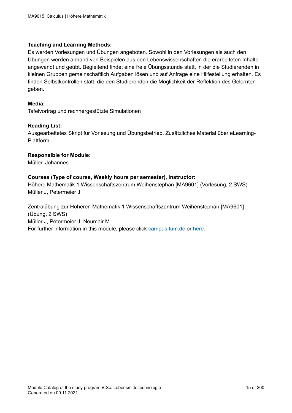### **Teaching and Learning Methods:**

Es werden Vorlesungen und Übungen angeboten. Sowohl in den Vorlesungen als auch den Übungen werden anhand von Beispielen aus den Lebenswissenschaften die erarbeiteten Inhalte angewandt und geübt. Begleitend findet eine freie Übungsstunde statt, in der die Studierenden in kleinen Gruppen gemeinschaftlich Aufgaben lösen und auf Anfrage eine Hilfestellung erhalten. Es finden Selbstkontrollen statt, die den Studierenden die Möglichkeit der Reflektion des Gelernten geben.

### **Media:**

Tafelvortrag und rechnergestützte Simulationen

### **Reading List:**

Ausgearbeitetes Skript für Vorlesung und Übungsbetrieb. Zusätzliches Material über eLearning-Plattform.

### **Responsible for Module:**

Müller, Johannes

### **Courses (Type of course, Weekly hours per semester), Instructor:**

Höhere Mathematik 1 Wissenschaftszentrum Weihenstephan [MA9601] (Vorlesung, 2 SWS) Müller J, Petermeier J

Zentralübung zur Höheren Mathematik 1 Wissenschaftszentrum Weihenstephan [MA9601] (Übung, 2 SWS) Müller J, Petermeier J, Neumair M For further information in this module, please click<campus.tum.de> or [here.](https://campus.tum.de/tumonline/WBMODHB.wbShowMHBReadOnly?pKnotenNr=1698007&pOrgNr=14178)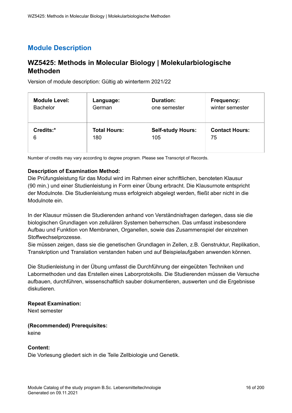### <span id="page-15-0"></span>**WZ5425: Methods in Molecular Biology | Molekularbiologische Methoden**

Version of module description: Gültig ab winterterm 2021/22

| <b>Module Level:</b> | Language:           | <b>Duration:</b>         | <b>Frequency:</b>     |
|----------------------|---------------------|--------------------------|-----------------------|
| <b>Bachelor</b>      | German              | one semester             | winter semester       |
| Credits:*            | <b>Total Hours:</b> | <b>Self-study Hours:</b> | <b>Contact Hours:</b> |
| 6                    | 180                 | 105                      | 75                    |

Number of credits may vary according to degree program. Please see Transcript of Records.

### **Description of Examination Method:**

Die Prüfungsleistung für das Modul wird im Rahmen einer schriftlichen, benoteten Klausur (90 min.) und einer Studienleistung in Form einer Übung erbracht. Die Klausurnote entspricht der Modulnote. Die Studienleistung muss erfolgreich abgelegt werden, fließt aber nicht in die Modulnote ein.

In der Klausur müssen die Studierenden anhand von Verständnisfragen darlegen, dass sie die biologischen Grundlagen von zellulären Systemen beherrschen. Das umfasst insbesondere Aufbau und Funktion von Membranen, Organellen, sowie das Zusammenspiel der einzelnen Stoffwechselprozesse.

Sie müssen zeigen, dass sie die genetischen Grundlagen in Zellen, z.B. Genstruktur, Replikation, Transkription und Translation verstanden haben und auf Beispielaufgaben anwenden können.

Die Studienleistung in der Übung umfasst die Durchführung der eingeübten Techniken und Labormethoden und das Erstellen eines Laborprotokolls. Die Studierenden müssen die Versuche aufbauen, durchführen, wissenschaftlich sauber dokumentieren, auswerten und die Ergebnisse diskutieren.

#### **Repeat Examination:**

Next semester

#### **(Recommended) Prerequisites:**

keine

### **Content:**

Die Vorlesung gliedert sich in die Teile Zellbiologie und Genetik.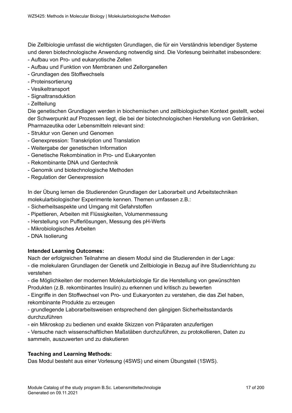Die Zellbiologie umfasst die wichtigsten Grundlagen, die für ein Verständnis lebendiger Systeme und deren biotechnologische Anwendung notwendig sind. Die Vorlesung beinhaltet insbesondere:

- Aufbau von Pro- und eukaryotische Zellen
- Aufbau und Funktion von Membranen und Zellorganellen
- Grundlagen des Stoffwechsels
- Proteinsortierung
- Vesikeltransport
- Signaltransduktion
- Zellteilung

Die genetischen Grundlagen werden in biochemischen und zellbiologischen Kontext gestellt, wobei der Schwerpunkt auf Prozessen liegt, die bei der biotechnologischen Herstellung von Getränken, Pharmazeutika oder Lebensmitteln relevant sind:

- Struktur von Genen und Genomen
- Genexpression: Transkription und Translation
- Weitergabe der genetischen Information
- Genetische Rekombination in Pro- und Eukaryonten
- Rekombinante DNA und Gentechnik
- Genomik und biotechnologische Methoden
- Regulation der Genexpression

In der Übung lernen die Studierenden Grundlagen der Laborarbeit und Arbeitstechniken molekularbiologischer Experimente kennen. Themen umfassen z.B.:

- Sicherheitsaspekte und Umgang mit Gefahrstoffen
- Pipettieren, Arbeiten mit Flüssigkeiten, Volumenmessung
- Herstellung von Pufferlösungen, Messung des pH-Werts
- Mikrobiologisches Arbeiten
- DNA Isolierung

### **Intended Learning Outcomes:**

Nach der erfolgreichen Teilnahme an diesem Modul sind die Studierenden in der Lage:

- die molekularen Grundlagen der Genetik und Zellbiologie in Bezug auf ihre Studienrichtung zu verstehen

- die Möglichkeiten der modernen Molekularbiologie für die Herstellung von gewünschten Produkten (z.B. rekombinantes Insulin) zu erkennen und kritisch zu bewerten

- Eingriffe in den Stoffwechsel von Pro- und Eukaryonten zu verstehen, die das Ziel haben, rekombinante Produkte zu erzeugen

- grundlegende Laborarbeitsweisen entsprechend den gängigen Sicherheitsstandards durchzuführen

- ein Mikroskop zu bedienen und exakte Skizzen von Präparaten anzufertigen

- Versuche nach wissenschaftlichen Maßstäben durchzuführen, zu protokollieren, Daten zu sammeln, auszuwerten und zu diskutieren

### **Teaching and Learning Methods:**

Das Modul besteht aus einer Vorlesung (4SWS) und einem Übungsteil (1SWS).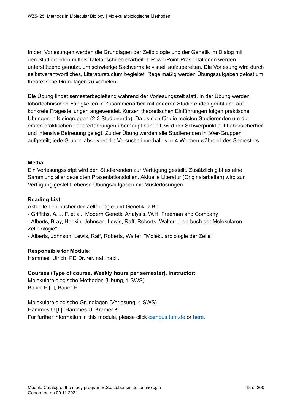In den Vorlesungen werden die Grundlagen der Zellbiologie und der Genetik im Dialog mit den Studierenden mittels Tafelanschrieb erarbeitet. PowerPoint-Präsentationen werden unterstützend genutzt, um schwierige Sachverhalte visuell aufzubereiten. Die Vorlesung wird durch selbstverantwortliches, Literaturstudium begleitet. Regelmäßig werden Übungsaufgaben gelöst um theoretische Grundlagen zu vertiefen.

Die Übung findet semesterbegleitend während der Vorlesungszeit statt. In der Übung werden labortechnischen Fähigkeiten in Zusammenarbeit mit anderen Studierenden geübt und auf konkrete Fragestellungen angewendet. Kurzen theoretischen Einführungen folgen praktische Übungen in Kleingruppen (2-3 Studierende). Da es sich für die meisten Studierenden um die ersten praktischen Laborerfahrungen überhaupt handelt, wird der Schwerpunkt auf Laborsicherheit und intensive Betreuung gelegt. Zu der Übung werden alle Studierenden in 30er-Gruppen aufgeteilt; jede Gruppe absolviert die Versuche innerhalb von 4 Wochen während des Semesters.

### **Media:**

Ein Vorlesungsskript wird den Studierenden zur Verfügung gestellt. Zusätzlich gibt es eine Sammlung aller gezeigten Präsentationsfolien. Aktuelle Literatur (Originalarbeiten) wird zur Verfügung gestellt, ebenso Übungsaufgaben mit Musterlösungen.

### **Reading List:**

Aktuelle Lehrbücher der Zellbiologie und Genetik, z.B.:

- Griffiths, A. J. F. et al., Modern Genetic Analysis, W.H. Freeman and Company
- Alberts, Bray, Hopkin, Johnson, Lewis, Raff, Roberts, Walter: "Lehrbuch der Molekularen Zellbiologie"
- Alberts, Johnson, Lewis, Raff, Roberts, Walter: "Molekularbiologie der Zelle"

### **Responsible for Module:**

Hammes, Ulrich; PD Dr. rer. nat. habil.

### **Courses (Type of course, Weekly hours per semester), Instructor:**

Molekularbiologische Methoden (Übung, 1 SWS) Bauer E [L], Bauer E

Molekularbiologische Grundlagen (Vorlesung, 4 SWS) Hammes U [L], Hammes U, Kramer K For further information in this module, please click<campus.tum.de> or [here.](https://campus.tum.de/tumonline/WBMODHB.wbShowMHBReadOnly?pKnotenNr=1520817&pOrgNr=25178)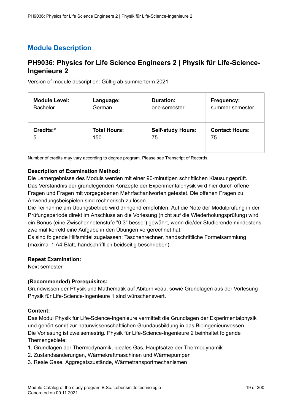### <span id="page-18-0"></span>**PH9036: Physics for Life Science Engineers 2 | Physik für Life-Science-Ingenieure 2**

Version of module description: Gültig ab summerterm 2021

| <b>Module Level:</b> | Language:           | <b>Duration:</b>         | Frequency:            |
|----------------------|---------------------|--------------------------|-----------------------|
| <b>Bachelor</b>      | German              | one semester             | summer semester       |
| Credits:*            | <b>Total Hours:</b> | <b>Self-study Hours:</b> | <b>Contact Hours:</b> |
| 5                    | 150                 | 75                       | 75                    |

Number of credits may vary according to degree program. Please see Transcript of Records.

### **Description of Examination Method:**

Die Lernergebnisse des Moduls werden mit einer 90-minutigen schriftlichen Klausur geprüft. Das Verständnis der grundlegenden Konzepte der Experimentalphysik wird hier durch offene Fragen und Fragen mit vorgegebenen Mehrfachantworten getestet. Die offenen Fragen zu Anwendungsbeispielen sind rechnerisch zu lösen.

Die Teilnahme am Übungsbetrieb wird dringend empfohlen. Auf die Note der Modulprüfung in der Prüfungsperiode direkt im Anschluss an die Vorlesung (nicht auf die Wiederholungsprüfung) wird ein Bonus (eine Zwischennotenstufe "0,3" besser) gewährt, wenn die/der Studierende mindestens zweimal korrekt eine Aufgabe in den Übungen vorgerechnet hat.

Es sind folgende Hilfsmittel zugelassen: Taschenrechner, handschriftliche Formelsammlung (maximal 1 A4-Blatt, handschriftlich beidseitig beschrieben).

### **Repeat Examination:**

Next semester

### **(Recommended) Prerequisites:**

Grundwissen der Physik und Mathematik auf Abiturniveau, sowie Grundlagen aus der Vorlesung Physik für Life-Science-Ingenieure 1 sind wünschenswert.

### **Content:**

Das Modul Physik für Life-Science-Ingenieure vermittelt die Grundlagen der Experimentalphysik und gehört somit zur naturwissenschaftlichen Grundausbildung in das Bioingenieurwessen. Die Vorlesung ist zweisemestrig. Physik für Life-Science-Ingenieure 2 beinhaltet folgende Themengebiete:

- 1. Grundlagen der Thermodynamik, ideales Gas, Hauptsätze der Thermodynamik
- 2. Zustandsänderungen, Wärmekraftmaschinen und Wärmepumpen
- 3. Reale Gase, Aggregatszustände, Wärmetransportmechanismen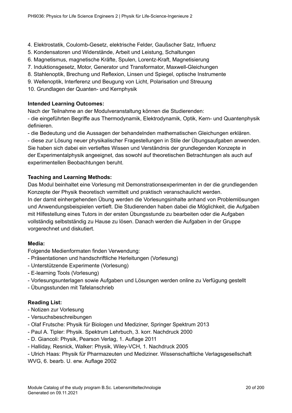- 4. Elektrostatik, Coulomb-Gesetz, elektrische Felder, Gaußscher Satz, Influenz
- 5. Kondensatoren und Widerstände, Arbeit und Leistung, Schaltungen
- 6. Magnetismus, magnetische Kräfte, Spulen, Lorentz-Kraft, Magnetisierung
- 7. Induktionsgesetz, Motor, Generator und Transformator, Maxwell-Gleichungen
- 8. Stahlenoptik, Brechung und Reflexion, Linsen und Spiegel, optische Instrumente
- 9. Wellenoptik, Interferenz und Beugung von Licht, Polarisation und Streuung
- 10. Grundlagen der Quanten- und Kernphysik

### **Intended Learning Outcomes:**

Nach der Teilnahme an der Modulveranstaltung können die Studierenden:

- die eingeführten Begriffe aus Thermodynamik, Elektrodynamik, Optik, Kern- und Quantenphysik definieren.

- die Bedeutung und die Aussagen der behandelnden mathematischen Gleichungen erklären.

- diese zur Lösung neuer physikalischer Fragestellungen in Stile der Übungsaufgaben anwenden. Sie haben sich dabei ein vertieftes Wissen und Verständnis der grundlegenden Konzepte in der Experimentalphysik angeeignet, das sowohl auf theoretischen Betrachtungen als auch auf experimentellen Beobachtungen beruht.

### **Teaching and Learning Methods:**

Das Modul beinhaltet eine Vorlesung mit Demonstrationsexperimenten in der die grundlegenden Konzepte der Physik theoretisch vermittelt und praktisch veranschaulicht werden. In der damit einhergehenden Übung werden die Vorlesungsinhalte anhand von Problemlösungen und Anwendungsbeispielen vertieft. Die Studierenden haben dabei die Möglichkeit, die Aufgaben mit Hilfestellung eines Tutors in der ersten Übungsstunde zu bearbeiten oder die Aufgaben vollständig selbstständig zu Hause zu lösen. Danach werden die Aufgaben in der Gruppe vorgerechnet und diskutiert.

### **Media:**

Folgende Medienformaten finden Verwendung:

- Präsentationen und handschriftliche Herleitungen (Vorlesung)
- Unterstützende Experimente (Vorlesung)
- E-learning Tools (Vorlesung)
- Vorlesungsunterlagen sowie Aufgaben und Lösungen werden online zu Verfügung gestellt
- Übungsstunden mit Tafelanschrieb

### **Reading List:**

- Notizen zur Vorlesung
- Versuchsbeschreibungen
- Olaf Frutsche: Physik für Biologen und Mediziner, Springer Spektrum 2013
- Paul A. Tipler: Physik. Spektrum Lehrbuch, 3. korr. Nachdruck 2000
- D. Giancoli: Physik, Pearson Verlag, 1. Auflage 2011
- Halliday, Resnick, Walker: Physik, Wiley-VCH, 1. Nachdruck 2005

- Ulrich Haas: Physik für Pharmazeuten und Mediziner. Wissenschaftliche Verlagsgesellschaft WVG, 6. bearb. U. erw. Auflage 2002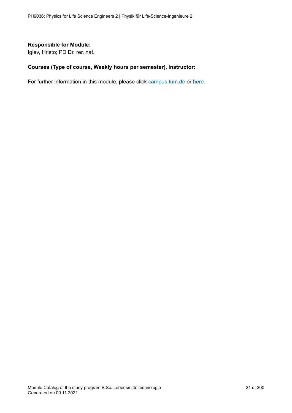### **Responsible for Module:**

Iglev, Hristo; PD Dr. rer. nat.

### **Courses (Type of course, Weekly hours per semester), Instructor:**

For further information in this module, please click<campus.tum.de> or [here.](https://campus.tum.de/tumonline/WBMODHB.wbShowMHBReadOnly?pKnotenNr=1660644&pOrgNr=14179)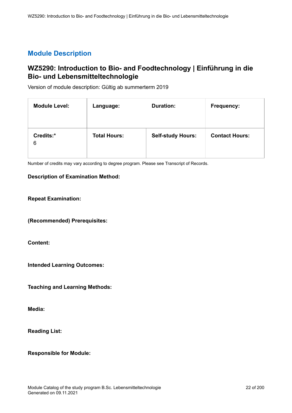### <span id="page-21-1"></span><span id="page-21-0"></span>**WZ5290: Introduction to Bio- and Foodtechnology | Einführung in die Bio- und Lebensmitteltechnologie**

Version of module description: Gültig ab summerterm 2019

| <b>Module Level:</b> | Language:           | <b>Duration:</b>         | Frequency:            |
|----------------------|---------------------|--------------------------|-----------------------|
| Credits:*<br>6       | <b>Total Hours:</b> | <b>Self-study Hours:</b> | <b>Contact Hours:</b> |

Number of credits may vary according to degree program. Please see Transcript of Records.

### **Description of Examination Method:**

### **Repeat Examination:**

**(Recommended) Prerequisites:**

**Content:**

**Intended Learning Outcomes:**

**Teaching and Learning Methods:**

**Media:**

**Reading List:**

**Responsible for Module:**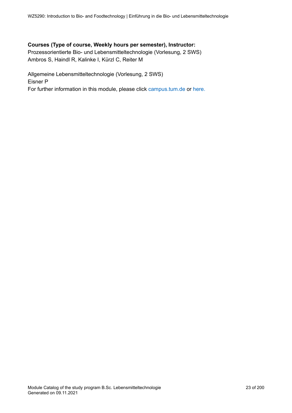### **Courses (Type of course, Weekly hours per semester), Instructor:**

Prozessorientierte Bio- und Lebensmitteltechnologie (Vorlesung, 2 SWS) Ambros S, Haindl R, Kalinke I, Kürzl C, Reiter M

Allgemeine Lebensmitteltechnologie (Vorlesung, 2 SWS) Eisner P For further information in this module, please click<campus.tum.de> or [here.](https://campus.tum.de/tumonline/WBMODHB.wbShowMHBReadOnly?pKnotenNr=1756395&pOrgNr=15645)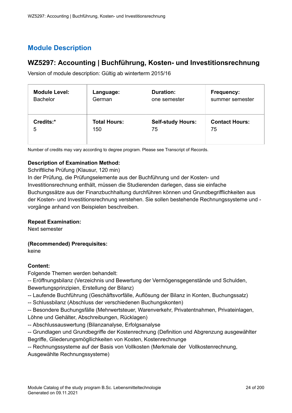### <span id="page-23-0"></span>**WZ5297: Accounting | Buchführung, Kosten- und Investitionsrechnung**

Version of module description: Gültig ab winterterm 2015/16

| <b>Module Level:</b> | Language:           | <b>Duration:</b>         | Frequency:            |
|----------------------|---------------------|--------------------------|-----------------------|
| <b>Bachelor</b>      | German              | one semester             | summer semester       |
| Credits:*            | <b>Total Hours:</b> | <b>Self-study Hours:</b> | <b>Contact Hours:</b> |
| 5                    | 150                 | 75                       | 75                    |

Number of credits may vary according to degree program. Please see Transcript of Records.

### **Description of Examination Method:**

Schriftliche Prüfung (Klausur, 120 min)

In der Prüfung, die Prüfungselemente aus der Buchführung und der Kosten- und Investitionsrechnung enthält, müssen die Studierenden darlegen, dass sie einfache Buchungssätze aus der Finanzbuchhaltung durchführen können und Grundbegrifflichkeiten aus der Kosten- und Investitionsrechnung verstehen. Sie sollen bestehende Rechnungssysteme und vorgänge anhand von Beispielen beschreiben.

### **Repeat Examination:**

Next semester

### **(Recommended) Prerequisites:**

keine

### **Content:**

Folgende Themen werden behandelt:

-- Eröffnungsbilanz (Verzeichnis und Bewertung der Vermögensgegenstände und Schulden, Bewertungsprinzipien, Erstellung der Bilanz)

- -- Laufende Buchführung (Geschäftsvorfälle, Auflösung der Bilanz in Konten, Buchungssatz)
- -- Schlussbilanz (Abschluss der verschiedenen Buchungskonten)
- -- Besondere Buchungsfälle (Mehrwertsteuer, Warenverkehr, Privatentnahmen, Privateinlagen,
- Löhne und Gehälter, Abschreibungen, Rücklagen)
- -- Abschlussauswertung (Bilanzanalyse, Erfolgsanalyse
- -- Grundlagen und Grundbegriffe der Kostenrechnung (Definition und Abgrenzung ausgewählter Begriffe, Gliederungsmögllichkeiten von Kosten, Kostenrechnunge

-- Rechnungssysteme auf der Basis von Vollkosten (Merkmale der Vollkostenrechnung, Ausgewählte Rechnungssysteme)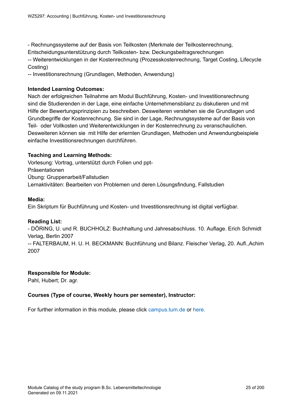- Rechnungssysteme auf der Basis von Teilkosten (Merkmale der Teilkostenrechnung,

Entscheidungsunterstützung durch Teilkosten- bzw. Deckungsbeitragsrechnungen

-- Weiterentwicklungen in der Kostenrechnung (Prozesskostenrechnung, Target Costing, Lifecycle Costing)

-- Investitionsrechnung (Grundlagen, Methoden, Anwendung)

### **Intended Learning Outcomes:**

Nach der erfolgreichen Teilnahme am Modul Buchführung, Kosten- und Investitionsrechnung sind die Studierenden in der Lage, eine einfache Unternehmensbilanz zu diskutieren und mit Hilfe der Bewertungsprinzipien zu beschreiben. Desweiteren verstehen sie die Grundlagen und Grundbegriffe der Kostenrechnung. Sie sind in der Lage, Rechnungssysteme auf der Basis von Teil- oder Vollkosten und Weiterentwicklungen in der Kostenrechnung zu veranschaulichen. Desweiteren können sie mit Hilfe der erlernten Grundlagen, Methoden und Anwendungbeispiele einfache Investitionsrechnungen durchführen.

### **Teaching and Learning Methods:**

Vorlesung: Vortrag, unterstützt durch Folien und ppt-Präsentationen Übung: Gruppenarbeit/Fallstudien Lernaktivitäten: Bearbeiten von Problemen und deren Lösungsfindung, Fallstudien

### **Media:**

Ein Skriptum für Buchführung und Kosten- und Investitionsrechnung ist digital verfügbar.

### **Reading List:**

- DÖRING, U. und R. BUCHHOLZ: Buchhaltung und Jahresabschluss. 10. Auflage. Erich Schmidt Verlag, Berlin 2007

-- FALTERBAUM, H. U. H. BECKMANN: Buchführung und Bilanz. Fleischer Verlag, 20. Aufl.,Achim 2007

### **Responsible for Module:**

Pahl, Hubert; Dr. agr.

### **Courses (Type of course, Weekly hours per semester), Instructor:**

For further information in this module, please click<campus.tum.de> or [here.](https://campus.tum.de/tumonline/WBMODHB.wbShowMHBReadOnly?pKnotenNr=1207537&pOrgNr=15459)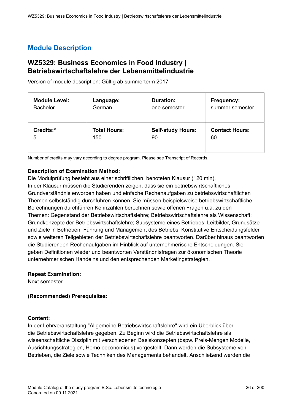### <span id="page-25-0"></span>**WZ5329: Business Economics in Food Industry | Betriebswirtschaftslehre der Lebensmittelindustrie**

Version of module description: Gültig ab summerterm 2017

| <b>Module Level:</b> | Language:           | <b>Duration:</b>         | <b>Frequency:</b>     |
|----------------------|---------------------|--------------------------|-----------------------|
| <b>Bachelor</b>      | German              | one semester             | summer semester       |
| Credits:*            | <b>Total Hours:</b> | <b>Self-study Hours:</b> | <b>Contact Hours:</b> |
| 5                    | 150                 | 90                       | 60                    |

Number of credits may vary according to degree program. Please see Transcript of Records.

### **Description of Examination Method:**

Die Modulprüfung besteht aus einer schriftlichen, benoteten Klausur (120 min). In der Klausur müssen die Studierenden zeigen, dass sie ein betriebswirtschaftliches Grundverständnis erworben haben und einfache Rechenaufgaben zu betriebswirtschaftlichen Themen selbstständig durchführen können. Sie müssen beispielsweise betriebswirtschaftliche Berechnungen durchführen Kennzahlen berechnen sowie offenen Fragen u.a. zu den Themen: Gegenstand der Betriebswirtschaftslehre; Betriebswirtschaftslehre als Wissenschaft; Grundkonzepte der Betriebswirtschaftslehre; Subsysteme eines Betriebes; Leitbilder, Grundsätze und Ziele in Betrieben; Führung und Management des Betriebs; Konstitutive Entscheidungsfelder sowie weiteren Teilgebieten der Betriebswirtschaftslehre beantworten. Darüber hinaus beantworten die Studierenden Rechenaufgaben im Hinblick auf unternehmerische Entscheidungen. Sie geben Definitionen wieder und beantworten Verständnisfragen zur ökonomischen Theorie unternehmerischen Handelns und den entsprechenden Marketingstrategien.

### **Repeat Examination:**

Next semester

### **(Recommended) Prerequisites:**

### **Content:**

In der Lehrveranstaltung "Allgemeine Betriebswirtschaftslehre" wird ein Überblick über die Betriebswirtschaftslehre gegeben. Zu Beginn wird die Betriebswirtschaftslehre als wissenschaftliche Disziplin mit verschiedenen Basiskonzepten (bspw. Preis-Mengen Modelle, Ausrichtungsstrategien, Homo oeconomicus) vorgestellt. Dann werden die Subsysteme von Betrieben, die Ziele sowie Techniken des Managements behandelt. Anschließend werden die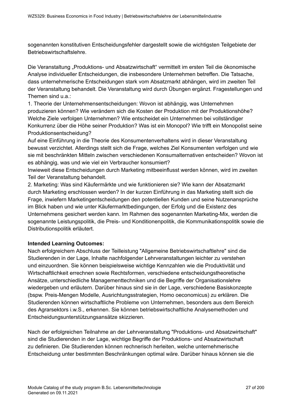sogenannten konstitutiven Entscheidungsfehler dargestellt sowie die wichtigsten Teilgebiete der Betriebswirtschaftslehre.

Die Veranstaltung "Produktions- und Absatzwirtschaft" vermittelt im ersten Teil die ökonomische Analyse individueller Entscheidungen, die insbesondere Unternehmen betreffen. Die Tatsache, dass unternehmerische Entscheidungen stark vom Absatzmarkt abhängen, wird im zweiten Teil der Veranstaltung behandelt. Die Veranstaltung wird durch Übungen ergänzt. Fragestellungen und Themen sind u.a.:

1. Theorie der Unternehmensentscheidungen: Wovon ist abhängig, was Unternehmen produzieren können? Wie verändern sich die Kosten der Produktion mit der Produktionshöhe? Welche Ziele verfolgen Unternehmen? Wie entscheidet ein Unternehmen bei vollständiger Konkurrenz über die Höhe seiner Produktion? Was ist ein Monopol? Wie trifft ein Monopolist seine Produktionsentscheidung?

Auf eine Einführung in die Theorie des Konsumentenverhaltens wird in dieser Veranstaltung bewusst verzichtet. Allerdings stellt sich die Frage, welches Ziel Konsumenten verfolgen und wie sie mit beschränkten Mitteln zwischen verschiedenen Konsumalternativen entscheiden? Wovon ist es abhängig, was und wie viel ein Verbraucher konsumiert?

Inwieweit diese Entscheidungen durch Marketing mitbeeinflusst werden können, wird im zweiten Teil der Veranstaltung behandelt.

2. Marketing: Was sind Käufermärkte und wie funktionieren sie? Wie kann der Absatzmarkt durch Marketing erschlossen werden? In der kurzen Einführung in das Marketing stellt sich die Frage, inwiefern Marketingentscheidungen den potentiellen Kunden und seine Nutzenansprüche im Blick haben und wie unter Käufermarktbedingungen, der Erfolg und die Existenz des Unternehmens gesichert werden kann. Im Rahmen des sogenannten Marketing-Mix, werden die sogenannte Leistungspolitik, die Preis- und Konditionenpolitik, die Kommunikationspolitik sowie die Distributionspolitik erläutert.

### **Intended Learning Outcomes:**

Nach erfolgreichem Abschluss der Teilleistung "Allgemeine Betriebswirtschaftlehre" sind die Studierenden in der Lage, Inhalte nachfolgender Lehrveranstaltungen leichter zu verstehen und einzuordnen. Sie können beispielsweise wichtige Kennzahlen wie die Produktivität und Wirtschaftlichkeit errechnen sowie Rechtsformen, verschiedene entscheidungstheoretische Ansätze, unterschiedliche Managementtechniken und die Begriffe der Organisationslehre wiedergeben und erläutern. Darüber hinaus sind sie in der Lage, verschiedene Basiskonzepte (bspw. Preis-Mengen Modelle, Ausrichtungsstrategien, Homo oeconomicus) zu erklären. Die Studierenden können wirtschaftliche Probleme von Unternehmen, besonders aus dem Bereich des Agrarsektors i.w.S., erkennen. Sie können betriebswirtschaftliche Analysemethoden und Entscheidungsunterstützungsansätze skizzieren.

Nach der erfolgreichen Teilnahme an der Lehrveranstaltung "Produktions- und Absatzwirtschaft" sind die Studierenden in der Lage, wichtige Begriffe der Produktions- und Absatzwirtschaft zu definieren. Die Studierenden können rechnerisch herleiten, welche unternehmerische Entscheidung unter bestimmten Beschränkungen optimal wäre. Darüber hinaus können sie die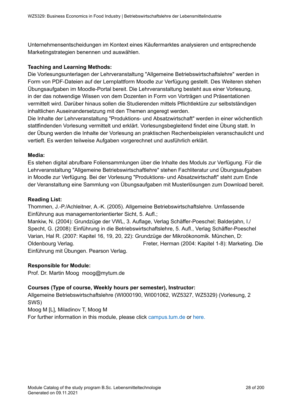Unternehmensentscheidungen im Kontext eines Käufermarktes analysieren und entsprechende Marketingstrategien benennen und auswählen.

### **Teaching and Learning Methods:**

Die Vorlesungsunterlagen der Lehrveranstaltung "Allgemeine Betriebswirtschaftslehre" werden in Form von PDF-Dateien auf der Lernplattform Moodle zur Verfügung gestellt. Des Weiteren stehen Übungsaufgaben im Moodle-Portal bereit. Die Lehrveranstaltung besteht aus einer Vorlesung, in der das notwendige Wissen von dem Dozenten in Form von Vorträgen und Präsentationen vermittelt wird. Darüber hinaus sollen die Studierenden mittels Pflichtlektüre zur selbstständigen inhaltlichen Auseinandersetzung mit den Themen angeregt werden.

Die Inhalte der Lehrveranstaltung "Produktions- und Absatzwirtschaft" werden in einer wöchentlich stattfindenden Vorlesung vermittelt und erklärt. Vorlesungsbegleitend findet eine Übung statt. In der Übung werden die Inhalte der Vorlesung an praktischen Rechenbeispielen veranschaulicht und vertieft. Es werden teilweise Aufgaben vorgerechnet und ausführlich erklärt.

### **Media:**

Es stehen digital abrufbare Foliensammlungen über die Inhalte des Moduls zur Verfügung. Für die Lehrveranstaltung "Allgemeine Betriebswirtschaftlehre" stehen Fachliteratur und Übungsaufgaben in Moodle zur Verfügung. Bei der Vorlesung "Produktions- und Absatzwirtschaft" steht zum Ende der Veranstaltung eine Sammlung von Übungsaufgaben mit Musterlösungen zum Download bereit.

### **Reading List:**

Thommen, J.-P./Achleitner, A.-K. (2005). Allgemeine Betriebswirtschaftslehre. Umfassende Einführung aus managementorientierter Sicht, 5. Aufl.;

Mankiw, N. (2004): Grundzüge der VWL, 3. Auflage, Verlag Schäffer-Poeschel; Balderjahn, I./ Specht, G. (2008): Einführung in die Betriebswirtschaftslehre, 5. Aufl., Verlag Schäffer-Poeschel Varian, Hal R. (2007: Kapitel 16, 19, 20, 22): Grundzüge der Mikroökonomik. München, D: Oldenbourg Verlag. Freter, Herman (2004: Kapitel 1-8): Marketing. Die Einführung mit Übungen. Pearson Verlag.

### **Responsible for Module:**

Prof. Dr. Martin Moog moog@mytum.de

### **Courses (Type of course, Weekly hours per semester), Instructor:**

Allgemeine Betriebswirtschaftslehre (WI000190, WI001062, WZ5327, WZ5329) (Vorlesung, 2 SWS)

Moog M [L], Miladinov T, Moog M

For further information in this module, please click<campus.tum.de> or [here.](https://campus.tum.de/tumonline/WBMODHB.wbShowMHBReadOnly?pKnotenNr=1033638&pOrgNr=14190)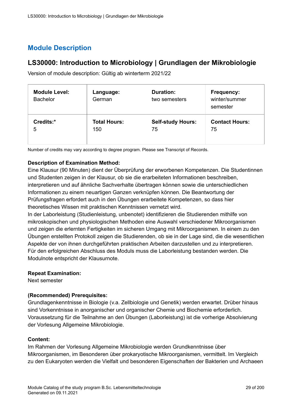### <span id="page-28-0"></span>**LS30000: Introduction to Microbiology | Grundlagen der Mikrobiologie**

Version of module description: Gültig ab winterterm 2021/22

| <b>Module Level:</b><br><b>Bachelor</b> | Language:<br>German | <b>Duration:</b><br>two semesters | Frequency:<br>winter/summer<br>semester |
|-----------------------------------------|---------------------|-----------------------------------|-----------------------------------------|
| Credits:*                               | <b>Total Hours:</b> | <b>Self-study Hours:</b>          | <b>Contact Hours:</b>                   |
| 5                                       | 150                 | 75                                | 75                                      |

Number of credits may vary according to degree program. Please see Transcript of Records.

### **Description of Examination Method:**

Eine Klausur (90 Minuten) dient der Überprüfung der erworbenen Kompetenzen. Die Studentinnen und Studenten zeigen in der Klausur, ob sie die erarbeiteten Informationen beschreiben, interpretieren und auf ähnliche Sachverhalte übertragen können sowie die unterschiedlichen Informationen zu einem neuartigen Ganzen verknüpfen können. Die Beantwortung der Prüfungsfragen erfordert auch in den Übungen erarbeitete Kompetenzen, so dass hier theoretisches Wissen mit praktischen Kenntnissen vernetzt wird.

In der Laborleistung (Studienleistung, unbenotet) identifizieren die Studierenden mithilfe von mikroskopischen und physiologischen Methoden eine Auswahl verschiedener Mikroorganismen und zeigen die erlernten Fertigkeiten im sicheren Umgang mit Mikroorganismen. In einem zu den Übungen erstellten Protokoll zeigen die Studierenden, ob sie in der Lage sind, die die wesentlichen Aspekte der von ihnen durchgeführten praktischen Arbeiten darzustellen und zu interpretieren. Für den erfolgreichen Abschluss des Moduls muss die Laborleistung bestanden werden. Die Modulnote entspricht der Klausurnote.

### **Repeat Examination:**

Next semester

### **(Recommended) Prerequisites:**

Grundlagenkenntnisse in Biologie (v.a. Zellbiologie und Genetik) werden erwartet. Drüber hinaus sind Vorkenntnisse in anorganischer und organischer Chemie und Biochemie erforderlich. Voraussetzung für die Teilnahme an den Übungen (Laborleistung) ist die vorherige Absolvierung der Vorlesung Allgemeine Mikrobiologie.

### **Content:**

Im Rahmen der Vorlesung Allgemeine Mikrobiologie werden Grundkenntnisse über Mikroorganismen, im Besonderen über prokaryotische Mikroorganismen, vermittelt. Im Vergleich zu den Eukaryoten werden die Vielfalt und besonderen Eigenschaften der Bakterien und Archaeen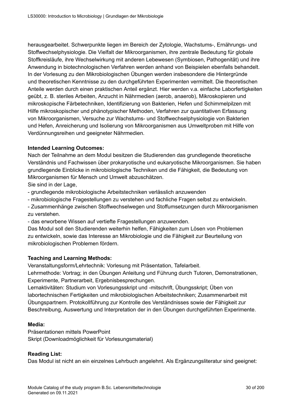herausgearbeitet. Schwerpunkte liegen im Bereich der Zytologie, Wachstums-, Ernährungs- und Stoffwechselphysiologie. Die Vielfalt der Mikroorganismen, ihre zentrale Bedeutung für globale Stoffkreisläufe, ihre Wechselwirkung mit anderen Lebewesen (Symbiosen, Pathogenität) und ihre Anwendung in biotechnologischen Verfahren werden anhand von Beispielen ebenfalls behandelt. In der Vorlesung zu den Mikrobiologischen Übungen werden insbesondere die Hintergründe und theoretischen Kenntnisse zu den durchgeführten Experimenten vermittelt. Die theoretischen Anteile werden durch einen praktischen Anteil ergänzt. Hier werden v.a. einfache Laborfertigkeiten geübt, z. B. steriles Arbeiten, Anzucht in Nährmedien (aerob, anaerob), Mikroskopieren und mikroskopische Färbetechniken, Identifizierung von Bakterien, Hefen und Schimmelpilzen mit Hilfe mikroskopischer und phänotypischer Methoden, Verfahren zur quantitativen Erfassung von Mikroorganismen, Versuche zur Wachstums- und Stoffwechselphysiologie von Bakterien und Hefen, Anreicherung und Isolierung von Mikroorganismen aus Umweltproben mit Hilfe von Verdünnungsreihen und geeigneter Nährmedien.

### **Intended Learning Outcomes:**

Nach der Teilnahme an dem Modul besitzen die Studierenden das grundlegende theoretische Verständnis und Fachwissen über prokaryotische und eukaryotische Mikroorganismen. Sie haben grundlegende Einblicke in mikrobiologische Techniken und die Fähigkeit, die Bedeutung von Mikroorganismen für Mensch und Umwelt abzuschätzen.

Sie sind in der Lage,

- grundlegende mikrobiologische Arbeitstechniken verlässlich anzuwenden

- mikrobiologische Fragestellungen zu verstehen und fachliche Fragen selbst zu entwickeln.

- Zusammenhänge zwischen Stoffwechselwegen und Stoffumsetzungen durch Mikroorganismen zu verstehen.

- das erworbene Wissen auf vertiefte Fragestellungen anzuwenden.

Das Modul soll den Studierenden weiterhin helfen, Fähigkeiten zum Lösen von Problemen zu entwickeln, sowie das Interesse an Mikrobiologie und die Fähigkeit zur Beurteilung von mikrobiologischen Problemen fördern.

### **Teaching and Learning Methods:**

Veranstaltungsform/Lehrtechnik: Vorlesung mit Präsentation, Tafelarbeit. Lehrmethode: Vortrag; in den Übungen Anleitung und Führung durch Tutoren, Demonstrationen, Experimente, Partnerarbeit, Ergebnisbesprechungen.

Lernaktivitäten: Studium von Vorlesungsskript und -mitschrift, Übungsskript; Üben von labortechnischen Fertigkeiten und mikrobiologischen Arbeitstechniken; Zusammenarbeit mit Übungspartnern. Protokollführung zur Kontrolle des Verständnisses sowie der Fähigkeit zur Beschreibung, Auswertung und Interpretation der in den Übungen durchgeführten Experimente.

### **Media:**

Präsentationen mittels PowerPoint Skript (Downloadmöglichkeit für Vorlesungsmaterial)

### **Reading List:**

Das Modul ist nicht an ein einzelnes Lehrbuch angelehnt. Als Ergänzungsliteratur sind geeignet: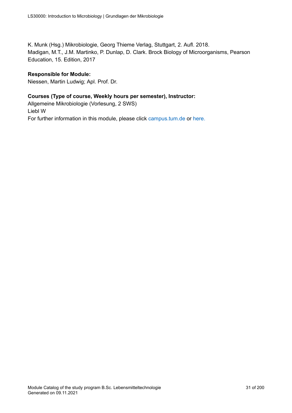K. Munk (Hsg.) Mikrobiologie, Georg Thieme Verlag, Stuttgart, 2. Aufl. 2018. Madigan, M.T., J.M. Martinko, P. Dunlap, D. Clark. Brock Biology of Microorganisms, Pearson Education, 15. Edition, 2017

### **Responsible for Module:**

Niessen, Martin Ludwig; Apl. Prof. Dr.

### **Courses (Type of course, Weekly hours per semester), Instructor:**

Allgemeine Mikrobiologie (Vorlesung, 2 SWS) Liebl W For further information in this module, please click<campus.tum.de> or [here.](https://campus.tum.de/tumonline/WBMODHB.wbShowMHBReadOnly?pKnotenNr=2938792&pOrgNr=15558)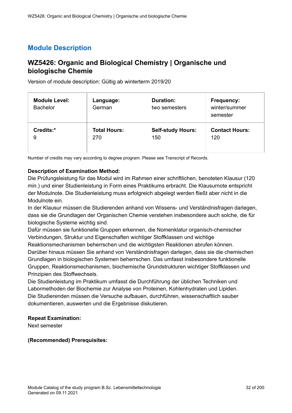### <span id="page-31-0"></span>**WZ5426: Organic and Biological Chemistry | Organische und biologische Chemie**

Version of module description: Gültig ab winterterm 2019/20

| <b>Module Level:</b><br><b>Bachelor</b> | Language:<br>German | <b>Duration:</b><br>two semesters | <b>Frequency:</b><br>winter/summer<br>semester |
|-----------------------------------------|---------------------|-----------------------------------|------------------------------------------------|
| Credits:*                               | <b>Total Hours:</b> | <b>Self-study Hours:</b>          | <b>Contact Hours:</b>                          |
| 9                                       | 270                 | 150                               | 120                                            |

Number of credits may vary according to degree program. Please see Transcript of Records.

### **Description of Examination Method:**

Die Prüfungsleistung für das Modul wird im Rahmen einer schriftlichen, benoteten Klausur (120 min.) und einer Studienleistung in Form eines Praktikums erbracht. Die Klausurnote entspricht der Modulnote. Die Studienleistung muss erfolgreich abgelegt werden fließt aber nicht in die Modulnote ein.

In der Klausur müssen die Studierenden anhand von Wissens- und Verständnisfragen darlegen, dass sie die Grundlagen der Organischen Chemie verstehen insbesondere auch solche, die für biologische Systeme wichtig sind.

Dafür müssen sie funktionelle Gruppen erkennen, die Nomenklatur organisch-chemischer Verbindungen, Struktur und Eigenschaften wichtiger Stoffklassen und wichtige

Reaktionsmechanismen beherrschen und die wichtigsten Reaktionen abrufen können. Darüber hinaus müssen Sie anhand von Verständnisfragen darlegen, dass sie die chemischen Grundlagen in biologischen Systemen beherrschen. Das umfasst insbesondere funktionelle Gruppen, Reaktionsmechanismen, biochemische Grundstrukturen wichtiger Stoffklassen und Prinzipien des Stoffwechsels.

Die Studienleistung im Praktikum umfasst die Durchführung der üblichen Techniken und Labormethoden der Biochemie zur Analyse von Proteinen, Kohlenhydraten und Lipiden. Die Studierenden müssen die Versuche aufbauen, durchführen, wissenschaftlich sauber dokumentieren, auswerten und die Ergebnisse diskutieren.

### **Repeat Examination:**

Next semester

### **(Recommended) Prerequisites:**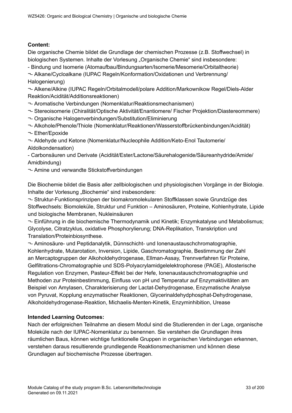### **Content:**

Die organische Chemie bildet die Grundlage der chemischen Prozesse (z.B. Stoffwechsel) in biologischen Systemen. Inhalte der Vorlesung "Organische Chemie" sind insbesondere:

- Bindung und Isomerie (Atomaufbau/Bindungsarten/Isomerie/Mesomerie/Orbitaltheorie)

¬- Alkane/Cycloalkane (IUPAC Regeln/Konformation/Oxidationen und Verbrennung/ Halogenierung)

¬- Alkene/Alkine (IUPAC Regeln/Orbitalmodell/polare Addition/Markownikow Regel/Diels-Alder Reaktion/Acidität/Additionsreaktionen)

¬- Aromatische Verbindungen (Nomenklatur/Reaktionsmechanismen)

¬- Stereoisomerie (Chiralität/Optische Aktivität/Enantiomere/ Fischer Projektion/Diastereommere)

- ¬- Organische Halogenverbindungen/Substitution/Eliminierung
- ¬- Alkohole/Phenole/Thiole (Nomenklatur/Reaktionen/Wasserstoffbrückenbindungen/Acidität)
- ¬- Ether/Epoxide

¬- Aldehyde und Ketone (Nomenklatur/Nucleophile Addition/Keto-Enol Tautomerie/ Aldolkondensation)

- Carbonsäuren und Derivate (Acidität/Ester/Lactone/Säurehalogenide/Säureanhydride/Amide/ Amidbindung)

¬- Amine und verwandte Stickstoffverbindungen

Die Biochemie bildet die Basis aller zellbiologischen und physiologischen Vorgänge in der Biologie. Inhalte der Vorlesung "Biochemie" sind insbesondere:

¬- Struktur-Funktionsprinzipen der biomakromolekularen Stoffklassen sowie Grundzüge des Stoffwechsels: Biomoleküle, Struktur und Funktion – Aminosäuren, Proteine, Kohlenhydrate, Lipide und biologische Membranen, Nukleinsäuren

¬- Einführung in die biochemische Thermodynamik und Kinetik; Enzymkatalyse und Metabolismus; Glycolyse, Citratzyklus, oxidative Phosphorylierung; DNA-Replikation, Transkription und Translation/Proteinbiosynthese.

¬- Aminosäure- und Peptidanalytik, Dünnschicht- und Ionenaustauschchromatographie, Kohlenhydrate, Mutarotation, Inversion, Lipide, Gaschromatographie, Bestimmung der Zahl an Mercaptogruppen der Alkoholdehydrogenase, Ellman-Assay, Trennverfahren für Proteine, Gelfiltrations-Chromatographie und SDS-Polyacrylamidgelelektrophorese (PAGE), Allosterische Regulation von Enzymen, Pasteur-Effekt bei der Hefe, Ionenaustauschchromatographie und Methoden zur Proteinbestimmung, Einfluss von pH und Temperatur auf Enzymaktivitäten am Beispiel von Amylasen, Charakterisierung der Lactat-Dehydrogenase, Enzymatische Analyse von Pyruvat, Kopplung enzymatischer Reaktionen, Glycerinaldehydphosphat-Dehydrogenase, Alkoholdehydrogenase-Reaktion, Michaelis-Menten-Kinetik, Enzyminhibition, Urease

### **Intended Learning Outcomes:**

Nach der erfolgreichen Teilnahme an diesem Modul sind die Studierenden in der Lage, organische Moleküle nach der IUPAC-Nomenklatur zu benennen. Sie verstehen die Grundlagen ihres räumlichen Baus, können wichtige funktionelle Gruppen in organischen Verbindungen erkennen, verstehen daraus resultierende grundlegende Reaktionsmechanismen und können diese Grundlagen auf biochemische Prozesse übertragen.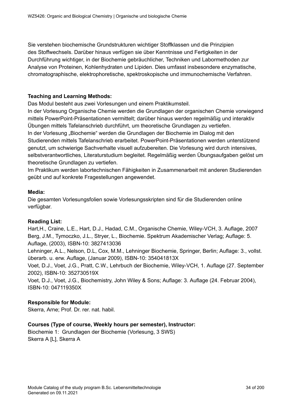Sie verstehen biochemische Grundstrukturen wichtiger Stoffklassen und die Prinzipien des Stoffwechsels. Darüber hinaus verfügen sie über Kenntnisse und Fertigkeiten in der Durchführung wichtiger, in der Biochemie gebräuchlicher, Techniken und Labormethoden zur Analyse von Proteinen, Kohlenhydraten und Lipiden. Dies umfasst insbesondere enzymatische, chromatographische, elektrophoretische, spektroskopische und immunochemische Verfahren.

### **Teaching and Learning Methods:**

Das Modul besteht aus zwei Vorlesungen und einem Praktikumsteil.

In der Vorlesung Organische Chemie werden die Grundlagen der organischen Chemie vorwiegend mittels PowerPoint-Präsentationen vermittelt; darüber hinaus werden regelmäßig und interaktiv Übungen mittels Tafelanschrieb durchführt, um theoretische Grundlagen zu vertiefen. In der Vorlesung "Biochemie" werden die Grundlagen der Biochemie im Dialog mit den Studierenden mittels Tafelanschrieb erarbeitet. PowerPoint-Präsentationen werden unterstützend genutzt, um schwierige Sachverhalte visuell aufzubereiten. Die Vorlesung wird durch intensives, selbstverantwortliches, Literaturstudium begleitet. Regelmäßig werden Übungsaufgaben gelöst um theoretische Grundlagen zu vertiefen.

Im Praktikum werden labortechnischen Fähigkeiten in Zusammenarbeit mit anderen Studierenden geübt und auf konkrete Fragestellungen angewendet.

### **Media:**

Die gesamten Vorlesungsfolien sowie Vorlesungsskripten sind für die Studierenden online verfügbar.

### **Reading List:**

Hart,H., Craine, L.E., Hart, D.J., Hadad, C.M., Organische Chemie, Wiley-VCH, 3. Auflage, 2007 Berg, J.M., Tymoczko, J.L., Stryer, L., Biochemie. Spektrum Akademischer Verlag; Auflage: 5. Auflage, (2003), ISBN-10: 3827413036

Lehninger, A.L., Nelson, D.L, Cox, M.M., Lehninger Biochemie, Springer, Berlin; Auflage: 3., vollst. überarb. u. erw. Auflage, (Januar 2009), ISBN-10: 354041813X

Voet, D.J., Voet, J.G., Pratt, C.W., Lehrbuch der Biochemie, Wiley-VCH, 1. Auflage (27. September 2002), ISBN-10: 352730519X

Voet, D.J., Voet, J.G., Biochemistry, John Wiley & Sons; Auflage: 3. Auflage (24. Februar 2004), ISBN-10: 047119350X

### **Responsible for Module:**

Skerra, Arne; Prof. Dr. rer. nat. habil.

### **Courses (Type of course, Weekly hours per semester), Instructor:**

Biochemie 1: Grundlagen der Biochemie (Vorlesung, 3 SWS) Skerra A [L], Skerra A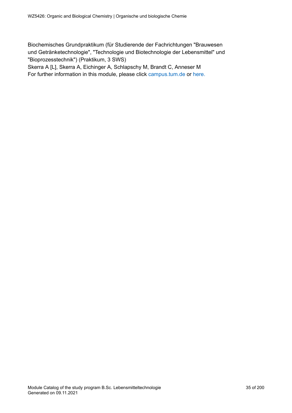Biochemisches Grundpraktikum (für Studierende der Fachrichtungen "Brauwesen und Getränketechnologie", "Technologie und Biotechnologie der Lebensmittel" und "Bioprozesstechnik") (Praktikum, 3 SWS)

Skerra A [L], Skerra A, Eichinger A, Schlapschy M, Brandt C, Anneser M For further information in this module, please click<campus.tum.de> or [here.](https://campus.tum.de/tumonline/WBMODHB.wbShowMHBReadOnly?pKnotenNr=1520842&pOrgNr=15556)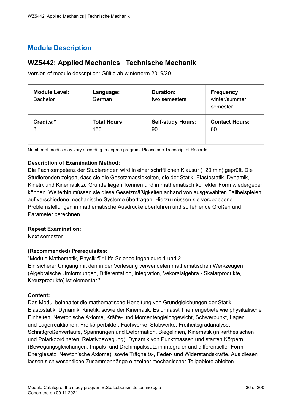# <span id="page-35-0"></span>**WZ5442: Applied Mechanics | Technische Mechanik**

Version of module description: Gültig ab winterterm 2019/20

| <b>Module Level:</b><br><b>Bachelor</b> | Language:<br>German | <b>Duration:</b><br>two semesters | Frequency:<br>winter/summer<br>semester |
|-----------------------------------------|---------------------|-----------------------------------|-----------------------------------------|
| Credits:*                               | <b>Total Hours:</b> | <b>Self-study Hours:</b>          | <b>Contact Hours:</b>                   |
| 8                                       | 150                 | 90                                | 60                                      |

Number of credits may vary according to degree program. Please see Transcript of Records.

### **Description of Examination Method:**

Die Fachkompetenz der Studierenden wird in einer schriftlichen Klausur (120 min) geprüft. Die Studierenden zeigen, dass sie die Gesetzmässigkeiten, die der Statik, Elastostatik, Dynamik, Kinetik und Kinematik zu Grunde liegen, kennen und in mathematisch korrekter Form wiedergeben können. Weiterhin müssen sie diese Gesetzmäßigkeiten anhand von ausgewählten Fallbeispielen auf verschiedene mechanische Systeme übertragen. Hierzu müssen sie vorgegebene Problemstellungen in mathematische Ausdrücke überführen und so fehlende Größen und Parameter berechnen.

### **Repeat Examination:**

Next semester

### **(Recommended) Prerequisites:**

"Module Mathematik, Physik für Life Science Ingenieure 1 und 2. Ein sicherer Umgang mit den in der Vorlesung verwendeten mathematischen Werkzeugen (Algebraische Umformungen, Differentation, Integration, Vekoralalgebra - Skalarprodukte, Kreuzprodukte) ist elementar."

### **Content:**

Das Modul beinhaltet die mathematische Herleitung von Grundgleichungen der Statik, Elastostatik, Dynamik, Kinetik, sowie der Kinematik. Es umfasst Themengebiete wie physikalische Einheiten, Newton'sche Axiome, Kräfte- und Momentengleichgewicht, Schwerpunkt, Lager und Lagerreaktionen, Freikörperbilder, Fachwerke, Stabwerke, Freiheitsgradanalyse, Schnittgrößenverläufe, Spannungen und Deformation, Biegelinien, Kinematik (in karthesischen und Polarkoordinaten, Relativbewegung), Dynamik von Punktmassen und starren Körpern (Bewegungsgleichungen, Impuls- und Drehimpulssatz in integraler und differentieller Form, Energiesatz, Newton'sche Axiome), sowie Trägheits-, Feder- und Widerstandskräfte. Aus diesen lassen sich wesentliche Zusammenhänge einzelner mechanischer Teilgebiete ableiten.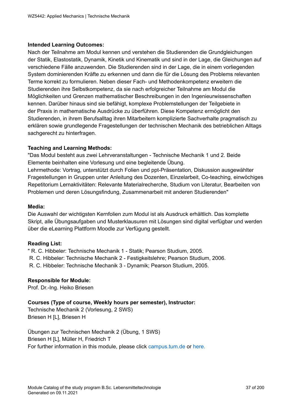#### **Intended Learning Outcomes:**

Nach der Teilnahme am Modul kennen und verstehen die Studierenden die Grundgleichungen der Statik, Elastostatik, Dynamik, Kinetik und Kinematik und sind in der Lage, die Gleichungen auf verschiedene Fälle anzuwenden. Die Studierenden sind in der Lage, die in einem vorliegenden System dominierenden Kräfte zu erkennen und dann die für die Lösung des Problems relevanten Terme korrekt zu formulieren. Neben dieser Fach- und Methodenkompetenz erweitern die Studierenden ihre Selbstkompetenz, da sie nach erfolgreicher Teilnahme am Modul die Möglichkeiten und Grenzen mathematischer Beschreibungen in den Ingenieurwissenschaften kennen. Darüber hinaus sind sie befähigt, komplexe Problemstellungen der Teilgebiete in der Praxis in mathematische Ausdrücke zu überführen. Diese Kompetenz ermöglicht den Studierenden, in ihrem Berufsalltag ihren Mitarbeitern komplizierte Sachverhalte pragmatisch zu erklären sowie grundlegende Fragestellungen der technischen Mechanik des betrieblichen Alltags sachgerecht zu hinterfragen.

#### **Teaching and Learning Methods:**

"Das Modul besteht aus zwei Lehrveranstaltungen - Technische Mechanik 1 und 2. Beide Elemente beinhalten eine Vorlesung und eine begleitende Übung.

Lehrmethode: Vortrag, unterstützt durch Folien und ppt-Präsentation, Diskussion ausgewählter Fragestellungen in Gruppen unter Anleitung des Dozenten, Einzelarbeit, Co-teaching, einwöchiges Repetitorium Lernaktivitäten: Relevante Materialrecherche, Studium von Literatur, Bearbeiten von Problemen und deren Lösungsfindung, Zusammenarbeit mit anderen Studierenden"

#### **Media:**

Die Auswahl der wichtigsten Kernfolien zum Modul ist als Ausdruck erhältlich. Das komplette Skript, alle Übungsaufgaben und Musterklausuren mit Lösungen sind digital verfügbar und werden über die eLearning Plattform Moodle zur Verfügung gestellt.

#### **Reading List:**

" R. C. Hibbeler: Technische Mechanik 1 - Statik; Pearson Studium, 2005. R. C. Hibbeler: Technische Mechanik 2 - Festigkeitslehre; Pearson Studium, 2006. R. C. Hibbeler: Technische Mechanik 3 - Dynamik; Pearson Studium, 2005.

#### **Responsible for Module:**

Prof. Dr.-Ing. Heiko Briesen

#### **Courses (Type of course, Weekly hours per semester), Instructor:**

Technische Mechanik 2 (Vorlesung, 2 SWS) Briesen H [L], Briesen H

Übungen zur Technischen Mechanik 2 (Übung, 1 SWS) Briesen H [L], Müller H, Friedrich T For further information in this module, please click<campus.tum.de> or [here.](https://campus.tum.de/tumonline/WBMODHB.wbShowMHBReadOnly?pKnotenNr=1755306&pOrgNr=14190)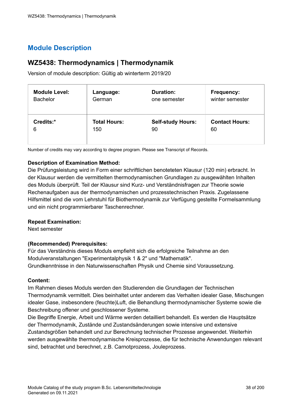### **WZ5438: Thermodynamics | Thermodynamik**

Version of module description: Gültig ab winterterm 2019/20

| <b>Module Level:</b> | Language:           | <b>Duration:</b>         | <b>Frequency:</b>     |
|----------------------|---------------------|--------------------------|-----------------------|
| <b>Bachelor</b>      | German              | one semester             | winter semester       |
| Credits:*            | <b>Total Hours:</b> | <b>Self-study Hours:</b> | <b>Contact Hours:</b> |
| 6                    | 150                 | 90                       | 60                    |

Number of credits may vary according to degree program. Please see Transcript of Records.

#### **Description of Examination Method:**

Die Prüfungsleistung wird in Form einer schriftlichen benoteteten Klausur (120 min) erbracht. In der Klausur werden die vermittelten thermodynamischen Grundlagen zu ausgewählten Inhalten des Moduls überprüft. Teil der Klausur sind Kurz- und Verständnisfragen zur Theorie sowie Rechenaufgaben aus der thermodynamischen und prozesstechnischen Praxis. Zugelassene Hilfsmittel sind die vom Lehrstuhl für Biothermodynamik zur Verfügung gestellte Formelsammlung und ein nicht programmierbarer Taschenrechner.

#### **Repeat Examination:**

Next semester

#### **(Recommended) Prerequisites:**

Für das Verständnis dieses Moduls empfiehlt sich die erfolgreiche Teilnahme an den Modulveranstaltungen "Experimentalphysik 1 & 2" und "Mathematik". Grundkenntnisse in den Naturwissenschaften Physik und Chemie sind Voraussetzung.

#### **Content:**

Im Rahmen dieses Moduls werden den Studierenden die Grundlagen der Technischen Thermodynamik vermittelt. Dies beinhaltet unter anderem das Verhalten idealer Gase, Mischungen idealer Gase, insbesondere (feuchte)Luft, die Behandlung thermodynamischer Systeme sowie die Beschreibung offener und geschlossener Systeme.

Die Begriffe Energie, Arbeit und Wärme werden detailliert behandelt. Es werden die Hauptsätze der Thermodynamik, Zustände und Zustandsänderungen sowie intensive und extensive Zustandsgrößen behandelt und zur Berechnung technischer Prozesse angewendet. Weiterhin werden ausgewählte thermodynamische Kreisprozesse, die für technische Anwendungen relevant sind, betrachtet und berechnet, z.B. Carnotprozess, Jouleprozess.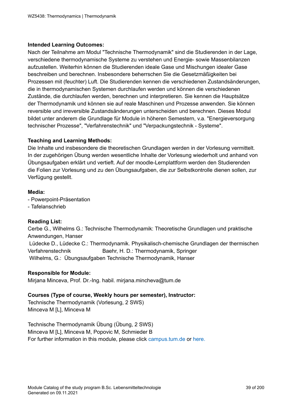#### **Intended Learning Outcomes:**

Nach der Teilnahme am Modul "Technische Thermodynamik" sind die Studierenden in der Lage, verschiedene thermodynamische Systeme zu verstehen und Energie- sowie Massenbilanzen aufzustellen. Weiterhin können die Studierenden ideale Gase und Mischungen idealer Gase beschreiben und berechnen. Insbesondere beherrschen Sie die Gesetzmäßigkeiten bei Prozessen mit (feuchter) Luft. Die Studierenden kennen die verschiedenen Zustandsänderungen, die in thermodynamischen Systemen durchlaufen werden und können die verschiedenen Zustände, die durchlaufen werden, berechnen und interpretieren. Sie kennen die Hauptsätze der Thermodynamik und können sie auf reale Maschinen und Prozesse anwenden. Sie können reversible und irreversible Zustandsänderungen unterscheiden und berechnen. Dieses Modul bildet unter anderem die Grundlage für Module in höheren Semestern, v.a. "Energieversorgung technischer Prozesse", "Verfahrenstechnik" und "Verpackungstechnik - Systeme".

#### **Teaching and Learning Methods:**

Die Inhalte und insbesondere die theoretischen Grundlagen werden in der Vorlesung vermittelt. In der zugehörigen Übung werden wesentliche Inhalte der Vorlesung wiederholt und anhand von Übungsaufgaben erklärt und vertieft. Auf der moodle-Lernplattform werden den Studierenden die Folien zur Vorlesung und zu den Übungsaufgaben, die zur Selbstkontrolle dienen sollen, zur Verfügung gestellt.

#### **Media:**

- Powerpoint-Präsentation

- Tafelanschrieb

#### **Reading List:**

Cerbe G., Wilhelms G.: Technische Thermodynamik: Theoretische Grundlagen und praktische Anwendungen, Hanser Lüdecke D., Lüdecke C.: Thermodynamik. Physikalisch-chemische Grundlagen der thermischen Verfahrenstechnik Baehr, H. D.: Thermodynamik, Springer Wilhelms, G.: Übungsaufgaben Technische Thermodynamik, Hanser

#### **Responsible for Module:**

Mirjana Minceva, Prof. Dr.-Ing. habil. mirjana.mincheva@tum.de

#### **Courses (Type of course, Weekly hours per semester), Instructor:**

Technische Thermodynamik (Vorlesung, 2 SWS) Minceva M [L], Minceva M

Technische Thermodynamik Übung (Übung, 2 SWS) Minceva M [L], Minceva M, Popovic M, Schmieder B For further information in this module, please click<campus.tum.de> or [here.](https://campus.tum.de/tumonline/WBMODHB.wbShowMHBReadOnly?pKnotenNr=1548475&pOrgNr=46717)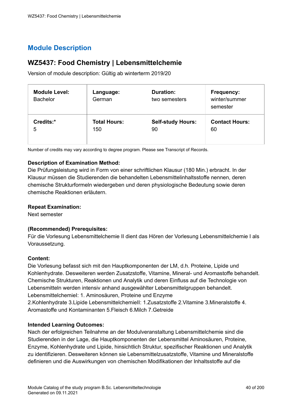## **WZ5437: Food Chemistry | Lebensmittelchemie**

Version of module description: Gültig ab winterterm 2019/20

| <b>Module Level:</b><br><b>Bachelor</b> | Language:<br>German | <b>Duration:</b><br>two semesters | Frequency:<br>winter/summer<br>semester |
|-----------------------------------------|---------------------|-----------------------------------|-----------------------------------------|
| Credits:*                               | <b>Total Hours:</b> | <b>Self-study Hours:</b>          | <b>Contact Hours:</b>                   |
| 5                                       | 150                 | 90                                | 60                                      |

Number of credits may vary according to degree program. Please see Transcript of Records.

#### **Description of Examination Method:**

Die Prüfungsleistung wird in Form von einer schriftlichen Klausur (180 Min.) erbracht. In der Klausur müssen die Studierenden die behandelten Lebensmittelinhaltsstoffe nennen, deren chemische Strukturformeln wiedergeben und deren physiologische Bedeutung sowie deren chemische Reaktionen erläutern.

#### **Repeat Examination:**

Next semester

#### **(Recommended) Prerequisites:**

Für die Vorlesung Lebensmittelchemie II dient das Hören der Vorlesung Lebensmittelchemie I als Voraussetzung.

#### **Content:**

Die Vorlesung befasst sich mit den Hauptkomponenten der LM, d.h. Proteine, Lipide und Kohlenhydrate. Desweiteren werden Zusatzstoffe, Vitamine, Mineral- und Aromastoffe behandelt. Chemische Strukturen, Reaktionen und Analytik und deren Einfluss auf die Technologie von Lebensmitteln werden intensiv anhand ausgewählter Lebensmittelgruppen behandelt. LebensmittelchemieI: 1. Aminosäuren, Proteine und Enzyme 2.Kohlenhydrate 3.Lipide LebensmittelchemieII: 1.Zusatzstoffe 2.Vitamine 3.Mineralstoffe 4. Aromastoffe und Kontaminanten 5.Fleisch 6.Milch 7.Getreide

#### **Intended Learning Outcomes:**

Nach der erfolgreichen Teilnahme an der Modulveranstaltung Lebensmittelchemie sind die Studierenden in der Lage, die Hauptkomponenten der Lebensmittel Aminosäuren, Proteine, Enzyme, Kohlenhydrate und Lipide, hinsichtlich Struktur, spezifischer Reaktionen und Analytik zu identifizieren. Desweiteren können sie Lebensmittelzusatzstoffe, Vitamine und Mineralstoffe definieren und die Auswirkungen von chemischen Modifikationen der Inhaltsstoffe auf die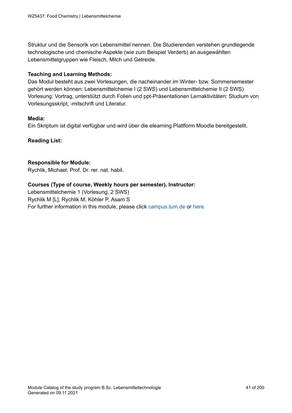Struktur und die Sensorik von Lebensmittel nennen. Die Studierenden verstehen grundlegende technologische und chemische Aspekte (wie zum Beispiel Verderb) an ausgewählten Lebensmittelgruppen wie Fleisch, Milch und Getreide.

#### **Teaching and Learning Methods:**

Das Modul besteht aus zwei Vorlesungen, die nacheinander im Winter- bzw. Sommersemester gehört werden können: Lebensmittelchemie I (2 SWS) und Lebensmittelchemie II (2 SWS) Vorlesung: Vortrag, unterstützt durch Folien und ppt-Präsentationen Lernaktivitäten: Studium von Vorlesungsskript, -mitschrift und Literatur.

#### **Media:**

Ein Skriptum ist digital verfügbar und wird über die elearning Plattform Moodle bereitgestellt.

**Reading List:**

#### **Responsible for Module:**

Rychlik, Michael; Prof. Dr. rer. nat. habil.

#### **Courses (Type of course, Weekly hours per semester), Instructor:**

Lebensmittelchemie 1 (Vorlesung, 2 SWS) Rychlik M [L], Rychlik M, Köhler P, Asam S For further information in this module, please click<campus.tum.de> or [here.](https://campus.tum.de/tumonline/WBMODHB.wbShowMHBReadOnly?pKnotenNr=1542926&pOrgNr=43299)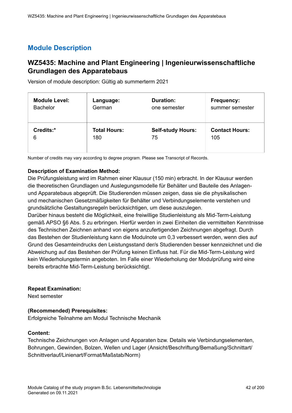### **WZ5435: Machine and Plant Engineering | Ingenieurwissenschaftliche Grundlagen des Apparatebaus**

Version of module description: Gültig ab summerterm 2021

| <b>Module Level:</b> | Language:           | <b>Duration:</b>         | <b>Frequency:</b>     |
|----------------------|---------------------|--------------------------|-----------------------|
| <b>Bachelor</b>      | German              | one semester             | summer semester       |
| Credits:*            | <b>Total Hours:</b> | <b>Self-study Hours:</b> | <b>Contact Hours:</b> |
| 6                    | 180                 | 75                       | 105                   |

Number of credits may vary according to degree program. Please see Transcript of Records.

#### **Description of Examination Method:**

Die Prüfungsleistung wird im Rahmen einer Klausur (150 min) erbracht. In der Klausur werden die theoretischen Grundlagen und Auslegungsmodelle für Behälter und Bauteile des Anlagenund Apparatebaus abgeprüft. Die Studierenden müssen zeigen, dass sie die physikalischen und mechanischen Gesetzmäßigkeiten für Behälter und Verbindungselemente verstehen und grundsätzliche Gestaltungsregeln berücksichtigen, um diese auszulegen.

Darüber hinaus besteht die Möglichkeit, eine freiwillige Studienleistung als Mid-Term-Leistung gemäß APSO §6 Abs. 5 zu erbringen. Hierfür werden in zwei Einheiten die vermittelten Kenntnisse des Technischen Zeichnen anhand von eigens anzufertigenden Zeichnungen abgefragt. Durch das Bestehen der Studienleistung kann die Modulnote um 0,3 verbessert werden, wenn dies auf Grund des Gesamteindrucks den Leistungsstand der/s Studierenden besser kennzeichnet und die Abweichung auf das Bestehen der Prüfung keinen Einfluss hat. Für die Mid-Term-Leistung wird kein Wiederholungstermin angeboten. Im Falle einer Wiederholung der Modulprüfung wird eine bereits erbrachte Mid-Term-Leistung berücksichtigt.

#### **Repeat Examination:**

Next semester

#### **(Recommended) Prerequisites:**

Erfolgreiche Teilnahme am Modul Technische Mechanik

#### **Content:**

Technische Zeichnungen von Anlagen und Apparaten bzw. Details wie Verbindungselementen, Bohrungen, Gewinden, Bolzen, Wellen und Lager (Ansicht/Beschriftung/Bemaßung/Schnittart/ Schnittverlauf/Linienart/Format/Maßstab/Norm)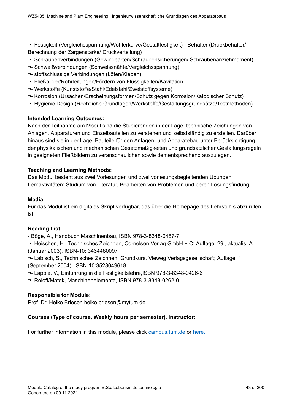¬- Festigkeit (Vergleichsspannung/Wöhlerkurve/Gestaltfestigkeit) - Behälter (Druckbehälter/ Berechnung der Zargenstärke/ Druckverteilung)

- ¬- Schraubenverbindungen (Gewindearten/Schraubensicherungen/ Schraubenanziehmoment)
- ¬- Schweißverbindungen (Schweissnähte/Vergleichsspannung)
- ¬- stoffschlüssige Verbindungen (Löten/Kleben)
- ¬- Fließbilder/Rohrleitungen/Fördern von Flüssigkeiten/Kavitation
- ¬- Werkstoffe (Kunststoffe/Stahl/Edelstahl/Zweistoffsysteme)
- ¬- Korrosion (Ursachen/Erscheinungsformen/Schutz gegen Korrosion/Katodischer Schutz)
- ¬- Hygienic Design (Rechtliche Grundlagen/Werkstoffe/Gestaltungsgrundsätze/Testmethoden)

#### **Intended Learning Outcomes:**

Nach der Teilnahme am Modul sind die Studierenden in der Lage, technische Zeichungen von Anlagen, Apparaturen und Einzelbauteilen zu verstehen und selbstständig zu erstellen. Darüber hinaus sind sie in der Lage, Bauteile für den Anlagen- und Apparatebau unter Berücksichtigung der physikalischen und mechanischen Gesetzmäßigkeiten und grundsätzlicher Gestaltungsregeln in geeigneten Fließbildern zu veranschaulichen sowie dementsprechend auszulegen.

#### **Teaching and Learning Methods:**

Das Modul besteht aus zwei Vorlesungen und zwei vorlesungsbegleitenden Übungen. Lernaktivitäten: Studium von Literatur, Bearbeiten von Problemen und deren Lösungsfindung

#### **Media:**

Für das Modul ist ein digitales Skript verfügbar, das über die Homepage des Lehrstuhls abzurufen ist.

#### **Reading List:**

- Böge, A., Handbuch Maschinenbau, ISBN 978-3-8348-0487-7

¬- Hoischen, H., Technisches Zeichnen, Cornelsen Verlag GmbH + C; Auflage: 29., aktualis. A. (Januar 2003), ISBN-10: 3464480097

¬- Labisch, S., Technisches Zeichnen, Grundkurs, Vieweg Verlagsgesellschaft; Auflage: 1 (September 2004), ISBN-10:3528049618

¬- Läpple, V., Einführung in die Festigkeitslehre,ISBN 978-3-8348-0426-6

¬- Roloff/Matek, Maschinenelemente, ISBN 978-3-8348-0262-0

#### **Responsible for Module:**

Prof. Dr. Heiko Briesen heiko.briesen@mytum.de

#### **Courses (Type of course, Weekly hours per semester), Instructor:**

For further information in this module, please click<campus.tum.de> or [here.](https://campus.tum.de/tumonline/WBMODHB.wbShowMHBReadOnly?pKnotenNr=1542849&pOrgNr=15643)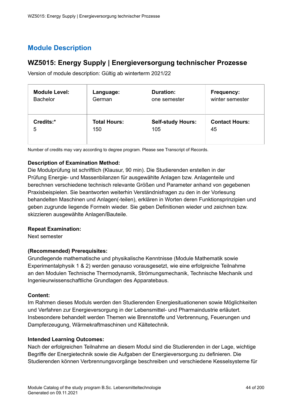### **WZ5015: Energy Supply | Energieversorgung technischer Prozesse**

Version of module description: Gültig ab winterterm 2021/22

| <b>Module Level:</b> | Language:           | <b>Duration:</b>         | <b>Frequency:</b>     |
|----------------------|---------------------|--------------------------|-----------------------|
| <b>Bachelor</b>      | German              | one semester             | winter semester       |
| Credits:*            | <b>Total Hours:</b> | <b>Self-study Hours:</b> | <b>Contact Hours:</b> |
| 5                    | 150                 | 105                      | 45                    |

Number of credits may vary according to degree program. Please see Transcript of Records.

#### **Description of Examination Method:**

Die Modulprüfung ist schriftlich (Klausur, 90 min). Die Studierenden erstellen in der Prüfung Energie- und Massenbilanzen für ausgewählte Anlagen bzw. Anlagenteile und berechnen verschiedene technisch relevante Größen und Parameter anhand von gegebenen Praxisbeispielen. Sie beantworten weiterhin Verständnisfragen zu den in der Vorlesung behandelten Maschinen und Anlagen(-teilen), erklären in Worten deren Funktionsprinzipien und geben zugrunde liegende Formeln wieder. Sie geben Definitionen wieder und zeichnen bzw. skizzieren ausgewählte Anlagen/Bauteile.

#### **Repeat Examination:**

Next semester

#### **(Recommended) Prerequisites:**

Grundlegende mathematische und physikalische Kenntnisse (Module Mathematik sowie Experimentalphysik 1 & 2) werden genauso vorausgesetzt, wie eine erfolgreiche Teilnahme an den Modulen Technische Thermodynamik, Strömungsmechanik, Technische Mechanik und Ingenieurwissenschaftliche Grundlagen des Apparatebaus.

#### **Content:**

Im Rahmen dieses Moduls werden den Studierenden Energiesituationenen sowie Möglichkeiten und Verfahren zur Energieversorgung in der Lebensmittel- und Pharmaindustrie erläutert. Insbesondere behandelt werden Themen wie Brennstoffe und Verbrennung, Feuerungen und Dampferzeugung, Wärmekraftmaschinen und Kältetechnik.

#### **Intended Learning Outcomes:**

Nach der erfolgreichen Teilnahme an diesem Modul sind die Studierenden in der Lage, wichtige Begriffe der Energietechnik sowie die Aufgaben der Energieversorgung zu definieren. Die Studierenden können Verbrennungsvorgänge beschreiben und verschiedene Kesselsysteme für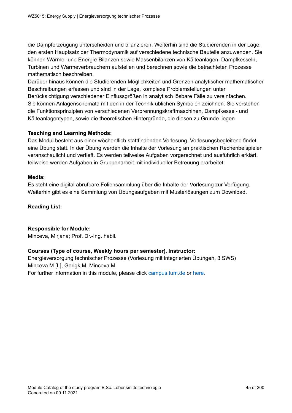die Dampferzeugung unterscheiden und bilanzieren. Weiterhin sind die Studierenden in der Lage, den ersten Hauptsatz der Thermodynamik auf verschiedene technische Bauteile anzuwenden. Sie können Wärme- und Energie-Bilanzen sowie Massenbilanzen von Kälteanlagen, Dampfkesseln, Turbinen und Wärmeverbrauchern aufstellen und berechnen sowie die betrachteten Prozesse mathematisch beschreiben.

Darüber hinaus können die Studierenden Möglichkeiten und Grenzen analytischer mathematischer Beschreibungen erfassen und sind in der Lage, komplexe Problemstellungen unter Berücksichtigung verschiedener Einflussgrößen in analytisch lösbare Fälle zu vereinfachen. Sie können Anlagenschemata mit den in der Technik üblichen Symbolen zeichnen. Sie verstehen die Funktionsprinzipien von verschiedenen Verbrennungskraftmaschinen, Dampfkessel- und Kälteanlagentypen, sowie die theoretischen Hintergründe, die diesen zu Grunde liegen.

#### **Teaching and Learning Methods:**

Das Modul besteht aus einer wöchentlich stattfindenden Vorlesung. Vorlesungsbegleitend findet eine Übung statt. In der Übung werden die Inhalte der Vorlesung an praktischen Rechenbeispielen veranschaulicht und vertieft. Es werden teilweise Aufgaben vorgerechnet und ausführlich erklärt, teilweise werden Aufgaben in Gruppenarbeit mit individueller Betreuung erarbeitet.

#### **Media:**

Es steht eine digital abrufbare Foliensammlung über die Inhalte der Vorlesung zur Verfügung. Weiterhin gibt es eine Sammlung von Übungsaufgaben mit Musterlösungen zum Download.

#### **Reading List:**

#### **Responsible for Module:**

Minceva, Mirjana; Prof. Dr.-Ing. habil.

#### **Courses (Type of course, Weekly hours per semester), Instructor:**

Energieversorgung technischer Prozesse (Vorlesung mit integrierten Übungen, 3 SWS) Minceva M [L], Gerigk M, Minceva M For further information in this module, please click<campus.tum.de> or [here.](https://campus.tum.de/tumonline/WBMODHB.wbShowMHBReadOnly?pKnotenNr=2837577&pOrgNr=46717)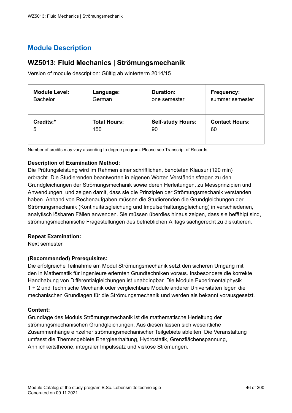## **WZ5013: Fluid Mechanics | Strömungsmechanik**

Version of module description: Gültig ab winterterm 2014/15

| <b>Module Level:</b> | Language:           | <b>Duration:</b>         | Frequency:            |
|----------------------|---------------------|--------------------------|-----------------------|
| <b>Bachelor</b>      | German              | one semester             | summer semester       |
| Credits:*            | <b>Total Hours:</b> | <b>Self-study Hours:</b> | <b>Contact Hours:</b> |
| 5                    | 150                 | 90                       | 60                    |

Number of credits may vary according to degree program. Please see Transcript of Records.

#### **Description of Examination Method:**

Die Prüfungsleistung wird im Rahmen einer schriftlichen, benoteten Klausur (120 min) erbracht. Die Studierenden beantworten in eigenen Worten Verständnisfragen zu den Grundgleichungen der Strömungsmechanik sowie deren Herleitungen, zu Messprinzipien und Anwendungen, und zeigen damit, dass sie die Prinzipien der Strömungsmechanik verstanden haben. Anhand von Rechenaufgaben müssen die Studierenden die Grundgleichungen der Strömungsmechanik (Kontinuitätsgleichung und Impulserhaltungsgleichung) in verschiedenen, analytisch lösbaren Fällen anwenden. Sie müssen überdies hinaus zeigen, dass sie befähigt sind, strömungsmechanische Fragestellungen des betrieblichen Alltags sachgerecht zu diskutieren.

#### **Repeat Examination:**

Next semester

#### **(Recommended) Prerequisites:**

Die erfolgreiche Teilnahme am Modul Strömungsmechanik setzt den sicheren Umgang mit den in Mathematik für Ingenieure erlernten Grundtechniken voraus. Insbesondere die korrekte Handhabung von Differentialgleichungen ist unabdingbar. Die Module Experimentalphysik 1 + 2 und Technische Mechanik oder vergleichbare Module anderer Universitäten legen die mechanischen Grundlagen für die Strömungsmechanik und werden als bekannt vorausgesetzt.

#### **Content:**

Grundlage des Moduls Strömungsmechanik ist die mathematische Herleitung der strömungsmechanischen Grundgleichungen. Aus diesen lassen sich wesentliche Zusammenhänge einzelner strömungsmechanischer Teilgebiete ableiten. Die Veranstaltung umfasst die Themengebiete Energieerhaltung, Hydrostatik, Grenzflächenspannung, Ähnlichkeitstheorie, integraler Impulssatz und viskose Strömungen.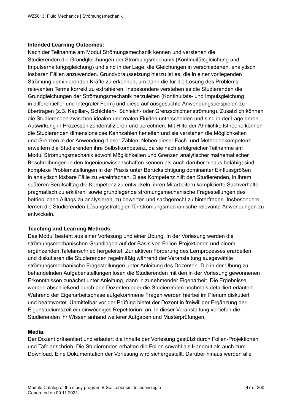#### **Intended Learning Outcomes:**

Nach der Teilnahme am Modul Strömungsmechanik kennen und verstehen die Studierenden die Grundgleichungen der Strömungsmechanik (Kontinuitätsgleichung und Impulserhaltungsgleichung) und sind in der Lage, die Gleichungen in verschiedenen, analytisch lösbaren Fällen anzuwenden. Grundvoraussetzung hierzu ist es, die in einer vorliegenden Strömung dominierenden Kräfte zu erkennen, um dann die für die Lösung des Problems relevanten Terme korrekt zu extrahieren. Insbesondere verstehen es die Studierenden die Grundgleichungen der Strömungsmechanik herzuleiten (Kontinuitäts- und Impulsgleichung in differentieller und integraler Form) und diese auf ausgesuchte Anwendungsbeispielen zu übertragen (z.B. Kapillar-, Schichten-, Schleich- oder Grenzschichtenströmung). Zusätzlich können die Studierenden zwischen idealen und realen Fluiden unterscheiden und sind in der Lage deren Auswirkung in Prozessen zu identifizieren und berechnen. Mit Hilfe der Ähnlichkeitstheorie können die Studierenden dimensionslose Kennzahlen herleiten und sie verstehen die Möglichkeiten und Grenzen in der Anwendung dieser Zahlen. Neben dieser Fach- und Methodenkompetenz erweitern die Studierenden ihre Selbstkompetenz, da sie nach erfolgreicher Teilnahme am Modul Strömungsmechanik sowohl Möglichkeiten und Grenzen analytischer mathematischer Beschreibungen in den Ingenieurwissenschaften kennen als auch darüber hinaus befähigt sind, komplexe Problemstellungen in der Praxis unter Berücksichtigung dominanter Einflussgrößen in analytisch lösbare Fälle zu vereinfachen. Diese Kompetenz hilft den Studierenden, in ihrem späteren Berufsalltag die Kompetenz zu entwickeln, ihren Mitarbeitern komplizierte Sachverhalte pragmatisch zu erklären sowie grundlegende strömungsmechanische Fragestellungen des betrieblichen Alltags zu analysieren, zu bewerten und sachgerecht zu hinterfragen. Insbesondere lernen die Studierenden Lösungsstrategien für strömungsmechanische relevante Anwendungen zu entwickeln.

#### **Teaching and Learning Methods:**

Das Modul besteht aus einer Vorlesung und einer Übung. In der Vorlesung werden die strömungsmechanischen Grundlagen auf der Basis von Folien-Projektionen und einem ergänzenden Tafelanschrieb hergeleitet. Zur aktiven Förderung des Lernprozesses erarbeiten und diskutieren die Studierenden regelmäßig während der Veranstaltung ausgewählte strömungsmechanische Fragestellungen unter Anleitung des Dozenten. Die in der Übung zu behandelnden Aufgabenstellungen lösen die Studierenden mit den in der Vorlesung gewonnenen Erkenntnissen zunächst unter Anleitung, dann in zunehmender Eigenarbeit. Die Ergebnisse werden abschließend durch den Dozenten oder die Studierenden nochmals detailliert erläutert. Während der Eigenarbeitsphase aufgekommene Fragen werden hierbei im Plenum diskutiert und beantwortet. Unmittelbar vor der Prüfung bietet der Dozent in freiwilliger Ergänzung der Eigenstudiumszeit ein einwöchiges Repetitorium an. In dieser Veranstaltung vertiefen die Studierenden ihr Wissen anhand weiterer Aufgaben und Musterprüfungen.

#### **Media:**

Der Dozent präsentiert und erläutert die Inhalte der Vorlesung gestützt durch Folien-Projektionen und Tafelanschrieb. Die Studierenden erhalten die Folien sowohl als Handout als auch zum Download. Eine Dokumentation der Vorlesung wird sichergestellt. Darüber hinaus werden alle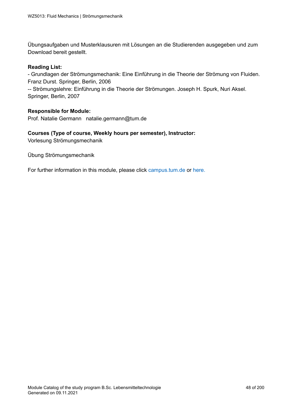Übungsaufgaben und Musterklausuren mit Lösungen an die Studierenden ausgegeben und zum Download bereit gestellt.

#### **Reading List:**

- Grundlagen der Strömungsmechanik: Eine Einführung in die Theorie der Strömung von Fluiden. Franz Durst. Springer, Berlin, 2006

-- Strömungslehre: Einführung in die Theorie der Strömungen. Joseph H. Spurk, Nuri Aksel. Springer, Berlin, 2007

#### **Responsible for Module:**

Prof. Natalie Germann natalie.germann@tum.de

### **Courses (Type of course, Weekly hours per semester), Instructor:**

Vorlesung Strömungsmechanik

Übung Strömungsmechanik

For further information in this module, please click<campus.tum.de> or [here.](https://campus.tum.de/tumonline/WBMODHB.wbShowMHBReadOnly?pKnotenNr=462244&pOrgNr=15643)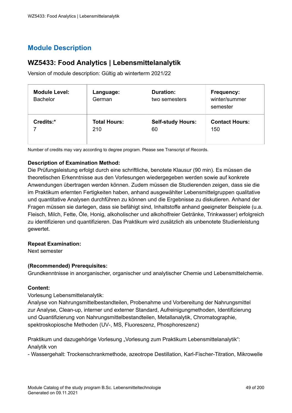## **WZ5433: Food Analytics | Lebensmittelanalytik**

Version of module description: Gültig ab winterterm 2021/22

| <b>Module Level:</b><br><b>Bachelor</b> | Language:<br>German | <b>Duration:</b><br>two semesters | Frequency:<br>winter/summer<br>semester |
|-----------------------------------------|---------------------|-----------------------------------|-----------------------------------------|
| Credits:*                               | <b>Total Hours:</b> | <b>Self-study Hours:</b>          | <b>Contact Hours:</b>                   |
|                                         | 210                 | 60                                | 150                                     |

Number of credits may vary according to degree program. Please see Transcript of Records.

#### **Description of Examination Method:**

Die Prüfungsleistung erfolgt durch eine schriftliche, benotete Klausur (90 min). Es müssen die theoretischen Erkenntnisse aus den Vorlesungen wiedergegeben werden sowie auf konkrete Anwendungen übertragen werden können. Zudem müssen die Studierenden zeigen, dass sie die im Praktikum erlernten Fertigkeiten haben, anhand ausgewählter Lebensmittelgruppen qualitative und quantitative Analysen durchführen zu können und die Ergebnisse zu diskutieren. Anhand der Fragen müssen sie darlegen, dass sie befähigt sind, Inhaltstoffe anhand geeigneter Beispiele (u.a. Fleisch, Milch, Fette, Öle, Honig, alkoholischer und alkoholfreier Getränke, Trinkwasser) erfolgreich zu identifizieren und quantifizieren. Das Praktikum wird zusätzlich als unbenotete Studienleistung gewertet.

#### **Repeat Examination:**

Next semester

#### **(Recommended) Prerequisites:**

Grundkenntnisse in anorganischer, organischer und analytischer Chemie und Lebensmittelchemie.

#### **Content:**

Vorlesung Lebensmittelanalytik:

Analyse von Nahrungsmittelbestandteilen, Probenahme und Vorbereitung der Nahrungsmittel zur Analyse, Clean-up, interner und externer Standard, Aufreinigungmethoden, Identifizierung und Quantifizierung von Nahrungsmittelbestandteilen, Metallanalytik, Chromatographie, spektroskopiosche Methoden (UV-, MS, Fluoreszenz, Phosphoreszenz)

Praktikum und dazugehörige Vorlesung "Vorlesung zum Praktikum Lebensmittelanalytik": Analytik von

- Wassergehalt: Trockenschrankmethode, azeotrope Destillation, Karl-Fischer-Titration, Mikrowelle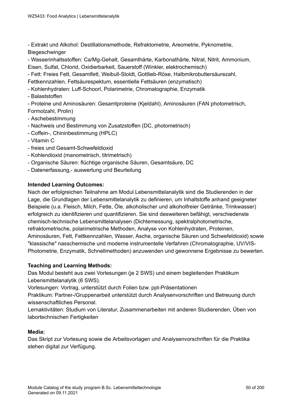- Extrakt und Alkohol: Destillationsmethode, Refraktometrie, Areometrie, Pyknometrie, **Biegeschwinger** 

- Wasserinhaltsstoffen: Ca/Mg-Gehalt, Gesamthärte, Karbonathärte, Nitrat, Nitrit, Ammonium, Eisen, Sulfat, Chlorid, Oxidierbarkeit, Sauerstoff (Winkler, elektrochemisch)

- Fett: Freies Fett, Gesamtfett, Weibull-Stoldt, Gottlieb-Röse, Halbmikrobuttersäurezahl, Fettkennzahlen, Fettsäurespektum, essentielle Fettsäuren (enzymatisch)
- Kohlenhydraten: Luff-Schoorl, Polarimetrie, Chromatographie, Enzymatik
- Balaststoffen

- Proteine und Aminosäuren: Gesamtproteine (Kjeldahl), Aminosäuren (FAN photometrisch, Formolzahl, Prolin)

- Aschebestimmung
- Nachweis und Bestimmung von Zusatzstoffen (DC, photometrisch)
- Coffein-, Chininbestimmung (HPLC)
- Vitamin C
- freies und Gesamt-Schwefeldioxid
- Kohlendioxid (manometrisch, titrimetrisch)
- Organische Säuren: flüchtige organische Säuren, Gesamtsäure, DC
- Datenerfassung,- auswertung und Beurteilung

#### **Intended Learning Outcomes:**

Nach der erfolgreichen Teilnahme am Modul Lebensmittelanalytik sind die Studierenden in der Lage, die Grundlagen der Lebensmittelanalytik zu definieren, um Inhaltstoffe anhand geeigneter Beispiele (u.a. Fleisch, Milch, Fette, Öle, alkoholischer und alkoholfreier Getränke, Trinkwasser) erfolgreich zu identifizieren und quantifizieren. Sie sind desweiteren befähigt, verschiedenste chemisch-technische Lebensmittelanalysen (Dichtemessung, spektralphotometrische, refraktometrische, polarimetrische Methoden, Analyse von Kohlenhydraten, Proteinen, Aminosäuren, Fett, Fettkennzahlen, Wasser, Asche, organische Säuren und Schwefeldioxid) sowie "klassische" nasschemische und moderne instrumentelle Verfahren (Chromatographie, UV/VIS-Photometrie, Enzymatik, Schnellmethoden) anzuwenden und gewonnene Ergebnisse zu bewerten.

#### **Teaching and Learning Methods:**

Das Modul besteht aus zwei Vorlesungen (je 2 SWS) und einem begleitenden Praktikum Lebensmittelanalytik (6 SWS).

Vorlesungen: Vortrag, unterstützt durch Folien bzw. ppt-Präsentationen

Praktikum: Partner-/Gruppenarbeit unterstützt durch Analysenvorschriften und Betreuung durch wissenschaftliches Personal.

Lernaktivitäten: Studium von Literatur, Zusammenarbeiten mit anderen Studierenden, Üben von labortechnischen Fertigkeiten

#### **Media:**

Das Skript zur Vorlesung sowie die Arbeitsvorlagen und Analysenvorschriften für die Praktika stehen digital zur Verfügung.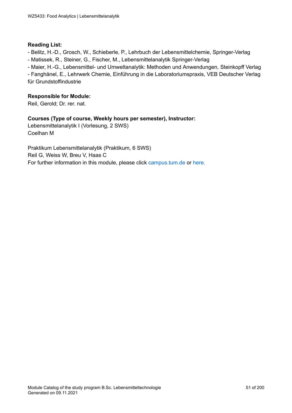#### **Reading List:**

- Belitz, H.-D., Grosch, W., Schieberle, P., Lehrbuch der Lebensmittelchemie, Springer-Verlag - Matissek, R., Steiner, G., Fischer, M., Lebensmittelanalytik Springer-Verlag

- Maier, H.-G., Lebensmittel- und Umweltanalytik: Methoden und Anwendungen, Steinkopff Verlag

- Fanghänel, E., Lehrwerk Chemie, Einführung in die Laboratoriumspraxis, VEB Deutscher Verlag für Grundstoffindustrie

#### **Responsible for Module:**

Reil, Gerold; Dr. rer. nat.

#### **Courses (Type of course, Weekly hours per semester), Instructor:**

Lebensmittelanalytik I (Vorlesung, 2 SWS) Coelhan M

Praktikum Lebensmittelanalytik (Praktikum, 6 SWS) Reil G, Weiss W, Breu V, Haas C

For further information in this module, please click<campus.tum.de> or [here.](https://campus.tum.de/tumonline/WBMODHB.wbShowMHBReadOnly?pKnotenNr=1545200&pOrgNr=43299)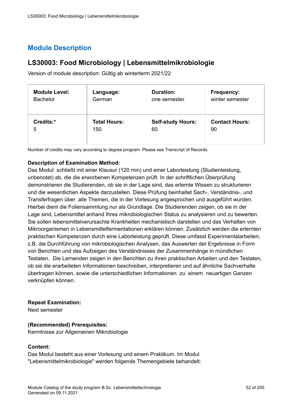## **LS30003: Food Microbiology | Lebensmittelmikrobiologie**

Version of module description: Gültig ab winterterm 2021/22

| <b>Module Level:</b> | Language:           | <b>Duration:</b>         | <b>Frequency:</b>     |
|----------------------|---------------------|--------------------------|-----------------------|
| <b>Bachelor</b>      | German              | one semester             | winter semester       |
| Credits:*            | <b>Total Hours:</b> | <b>Self-study Hours:</b> | <b>Contact Hours:</b> |
| 5                    | 150                 | 60                       | 90                    |

Number of credits may vary according to degree program. Please see Transcript of Records.

#### **Description of Examination Method:**

Das Modul schließt mit einer Klausur (120 min) und einer Laborleistung (Studienleistung, unbenotet) ab, die die erworbenen Kompetenzen prüft. In der schriftlichen Überprüfung demonstrieren die Studierenden, ob sie in der Lage sind, das erlernte Wissen zu strukturieren und die wesentlichen Aspekte darzustellen. Diese Prüfung beinhaltet Sach-, Verständnis-, und Transferfragen über alle Themen, die in der Vorlesung angesprochen und ausgeführt wurden. Hierbei dient die Foliensammlung nur als Grundlage. Die Studierenden zeigen, ob sie in der Lage sind, Lebensmittel anhand Ihres mikrobiologischen Status zu analysieren und zu bewerten. Sie sollen lebensmittelverursachte Krankheiten mechanistisch darstellen und das Verhalten von Mikroorganismen in Lebensmittelfermentationen erklären können. Zusätzlich werden die erlernten praktischen Kompetenzen durch eine Laborleistung geprüft. Diese umfasst Experimentalarbeiten, z.B. die Durchführung von mikrobiologischen Analysen, das Auswerten der Ergebnisse in Form von Berichten und das Aufzeigen des Verständnisses der Zusammenhänge in mündlichen Testaten. Die Lernenden zeigen in den Berichten zu ihren praktischen Arbeiten und den Testaten, ob sie die erarbeiteten Informationen beschreiben, interpretieren und auf ähnliche Sachverhalte übertragen können, sowie die unterschiedlichen Informationen zu einem neuartigen Ganzen verknüpfen können.

#### **Repeat Examination:**

Next semester

#### **(Recommended) Prerequisites:**

Kenntnisse zur Allgemeinen Mikrobiologie

#### **Content:**

Das Modul besteht aus einer Vorlesung und einem Praktikum. Im Modul "Lebensmittelmikrobiologie" werden folgende Themengebiete behandelt: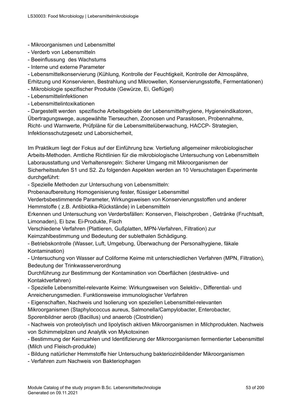- Mikroorganismen und Lebensmittel
- Verderb von Lebensmitteln
- Beeinflussung des Wachstums
- Interne und externe Parameter

- Lebensmittelkonservierung (Kühlung, Kontrolle der Feuchtigkeit, Kontrolle der Atmospähre, Erhitzung und Konservieren, Bestrahlung und Mikrowellen, Konservierungsstoffe, Fermentationen)

- Mikrobiologie spezifischer Produkte (Gewürze, Ei, Geflügel)
- Lebensmittelinfektionen
- Lebensmittelintoxikationen

- Dargestellt werden spezifische Arbeitsgebiete der Lebensmittelhygiene, Hygieneindikatoren, Übertragungswege, ausgewählte Tierseuchen, Zoonosen und Parasitosen, Probennahme, Richt- und Warnwerte, Prüfpläne für die Lebensmittelüberwachung, HACCP- Strategien, Infektionsschutzgesetz und Laborsicherheit,

Im Praktikum liegt der Fokus auf der Einführung bzw. Vertiefung allgemeiner mikrobiologischer Arbeits-Methoden. Amtliche Richtlinien für die mikrobiologische Untersuchung von Lebensmitteln Laborausstattung und Verhaltensregeln: Sicherer Umgang mit Mikroorganismen der Sicherheitsstufen S1 und S2. Zu folgenden Aspekten werden an 10 Versuchstagen Experimente durchgeführt:

- Spezielle Methoden zur Untersuchung von Lebensmitteln:

Probenaufbereitung Homogenisierung fester, flüssiger Lebensmittel

Verderbsbestimmende Parameter, Wirkungsweisen von Konservierungsstoffen und anderer Hemmstoffe ( z.B. Antibiotika-Rückstände) in Lebensmitteln

Erkennen und Untersuchung von Verderbsfällen: Konserven, Fleischproben , Getränke (Fruchtsaft, Limonaden), Ei bzw. Ei-Produkte, Fisch

Verschiedene Verfahren (Plattieren, Gußplatten, MPN-Verfahren, Filtration) zur

Keimzahlbestimmung und Bedeutung der sublethalen Schädigung.

- Betriebskontrolle (Wasser, Luft, Umgebung, Überwachung der Personalhygiene, fäkale Kontamination)

- Untersuchung von Wasser auf Coliforme Keime mit unterschiedlichen Verfahren (MPN, Filtration), Bedeutung der Trinkwasserverordnung

Durchführung zur Bestimmung der Kontamination von Oberflächen (destruktive- und Kontaktverfahren)

- Spezielle Lebensmittel-relevante Keime: Wirkungsweisen von Selektiv-, Differential- und Anreicherungsmedien. Funktionsweise immunologischer Verfahren

- Eigenschaften, Nachweis und Isolierung von speziellen Lebensmittel-relevanten

Mikroorganismen (Staphylococcus aureus, Salmonella/Campylobacter, Enterobacter,

Sporenbildner aerob (Bacillus) und anaerob (Clostridien)

- Nachweis von proteolytisch und lipolytisch aktiven Mikroorganismen in Milchprodukten. Nachweis von Schimmelpilzen und Analytik von Mykotoxinen

- Bestimmung der Keimzahlen und Identifizierung der Mikrroorganismen fermentierter Lebensmittel (Milch und Fleisch-produkte)

- Bildung natürlicher Hemmstoffe hier Untersuchung bakteriozinbildender Mikroorganismen

- Verfahren zum Nachweis von Bakteriophagen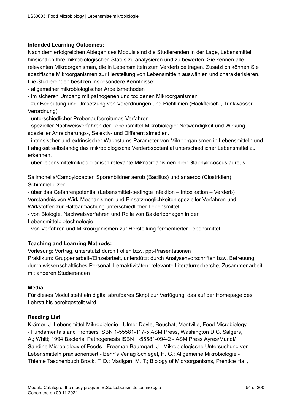#### **Intended Learning Outcomes:**

Nach dem erfolgreichen Ablegen des Moduls sind die Studierenden in der Lage, Lebensmittel hinsichtlich Ihre mikrobiologischen Status zu analysieren und zu bewerten. Sie kennen alle relevanten Mikroorganismen, die in Lebensmitteln zum Verderb beitragen. Zusätzlich können Sie spezifische Mikroorganismen zur Herstellung von Lebensmitteln auswählen und charakterisieren. Die Studierenden besitzen insbesondere Kenntnisse:

- allgemeiner mikrobiologischer Arbeitsmethoden

- im sicheren Umgang mit pathogenen und toxigenen Mikroorganismen

- zur Bedeutung und Umsetzung von Verordnungen und Richtlinien (Hackfleisch-, Trinkwasser-Verordnung)

- unterschiedlicher Probenaufbereitungs-Verfahren.

- spezieller Nachweisverfahren der Lebensmittel-Mikrobiologie: Notwendigkeit und Wirkung spezieller Anreicherungs-, Selektiv- und Differentialmedien.

- intrinsischer und extrinsischer Wachstums-Parameter von Mikroorganismen in Lebensmitteln und Fähigkeit selbständig das mikrobiologische Verderbspotential unterschiedlicher Lebensmittel zu erkennen.

- über lebensmittelmikrobiologisch relevante Mikroorganismen hier: Staphylococcus aureus,

Sallmonella/Campylobacter, Sporenbildner aerob (Bacillus) und anaerob (Clostridien) Schimmelpilzen.

- über das Gefahrenpotential (Lebensmittel-bedingte Infektion – Intoxikation – Verderb) Verständnis von Wirk-Mechanismen und Einsatzmöglichkeiten spezieller Verfahren und Wirkstoffen zur Haltbarmachung unterschiedlicher Lebensmittel.

- von Biologie, Nachweisverfahren und Rolle von Bakteriophagen in der

Lebensmittelbiotechnologie.

- von Verfahren und Mikroorganismen zur Herstellung fermentierter Lebensmittel.

#### **Teaching and Learning Methods:**

Vorlesung: Vortrag, unterstützt durch Folien bzw. ppt-Präsentationen

Praktikum: Gruppenarbeit-/Einzelarbeit, unterstützt durch Analysenvorschriften bzw. Betreuung durch wissenschaftliches Personal. Lernaktivitäten: relevante Literaturrecherche, Zusammenarbeit mit anderen Studierenden

#### **Media:**

Für dieses Modul steht ein digital abrufbares Skript zur Verfügung, das auf der Homepage des Lehrstuhls bereitgestellt wird.

#### **Reading List:**

Krämer, J. Lebensmittel-Mikrobiologie - Ulmer Doyle, Beuchat, Montville, Food Microbiology - Fundamentals and Frontiers ISBN 1-55581-117-5 ASM Press, Washington D.C. Salgers, A.; Whitt; 1994 Bacterial Pathogenesis ISBN 1-55581-094-2 - ASM Press Ayres/Mundt/ Sandine Microbiology of Foods - Freeman Baumgart, J.; Mikrobiologische Untersuchung von Lebensmitteln praxisorientiert - Behr´s Verlag Schlegel, H. G.; Allgemeine Mikrobiologie - Thieme Taschenbuch Brock, T. D.; Madigan, M. T.; Biology of Microorganisms, Prentice Hall,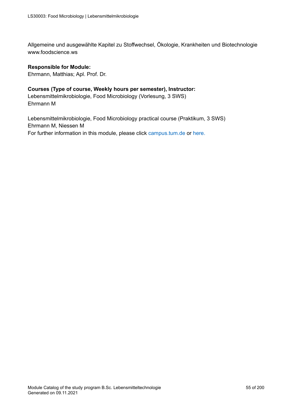Allgemeine und ausgewählte Kapitel zu Stoffwechsel, Ökologie, Krankheiten und Biotechnologie www.foodscience.ws

#### **Responsible for Module:**

Ehrmann, Matthias; Apl. Prof. Dr.

#### **Courses (Type of course, Weekly hours per semester), Instructor:**

Lebensmittelmikrobiologie, Food Microbiology (Vorlesung, 3 SWS) Ehrmann M

Lebensmittelmikrobiologie, Food Microbiology practical course (Praktikum, 3 SWS) Ehrmann M, Niessen M For further information in this module, please click<campus.tum.de> or [here.](https://campus.tum.de/tumonline/WBMODHB.wbShowMHBReadOnly?pKnotenNr=2938806&pOrgNr=15558)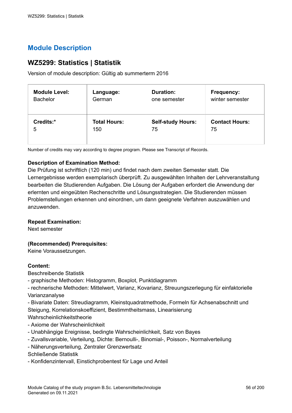## **WZ5299: Statistics | Statistik**

Version of module description: Gültig ab summerterm 2016

| <b>Module Level:</b> | Language:           | <b>Duration:</b>         | <b>Frequency:</b>     |
|----------------------|---------------------|--------------------------|-----------------------|
| <b>Bachelor</b>      | German              | one semester             | winter semester       |
| Credits:*            | <b>Total Hours:</b> | <b>Self-study Hours:</b> | <b>Contact Hours:</b> |
| 5                    | 150                 | 75                       | 75                    |

Number of credits may vary according to degree program. Please see Transcript of Records.

#### **Description of Examination Method:**

Die Prüfung ist schriftlich (120 min) und findet nach dem zweiten Semester statt. Die Lernergebnisse werden exemplarisch überprüft. Zu ausgewählten Inhalten der Lehrveranstaltung bearbeiten die Studierenden Aufgaben. Die Lösung der Aufgaben erfordert die Anwendung der erlernten und eingeübten Rechenschritte und Lösungsstrategien. Die Studierenden müssen Problemstellungen erkennen und einordnen, um dann geeignete Verfahren auszuwählen und anzuwenden.

#### **Repeat Examination:**

Next semester

#### **(Recommended) Prerequisites:**

Keine Voraussetzungen.

#### **Content:**

Beschreibende Statistik

- graphische Methoden: Histogramm, Boxplot, Punktdiagramm
- rechnerische Methoden: Mittelwert, Varianz, Kovarianz, Streuungszerlegung für einfaktorielle Varianzanalyse

- Bivariate Daten: Streudiagramm, Kleinstquadratmethode, Formeln für Achsenabschnitt und Steigung, Korrelationskoeffizient, Bestimmtheitsmass, Linearisierung

Wahrscheinlichkeitstheorie

- Axiome der Wahrscheinlichkeit
- Unabhängige Ereignisse, bedingte Wahrscheinlichkeit, Satz von Bayes
- Zuvallsvariable, Verteilung, Dichte: Bernoulli-, Binomial-, Poisson-, Normalverteilung
- Näherungsverteilung, Zentraler Grenzwertsatz

Schließende Statistik

- Konfidenzintervall, Einstichprobentest für Lage und Anteil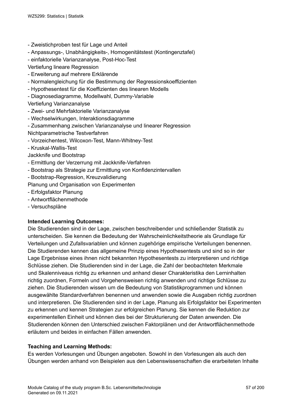- Zweistichproben test für Lage und Anteil
- Anpassungs-, Unabhängigkeits-, Homogenitätstest (Kontingenztafel)
- einfaktorielle Varianzanalyse, Post-Hoc-Test
- Vertiefung lineare Regression
- Erweiterung auf mehrere Erklärende
- Normalengleichung für die Bestimmung der Regressionskoeffizienten
- Hypothesentest für die Koeffizienten des linearen Modells
- Diagnosediagramme, Modellwahl, Dummy-Variable
- Vertiefung Varianzanalyse
- Zwei- und Mehrfaktorielle Varianzanalyse
- Wechselwirkungen, Interaktionsdiagramme
- Zusammenhang zwischen Varianzanalyse und linearer Regression Nichtparametrische Testverfahren
- Vorzeichentest, Wilcoxon-Test, Mann-Whitney-Test
- Kruskal-Wallis-Test
- Jackknife und Bootstrap
- Ermittlung der Verzerrung mit Jackknife-Verfahren
- Bootstrap als Strategie zur Ermittlung von Konfidenzintervallen
- Bootstrap-Regression, Kreuzvalidierung

Planung und Organisation von Experimenten

- Erfolgsfaktor Planung
- Antwortflächenmethode
- Versuchspläne

#### **Intended Learning Outcomes:**

Die Studierenden sind in der Lage, zwischen beschreibender und schließender Statistik zu unterscheiden. Sie kennen die Bedeutung der Wahrscheinlichkeitstheorie als Grundlage für Verteilungen und Zufallsvariablen und können zugehörige empirische Verteilungen benennen. Die Studierenden kennen das allgemeine Prinzip eines Hypothesentests und sind so in der Lage Ergebnisse eines ihnen nicht bekannten Hypothesentests zu interpretieren und richtige Schlüsse ziehen. Die Studierenden sind in der Lage, die Zahl der beobachteten Merkmale und Skalenniveaus richtig zu erkennen und anhand dieser Charakteristika den Lerninhalten richtig zuordnen, Formeln und Vorgehensweisen richtig anwenden und richtige Schlüsse zu ziehen. Die Studierenden wissen um die Bedeutung von Statistikprogrammen und können ausgewählte Standardverfahren benennen und anwenden sowie die Ausgaben richtig zuordnen und interpretieren. Die Studierenden sind in der Lage, Planung als Erfolgsfaktor bei Experimenten zu erkennen und kennen Strategien zur erfolgreichen Planung. Sie kennen die Reduktion zur experimentellen Einheit und können dies bei der Strukturierung der Daten anwenden. Die Studierenden können den Unterschied zwischen Faktorplänen und der Antwortflächenmethode erläutern und beides in einfachen Fällen anwenden.

#### **Teaching and Learning Methods:**

Es werden Vorlesungen und Übungen angeboten. Sowohl in den Vorlesungen als auch den Übungen werden anhand von Beispielen aus den Lebenswissenschaften die erarbeiteten Inhalte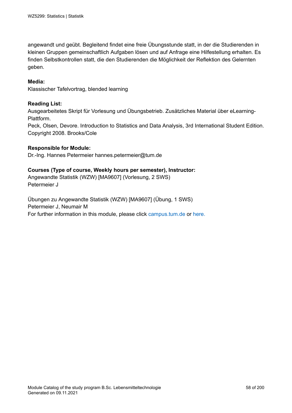angewandt und geübt. Begleitend findet eine freie Übungsstunde statt, in der die Studierenden in kleinen Gruppen gemeinschaftlich Aufgaben lösen und auf Anfrage eine Hilfestellung erhalten. Es finden Selbstkontrollen statt, die den Studierenden die Möglichkeit der Reflektion des Gelernten geben.

#### **Media:**

Klassischer Tafelvortrag, blended learning

#### **Reading List:**

Ausgearbeitetes Skript für Vorlesung und Übungsbetrieb. Zusätzliches Material über eLearning-Plattform.

Peck, Olsen, Devore. Introduction to Statistics and Data Analysis, 3rd International Student Edition. Copyright 2008. Brooks/Cole

#### **Responsible for Module:**

Dr.-Ing. Hannes Petermeier hannes.petermeier@tum.de

#### **Courses (Type of course, Weekly hours per semester), Instructor:**

Angewandte Statistik (WZW) [MA9607] (Vorlesung, 2 SWS) Petermeier J

Übungen zu Angewandte Statistik (WZW) [MA9607] (Übung, 1 SWS) Petermeier J, Neumair M For further information in this module, please click<campus.tum.de> or [here.](https://campus.tum.de/tumonline/WBMODHB.wbShowMHBReadOnly?pKnotenNr=1207884&pOrgNr=51745)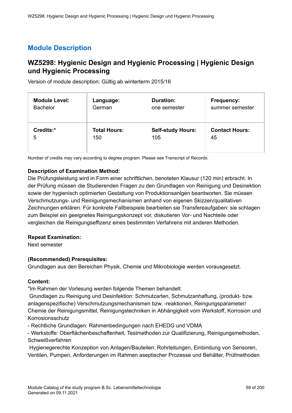## **WZ5298: Hygienic Design and Hygienic Processing | Hygienic Design und Hygienic Processing**

Version of module description: Gültig ab winterterm 2015/16

| <b>Module Level:</b> | Language:           | <b>Duration:</b>         | <b>Frequency:</b>     |
|----------------------|---------------------|--------------------------|-----------------------|
| <b>Bachelor</b>      | German              | one semester             | summer semester       |
| Credits:*            | <b>Total Hours:</b> | <b>Self-study Hours:</b> | <b>Contact Hours:</b> |
| 5                    | 150                 | 105                      | 45                    |

Number of credits may vary according to degree program. Please see Transcript of Records.

#### **Description of Examination Method:**

Die Prüfungsleistung wird in Form einer schriftlichen, benoteten Klausur (120 min) erbracht. In der Prüfung müssen die Studierenden Fragen zu den Grundlagen von Reinigung und Desinektion sowie der hygienisch optimierten Gestaltung von Produktionsanlgen beantworten. Sie müssen Verschmutzungs- und Reinigungsmechanismen anhand von eigenen Skizzen/qualitativen Zeichnungen erklären. Für konkrete Fallbeispiele bearbeiten sie Transfereaufgaben: sie schlagen zum Beispiel ein geeignetes Reinigungskonzept vor, diskutieren Vor- und Nachteile oder vergleichen die Reinigungseffizenz eines bestimmten Verfahrens mit anderen Methoden.

#### **Repeat Examination:**

Next semester

#### **(Recommended) Prerequisites:**

Grundlagen aus den Bereichen Physik, Chemie und Mikrobiologie werden vorausgesetzt.

#### **Content:**

"Im Rahmen der Vorlesung werden folgende Themen behandelt:

 Grundlagen zu Reinigung und Desinfektion: Schmutzarten, Schmutzanhaftung, (produkt- bzw. anlagenspezifische) Verschmutzungsmechanismen bzw. -reaktionen, Reingungsparameter/ Chemie der Reinigungsmittel, Reinigungstechniken in Abhängigkeit vom Werkstoff, Korrosion und Korrosionsschutz

- Rechtliche Grundlagen: Rahmenbedingungen nach EHEDG und VDMA

- Werkstoffe: Oberflächenbeschaffenheit, Testmethoden zur Qualifizierung, Reinigungsmethoden, Schweißverfahren

 Hygienegerechte Konzeption von Anlagen/Bauteilen: Rohrleitungen, Einbindung von Sensoren, Ventilen, Pumpen, Anforderungen im Rahmen aseptischer Prozesse und Behälter, Prüfmethoden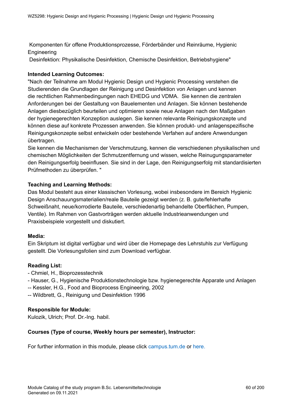Komponenten für offene Produktionsprozesse, Förderbänder und Reinräume, Hygienic **Engineering** 

Desinfektion: Physikalische Desinfektion, Chemische Desinfektion, Betriebshygiene"

#### **Intended Learning Outcomes:**

"Nach der Teilnahme am Modul Hygienic Design und Hygienic Processing verstehen die Studierenden die Grundlagen der Reinigung und Desinfektion von Anlagen und kennen die rechtlichen Rahmenbedingungen nach EHEDG und VDMA. Sie kennen die zentralen Anforderungen bei der Gestaltung von Bauelementen und Anlagen. Sie können bestehende Anlagen diesbezüglich beurteilen und optimieren sowie neue Anlagen nach den Maßgaben der hygienegerechten Konzeption auslegen. Sie kennen relevante Reinigungskonzepte und können diese auf konkrete Prozessen anwenden. Sie können produkt- und anlagenspezifische Reinigungskonzepte selbst entwickeln oder bestehende Verfahen auf andere Anwendungen übertragen.

Sie kennen die Mechanismen der Verschmutzung, kennen die verschiedenen physikalischen und chemischen Möglichkeiten der Schmutzentfernung und wissen, welche Reinugungsparameter den Reinigungserfolg beeinflusen. Sie sind in der Lage, den Reinigungserfolg mit standardisierten Prüfmethoden zu überprüfen. "

#### **Teaching and Learning Methods:**

Das Modul besteht aus einer klassischen Vorlesung, wobei insbesondere im Bereich Hygienic Design Anschauungsmaterialien/reale Bauteile gezeigt werden (z. B. gute/fehlerhafte Schweißnaht, neue/korrodierte Bauteile, verschiedenartig behandelte Oberflächen, Pumpen, Ventile). Im Rahmen von Gastvorträgen werden aktuelle Industrieanwendungen und Praxisbeispiele vorgestellt und diskutiert.

#### **Media:**

Ein Skriptum ist digital verfügbar und wird über die Homepage des Lehrstuhls zur Verfügung gestellt. Die Vorlesungsfolien sind zum Download verfügbar.

#### **Reading List:**

- Chmiel, H., Bioprozesstechnik
- Hauser, G., Hygienische Produktionstechnologie bzw. hygienegerechte Apparate und Anlagen
- -- Kessler, H.G., Food and Bioprocess Engineering, 2002
- -- Wildbrett, G., Reinigung und Desinfektion 1996

#### **Responsible for Module:**

Kulozik, Ulrich; Prof. Dr.-Ing. habil.

#### **Courses (Type of course, Weekly hours per semester), Instructor:**

For further information in this module, please click<campus.tum.de> or [here.](https://campus.tum.de/tumonline/WBMODHB.wbShowMHBReadOnly?pKnotenNr=1207879&pOrgNr=15645)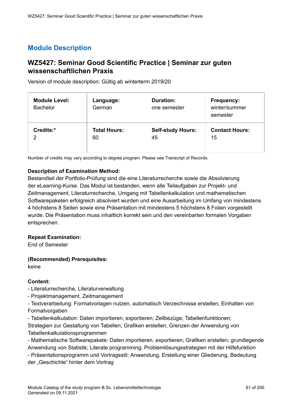### **WZ5427: Seminar Good Scientific Practice | Seminar zur guten wissenschaftlichen Praxis**

Version of module description: Gültig ab winterterm 2019/20

| <b>Module Level:</b><br><b>Bachelor</b> | Language:<br>German | <b>Duration:</b><br>one semester | <b>Frequency:</b><br>winter/summer<br>semester |
|-----------------------------------------|---------------------|----------------------------------|------------------------------------------------|
| Credits:*                               | <b>Total Hours:</b> | <b>Self-study Hours:</b>         | <b>Contact Hours:</b>                          |
| 2                                       | 60                  | 45                               | 15                                             |

Number of credits may vary according to degree program. Please see Transcript of Records.

#### **Description of Examination Method:**

Bestandteil der Portfolio-Prüfung sind die eine Literaturrecherche sowie die Absolvierung der eLearning-Kurse. Das Modul ist bestanden, wenn alle Teilaufgaben zur Projekt- und Zeitmanagement, Literaturrecherche, Umgang mit Tabellenkalkulation und mathematischen Softwarepaketen erfolgreich absolviert wurden und eine Ausarbeitung im Umfang von mindestens 4 höchstens 8 Seiten sowie eine Präsentation mit mindestens 5 höchstens 8 Folien vorgestellt wurde. Die Präsentation muss inhaltlich korrekt sein und den vereinbarten formalen Vorgaben entsprechen.

#### **Repeat Examination:**

End of Semester

#### **(Recommended) Prerequisites:**

keine

#### **Content:**

- Literaturrecherche, Literaturverwaltung
- Projektmanagement, Zeitmanagement

- Textverarbeitung: Formatvorlagen nutzen, automatisch Verzeichnisse erstellen, Einhalten von Formatvorgaben

- Tabellenkalkulation: Daten importieren, exportieren; Zellbezüge; Tabellenfunktionen; Strategien zur Gestaltung von Tabellen; Grafiken erstellen; Grenzen der Anwendung von Tabellenkalkulationsprogrammen

- Mathematische Softwarepakete: Daten importieren, exportieren; Grafiken erstellen; grundlegende Anwendung von Statistik; Literate programming; Problemlösungsstrategien mit der Hilfefunktion - Präsentationsprogramm und Vortragsstil: Anwendung, Erstellung einer Gliederung, Bedeutung

der "Geschichte" hinter dem Vortrag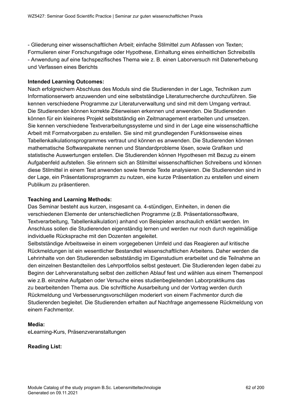- Gliederung einer wissenschaftlichen Arbeit; einfache Stilmittel zum Abfassen von Texten; Formulieren einer Forschungsfrage oder Hypothese, Einhaltung eines einheitlichen Schreibstils - Anwendung auf eine fachspezifisches Thema wie z. B. einen Laborversuch mit Datenerhebung und Verfassen eines Berichts

#### **Intended Learning Outcomes:**

Nach erfolgreichem Abschluss des Moduls sind die Studierenden in der Lage, Techniken zum Informationserwerb anzuwenden und eine selbstständige Literaturrecherche durchzuführen. Sie kennen verschiedene Programme zur Literaturverwaltung und sind mit dem Umgang vertraut. Die Studierenden können korrekte Zitierweisen erkennen und anwenden. Die Studierenden können für ein kleineres Projekt selbstständig ein Zeitmanagement erarbeiten und umsetzen. Sie kennen verschiedene Textverarbeitungssysteme und sind in der Lage eine wissenschaftliche Arbeit mit Formatvorgaben zu erstellen. Sie sind mit grundlegenden Funktionsweise eines Tabellenkalkulationsprogrammes vertraut und können es anwenden. Die Studierenden können mathematische Softwarepakete nennen und Standardprobleme lösen, sowie Grafiken und statistische Auswertungen erstellen. Die Studierenden können Hypothesen mit Bezug zu einem Aufgabenfeld aufstellen. Sie erinnern sich an Stilmittel wissenschaftlichen Schreibens und können diese Stilmittel in einem Text anwenden sowie fremde Texte analysieren. Die Studierenden sind in der Lage, ein Präsentationsprogramm zu nutzen, eine kurze Präsentation zu erstellen und einem Publikum zu präsentieren.

#### **Teaching and Learning Methods:**

Das Seminar besteht aus kurzen, insgesamt ca. 4-stündigen, Einheiten, in denen die verschiedenen Elemente der unterschiedlichen Programme (z.B. Präsentationssoftware, Textverarbeitung, Tabellenkalkulation) anhand von Beispielen anschaulich erklärt werden. Im Anschluss sollen die Studierenden eigenständig lernen und werden nur noch durch regelmäßige individuelle Rücksprache mit den Dozenten angeleitet.

Selbstständige Arbeitsweise in einem vorgegebenen Umfeld und das Reagieren auf kritische Rückmeldungen ist ein wesentlicher Bestandteil wissenschaftlichen Arbeitens. Daher werden die Lehrinhalte von den Studierenden selbstständig im Eigenstudium erarbeitet und die Teilnahme an den einzelnen Bestandteilen des Lehrportfolios selbst gesteuert. Die Studierenden legen dabei zu Beginn der Lehrveranstaltung selbst den zeitlichen Ablauf fest und wählen aus einem Themenpool wie z.B. einzelne Aufgaben oder Versuche eines studienbegleitenden Laborpraktikums das zu bearbeitenden Thema aus. Die schriftliche Ausarbeitung und der Vortrag werden durch Rückmeldung und Verbesserungsvorschlägen moderiert von einem Fachmentor durch die Studierenden begleitet. Die Studierenden erhalten auf Nachfrage angemessene Rückmeldung von einem Fachmentor.

#### **Media:**

eLearning-Kurs, Präsenzveranstaltungen

#### **Reading List:**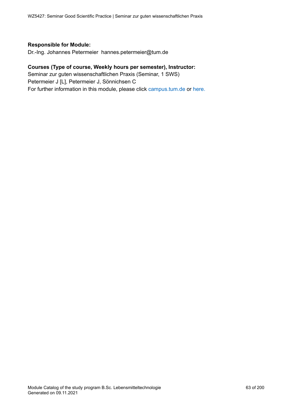#### **Responsible for Module:**

Dr.-Ing. Johannes Petermeier hannes.petermeier@tum.de

#### **Courses (Type of course, Weekly hours per semester), Instructor:**

Seminar zur guten wissenschaftlichen Praxis (Seminar, 1 SWS) Petermeier J [L], Petermeier J, Sönnichsen C For further information in this module, please click<campus.tum.de> or [here.](https://campus.tum.de/tumonline/WBMODHB.wbShowMHBReadOnly?pKnotenNr=1520844&pOrgNr=51745)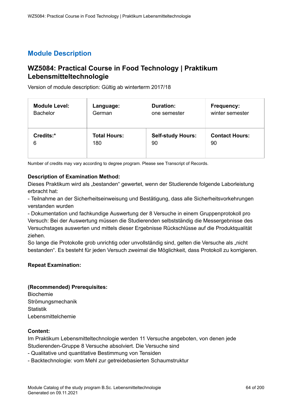### **WZ5084: Practical Course in Food Technology | Praktikum Lebensmitteltechnologie**

Version of module description: Gültig ab winterterm 2017/18

| <b>Module Level:</b> | Language:           | <b>Duration:</b>         | <b>Frequency:</b>     |
|----------------------|---------------------|--------------------------|-----------------------|
| <b>Bachelor</b>      | German              | one semester             | winter semester       |
| Credits:*            | <b>Total Hours:</b> | <b>Self-study Hours:</b> | <b>Contact Hours:</b> |
| 6                    | 180                 | 90                       | 90                    |

Number of credits may vary according to degree program. Please see Transcript of Records.

#### **Description of Examination Method:**

Dieses Praktikum wird als "bestanden" gewertet, wenn der Studierende folgende Laborleistung erbracht hat:

- Teilnahme an der Sicherheitseinweisung und Bestätigung, dass alle Sicherheitsvorkehrungen verstanden wurden

- Dokumentation und fachkundige Auswertung der 8 Versuche in einem Gruppenprotokoll pro Versuch: Bei der Auswertung müssen die Studierenden selbstständig die Messergebnisse des Versuchstages auswerten und mittels dieser Ergebnisse Rückschlüsse auf die Produktqualität ziehen.

So lange die Protokolle grob unrichtig oder unvollständig sind, gelten die Versuche als "nicht bestanden". Es besteht für jeden Versuch zweimal die Möglichkeit, dass Protokoll zu korrigieren.

#### **Repeat Examination:**

#### **(Recommended) Prerequisites:**

Biochemie Strömungsmechanik **Statistik** Lebensmittelchemie

#### **Content:**

Im Praktikum Lebensmitteltechnologie werden 11 Versuche angeboten, von denen jede Studierenden-Gruppe 8 Versuche absolviert. Die Versuche sind

- Qualitative und quantitative Bestimmung von Tensiden
- Backtechnologie: vom Mehl zur getreidebasierten Schaumstruktur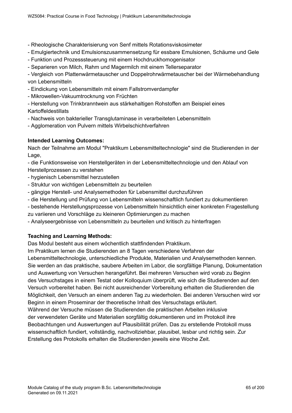- Rheologische Charakterisierung von Senf mittels Rotationsviskosimeter
- Emulgiertechnik und Emulsionszusammensetzung für essbare Emulsionen, Schäume und Gele
- Funktion und Prozesssteuerung mit einem Hochdruckhomogenisator
- Separieren von Milch, Rahm und Magermilch mit einem Tellerseparator

- Vergleich von Plattenwärmetauscher und Doppelrohrwärmetauscher bei der Wärmebehandlung von Lebensmitteln

- Eindickung von Lebensmitteln mit einem Fallstromverdampfer
- Mikrowellen-Vakuumtrocknung von Früchten
- Herstellung von Trinkbranntwein aus stärkehaltigen Rohstoffen am Beispiel eines Kartoffeldestillats
- Nachweis von bakterieller Transglutaminase in verarbeiteten Lebensmitteln
- Agglomeration von Pulvern mittels Wirbelschichtverfahren

#### **Intended Learning Outcomes:**

Nach der Teilnahme am Modul "Praktikum Lebensmitteltechnologie" sind die Studierenden in der Lage,

- die Funktionsweise von Herstellgeräten in der Lebensmitteltechnologie und den Ablauf von Herstellprozessen zu verstehen

- hygienisch Lebensmittel herzustellen
- Struktur von wichtigen Lebensmitteln zu beurteilen
- gängige Herstell- und Analysemethoden für Lebensmittel durchzuführen
- die Herstellung und Prüfung von Lebensmitteln wissenschaftlich fundiert zu dokumentieren
- bestehende Herstellungsprozesse von Lebensmitteln hinsichtlich einer konkreten Fragestellung
- zu variieren und Vorschläge zu kleineren Optimierungen zu machen
- Analyseergebnisse von Lebensmitteln zu beurteilen und kritisch zu hinterfragen

#### **Teaching and Learning Methods:**

Das Modul besteht aus einem wöchentlich stattfindenden Praktikum.

Im Praktikum lernen die Studierenden an 8 Tagen verschiedene Verfahren der Lebensmitteltechnologie, unterschiedliche Produkte, Materialien und Analysemethoden kennen. Sie werden an das praktische, saubere Arbeiten im Labor, die sorgfältige Planung, Dokumentation und Auswertung von Versuchen herangeführt. Bei mehreren Versuchen wird vorab zu Beginn des Versuchstages in einem Testat oder Kolloquium überprüft, wie sich die Studierenden auf den Versuch vorbereitet haben. Bei nicht ausreichender Vorbereitung erhalten die Studierenden die Möglichkeit, den Versuch an einem anderen Tag zu wiederholen. Bei anderen Versuchen wird vor Beginn in einem Proseminar der theoretische Inhalt des Versuchstags erläutert. Während der Versuche müssen die Studierenden die praktischen Arbeiten inklusive der verwendeten Geräte und Materialien sorgfältig dokumentieren und im Protokoll ihre Beobachtungen und Auswertungen auf Plausibilität prüfen. Das zu erstellende Protokoll muss wissenschaftlich fundiert, vollständig, nachvollziehbar, plausibel, lesbar und richtig sein. Zur Erstellung des Protokolls erhalten die Studierenden jeweils eine Woche Zeit.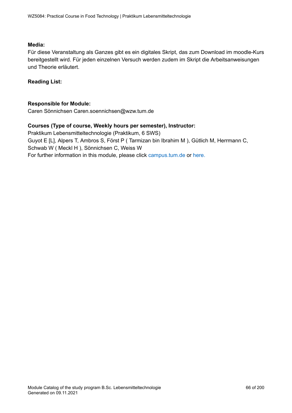#### **Media:**

Für diese Veranstaltung als Ganzes gibt es ein digitales Skript, das zum Download im moodle-Kurs bereitgestellt wird. Für jeden einzelnen Versuch werden zudem im Skript die Arbeitsanweisungen und Theorie erläutert.

#### **Reading List:**

#### **Responsible for Module:**

Caren Sönnichsen Caren.soennichsen@wzw.tum.de

#### **Courses (Type of course, Weekly hours per semester), Instructor:**

Praktikum Lebensmitteltechnologie (Praktikum, 6 SWS) Guyot E [L], Alpers T, Ambros S, Först P ( Tarmizan bin Ibrahim M ), Gütlich M, Herrmann C, Schwab W ( Meckl H ), Sönnichsen C, Weiss W For further information in this module, please click<campus.tum.de> or [here.](https://campus.tum.de/tumonline/WBMODHB.wbShowMHBReadOnly?pKnotenNr=462356&pOrgNr=46717)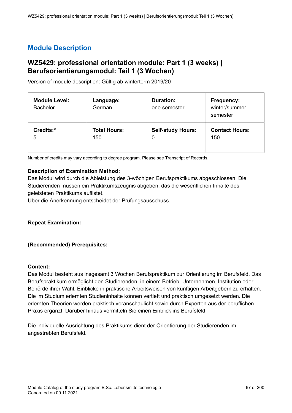### **WZ5429: professional orientation module: Part 1 (3 weeks) | Berufsorientierungsmodul: Teil 1 (3 Wochen)**

Version of module description: Gültig ab winterterm 2019/20

| <b>Module Level:</b><br><b>Bachelor</b> | Language:<br>German | <b>Duration:</b><br>one semester | Frequency:<br>winter/summer<br>semester |
|-----------------------------------------|---------------------|----------------------------------|-----------------------------------------|
| Credits:*                               | <b>Total Hours:</b> | <b>Self-study Hours:</b>         | <b>Contact Hours:</b>                   |
| 5                                       | 150                 | 0                                | 150                                     |

Number of credits may vary according to degree program. Please see Transcript of Records.

#### **Description of Examination Method:**

Das Modul wird durch die Ableistung des 3-wöchigen Berufspraktikums abgeschlossen. Die Studierenden müssen ein Praktikumszeugnis abgeben, das die wesentlichen Inhalte des geleisteten Praktikums auflistet.

Über die Anerkennung entscheidet der Prüfungsausschuss.

#### **Repeat Examination:**

#### **(Recommended) Prerequisites:**

#### **Content:**

Das Modul besteht aus insgesamt 3 Wochen Berufspraktikum zur Orientierung im Berufsfeld. Das Berufspraktikum ermöglicht den Studierenden, in einem Betrieb, Unternehmen, Institution oder Behörde ihrer Wahl, Einblicke in praktische Arbeitsweisen von künftigen Arbeitgebern zu erhalten. Die im Studium erlernten Studieninhalte können vertieft und praktisch umgesetzt werden. Die erlernten Theorien werden praktisch veranschaulicht sowie durch Experten aus der beruflichen Praxis ergänzt. Darüber hinaus vermitteln Sie einen Einblick ins Berufsfeld.

Die individuelle Ausrichtung des Praktikums dient der Orientierung der Studierenden im angestrebten Berufsfeld.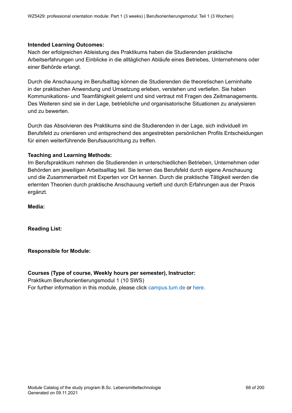#### **Intended Learning Outcomes:**

Nach der erfolgreichen Ableistung des Praktikums haben die Studierenden praktische Arbeitserfahrungen und Einblicke in die alltäglichen Abläufe eines Betriebes, Unternehmens oder einer Behörde erlangt.

Durch die Anschauung im Berufsalltag können die Studierenden die theoretischen Lerninhalte in der praktischen Anwendung und Umsetzung erleben, verstehen und vertiefen. Sie haben Kommunikations- und Teamfähigkeit gelernt und sind vertraut mit Fragen des Zeitmanagements. Des Weiteren sind sie in der Lage, betriebliche und organisatorische Situationen zu analysieren und zu bewerten.

Durch das Absolvieren des Praktikums sind die Studierenden in der Lage, sich individuell im Berufsfeld zu orientieren und entsprechend des angestrebten persönlichen Profils Entscheidungen für einen weiterführende Berufsausrichtung zu treffen.

#### **Teaching and Learning Methods:**

Im Berufspraktikum nehmen die Studierenden in unterschiedlichen Betrieben, Unternehmen oder Behörden am jeweiligen Arbeitsalltag teil. Sie lernen das Berufsfeld durch eigene Anschauung und die Zusammenarbeit mit Experten vor Ort kennen. Durch die praktische Tätigkeit werden die erlernten Theorien durch praktische Anschauung vertieft und durch Erfahrungen aus der Praxis ergänzt.

**Media:**

**Reading List:**

**Responsible for Module:**

### **Courses (Type of course, Weekly hours per semester), Instructor:**

Praktikum Berufsorientierungsmodul 1 (10 SWS) For further information in this module, please click<campus.tum.de> or [here.](https://campus.tum.de/tumonline/WBMODHB.wbShowMHBReadOnly?pKnotenNr=1542486&pOrgNr=15459)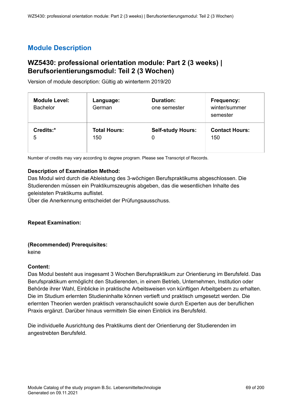### **WZ5430: professional orientation module: Part 2 (3 weeks) | Berufsorientierungsmodul: Teil 2 (3 Wochen)**

Version of module description: Gültig ab winterterm 2019/20

| <b>Module Level:</b><br><b>Bachelor</b> | Language:<br>German | <b>Duration:</b><br>one semester | Frequency:<br>winter/summer<br>semester |
|-----------------------------------------|---------------------|----------------------------------|-----------------------------------------|
| Credits:*                               | <b>Total Hours:</b> | <b>Self-study Hours:</b>         | <b>Contact Hours:</b>                   |
| 5                                       | 150                 | 0                                | 150                                     |

Number of credits may vary according to degree program. Please see Transcript of Records.

#### **Description of Examination Method:**

Das Modul wird durch die Ableistung des 3-wöchigen Berufspraktikums abgeschlossen. Die Studierenden müssen ein Praktikumszeugnis abgeben, das die wesentlichen Inhalte des geleisteten Praktikums auflistet.

Über die Anerkennung entscheidet der Prüfungsausschuss.

#### **Repeat Examination:**

#### **(Recommended) Prerequisites:**

keine

#### **Content:**

Das Modul besteht aus insgesamt 3 Wochen Berufspraktikum zur Orientierung im Berufsfeld. Das Berufspraktikum ermöglicht den Studierenden, in einem Betrieb, Unternehmen, Institution oder Behörde ihrer Wahl, Einblicke in praktische Arbeitsweisen von künftigen Arbeitgebern zu erhalten. Die im Studium erlernten Studieninhalte können vertieft und praktisch umgesetzt werden. Die erlernten Theorien werden praktisch veranschaulicht sowie durch Experten aus der beruflichen Praxis ergänzt. Darüber hinaus vermitteln Sie einen Einblick ins Berufsfeld.

Die individuelle Ausrichtung des Praktikums dient der Orientierung der Studierenden im angestrebten Berufsfeld.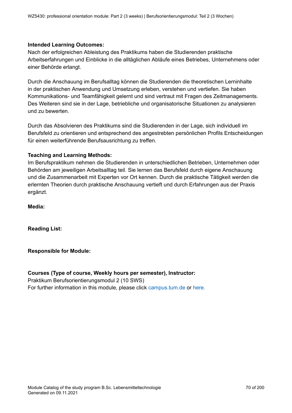#### **Intended Learning Outcomes:**

Nach der erfolgreichen Ableistung des Praktikums haben die Studierenden praktische Arbeitserfahrungen und Einblicke in die alltäglichen Abläufe eines Betriebes, Unternehmens oder einer Behörde erlangt.

Durch die Anschauung im Berufsalltag können die Studierenden die theoretischen Lerninhalte in der praktischen Anwendung und Umsetzung erleben, verstehen und vertiefen. Sie haben Kommunikations- und Teamfähigkeit gelernt und sind vertraut mit Fragen des Zeitmanagements. Des Weiteren sind sie in der Lage, betriebliche und organisatorische Situationen zu analysieren und zu bewerten.

Durch das Absolvieren des Praktikums sind die Studierenden in der Lage, sich individuell im Berufsfeld zu orientieren und entsprechend des angestrebten persönlichen Profils Entscheidungen für einen weiterführende Berufsausrichtung zu treffen.

#### **Teaching and Learning Methods:**

Im Berufspraktikum nehmen die Studierenden in unterschiedlichen Betrieben, Unternehmen oder Behörden am jeweiligen Arbeitsalltag teil. Sie lernen das Berufsfeld durch eigene Anschauung und die Zusammenarbeit mit Experten vor Ort kennen. Durch die praktische Tätigkeit werden die erlernten Theorien durch praktische Anschauung vertieft und durch Erfahrungen aus der Praxis ergänzt.

**Media:**

**Reading List:**

**Responsible for Module:**

**Courses (Type of course, Weekly hours per semester), Instructor:**  Praktikum Berufsorientierungsmodul 2 (10 SWS) For further information in this module, please click<campus.tum.de> or [here.](https://campus.tum.de/tumonline/WBMODHB.wbShowMHBReadOnly?pKnotenNr=1542505&pOrgNr=15459)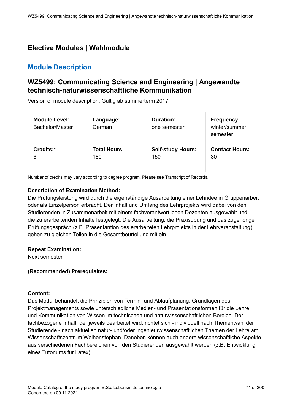## **Elective Modules | Wahlmodule**

### **Module Description**

## **WZ5499: Communicating Science and Engineering | Angewandte technisch-naturwissenschaftliche Kommunikation**

Version of module description: Gültig ab summerterm 2017

| <b>Module Level:</b><br>Bachelor/Master | Language:<br>German | <b>Duration:</b><br>one semester | <b>Frequency:</b><br>winter/summer<br>semester |
|-----------------------------------------|---------------------|----------------------------------|------------------------------------------------|
| Credits:*                               | <b>Total Hours:</b> | <b>Self-study Hours:</b>         | <b>Contact Hours:</b>                          |
| 6                                       | 180                 | 150                              | 30                                             |

Number of credits may vary according to degree program. Please see Transcript of Records.

#### **Description of Examination Method:**

Die Prüfungsleistung wird durch die eigenständige Ausarbeitung einer Lehridee in Gruppenarbeit oder als Einzelperson erbracht. Der Inhalt und Umfang des Lehrprojekts wird dabei von den Studierenden in Zusammenarbeit mit einem fachverantwortlichen Dozenten ausgewählt und die zu erarbeitenden Inhalte festgelegt. Die Ausarbeitung, die Praxisübung und das zugehörige Prüfungsgespräch (z.B. Präsentantion des erarbeiteten Lehrprojekts in der Lehrveranstaltung) gehen zu gleichen Teilen in die Gesamtbeurteilung mit ein.

#### **Repeat Examination:**

Next semester

#### **(Recommended) Prerequisites:**

#### **Content:**

Das Modul behandelt die Prinzipien von Termin- und Ablaufplanung, Grundlagen des Projektmanagements sowie unterschiedliche Medien- und Präsentationsformen für die Lehre und Kommunikation von Wissen im technischen und naturwissenschaftlichen Bereich. Der fachbezogene Inhalt, der jeweils bearbeitet wird, richtet sich - individuell nach Themenwahl der Studierende - nach aktuellen natur- und/oder ingenieurwissenschaftlichen Themen der Lehre am Wissenschaftszentrum Weihenstephan. Daneben können auch andere wissenschaftliche Aspekte aus verschiedenen Fachbereichen von den Studierenden ausgewählt werden (z.B. Entwicklung eines Tutoriums für Latex).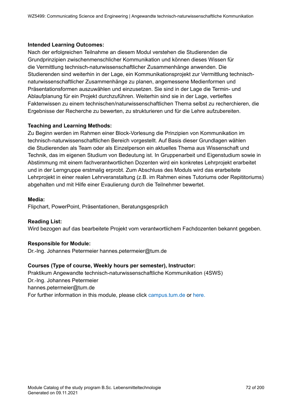#### **Intended Learning Outcomes:**

Nach der erfolgreichen Teilnahme an diesem Modul verstehen die Studierenden die Grundprinzipien zwischenmenschlicher Kommunikation und können dieses Wissen für die Vermittlung technisch-naturwissenschaftlicher Zusammenhänge anwenden. Die Studierenden sind weiterhin in der Lage, ein Kommunikationsprojekt zur Vermittlung technischnaturwissenschaftlicher Zusammenhänge zu planen, angemessene Medienformen und Präsentationsformen auszuwählen und einzusetzen. Sie sind in der Lage die Termin- und Ablaufplanung für ein Projekt durchzuführen. Weiterhin sind sie in der Lage, vertieftes Faktenwissen zu einem technischen/naturwissenschaftlichen Thema selbst zu recherchieren, die Ergebnisse der Recherche zu bewerten, zu strukturieren und für die Lehre aufzubereiten.

#### **Teaching and Learning Methods:**

Zu Beginn werden im Rahmen einer Block-Vorlesung die Prinzipien von Kommunikation im technisch-naturwissenschaftlichen Bereich vorgestellt. Auf Basis dieser Grundlagen wählen die Studierenden als Team oder als Einzelperson ein aktuelles Thema aus Wissenschaft und Technik, das im eigenen Studium von Bedeutung ist. In Gruppenarbeit und Eigenstudium sowie in Abstimmung mit einem fachverantwortlichen Dozenten wird ein konkretes Lehrprojekt erarbeitet und in der Lerngruppe erstmalig erprobt. Zum Abschluss des Moduls wird das erarbeitete Lehrprojekt in einer realen Lehrveranstaltung (z.B. im Rahmen eines Tutoriums oder Repititoriums) abgehalten und mit Hilfe einer Evaulierung durch die Teilnehmer bewertet.

#### **Media:**

Flipchart, PowerPoint, Präsentationen, Beratungsgespräch

**Reading List:** Wird bezogen auf das bearbeitete Projekt vom verantwortlichem Fachdozenten bekannt gegeben.

#### **Responsible for Module:**

Dr.-Ing. Johannes Petermeier hannes.petermeier@tum.de

#### **Courses (Type of course, Weekly hours per semester), Instructor:**

Praktikum Angewandte technisch-naturwissenschaftliche Kommunikation (4SWS) Dr.-Ing. Johannes Petermeier hannes.petermeier@tum.de For further information in this module, please click<campus.tum.de> or [here.](https://campus.tum.de/tumonline/WBMODHB.wbShowMHBReadOnly?pKnotenNr=732945&pOrgNr=51745)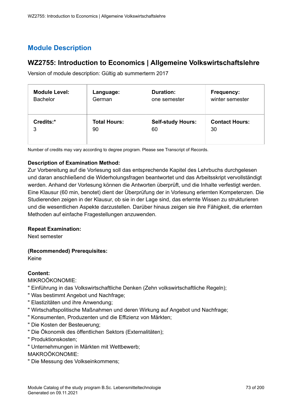# **WZ2755: Introduction to Economics | Allgemeine Volkswirtschaftslehre**

Version of module description: Gültig ab summerterm 2017

| <b>Module Level:</b> | Language:           | <b>Duration:</b>         | Frequency:            |
|----------------------|---------------------|--------------------------|-----------------------|
| <b>Bachelor</b>      | German              | one semester             | winter semester       |
| Credits:*            | <b>Total Hours:</b> | <b>Self-study Hours:</b> | <b>Contact Hours:</b> |
| 3                    | 90                  | 60                       | 30                    |

Number of credits may vary according to degree program. Please see Transcript of Records.

# **Description of Examination Method:**

Zur Vorbereitung auf die Vorlesung soll das entsprechende Kapitel des Lehrbuchs durchgelesen und daran anschließend die Widerholungsfragen beantwortet und das Arbeitsskript vervollständigt werden. Anhand der Vorlesung können die Antworten überprüft, und die Inhalte verfestigt werden. Eine Klausur (60 min, benotet) dient der Überprüfung der in Vorlesung erlernten Kompetenzen. Die Studierenden zeigen in der Klausur, ob sie in der Lage sind, das erlernte Wissen zu strukturieren und die wesentlichen Aspekte darzustellen. Darüber hinaus zeigen sie ihre Fähigkeit, die erlernten Methoden auf einfache Fragestellungen anzuwenden.

# **Repeat Examination:**

Next semester

# **(Recommended) Prerequisites:**

Keine

# **Content:**

MIKROÖKONOMIE:

- " Einführung in das Volkswirtschaftliche Denken (Zehn volkswirtschaftliche Regeln);
- " Was bestimmt Angebot und Nachfrage;
- " Elastizitäten und ihre Anwendung;
- " Wirtschaftspolitische Maßnahmen und deren Wirkung auf Angebot und Nachfrage;
- " Konsumenten, Produzenten und die Effizienz von Märkten;
- " Die Kosten der Besteuerung;
- " Die Ökonomik des öffentlichen Sektors (Externalitäten);
- " Produktionskosten;
- " Unternehmungen in Märkten mit Wettbewerb;

# MAKROÖKONOMIE:

" Die Messung des Volkseinkommens;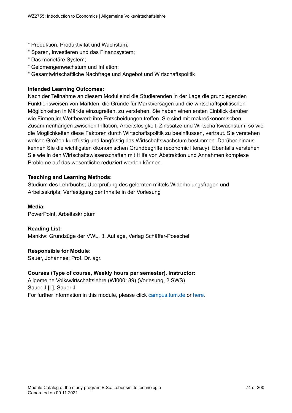- " Produktion, Produktivität und Wachstum;
- " Sparen, Investieren und das Finanzsystem;
- " Das monetäre System;
- " Geldmengenwachstum und Inflation;
- " Gesamtwirtschaftliche Nachfrage und Angebot und Wirtschaftspolitik

# **Intended Learning Outcomes:**

Nach der Teilnahme an diesem Modul sind die Studierenden in der Lage die grundlegenden Funktionsweisen von Märkten, die Gründe für Marktversagen und die wirtschaftspolitischen Möglichkeiten in Märkte einzugreifen, zu verstehen. Sie haben einen ersten Einblick darüber wie Firmen im Wettbewerb ihre Entscheidungen treffen. Sie sind mit makroökonomischen Zusammenhängen zwischen Inflation, Arbeitslosigkeit, Zinssätze und Wirtschaftswachstum, so wie die Möglichkeiten diese Faktoren durch Wirtschaftspolitik zu beeinflussen, vertraut. Sie verstehen welche Größen kurzfristig und langfristig das Wirtschaftswachstum bestimmen. Darüber hinaus kennen Sie die wichtigsten ökonomischen Grundbegriffe (economic literacy). Ebenfalls verstehen Sie wie in den Wirtschaftswissenschaften mit Hilfe von Abstraktion und Annahmen komplexe Probleme auf das wesentliche reduziert werden können.

# **Teaching and Learning Methods:**

Studium des Lehrbuchs; Überprüfung des gelernten mittels Widerholungsfragen und Arbeitsskripts; Verfestigung der Inhalte in der Vorlesung

**Media:** PowerPoint, Arbeitsskriptum

**Reading List:** Mankiw: Grundzüge der VWL, 3. Auflage, Verlag Schäffer-Poeschel

# **Responsible for Module:**

Sauer, Johannes; Prof. Dr. agr.

# **Courses (Type of course, Weekly hours per semester), Instructor:**

Allgemeine Volkswirtschaftslehre (WI000189) (Vorlesung, 2 SWS) Sauer J <sup>[L]</sup>, Sauer J For further information in this module, please click<campus.tum.de> or [here.](https://campus.tum.de/tumonline/WBMODHB.wbShowMHBReadOnly?pKnotenNr=1357387&pOrgNr=14815)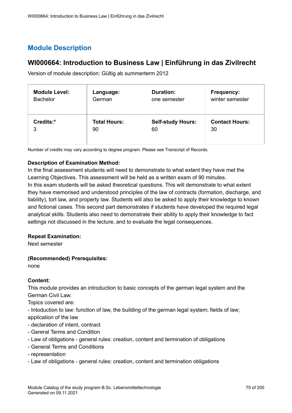# **WI000664: Introduction to Business Law | Einführung in das Zivilrecht**

Version of module description: Gültig ab summerterm 2012

| <b>Module Level:</b> | Language:           | <b>Duration:</b>         | <b>Frequency:</b>     |
|----------------------|---------------------|--------------------------|-----------------------|
| <b>Bachelor</b>      | German              | one semester             | winter semester       |
| Credits:*            | <b>Total Hours:</b> | <b>Self-study Hours:</b> | <b>Contact Hours:</b> |
| 3                    | 90                  | 60                       | 30                    |

Number of credits may vary according to degree program. Please see Transcript of Records.

# **Description of Examination Method:**

In the final assessment students will need to demonstrate to what extent they have met the Learning Objectives. This assessment will be held as a written exam of 90 minutes. In this exam students will be asked theoretical questions. This will demonstrate to what extent they have memorised and understood principles of the law of contracts (formation, discharge, and liability), tort law, and property law. Students will also be asked to apply their knowledge to known and fictional cases. This second part demonstrates if students have developed the required legal analytical skills. Students also need to demonstrate their ability to apply their knowledge to fact settings not discussed in the lecture, and to evaluate the legal consequences.

# **Repeat Examination:**

Next semester

# **(Recommended) Prerequisites:**

none

# **Content:**

This module provides an introduction to basic concepts of the german legal system and the German Civil Law.

Topics covered are:

- Intoduction to law: function of law, the building of the german legal system; fields of law; application of the law

- declaration of intent, contract
- Gereral Terms and Condition
- Law of obligations general rules: creation, content and termination of obligations
- General Terms and Conditions
- representation
- Law of obligations general rules: creation, content and termination obligations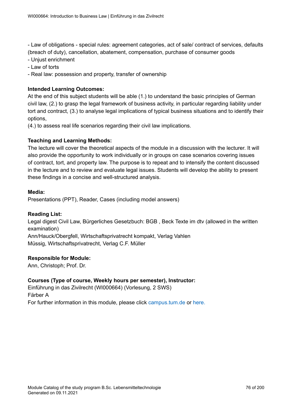- Law of obligations - special rules: agreement categories, act of sale/ contract of services, defaults (breach of duty), cancellation, abatement, compensation, purchase of consumer goods

- Unjust enrichment
- Law of torts
- Real law: possession and property, transfer of ownership

# **Intended Learning Outcomes:**

At the end of this subject students will be able (1.) to understand the basic principles of German civil law, (2.) to grasp the legal framework of business activity, in particular regarding liability under tort and contract, (3.) to analyse legal implications of typical business situations and to identify their options,

(4.) to assess real life scenarios regarding their civil law implications.

# **Teaching and Learning Methods:**

The lecture will cover the theoretical aspects of the module in a discussion with the lecturer. It will also provide the opportunity to work individually or in groups on case scenarios covering issues of contract, tort, and property law. The purpose is to repeat and to intensify the content discussed in the lecture and to review and evaluate legal issues. Students will develop the ability to present these findings in a concise and well-structured analysis.

# **Media:**

Presentations (PPT), Reader, Cases (including model answers)

# **Reading List:**

Legal digest Civil Law, Bürgerliches Gesetzbuch: BGB , Beck Texte im dtv (allowed in the written examination)

Ann/Hauck/Obergfell, Wirtschaftsprivatrecht kompakt, Verlag Vahlen Müssig, Wirtschaftsprivatrecht, Verlag C.F. Müller

# **Responsible for Module:**

Ann, Christoph; Prof. Dr.

# **Courses (Type of course, Weekly hours per semester), Instructor:**

Einführung in das Zivilrecht (WI000664) (Vorlesung, 2 SWS) Färber A For further information in this module, please click<campus.tum.de> or [here.](https://campus.tum.de/tumonline/WBMODHB.wbShowMHBReadOnly?pKnotenNr=553172&pOrgNr=14823)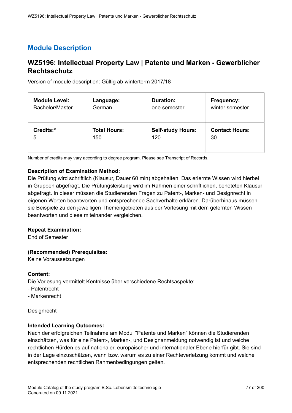# **WZ5196: Intellectual Property Law | Patente und Marken - Gewerblicher Rechtsschutz**

Version of module description: Gültig ab winterterm 2017/18

| <b>Module Level:</b> | Language:           | <b>Duration:</b>         | <b>Frequency:</b>     |
|----------------------|---------------------|--------------------------|-----------------------|
| Bachelor/Master      | German              | one semester             | winter semester       |
| Credits:*            | <b>Total Hours:</b> | <b>Self-study Hours:</b> | <b>Contact Hours:</b> |
| 5                    | 150                 | 120                      | 30                    |

Number of credits may vary according to degree program. Please see Transcript of Records.

# **Description of Examination Method:**

Die Prüfung wird schriftlich (Klausur, Dauer 60 min) abgehalten. Das erlernte Wissen wird hierbei in Gruppen abgefragt. Die Prüfungsleistung wird im Rahmen einer schriftlichen, benoteten Klausur abgefragt. In dieser müssen die Studierenden Fragen zu Patent-, Marken- und Designrecht in eigenen Worten beantworten und entsprechende Sachverhalte erklären. Darüberhinaus müssen sie Beispiele zu den jeweiligen Themengebieten aus der Vorlesung mit dem gelernten Wissen beantworten und diese miteinander vergleichen.

# **Repeat Examination:**

End of Semester

# **(Recommended) Prerequisites:**

Keine Voraussetzungen

# **Content:**

Die Vorlesung vermittelt Kentnisse über verschiedene Rechtsaspekte:

- Patentrecht
- Markenrecht

-

**Designrecht** 

# **Intended Learning Outcomes:**

Nach der erfolgreichen Teilnahme am Modul "Patente und Marken" können die Studierenden einschätzen, was für eine Patent-, Marken-, und Designanmeldung notwendig ist und welche rechtlichen Hürden es auf nationaler, europäischer und internationaler Ebene hierfür gibt. Sie sind in der Lage einzuschätzen, wann bzw. warum es zu einer Rechteverletzung kommt und welche entsprechenden rechtlichen Rahmenbedingungen gelten.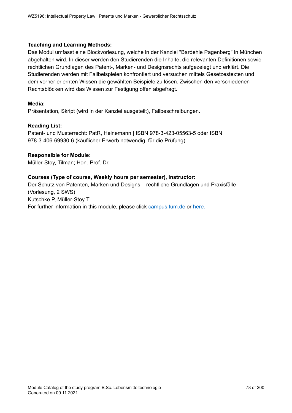# **Teaching and Learning Methods:**

Das Modul umfasst eine Blockvorlesung, welche in der Kanzlei "Bardehle Pagenberg" in München abgehalten wird. In dieser werden den Studierenden die Inhalte, die relevanten Definitionen sowie rechtlichen Grundlagen des Patent-, Marken- und Designsrechts aufgezeiegt und erklärt. Die Studierenden werden mit Fallbeispielen konfrontiert und versuchen mittels Gesetzestexten und dem vorher erlernten Wissen die gewählten Beispiele zu lösen. Zwischen den verschiedenen Rechtsblöcken wird das Wissen zur Festigung offen abgefragt.

#### **Media:**

Präsentation, Skript (wird in der Kanzlei ausgeteilt), Fallbeschreibungen.

#### **Reading List:**

Patent- und Musterrecht: PatR, Heinemann | ISBN 978-3-423-05563-5 oder ISBN 978-3-406-69930-6 (käuflicher Erwerb notwendig für die Prüfung).

#### **Responsible for Module:**

Müller-Stoy, Tilman; Hon.-Prof. Dr.

# **Courses (Type of course, Weekly hours per semester), Instructor:**

Der Schutz von Patenten, Marken und Designs – rechtliche Grundlagen und Praxisfälle (Vorlesung, 2 SWS) Kutschke P, Müller-Stoy T For further information in this module, please click<campus.tum.de> or [here.](https://campus.tum.de/tumonline/WBMODHB.wbShowMHBReadOnly?pKnotenNr=462539&pOrgNr=51258)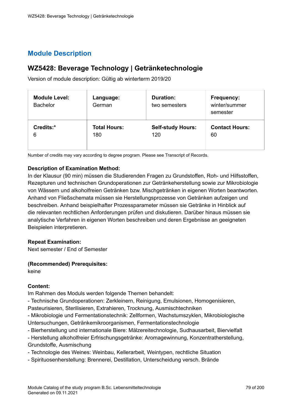# **WZ5428: Beverage Technology | Getränketechnologie**

Version of module description: Gültig ab winterterm 2019/20

| <b>Module Level:</b><br><b>Bachelor</b> | Language:<br>German | <b>Duration:</b><br>two semesters | <b>Frequency:</b><br>winter/summer<br>semester |
|-----------------------------------------|---------------------|-----------------------------------|------------------------------------------------|
| Credits:*                               | <b>Total Hours:</b> | <b>Self-study Hours:</b>          | <b>Contact Hours:</b>                          |
| 6                                       | 180                 | 120                               | 60                                             |

Number of credits may vary according to degree program. Please see Transcript of Records.

# **Description of Examination Method:**

In der Klausur (90 min) müssen die Studierenden Fragen zu Grundstoffen, Roh- und Hilfsstoffen, Rezepturen und technischen Grundoperationen zur Getränkeherstellung sowie zur Mikrobiologie von Wässern und alkoholfreien Getränken bzw. Mischgetränken in eigenen Worten beantworten. Anhand von Fließschemata müssen sie Herstellungsprozesse von Getränken aufzeigen und beschreiben. Anhand beispielhafter Prozessparameter müssen sie Getränke in Hinblick auf die relevanten rechtlichen Anforderungen prüfen und diskutieren. Darüber hinaus müssen sie analytische Verfahren in eigenen Worten beschreiben und deren Ergebnisse an geeigneten Beispielen interpretieren.

# **Repeat Examination:**

Next semester / End of Semester

# **(Recommended) Prerequisites:**

keine

# **Content:**

Im Rahmen des Moduls werden folgende Themen behandelt:

- Technische Grundoperationen: Zerkleinern, Reinigung, Emulsionen, Homogenisieren,

Pasteurisieren, Sterilisieren, Extrahieren, Trocknung, Ausmischtechniken

- Mikrobiologie und Fermentationstechnik: Zellformen, Wachstumszyklen, Mikrobiologische Untersuchungen, Getränkemikroorganismen, Fermentationstechnologie

- Bierherstellung und internationale Biere: Mälzereitechnologie, Sudhausarbeit, Biervielfalt

- Herstellung alkoholfreier Erfrischungsgetränke: Aromagewinnung, Konzentratherstellung, Grundstoffe, Ausmischung

- Technologie des Weines: Weinbau, Kellerarbeit, Weintypen, rechtliche Situation
- Spirituosenherstellung: Brennerei, Destillation, Unterscheidung versch. Brände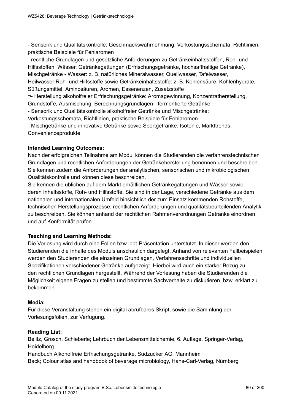- Sensorik und Qualitätskontrolle: Geschmackswahrnehmung, Verkostungsschemata, Richtlinien, praktische Beispiele für Fehlaromen

- rechtliche Grundlagen und gesetzliche Anforderungen zu Getränkeinhaltsstoffen, Roh- und Hilfsstoffen, Wässer, Getränkegattungen (Erfrischungsgetränke, hochsafthaltige Getränke), Mischgetränke - Wasser: z. B. natürliches Mineralwasser, Quellwasser, Tafelwasser, Heilwasser Roh- und Hilfsstoffe sowie Getränkeinhaltsstoffe: z. B. Kohlensäure, Kohlenhydrate, Süßungsmittel, Aminosäuren, Aromen, Essenenzen, Zusatzstoffe ¬- Herstellung alkoholfreier Erfrischungsgetränke: Aromagewinnung, Konzentratherstellung, Grundstoffe, Ausmischung, Berechnungsgrundlagen - fermentierte Getränke - Sensorik und Qualitätskontrolle alkoholfreier Getränke und Mischgetränke: Verkostungsschemata, Richtlinien, praktische Beispiele für Fehlaromen - Mischgetränke und innovative Getränke sowie Sportgetränke: Isotonie, Markttrends, Convenienceprodukte

# **Intended Learning Outcomes:**

Nach der erfolgreichen Teilnahme am Modul können die Studierenden die verfahrenstechnischen Grundlagen und rechtlichen Anforderungen der Getränkeherstellung benennen und beschreiben. Sie kennen zudem die Anforderungen der analytischen, sensorischen und mikrobiologischen Qualitätskontrolle und können diese beschreiben.

Sie kennen die üblichen auf dem Markt erhältlichen Getränkegattungen und Wässer sowie deren Inhaltsstoffe, Roh- und Hilfsstoffe. Sie sind in der Lage, verschiedene Getränke aus dem nationalen und internationalen Umfeld hinsichtlich der zum Einsatz kommenden Rohstoffe, technischen Herstellungsprozesse, rechtlichen Anforderungen und qualitätsbeurteilenden Analytik zu beschreiben. Sie können anhand der rechtlichen Rahmenverordnungen Getränke einordnen und auf Konformität prüfen.

# **Teaching and Learning Methods:**

Die Vorlesung wird durch eine Folien bzw. ppt-Präsentation unterstützt. In dieser werden den Studierenden die Inhalte des Moduls anschaulich dargelegt. Anhand von relevanten Fallbeispielen werden den Studierenden die einzelnen Grundlagen, Verfahrensschritte und individuellen Spezifikationen verschiedener Getränke aufgezeigt. Hierbei wird auch ein starker Bezug zu den rechtlichen Grundlagen hergestellt. Während der Vorlesung haben die Studierenden die Möglichkeit eigene Fragen zu stellen und bestimmte Sachverhalte zu diskutieren, bzw. erklärt zu bekommen.

# **Media:**

Für diese Veranstaltung stehen ein digital abrufbares Skript, sowie die Sammlung der Vorlesungsfolien, zur Verfügung.

# **Reading List:**

Belitz, Grosch, Schieberle; Lehrbuch der Lebensmittelchemie, 6. Auflage, Springer-Verlag, **Heidelberg** 

Handbuch Alkoholfreie Erfrischungsgetränke, Südzucker AG, Mannheim Back; Colour atlas and handbook of beverage microbiology, Hans-Carl-Verlag, Nürnberg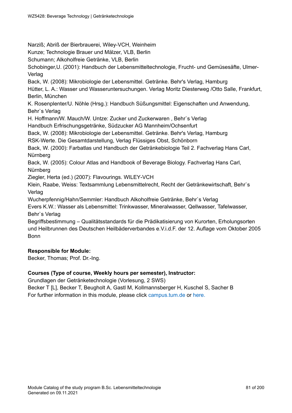Narziß; Abriß der Bierbrauerei, Wiley-VCH, Weinheim

Kunze; Technologie Brauer und Mälzer, VLB, Berlin

Schumann; Alkoholfreie Getränke, VLB, Berlin

Schobinger,U. (2001): Handbuch der Lebensmitteltechnologie, Frucht- und Gemüsesäfte, Ulmer-Verlag

Back, W. (2008): Mikrobiologie der Lebensmittel. Getränke. Behr's Verlag, Hamburg

Hütter, L. A.: Wasser und Wasseruntersuchungen. Verlag Moritz Diesterweg /Otto Salle, Frankfurt, Berlin, München

K. Rosenplenter/U. Nöhle (Hrsg.): Handbuch Süßungsmittel: Eigenschaften und Anwendung, Behr`s Verlag

H. Hoffmann/W. Mauch/W. Untze: Zucker und Zuckerwaren , Behr`s Verlag

Handbuch Erfrischungsgetränke, Südzucker AG Mannheim/Ochsenfurt

Back, W. (2008): Mikrobiologie der Lebensmittel. Getränke. Behr's Verlag, Hamburg

RSK-Werte. Die Gesamtdarstellung, Verlag Flüssiges Obst, Schönborn

Back, W. (2000): Farbatlas und Handbuch der Getränkebiologie Teil 2. Fachverlag Hans Carl, Nürnberg

Back, W. (2005): Colour Atlas and Handbook of Beverage Biology. Fachverlag Hans Carl, Nürnberg

Ziegler, Herta (ed.) (2007): Flavourings. WILEY-VCH

Klein, Raabe, Weiss: Textsammlung Lebensmittelrecht, Recht der Getränkewirtschaft, Behr`s Verlag

Wucherpfennig/Hahn/Semmler: Handbuch Alkoholfreie Getränke, Behr`s Verlag

Evers K.W.: Wasser als Lebensmittel: Trinkwasser, Mineralwasser, Qellwasser, Tafelwasser, Behr`s Verlag

Begriffsbestimmung – Qualitätsstandards für die Prädikatisierung von Kurorten, Erholungsorten und Heilbrunnen des Deutschen Heilbäderverbandes e.V.i.d.F. der 12. Auflage vom Oktober 2005 Bonn

# **Responsible for Module:**

Becker, Thomas; Prof. Dr.-Ing.

# **Courses (Type of course, Weekly hours per semester), Instructor:**

Grundlagen der Getränketechnologie (Vorlesung, 2 SWS)

Becker T [L], Becker T, Beugholt A, Gastl M, Kollmannsberger H, Kuschel S, Sacher B For further information in this module, please click<campus.tum.de> or [here.](https://campus.tum.de/tumonline/WBMODHB.wbShowMHBReadOnly?pKnotenNr=1520868&pOrgNr=39071)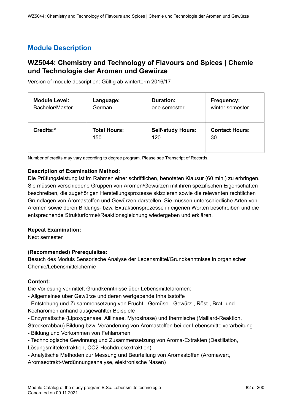# **WZ5044: Chemistry and Technology of Flavours and Spices | Chemie und Technologie der Aromen und Gewürze**

Version of module description: Gültig ab winterterm 2016/17

| <b>Module Level:</b> | Language:           | <b>Duration:</b>         | <b>Frequency:</b>     |
|----------------------|---------------------|--------------------------|-----------------------|
| Bachelor/Master      | German              | one semester             | winter semester       |
| Credits:*            | <b>Total Hours:</b> | <b>Self-study Hours:</b> | <b>Contact Hours:</b> |
|                      | 150                 | 120                      | 30                    |

Number of credits may vary according to degree program. Please see Transcript of Records.

# **Description of Examination Method:**

Die Prüfungsleistung ist im Rahmen einer schriftlichen, benoteten Klausur (60 min.) zu erbringen. Sie müssen verschiedene Gruppen von Aromen/Gewürzen mit ihren spezifischen Eigenschaften beschreiben, die zugehörigen Herstellungsprozesse skizzieren sowie die relevanten rechtlichen Grundlagen von Aromastoffen und Gewürzen darstellen. Sie müssen unterschiedliche Arten von Aromen sowie deren Bildungs- bzw. Extraktionsprozesse in eigenen Worten beschreiben und die entsprechende Strukturformel/Reaktionsgleichung wiedergeben und erklären.

# **Repeat Examination:**

Next semester

# **(Recommended) Prerequisites:**

Besuch des Moduls Sensorische Analyse der Lebensmittel/Grundkenntnisse in organischer Chemie/Lebensmittelchemie

# **Content:**

Die Vorlesung vermittelt Grundkenntnisse über Lebensmittelaromen:

- Allgemeines über Gewürze und deren wertgebende Inhaltsstoffe

- Entstehung und Zusammensetzung von Frucht-, Gemüse-, Gewürz-, Röst-, Brat- und

Kocharomen anhand ausgewählter Beispiele

- Enzymatische (Lipoxygenase, Alliinase, Myrosinase) und thermische (Maillard-Reaktion,

Streckerabbau) Bildung bzw. Veränderung von Aromastoffen bei der Lebensmittelverarbeitung

- Bildung und Vorkommen von Fehlaromen

- Technologische Gewinnung und Zusammensetzung von Aroma-Extrakten (Destillation,
- Lösungsmittelextraktion, CO2-Hochdruckextraktion)

- Analytische Methoden zur Messung und Beurteilung von Aromastoffen (Aromawert,

Aromaextrakt-Verdünnungsanalyse, elektronische Nasen)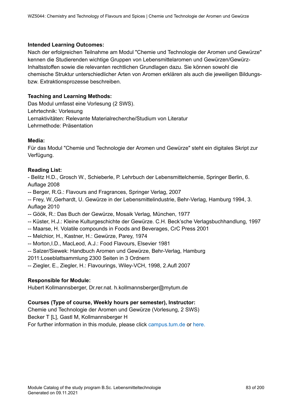# **Intended Learning Outcomes:**

Nach der erfolgreichen Teilnahme am Modul "Chemie und Technologie der Aromen und Gewürze" kennen die Studierenden wichtige Gruppen von Lebensmittelaromen und Gewürzen/Gewürz-Inhaltsstoffen sowie die relevanten rechtlichen Grundlagen dazu. Sie können sowohl die chemische Struktur unterschiedlicher Arten von Aromen erklären als auch die jeweiligen Bildungsbzw. Extraktionsprozesse beschreiben.

# **Teaching and Learning Methods:**

Das Modul umfasst eine Vorlesung (2 SWS). Lehrtechnik: Vorlesung Lernaktivitäten: Relevante Materialrecherche/Studium von Literatur Lehrmethode: Präsentation

# **Media:**

Für das Modul "Chemie und Technologie der Aromen und Gewürze" steht ein digitales Skript zur Verfügung.

# **Reading List:**

- Belitz H.D., Grosch W., Schieberle, P. Lehrbuch der Lebensmittelchemie, Springer Berlin, 6. Auflage 2008

- -- Berger, R.G.: Flavours and Fragrances, Springer Verlag, 2007
- -- Frey, W.,Gerhardt, U. Gewürze in der Lebensmittelindustrie, Behr-Verlag, Hamburg 1994, 3.

Auflage 2010

- -- Göök, R.: Das Buch der Gewürze, Mosaik Verlag, München, 1977
- -- Küster, H.J.: Kleine Kulturgeschichte der Gewürze. C.H. Beck'sche Verlagsbuchhandlung, 1997
- -- Maarse, H. Volatile compounds in Foods and Beverages, CrC Press 2001
- -- Melchior, H., Kastner, H.: Gewürze, Parey, 1974
- -- Morton,I.D., MacLeod, A.J.: Food Flavours, Elsevier 1981
- -- Salzer/Siewek: Handbuch Aromen und Gewürze, Behr-Verlag, Hamburg
- 2011:Loseblattsammlung 2300 Seiten in 3 Ordnern
- -- Ziegler, E., Ziegler, H.: Flavourings, Wiley-VCH, 1998, 2.Aufl 2007

# **Responsible for Module:**

Hubert Kollmannsberger, Dr.rer.nat. h.kollmannsberger@mytum.de

# **Courses (Type of course, Weekly hours per semester), Instructor:**

Chemie und Technologie der Aromen und Gewürze (Vorlesung, 2 SWS) Becker T [L], Gastl M, Kollmannsberger H For further information in this module, please click<campus.tum.de> or [here.](https://campus.tum.de/tumonline/WBMODHB.wbShowMHBReadOnly?pKnotenNr=462294&pOrgNr=39071)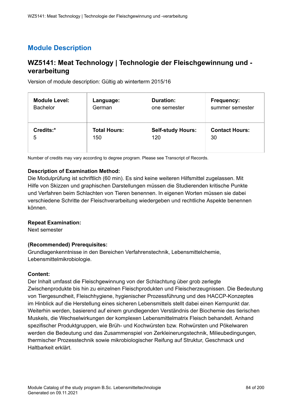# **WZ5141: Meat Technology | Technologie der Fleischgewinnung und verarbeitung**

Version of module description: Gültig ab winterterm 2015/16

| <b>Module Level:</b> | Language:           | <b>Duration:</b>         | Frequency:            |
|----------------------|---------------------|--------------------------|-----------------------|
| <b>Bachelor</b>      | German              | one semester             | summer semester       |
| Credits:*            | <b>Total Hours:</b> | <b>Self-study Hours:</b> | <b>Contact Hours:</b> |
| 5                    | 150                 | 120                      | 30                    |

Number of credits may vary according to degree program. Please see Transcript of Records.

# **Description of Examination Method:**

Die Modulprüfung ist schriftlich (60 min). Es sind keine weiteren Hilfsmittel zugelassen. Mit Hilfe von Skizzen und graphischen Darstellungen müssen die Studierenden kritische Punkte und Verfahren beim Schlachten von Tieren benennen. In eigenen Worten müssen sie dabei verschiedene Schritte der Fleischverarbeitung wiedergeben und rechtliche Aspekte benennen können.

# **Repeat Examination:**

Next semester

# **(Recommended) Prerequisites:**

Grundlagenkenntnisse in den Bereichen Verfahrenstechnik, Lebensmittelchemie, Lebensmittelmikrobiologie.

# **Content:**

Der Inhalt umfasst die Fleischgewinnung von der Schlachtung über grob zerlegte Zwischenprodukte bis hin zu einzelnen Fleischprodukten und Fleischerzeugnissen. Die Bedeutung von Tiergesundheit, Fleischhygiene, hygienischer Prozessführung und des HACCP-Konzeptes im Hinblick auf die Herstellung eines sicheren Lebensmittels stellt dabei einen Kernpunkt dar. Weiterhin werden, basierend auf einem grundlegenden Verständnis der Biochemie des tierischen Muskels, die Wechselwirkungen der komplexen Lebensmittelmatrix Fleisch behandelt. Anhand spezifischer Produktgruppen, wie Brüh- und Kochwürsten bzw. Rohwürsten und Pökelwaren werden die Bedeutung und das Zusammenspiel von Zerkleinerungstechnik, Milieubedingungen, thermischer Prozesstechnik sowie mikrobiologischer Reifung auf Struktur, Geschmack und Haltbarkeit erklärt.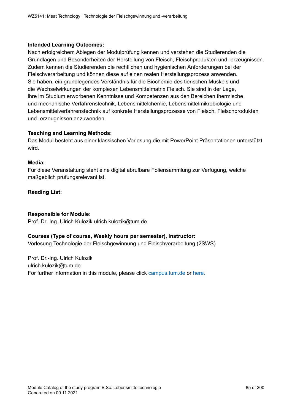# **Intended Learning Outcomes:**

Nach erfolgreichem Ablegen der Modulprüfung kennen und verstehen die Studierenden die Grundlagen und Besonderheiten der Herstellung von Fleisch, Fleischprodukten und -erzeugnissen. Zudem kennen die Studierenden die rechtlichen und hygienischen Anforderungen bei der Fleischverarbeitung und können diese auf einen realen Herstellungsprozess anwenden. Sie haben, ein grundlegendes Verständnis für die Biochemie des tierischen Muskels und die Wechselwirkungen der komplexen Lebensmittelmatrix Fleisch. Sie sind in der Lage, ihre im Studium erworbenen Kenntnisse und Kompetenzen aus den Bereichen thermische und mechanische Verfahrenstechnik, Lebensmittelchemie, Lebensmittelmikrobiologie und Lebensmittelverfahrenstechnik auf konkrete Herstellungsprozesse von Fleisch, Fleischprodukten und -erzeugnissen anzuwenden.

# **Teaching and Learning Methods:**

Das Modul besteht aus einer klassischen Vorlesung die mit PowerPoint Präsentationen unterstützt wird.

# **Media:**

Für diese Veranstaltung steht eine digital abrufbare Foliensammlung zur Verfügung, welche maßgeblich prüfungsrelevant ist.

# **Reading List:**

# **Responsible for Module:**

Prof. Dr.-Ing. Ulrich Kulozik ulrich.kulozik@tum.de

# **Courses (Type of course, Weekly hours per semester), Instructor:**

Vorlesung Technologie der Fleischgewinnung und Fleischverarbeitung (2SWS)

Prof. Dr.-Ing. Ulrich Kulozik ulrich.kulozik@tum.de For further information in this module, please click<campus.tum.de> or [here.](https://campus.tum.de/tumonline/WBMODHB.wbShowMHBReadOnly?pKnotenNr=462448&pOrgNr=15645)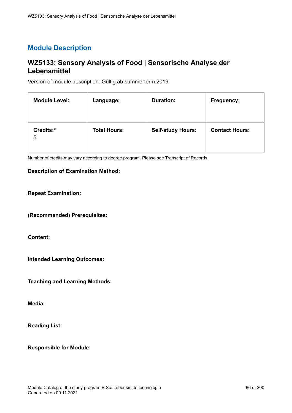# **WZ5133: Sensory Analysis of Food | Sensorische Analyse der Lebensmittel**

Version of module description: Gültig ab summerterm 2019

| <b>Module Level:</b> | Language:           | <b>Duration:</b>         | <b>Frequency:</b>     |
|----------------------|---------------------|--------------------------|-----------------------|
| Credits:*<br>5       | <b>Total Hours:</b> | <b>Self-study Hours:</b> | <b>Contact Hours:</b> |

Number of credits may vary according to degree program. Please see Transcript of Records.

#### **Description of Examination Method:**

#### **Repeat Examination:**

**(Recommended) Prerequisites:**

**Content:**

**Intended Learning Outcomes:**

**Teaching and Learning Methods:**

**Media:**

**Reading List:**

**Responsible for Module:**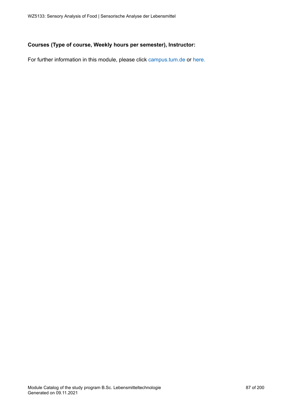# **Courses (Type of course, Weekly hours per semester), Instructor:**

For further information in this module, please click<campus.tum.de> or [here.](https://campus.tum.de/tumonline/WBMODHB.wbShowMHBReadOnly?pKnotenNr=1755657&pOrgNr=39071)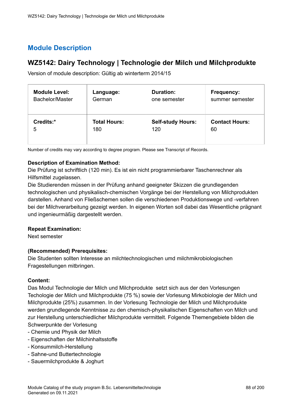# **WZ5142: Dairy Technology | Technologie der Milch und Milchprodukte**

Version of module description: Gültig ab winterterm 2014/15

| <b>Module Level:</b> | Language:           | <b>Duration:</b>         | <b>Frequency:</b>     |
|----------------------|---------------------|--------------------------|-----------------------|
| Bachelor/Master      | German              | one semester             | summer semester       |
| Credits:*            | <b>Total Hours:</b> | <b>Self-study Hours:</b> | <b>Contact Hours:</b> |
| 5                    | 180                 | 120                      | 60                    |

Number of credits may vary according to degree program. Please see Transcript of Records.

# **Description of Examination Method:**

Die Prüfung ist schriftlich (120 min). Es ist ein nicht programmierbarer Taschenrechner als Hilfsmittel zugelassen.

Die Studierenden müssen in der Prüfung anhand geeigneter Skizzen die grundlegenden technologischen und physikalisch-chemischen Vorgänge bei der Herstellung von Milchprodukten darstellen. Anhand von Fließschemen sollen die verschiedenen Produktionswege und -verfahren bei der Milchverarbeitung gezeigt werden. In eigenen Worten soll dabei das Wesentliche prägnant und ingenieurmäßig dargestellt werden.

# **Repeat Examination:**

Next semester

# **(Recommended) Prerequisites:**

Die Studenten sollten Interesse an milchtechnologischen umd milchmikrobiologischen Fragestellungen mitbringen.

# **Content:**

Das Modul Technologie der Milch und Milchprodukte setzt sich aus der den Vorlesungen Techologie der Milch und Milchprodukte (75 %) sowie der Vorlesung Mirkobiologie der Milch und Milchprodukte (25%) zusammen. In der Vorlesung Technologie der Milch und Milchprodukte werden grundlegende Kenntnisse zu den chemisch-physikalischen Eigenschaften von Milch und zur Herstellung unterschiedlicher Milchprodukte vermittelt. Folgende Themengebiete bilden die Schwerpunkte der Vorlesung

- Chemie und Physik der Milch
- Eigenschaften der Milchinhaltsstoffe
- Konsummilch-Herstellung
- Sahne-und Buttertechnologie
- Sauermilchprodukte & Joghurt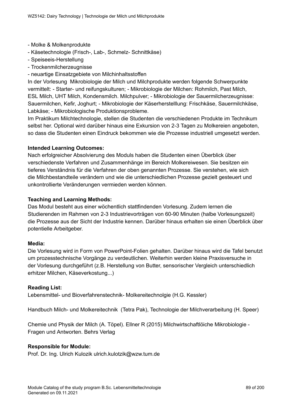- Molke & Molkenprodukte
- Käsetechnologie (Frisch-, Lab-, Schmelz- Schnittkäse)
- Speiseeis-Herstellung
- Trockenmilcherzeugnisse
- neuartige Einsatzgebiete von Milchinhaltsstoffen

In der Vorlesung Mikrobiologie der Milch und Milchprodukte werden folgende Schwerpunkte vermittelt: - Starter- und reifungskulturen; - Mikrobiologie der Milchen: Rohmilch, Past Milch, ESL Milch, UHT Milch, Kondensmilch. Milchpulver; - Mikrobiologie der Sauermilcherzeugnisse: Sauermilchen, Kefir, Joghurt; - Mikrobiologie der Käserherstelllung: Frischkäse, Sauermilchkäse, Labkäse; - Mikrobiologische Produktionsprobleme.

Im Praktikum Milchtechnologie, stellen die Studenten die verschiedenen Produkte im Technikum selbst her. Optional wird darüber hinaus eine Exkursion von 2-3 Tagen zu Molkereien angeboten, so dass die Studenten einen Eindruck bekommen wie die Prozesse industriell umgesetzt werden.

# **Intended Learning Outcomes:**

Nach erfolgreicher Absolvierung des Moduls haben die Studenten einen Überblick über verschiedenste Verfahren und Zusammenhänge im Bereich Molkereiwesen. Sie besitzen ein tieferes Verständnis für die Verfahren der oben genannten Prozesse. Sie verstehen, wie sich die Milchbestandteile verändern und wie die unterschiedlichen Prozesse gezielt gesteuert und unkontrollierte Veränderungen vermieden werden können.

#### **Teaching and Learning Methods:**

Das Modul besteht aus einer wöchentlich stattfindenden Vorlesung. Zudem lernen die Studierenden im Rahmen von 2-3 Industrievorträgen von 60-90 Minuten (halbe Vorlesungszeit) die Prozesse aus der Sicht der Industrie kennen. Darüber hinaus erhalten sie einen Überblick über potentielle Arbeitgeber.

#### **Media:**

Die Vorlesung wird in Form von PowerPoint-Folien gehalten. Darüber hinaus wird die Tafel benutzt um prozesstechnische Vorgänge zu verdeutlichen. Weiterhin werden kleine Praxisversuche in der Vorlesung durchgeführt (z.B. Herstellung von Butter, sensorischer Vergleich unterschiedlich erhitzer Milchen, Käseverkostung...)

#### **Reading List:**

Lebensmittel- und Bioverfahrenstechnik- Molkereitechnolgie (H.G. Kessler)

Handbuch Milch- und Molkereitechnik (Tetra Pak), Technologie der Milchverarbeitung (H. Speer)

Chemie und Physik der Milch (A. Töpel). Ellner R (2015) Milchwirtschaftlöiche Mikrobiologie - Fragen und Antworten. Behrs Verlag

# **Responsible for Module:**

Prof. Dr. Ing. Ulrich Kulozik ulrich.kulotzik@wzw.tum.de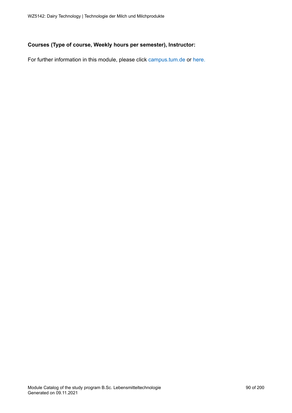# **Courses (Type of course, Weekly hours per semester), Instructor:**

For further information in this module, please click<campus.tum.de> or [here.](https://campus.tum.de/tumonline/WBMODHB.wbShowMHBReadOnly?pKnotenNr=462450&pOrgNr=15645)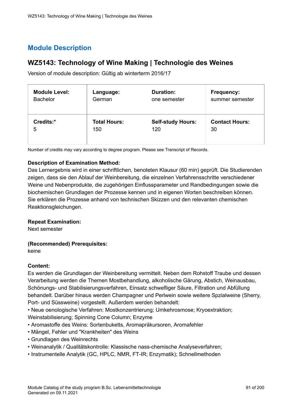# **WZ5143: Technology of Wine Making | Technologie des Weines**

Version of module description: Gültig ab winterterm 2016/17

| <b>Module Level:</b> | Language:           | <b>Duration:</b>         | Frequency:            |
|----------------------|---------------------|--------------------------|-----------------------|
| <b>Bachelor</b>      | German              | one semester             | summer semester       |
| Credits:*            | <b>Total Hours:</b> | <b>Self-study Hours:</b> | <b>Contact Hours:</b> |
| 5                    | 150                 | 120                      | 30                    |

Number of credits may vary according to degree program. Please see Transcript of Records.

# **Description of Examination Method:**

Das Lernergebnis wird in einer schriftlichen, benoteten Klausur (60 min) geprüft. Die Studierenden zeigen, dass sie den Ablauf der Weinbereitung, die einzelnen Verfahrensschritte verschiedener Weine und Nebenprodukte, die zugehörigen Einflussparameter und Randbedingungen sowie die biochemischen Grundlagen der Prozesse kennen und in eigenen Worten beschreiben können. Sie erklären die Prozesse anhand von technischen Skizzen und den relevanten chemischen Reaktionsgleichungen.

# **Repeat Examination:**

Next semester

# **(Recommended) Prerequisites:**

keine

# **Content:**

Es werden die Grundlagen der Weinbereitung vermittelt. Neben dem Rohstoff Traube und dessen Verarbeitung werden die Themen Mostbehandlung, alkoholische Gärung, Abstich, Weinausbau, Schönungs- und Stabilisierungsverfahren, Einsatz schwefliger Säure, Filtration und Abfüllung behandelt. Darüber hinaus werden Champagner und Perlwein sowie weitere Spzialweine (Sherry, Port- und Süssweine) vorgestellt. Außerdem werden behandelt:

• Neue oenologische Verfahren: Mostkonzentrierung; Umkehrosmose; Kryoextraktion;

Weinstabilisierung; Spinning Cone Column; Enzyme

• Aromastoffe des Weins: Sortenbuketts, Aromapräkursoren, Aromafehler

- Mängel, Fehler und "Krankheiten" des Weins
- Grundlagen des Weinrechts
- Weinanalytik / Qualitätskontrolle: Klassische nass-chemische Analyseverfahren;
- Instrumentelle Analytik (GC, HPLC, NMR, FT-IR; Enzymatik); Schnellmethoden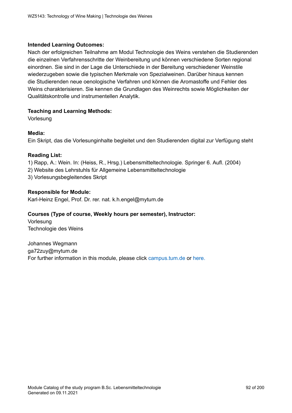# **Intended Learning Outcomes:**

Nach der erfolgreichen Teilnahme am Modul Technologie des Weins verstehen die Studierenden die einzelnen Verfahrensschritte der Weinbereitung und können verschiedene Sorten regional einordnen. Sie sind in der Lage die Unterschiede in der Bereitung verschiedener Weinstile wiederzugeben sowie die typischen Merkmale von Spezialweinen. Darüber hinaus kennen die Studierenden neue oenologische Verfahren und können die Aromastoffe und Fehler des Weins charakterisieren. Sie kennen die Grundlagen des Weinrechts sowie Möglichkeiten der Qualitätskontrolle und instrumentellen Analytik.

# **Teaching and Learning Methods:**

Vorlesung

# **Media:**

Ein Skript, das die Vorlesunginhalte begleitet und den Studierenden digital zur Verfügung steht

# **Reading List:**

1) Rapp, A.: Wein. In: (Heiss, R., Hrsg.) Lebensmitteltechnologie. Springer 6. Aufl. (2004)

- 2) Website des Lehrstuhls für Allgemeine Lebensmitteltechnologie
- 3) Vorlesungsbegleitendes Skript

# **Responsible for Module:**

Karl-Heinz Engel, Prof. Dr. rer. nat. k.h.engel@mytum.de

# **Courses (Type of course, Weekly hours per semester), Instructor:**

Vorlesung Technologie des Weins

Johannes Wegmann ga72zuy@mytum.de For further information in this module, please click<campus.tum.de> or [here.](https://campus.tum.de/tumonline/WBMODHB.wbShowMHBReadOnly?pKnotenNr=462452&pOrgNr=15574)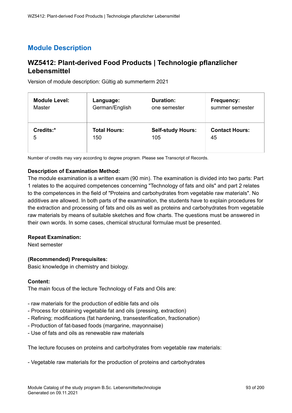# **WZ5412: Plant-derived Food Products | Technologie pflanzlicher Lebensmittel**

Version of module description: Gültig ab summerterm 2021

| <b>Module Level:</b> | Language:           | <b>Duration:</b>         | Frequency:            |
|----------------------|---------------------|--------------------------|-----------------------|
| Master               | German/English      | one semester             | summer semester       |
| Credits:*            | <b>Total Hours:</b> | <b>Self-study Hours:</b> | <b>Contact Hours:</b> |
| 5                    | 150                 | 105                      | 45                    |

Number of credits may vary according to degree program. Please see Transcript of Records.

#### **Description of Examination Method:**

The module examination is a written exam (90 min). The examination is divided into two parts: Part 1 relates to the acquired competences concerning "Technology of fats and oils" and part 2 relates to the competences in the field of "Proteins and carbohydrates from vegetable raw materials". No additives are allowed. In both parts of the examination, the students have to explain procedures for the extraction and processing of fats and oils as well as proteins and carbohydrates from vegetable raw materials by means of suitable sketches and flow charts. The questions must be answered in their own words. In some cases, chemical structural formulae must be presented.

#### **Repeat Examination:**

Next semester

# **(Recommended) Prerequisites:**

Basic knowledge in chemistry and biology.

#### **Content:**

The main focus of the lecture Technology of Fats and Oils are:

- raw materials for the production of edible fats and oils
- Process for obtaining vegetable fat and oils (pressing, extraction)
- Refining; modifications (fat hardening, transesterification, fractionation)
- Production of fat-based foods (margarine, mayonnaise)
- Use of fats and oils as renewable raw materials

The lecture focuses on proteins and carbohydrates from vegetable raw materials:

- Vegetable raw materials for the production of proteins and carbohydrates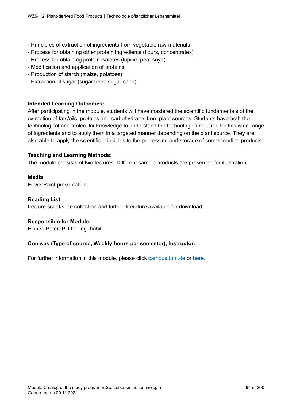- Principles of extraction of ingredients from vegetable raw materials
- Process for obtaining other protein ingredients (flours, concentrates)
- Process for obtaining protein isolates (lupine, pea, soya)
- Modification and application of proteins
- Production of starch (maize, potatoes)
- Extraction of sugar (sugar beet, sugar cane)

# **Intended Learning Outcomes:**

After participating in the module, students will have mastered the scientific fundamentals of the extraction of fats/oils, proteins and carbohydrates from plant sources. Students have both the technological and molecular knowledge to understand the technologies required for this wide range of ingredients and to apply them in a targeted manner depending on the plant source. They are also able to apply the scientific principles to the processing and storage of corresponding products.

# **Teaching and Learning Methods:**

The module consists of two lectures. Different sample products are presented for illustration.

# **Media:**

PowerPoint presentation.

# **Reading List:**

Lecture script/slide collection and further literature available for download.

# **Responsible for Module:**

Eisner, Peter; PD Dr.-Ing. habil.

# **Courses (Type of course, Weekly hours per semester), Instructor:**

For further information in this module, please click<campus.tum.de> or [here.](https://campus.tum.de/tumonline/WBMODHB.wbShowMHBReadOnly?pKnotenNr=1207223&pOrgNr=15645)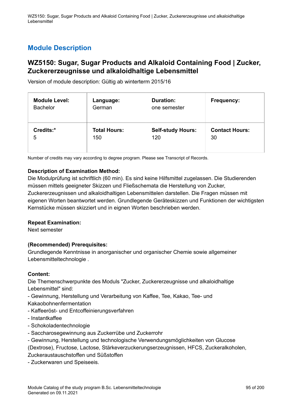# **WZ5150: Sugar, Sugar Products and Alkaloid Containing Food | Zucker, Zuckererzeugnisse und alkaloidhaltige Lebensmittel**

Version of module description: Gültig ab winterterm 2015/16

| <b>Module Level:</b> | Language:           | <b>Duration:</b>         | <b>Frequency:</b>     |
|----------------------|---------------------|--------------------------|-----------------------|
| <b>Bachelor</b>      | German              | one semester             |                       |
| Credits:*            | <b>Total Hours:</b> | <b>Self-study Hours:</b> | <b>Contact Hours:</b> |
| 5                    | 150                 | 120                      | 30                    |

Number of credits may vary according to degree program. Please see Transcript of Records.

# **Description of Examination Method:**

Die Modulprüfung ist schriftlich (60 min). Es sind keine Hilfsmittel zugelassen. Die Studierenden müssen mittels geeigneter Skizzen und Fließschemata die Herstellung von Zucker, Zuckererzeugnissen und alkaloidhaltigen Lebensmittelen darstellen. Die Fragen müssen mit eigenen Worten beantwortet werden. Grundlegende Geräteskizzen und Funktionen der wichtigsten Kernstücke müssen skizziert und in eignen Worten beschrieben werden.

# **Repeat Examination:**

Next semester

# **(Recommended) Prerequisites:**

Grundlegende Kenntnisse in anorganischer und organischer Chemie sowie allgemeiner Lebensmitteltechnologie .

# **Content:**

Die Themenschwerpunkte des Moduls "Zucker, Zuckererzeugnisse und alkaloidhaltige Lebensmittel" sind:

- Gewinnung, Herstellung und Verarbeitung von Kaffee, Tee, Kakao, Tee- und Kakaobohnenfermentation
- Kaffeeröst- und Entcoffeinierungsverfahren
- Instantkaffee
- Schokoladentechnologie
- Saccharosegewinnung aus Zuckerrübe und Zuckerrohr
- Gewinnung, Herstellung und technologische Verwendungsmöglichkeiten von Glucose

(Dextrose), Fructose, Lactose, Stärkeverzuckerungserzeugnissen, HFCS, Zuckeralkoholen,

Zuckeraustauschstoffen und Süßstoffen

- Zuckerwaren und Speiseeis.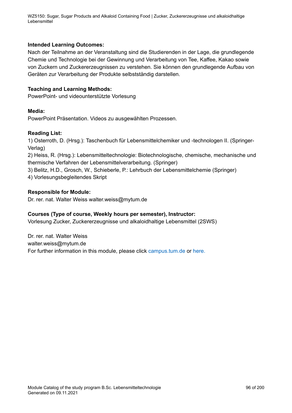WZ5150: Sugar, Sugar Products and Alkaloid Containing Food | Zucker, Zuckererzeugnisse und alkaloidhaltige Lebensmittel

### **Intended Learning Outcomes:**

Nach der Teilnahme an der Veranstaltung sind die Studierenden in der Lage, die grundlegende Chemie und Technologie bei der Gewinnung und Verarbeitung von Tee, Kaffee, Kakao sowie von Zuckern und Zuckererzeugnissen zu verstehen. Sie können den grundlegende Aufbau von Geräten zur Verarbeitung der Produkte selbstständig darstellen.

### **Teaching and Learning Methods:**

PowerPoint- und videounterstützte Vorlesung

#### **Media:**

PowerPoint Präsentation. Videos zu ausgewählten Prozessen.

#### **Reading List:**

1) Osterroth, D. (Hrsg.): Taschenbuch für Lebensmittelchemiker und -technologen II. (Springer-Verlag)

2) Heiss, R. (Hrsg.): Lebensmitteltechnologie: Biotechnologische, chemische, mechanische und thermische Verfahren der Lebensmittelverarbeitung. (Springer)

3) Belitz, H.D., Grosch, W., Schieberle, P.: Lehrbuch der Lebensmittelchemie (Springer)

4) Vorlesungsbegleitendes Skript

#### **Responsible for Module:**

Dr. rer. nat. Walter Weiss walter.weiss@mytum.de

# **Courses (Type of course, Weekly hours per semester), Instructor:**

Vorlesung Zucker, Zuckererzeugnisse und alkaloidhaltige Lebensmittel (2SWS)

Dr. rer. nat. Walter Weiss walter.weiss@mytum.de For further information in this module, please click<campus.tum.de> or [here.](https://campus.tum.de/tumonline/WBMODHB.wbShowMHBReadOnly?pKnotenNr=462464&pOrgNr=15574)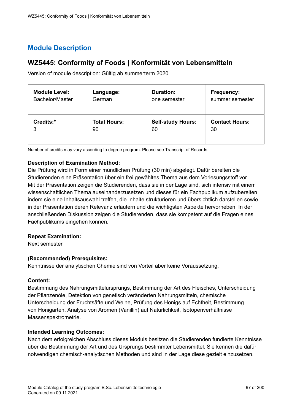# **WZ5445: Conformity of Foods | Konformität von Lebensmitteln**

Version of module description: Gültig ab summerterm 2020

| <b>Module Level:</b> | Language:           | <b>Duration:</b>         | Frequency:            |
|----------------------|---------------------|--------------------------|-----------------------|
| Bachelor/Master      | German              | one semester             | summer semester       |
| Credits:*            | <b>Total Hours:</b> | <b>Self-study Hours:</b> | <b>Contact Hours:</b> |
| 3                    | 90                  | 60                       | 30                    |

Number of credits may vary according to degree program. Please see Transcript of Records.

# **Description of Examination Method:**

Die Prüfung wird in Form einer mündlichen Prüfung (30 min) abgelegt. Dafür bereiten die Studierenden eine Präsentation über ein frei gewähltes Thema aus dem Vorlesungsstoff vor. Mit der Präsentation zeigen die Studierenden, dass sie in der Lage sind, sich intensiv mit einem wissenschaftlichen Thema auseinanderzusetzen und dieses für ein Fachpublikum aufzubereiten indem sie eine Inhaltsauswahl treffen, die Inhalte strukturieren und übersichtlich darstellen sowie in der Präsentation deren Relevanz erläutern und die wichtigsten Aspekte hervorheben. In der anschließenden Diskussion zeigen die Studierenden, dass sie kompetent auf die Fragen eines Fachpublikums eingehen können.

# **Repeat Examination:**

Next semester

# **(Recommended) Prerequisites:**

Kenntnisse der analytischen Chemie sind von Vorteil aber keine Voraussetzung.

#### **Content:**

Bestimmung des Nahrungsmittelursprungs, Bestimmung der Art des Fleisches, Unterscheidung der Pflanzenöle, Detektion von genetisch veränderten Nahrungsmitteln, chemische Unterscheidung der Fruchtsäfte und Weine, Prüfung des Honigs auf Echtheit, Bestimmung von Honigarten, Analyse von Aromen (Vanillin) auf Natürlichkeit, Isotopenverhältnisse Massenspektrometrie.

# **Intended Learning Outcomes:**

Nach dem erfolgreichen Abschluss dieses Moduls besitzen die Studierenden fundierte Kenntnisse über die Bestimmung der Art und des Ursprungs bestimmter Lebensmittel. Sie kennen die dafür notwendigen chemisch-analytischen Methoden und sind in der Lage diese gezielt einzusetzen.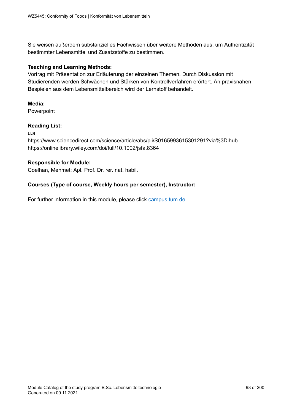Sie weisen außerdem substanzielles Fachwissen über weitere Methoden aus, um Authentizität bestimmter Lebensmittel und Zusatzstoffe zu bestimmen.

# **Teaching and Learning Methods:**

Vortrag mit Präsentation zur Erläuterung der einzelnen Themen. Durch Diskussion mit Studierenden werden Schwächen und Stärken von Kontrollverfahren erörtert. An praxisnahen Bespielen aus dem Lebensmittelbereich wird der Lernstoff behandelt.

**Media:**

Powerpoint

# **Reading List:**

u.a

https://www.sciencedirect.com/science/article/abs/pii/S0165993615301291?via%3Dihub https://onlinelibrary.wiley.com/doi/full/10.1002/jsfa.8364

#### **Responsible for Module:**

Coelhan, Mehmet; Apl. Prof. Dr. rer. nat. habil.

# **Courses (Type of course, Weekly hours per semester), Instructor:**

For further information in this module, please click<campus.tum.de>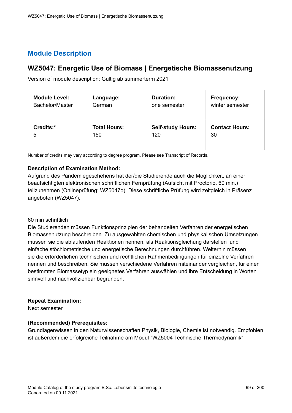# **WZ5047: Energetic Use of Biomass | Energetische Biomassenutzung**

Version of module description: Gültig ab summerterm 2021

| <b>Module Level:</b> | Language:           | <b>Duration:</b>         | Frequency:            |
|----------------------|---------------------|--------------------------|-----------------------|
| Bachelor/Master      | German              | one semester             | winter semester       |
| Credits:*            | <b>Total Hours:</b> | <b>Self-study Hours:</b> | <b>Contact Hours:</b> |
| 5                    | 150                 | 120                      | 30                    |

Number of credits may vary according to degree program. Please see Transcript of Records.

# **Description of Examination Method:**

Aufgrund des Pandemiegeschehens hat der/die Studierende auch die Möglichkeit, an einer beaufsichtigten elektronischen schriftlichen Fernprüfung (Aufsicht mit Proctorio, 60 min.) teilzunehmen (Onlineprüfung: WZ5047o). Diese schriftliche Prüfung wird zeitgleich in Präsenz angeboten (WZ5047).

# 60 min schriftlich

Die Studierenden müssen Funktionsprinzipien der behandelten Verfahren der energetischen Biomassenutzung beschreiben. Zu ausgewählten chemischen und physikalischen Umsetzungen müssen sie die ablaufenden Reaktionen nennen, als Reaktionsgleichung darstellen und einfache stöchiometrische und energetische Berechnungen durchführen. Weiterhin müssen sie die erforderlichen technischen und rechtlichen Rahmenbedingungen für einzelne Verfahren nennen und beschreiben. Sie müssen verschiedene Verfahren miteinander vergleichen, für einen bestimmten Biomassetyp ein geeignetes Verfahren auswählen und ihre Entscheidung in Worten sinnvoll und nachvollziehbar begründen.

# **Repeat Examination:**

Next semester

# **(Recommended) Prerequisites:**

Grundlagenwissen in den Naturwissenschaften Physik, Biologie, Chemie ist notwendig. Empfohlen ist außerdem die erfolgreiche Teilnahme am Modul "WZ5004 Technische Thermodynamik".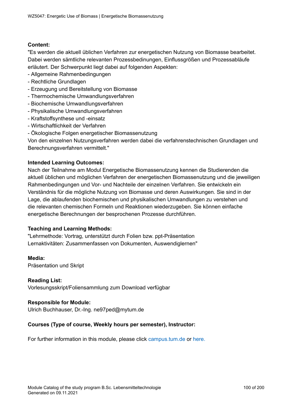# **Content:**

"Es werden die aktuell üblichen Verfahren zur energetischen Nutzung von Biomasse bearbeitet. Dabei werden sämtliche relevanten Prozessbedinungen, Einflussgrößen und Prozessabläufe erläutert. Der Schwerpunkt liegt dabei auf folgenden Aspekten:

- Allgemeine Rahmenbedingungen
- Rechtliche Grundlagen
- Erzeugung und Bereitstellung von Biomasse
- Thermochemische Umwandlungsverfahren
- Biochemische Umwandlungsverfahren
- Physikalische Umwandlungsverfahren
- Kraftstoffsynthese und -einsatz
- Wirtschaftlichkeit der Verfahren
- Ökologische Folgen energetischer Biomassenutzung

Von den einzelnen Nutzungsverfahren werden dabei die verfahrenstechnischen Grundlagen und Berechnungsverfahren vermittelt."

# **Intended Learning Outcomes:**

Nach der Teilnahme am Modul Energetische Biomassenutzung kennen die Studierenden die aktuell üblichen und möglichen Verfahren der energetischen Biomassenutzung und die jeweiligen Rahmenbedingungen und Vor- und Nachteile der einzelnen Verfahren. Sie entwickeln ein Verständnis für die mögliche Nutzung von Biomasse und deren Auswirkungen. Sie sind in der Lage, die ablaufenden biochemischen und physikalischen Umwandlungen zu verstehen und die relevanten chemischen Formeln und Reaktionen wiederzugeben. Sie können einfache energetische Berechnungen der besprochenen Prozesse durchführen.

# **Teaching and Learning Methods:**

"Lehrmethode: Vortrag, unterstützt durch Folien bzw. ppt-Präsentation Lernaktivitäten: Zusammenfassen von Dokumenten, Auswendiglernen"

**Media:** Präsentation und Skript

# **Reading List:** Vorlesungsskript/Foliensammlung zum Download verfügbar

# **Responsible for Module:**

Ulrich Buchhauser, Dr.-Ing. ne97ped@mytum.de

# **Courses (Type of course, Weekly hours per semester), Instructor:**

For further information in this module, please click<campus.tum.de> or [here.](https://campus.tum.de/tumonline/WBMODHB.wbShowMHBReadOnly?pKnotenNr=462300&pOrgNr=15643)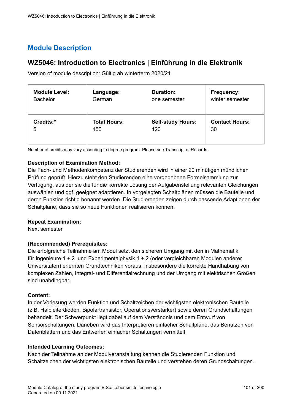# **WZ5046: Introduction to Electronics | Einführung in die Elektronik**

Version of module description: Gültig ab winterterm 2020/21

| <b>Module Level:</b> | Language:           | <b>Duration:</b>         | Frequency:            |
|----------------------|---------------------|--------------------------|-----------------------|
| <b>Bachelor</b>      | German              | one semester             | winter semester       |
| Credits:*            | <b>Total Hours:</b> | <b>Self-study Hours:</b> | <b>Contact Hours:</b> |
| 5                    | 150                 | 120                      | 30                    |

Number of credits may vary according to degree program. Please see Transcript of Records.

# **Description of Examination Method:**

Die Fach- und Methodenkompetenz der Studierenden wird in einer 20 minütigen mündlichen Prüfung geprüft. Hierzu steht den Studierenden eine vorgegebene Formelsammlung zur Verfügung, aus der sie die für die korrekte Lösung der Aufgabenstellung relevanten Gleichungen auswählen und ggf. geeignet adaptieren. In vorgelegten Schaltplänen müssen die Bauteile und deren Funktion richtig benannt werden. Die Studierenden zeigen durch passende Adaptionen der Schaltpläne, dass sie so neue Funktionen realisieren können.

# **Repeat Examination:**

Next semester

# **(Recommended) Prerequisites:**

Die erfolgreiche Teilnahme am Modul setzt den sicheren Umgang mit den in Mathematik für Ingenieure 1 + 2 und Experimentalphysik 1 + 2 (oder vergleichbaren Modulen anderer Universitäten) erlernten Grundtechniken voraus. Insbesondere die korrekte Handhabung von komplexen Zahlen, Integral- und Differentialrechnung und der Umgang mit elektrischen Größen sind unabdingbar.

# **Content:**

In der Vorlesung werden Funktion und Schaltzeichen der wichtigsten elektronischen Bauteile (z.B. Halbleiterdioden, Bipolartransistor, Operationsverstärker) sowie deren Grundschaltungen behandelt. Der Schwerpunkt liegt dabei auf dem Verständnis und dem Entwurf von Sensorschaltungen. Daneben wird das Interpretieren einfacher Schaltpläne, das Benutzen von Datenblättern und das Entwerfen einfacher Schaltungen vermittelt.

# **Intended Learning Outcomes:**

Nach der Teilnahme an der Modulveranstaltung kennen die Studierenden Funktion und Schaltzeichen der wichtigsten elektronischen Bauteile und verstehen deren Grundschaltungen.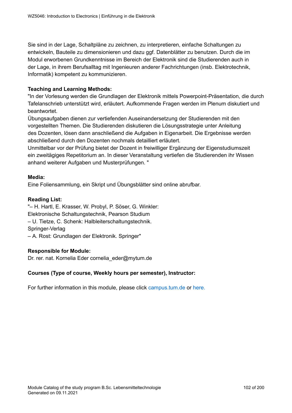Sie sind in der Lage, Schaltpläne zu zeichnen, zu interpretieren, einfache Schaltungen zu entwickeln, Bauteile zu dimensionieren und dazu ggf. Datenblätter zu benutzen. Durch die im Modul erworbenen Grundkenntnisse im Bereich der Elektronik sind die Studierenden auch in der Lage, in ihrem Berufsalltag mit Ingenieuren anderer Fachrichtungen (insb. Elektrotechnik, Informatik) kompetent zu kommunizieren.

# **Teaching and Learning Methods:**

"In der Vorlesung werden die Grundlagen der Elektronik mittels Powerpoint-Präsentation, die durch Tafelanschrieb unterstützt wird, erläutert. Aufkommende Fragen werden im Plenum diskutiert und beantwortet.

Übungsaufgaben dienen zur vertiefenden Auseinandersetzung der Studierenden mit den vorgestellten Themen. Die Studierenden diskutieren die Lösungsstrategie unter Anleitung des Dozenten, lösen dann anschließend die Aufgaben in Eigenarbeit. Die Ergebnisse werden abschließend durch den Dozenten nochmals detailliert erläutert.

Unmittelbar vor der Prüfung bietet der Dozent in freiwilliger Ergänzung der Eigenstudiumszeit ein zweitägiges Repetitorium an. In dieser Veranstaltung vertiefen die Studierenden ihr Wissen anhand weiterer Aufgaben und Musterprüfungen. "

# **Media:**

Eine Foliensammlung, ein Skript und Übungsblätter sind online abrufbar.

# **Reading List:**

"– H. Hartl, E. Krasser, W. Probyl, P. Söser, G. Winkler: Elektronische Schaltungstechnik, Pearson Studium – U. Tietze, C. Schenk: Halbleiterschaltungstechnik. Springer-Verlag – A. Rost: Grundlagen der Elektronik. Springer"

# **Responsible for Module:**

Dr. rer. nat. Kornelia Eder cornelia\_eder@mytum.de

# **Courses (Type of course, Weekly hours per semester), Instructor:**

For further information in this module, please click<campus.tum.de> or [here.](https://campus.tum.de/tumonline/WBMODHB.wbShowMHBReadOnly?pKnotenNr=462298&pOrgNr=15643)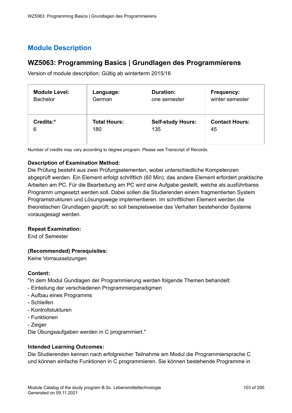# **WZ5063: Programming Basics | Grundlagen des Programmierens**

Version of module description: Gültig ab winterterm 2015/16

| <b>Module Level:</b> | Language:           | <b>Duration:</b>         | <b>Frequency:</b>     |
|----------------------|---------------------|--------------------------|-----------------------|
| <b>Bachelor</b>      | German              | one semester             | winter semester       |
| Credits:*            | <b>Total Hours:</b> | <b>Self-study Hours:</b> | <b>Contact Hours:</b> |
| 6                    | 180                 | 135                      | 45                    |

Number of credits may vary according to degree program. Please see Transcript of Records.

# **Description of Examination Method:**

Die Prüfung besteht aus zwei Prüfungselementen, wobei unterschiedliche Kompetenzen abgeprüft werden. Ein Element erfolgt schriftlich (60 Min); das andere Element erfordert praktische Arbeiten am PC. Für die Bearbeitung am PC wird eine Aufgabe gestellt, welche als ausführbares Programm umgesetzt werden soll. Dabei sollen die Studierenden einem fragmentierten System Programstrukturen und Lösungswege implementieren. Im schriftlichen Element werden die theoretischen Grundlagen geprüft; so soll beispielsweise das Verhalten bestehender Systeme vorausgesagt werden.

# **Repeat Examination:**

End of Semester

# **(Recommended) Prerequisites:**

Keine Vorraussetzungen

# **Content:**

"In dem Modul Gundlagen der Programmierung werden folgende Themen behandelt:

- Einteilung der verschiedenen Programmierparadigmen
- Aufbau eines Programms
- Schleifen
- Kontrollstukturen
- Funktionen
- Zeiger

Die Übungsaufgaben werden in C programmiert."

# **Intended Learning Outcomes:**

Die Studierenden kennen nach erfolgreicher Teilnahme am Modul die Programmiersprache C und können einfache Funktionen in C programmieren. Sie können bestehende Programme in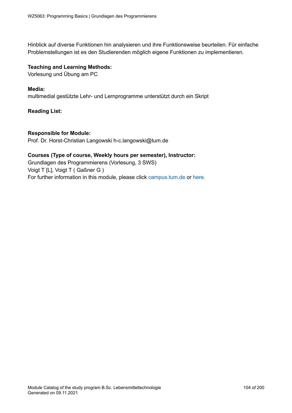Hinblick auf diverse Funktionen hin analysieren und ihre Funktionsweise beurteilen. Für einfache Problemstellungen ist es den Studierenden möglich eigene Funktionen zu implementieren.

# **Teaching and Learning Methods:**

Vorlesung und Übung am PC

# **Media:**

multimedial gestützte Lehr- und Lernprogramme unterstützt durch ein Skript

# **Reading List:**

# **Responsible for Module:**

Prof. Dr. Horst-Christian Langowski h-c.langowski@tum.de

# **Courses (Type of course, Weekly hours per semester), Instructor:**

Grundlagen des Programmierens (Vorlesung, 3 SWS) Voigt T [L], Voigt T ( Gaßner G ) For further information in this module, please click<campus.tum.de> or [here.](https://campus.tum.de/tumonline/WBMODHB.wbShowMHBReadOnly?pKnotenNr=462328&pOrgNr=39071)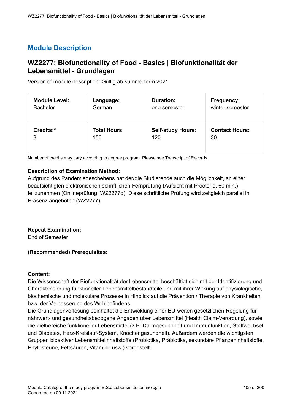# **WZ2277: Biofunctionality of Food - Basics | Biofunktionalität der Lebensmittel - Grundlagen**

Version of module description: Gültig ab summerterm 2021

| <b>Module Level:</b> | Language:           | <b>Duration:</b>         | Frequency:            |
|----------------------|---------------------|--------------------------|-----------------------|
| <b>Bachelor</b>      | German              | one semester             | winter semester       |
| Credits:*            | <b>Total Hours:</b> | <b>Self-study Hours:</b> | <b>Contact Hours:</b> |
| 3                    | 150                 | 120                      | 30                    |

Number of credits may vary according to degree program. Please see Transcript of Records.

# **Description of Examination Method:**

Aufgrund des Pandemiegeschehens hat der/die Studierende auch die Möglichkeit, an einer beaufsichtigten elektronischen schriftlichen Fernprüfung (Aufsicht mit Proctorio, 60 min.) teilzunehmen (Onlineprüfung: WZ2277o). Diese schriftliche Prüfung wird zeitgleich parallel in Präsenz angeboten (WZ2277).

# **Repeat Examination:**

End of Semester

# **(Recommended) Prerequisites:**

#### **Content:**

Die Wissenschaft der Biofunktionalität der Lebensmittel beschäftigt sich mit der Identifizierung und Charakterisierung funktioneller Lebensmittelbestandteile und mit ihrer Wirkung auf physiologische, biochemische und molekulare Prozesse in Hinblick auf die Prävention / Therapie von Krankheiten bzw. der Verbesserung des Wohlbefindens.

Die Grundlagenvorlesung beinhaltet die Entwicklung einer EU-weiten gesetzlichen Regelung für nährwert- und gesundheitsbezogene Angaben über Lebensmittel (Health Claim-Verordung), sowie die Zielbereiche funktioneller Lebensmittel (z.B. Darmgesundheit und Immunfunktion, Stoffwechsel und Diabetes, Herz-Kreislauf-System, Knochengesundheit). Außerdem werden die wichtigsten Gruppen bioaktiver Lebensmittelinhaltstoffe (Probiotika, Präbiotika, sekundäre Pflanzeninhaltstoffe, Phytosterine, Fettsäuren, Vitamine usw.) vorgestellt.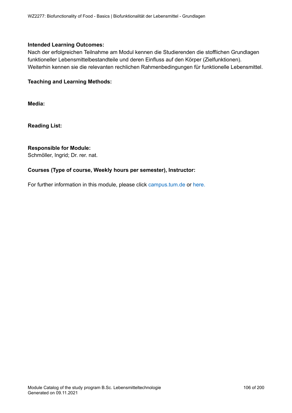# **Intended Learning Outcomes:**

Nach der erfolgreichen Teilnahme am Modul kennen die Studierenden die stofflichen Grundlagen funktioneller Lebensmittelbestandteile und deren Einfluss auf den Körper (Zielfunktionen). Weiterhin kennen sie die relevanten rechlichen Rahmenbedingungen für funktionelle Lebensmittel.

# **Teaching and Learning Methods:**

**Media:**

**Reading List:**

# **Responsible for Module:**

Schmöller, Ingrid; Dr. rer. nat.

# **Courses (Type of course, Weekly hours per semester), Instructor:**

For further information in this module, please click<campus.tum.de> or [here.](https://campus.tum.de/tumonline/WBMODHB.wbShowMHBReadOnly?pKnotenNr=466823&pOrgNr=15575)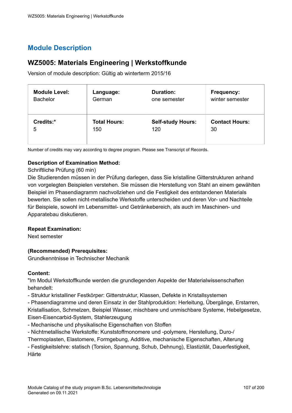# **WZ5005: Materials Engineering | Werkstoffkunde**

Version of module description: Gültig ab winterterm 2015/16

| <b>Module Level:</b> | Language:           | <b>Duration:</b>         | Frequency:            |
|----------------------|---------------------|--------------------------|-----------------------|
| <b>Bachelor</b>      | German              | one semester             | winter semester       |
| Credits:*            | <b>Total Hours:</b> | <b>Self-study Hours:</b> | <b>Contact Hours:</b> |
| 5                    | 150                 | 120                      | 30                    |

Number of credits may vary according to degree program. Please see Transcript of Records.

# **Description of Examination Method:**

Schriftliche Prüfung (60 min)

Die Studierenden müssen in der Prüfung darlegen, dass Sie kristalline Gitterstrukturen anhand von vorgelegten Beispielen verstehen. Sie müssen die Herstellung von Stahl an einem gewählten Beispiel im Phasendiagramm nachvollziehen und die Festigkeit des entstandenen Materials bewerten. Sie sollen nicht-metallische Werkstoffe unterscheiden und deren Vor- und Nachteile für Beispiele, sowohl im Lebensmittel- und Getränkebereich, als auch im Maschinen- und Apparatebau diskutieren.

# **Repeat Examination:**

Next semester

# **(Recommended) Prerequisites:**

Grundkenntnisse in Technischer Mechanik

# **Content:**

"Im Modul Werkstoffkunde werden die grundlegenden Aspekte der Materialwissenschaften behandelt:

- Struktur kristalliner Festkörper: Gitterstruktur, Klassen, Defekte in Kristallsystemen

- Phasendiagramme und deren Einsatz in der Stahlproduktion: Herleitung, Übergänge, Erstarren, Kristallisation, Schmelzen, Beispiel Wasser, mischbare und unmischbare Systeme, Hebelgesetze,

Eisen-Eisencarbid-System, Stahlerzeugung - Mechanische und physikalische Eigenschaften von Stoffen

- Nichtmetallische Werkstoffe: Kunststoffmonomere und -polymere, Herstellung, Duro-/
- Thermoplasten, Elastomere, Formgebung, Additive, mechanische Eigenschaften, Alterung

- Festigkeitslehre: statisch (Torsion, Spannung, Schub, Dehnung), Elastizität, Dauerfestigkeit, Härte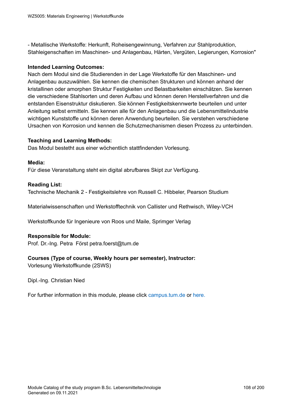- Metallische Werkstoffe: Herkunft, Roheisengewinnung, Verfahren zur Stahlproduktion, Stahleigenschaften im Maschinen- und Anlagenbau, Härten, Vergüten, Legierungen, Korrosion"

# **Intended Learning Outcomes:**

Nach dem Modul sind die Studierenden in der Lage Werkstoffe für den Maschinen- und Anlagenbau auszuwählen. Sie kennen die chemischen Strukturen und können anhand der kristallinen oder amorphen Struktur Festigkeiten und Belastbarkeiten einschätzen. Sie kennen die verschiedene Stahlsorten und deren Aufbau und können deren Herstellverfahren und die entstanden Eisenstruktur diskutieren. Sie können Festigkeitskennwerte beurteilen und unter Anleitung selbst ermitteln. Sie kennen alle für den Anlagenbau und die Lebensmittelindustrie wichtigen Kunststoffe und können deren Anwendung beurteilen. Sie verstehen verschiedene Ursachen von Korrosion und kennen die Schutzmechanismen diesen Prozess zu unterbinden.

# **Teaching and Learning Methods:**

Das Modul bestetht aus einer wöchentlich stattfindenden Vorlesung.

**Media:** Für diese Veranstaltung steht ein digital abrufbares Skipt zur Verfügung.

# **Reading List:**

Technische Mechanik 2 - Festigkeitslehre von Russell C. Hibbeler, Pearson Studium

Materialwissenschaften und Werkstofftechnik von Callister und Rethwisch, Wiley-VCH

Werkstoffkunde für Ingenieure von Roos und Maile, Sprimger Verlag

# **Responsible for Module:**

Prof. Dr.-Ing. Petra Först petra.foerst@tum.de

# **Courses (Type of course, Weekly hours per semester), Instructor:**

Vorlesung Werkstoffkunde (2SWS)

Dipl.-Ing. Christian Nied

For further information in this module, please click<campus.tum.de> or [here.](https://campus.tum.de/tumonline/WBMODHB.wbShowMHBReadOnly?pKnotenNr=462228&pOrgNr=15643)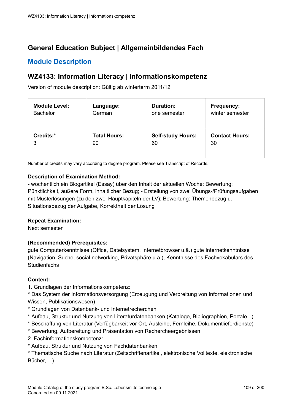# **General Education Subject | Allgemeinbildendes Fach**

# **Module Description**

# **WZ4133: Information Literacy | Informationskompetenz**

Version of module description: Gültig ab winterterm 2011/12

| <b>Module Level:</b> | Language:           | <b>Duration:</b>         | <b>Frequency:</b>     |
|----------------------|---------------------|--------------------------|-----------------------|
| <b>Bachelor</b>      | German              | one semester             | winter semester       |
| Credits:*            | <b>Total Hours:</b> | <b>Self-study Hours:</b> | <b>Contact Hours:</b> |
| 3                    | 90                  | 60                       | 30                    |

Number of credits may vary according to degree program. Please see Transcript of Records.

### **Description of Examination Method:**

- wöchentlich ein Blogartikel (Essay) über den Inhalt der aktuellen Woche; Bewertung: Pünktlichkeit, äußere Form, inhaltlicher Bezug; - Erstellung von zwei Übungs-/Prüfungsaufgaben mit Musterlösungen (zu den zwei Hauptkapiteln der LV); Bewertung: Themenbezug u. Situationsbezug der Aufgabe, Korrektheit der Lösung

#### **Repeat Examination:**

Next semester

#### **(Recommended) Prerequisites:**

gute Computerkenntnisse (Office, Dateisystem, Internetbrowser u.ä.) gute Internetkenntnisse (Navigation, Suche, social networking, Privatsphäre u.ä.), Kenntnisse des Fachvokabulars des **Studienfachs** 

#### **Content:**

1. Grundlagen der Informationskompetenz:

\* Das System der Informationsversorgung (Erzeugung und Verbreitung von Informationen und Wissen, Publikationswesen)

- \* Grundlagen von Datenbank- und Internetrecherchen
- \* Aufbau, Struktur und Nutzung von Literaturdatenbanken (Kataloge, Bibliographien, Portale...)
- \* Beschaffung von Literatur (Verfügbarkeit vor Ort, Ausleihe, Fernleihe, Dokumentlieferdienste)
- \* Bewertung, Aufbereitung und Präsentation von Rechercheergebnissen
- 2. Fachinformationskompetenz:
- \* Aufbau, Struktur und Nutzung von Fachdatenbanken

\* Thematische Suche nach Literatur (Zeitschriftenartikel, elektronische Volltexte, elektronische Bücher, ...)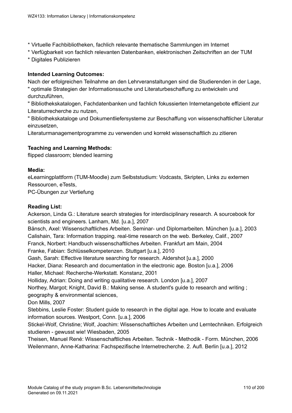\* Virtuelle Fachbibliotheken, fachlich relevante thematische Sammlungen im Internet

\* Verfügbarkeit von fachlich relevanten Datenbanken, elektronischen Zeitschriften an der TUM

\* Digitales Publizieren

## **Intended Learning Outcomes:**

Nach der erfolgreichen Teilnahme an den Lehrveranstaltungen sind die Studierenden in der Lage,

" optimale Strategien der Informationssuche und Literaturbeschaffung zu entwickeln und durchzuführen,

" Bibliothekskatalogen, Fachdatenbanken und fachlich fokussierten Internetangebote effizient zur Literaturrecherche zu nutzen,

" Bibliothekskataloge und Dokumentliefersysteme zur Beschaffung von wissenschaftlicher Literatur einzusetzen,

Literaturmanagementprogramme zu verwenden und korrekt wissenschaftlich zu zitieren

## **Teaching and Learning Methods:**

flipped classroom; blended learning

### **Media:**

eLearningplattform (TUM-Moodle) zum Selbststudium: Vodcasts, Skripten, Links zu externen Ressourcen, eTests,

PC-Übungen zur Vertiefung

## **Reading List:**

Ackerson, Linda G.: Literature search strategies for interdisciplinary research. A sourcebook for scientists and engineers. Lanham, Md. [u.a.], 2007 Bänsch, Axel: Wissenschaftliches Arbeiten. Seminar- und Diplomarbeiten. München [u.a.], 2003 Calishain, Tara: Information trapping. real-time research on the web. Berkeley, Calif., 2007 Franck, Norbert: Handbuch wissenschaftliches Arbeiten. Frankfurt am Main, 2004 Franke, Fabian: Schlüsselkompetenzen. Stuttgart [u.a.], 2010 Gash, Sarah: Effective literature searching for research. Aldershot [u.a.], 2000 Hacker, Diana: Research and documentation in the electronic age. Boston [u.a.], 2006 Haller, Michael: Recherche-Werkstatt. Konstanz, 2001 Holliday, Adrian: Doing and writing qualitative research. London [u.a.], 2007 Northey, Margot; Knight, David B.: Making sense. A student's guide to research and writing ; geography & environmental sciences, Don Mills, 2007 Stebbins, Leslie Foster: Student guide to research in the digital age. How to locate and evaluate information sources. Westport, Conn. [u.a.], 2006 Stickel-Wolf, Christine; Wolf, Joachim: Wissenschaftliches Arbeiten und Lerntechniken. Erfolgreich studieren - gewusst wie! Wiesbaden, 2005 Theisen, Manuel René: Wissenschaftliches Arbeiten. Technik - Methodik - Form. München, 2006 Weilenmann, Anne-Katharina: Fachspezifische Internetrecherche. 2. Aufl. Berlin [u.a.], 2012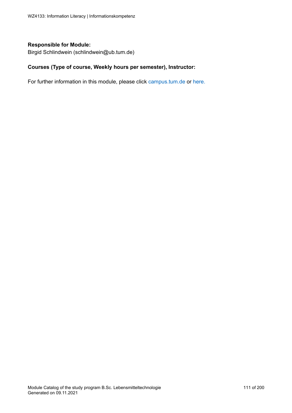#### **Responsible for Module:**

Birgid Schlindwein (schlindwein@ub.tum.de)

#### **Courses (Type of course, Weekly hours per semester), Instructor:**

For further information in this module, please click<campus.tum.de> or [here.](https://campus.tum.de/tumonline/WBMODHB.wbShowMHBReadOnly?pKnotenNr=462188&pOrgNr=14190)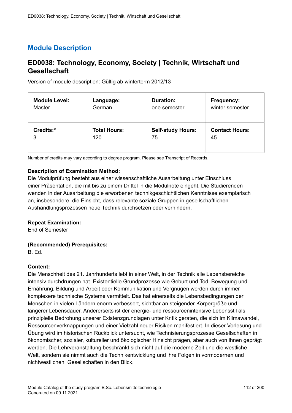# **ED0038: Technology, Economy, Society | Technik, Wirtschaft und Gesellschaft**

Version of module description: Gültig ab winterterm 2012/13

| <b>Module Level:</b> | Language:           | <b>Duration:</b>         | Frequency:            |
|----------------------|---------------------|--------------------------|-----------------------|
| Master               | German              | one semester             | winter semester       |
| Credits:*            | <b>Total Hours:</b> | <b>Self-study Hours:</b> | <b>Contact Hours:</b> |
| 3                    | 120                 | 75                       | 45                    |

Number of credits may vary according to degree program. Please see Transcript of Records.

### **Description of Examination Method:**

Die Modulprüfung besteht aus einer wissenschaftliche Ausarbeitung unter Einschluss einer Präsentation, die mit bis zu einem Drittel in die Modulnote eingeht. Die Studierenden wenden in der Ausarbeitung die erworbenen technikgeschichtlichen Kenntnisse exemplarisch an, insbesondere die Einsicht, dass relevante soziale Gruppen in gesellschaftlichen Aushandlungsprozessen neue Technik durchsetzen oder verhindern.

#### **Repeat Examination:**

End of Semester

#### **(Recommended) Prerequisites:**

B. Ed.

## **Content:**

Die Menschheit des 21. Jahrhunderts lebt in einer Welt, in der Technik alle Lebensbereiche intensiv durchdrungen hat. Existentielle Grundprozesse wie Geburt und Tod, Bewegung und Ernährung, Bildung und Arbeit oder Kommunikation und Vergnügen werden durch immer komplexere technische Systeme vermittelt. Das hat einerseits die Lebensbedingungen der Menschen in vielen Ländern enorm verbessert, sichtbar an steigender Körpergröße und längerer Lebensdauer. Andererseits ist der energie- und ressourcenintensive Lebensstil als prinzipielle Bedrohung unserer Existenzgrundlagen unter Kritik geraten, die sich im Klimawandel, Ressourcenverknappungen und einer Vielzahl neuer Risiken manifestiert. In dieser Vorlesung und Übung wird im historischen Rückblick untersucht, wie Technisierungsprozesse Gesellschaften in ökonomischer, sozialer, kultureller und ökologischer Hinsicht prägen, aber auch von ihnen geprägt werden. Die Lehrveranstaltung beschränkt sich nicht auf die moderne Zeit und die westliche Welt, sondern sie nimmt auch die Technikentwicklung und ihre Folgen in vormodernen und nichtwestlichen Gesellschaften in den Blick.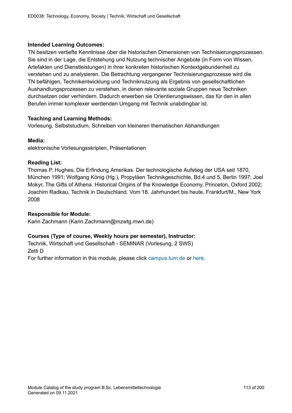### **Intended Learning Outcomes:**

TN besitzen vertiefte Kenntnisse über die historischen Dimensionen von Technisierungsprozessen. Sie sind in der Lage, die Entstehung und Nutzung technischer Angebote (in Form von Wissen, Artefakten und Dienstleistungen) in ihrer konkreten historischen Kontextgebundenheit zu verstehen und zu analysieren. Die Betrachtung vergangener Technisierungsprozesse wird die TN befähigen, Technikentwicklung und Techniknutzung als Ergebnis von gesellschaftlichen Aushandlungsprozessen zu verstehen, in denen relevante soziale Gruppen neue Techniken durchsetzen oder verhindern. Dadurch erwerben sie Orientierungswissen, das für den in allen Berufen immer komplexer werdenden Umgang mit Technik unabdingbar ist.

### **Teaching and Learning Methods:**

Vorlesung, Selbststudium, Schreiben von kleineren thematischen Abhandlungen

#### **Media:**

elektronische Vorlesungsskripten, Präsentationen

### **Reading List:**

Thomas P. Hughes, Die Erfindung Amerikas. Der technologische Aufstieg der USA seit 1870, München 1991; Wolfgang König (Hg.), Propyläen Technikgeschichte, Bd.4 und 5, Berlin 1997; Joel Mokyr, The Gifts of Athena. Historical Origins of the Knowledge Economy, Princeton, Oxford 2002; Joachim Radkau, Technik in Deutschland. Vom 18. Jahrhundert bis heute, Frankfurt/M., New York 2008

#### **Responsible for Module:**

Karin Zachmann (Karin.Zachmann@mzwtg.mwn.de)

#### **Courses (Type of course, Weekly hours per semester), Instructor:**

Technik, Wirtschaft und Gesellschaft - SEMINAR (Vorlesung, 2 SWS) Zetti D For further information in this module, please click<campus.tum.de> or [here.](https://campus.tum.de/tumonline/WBMODHB.wbShowMHBReadOnly?pKnotenNr=582571&pOrgNr=40661)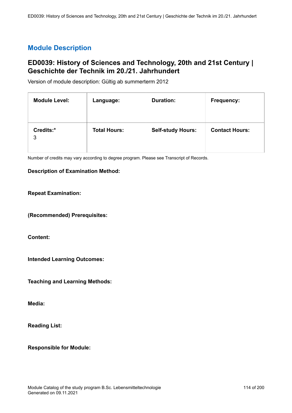# **ED0039: History of Sciences and Technology, 20th and 21st Century | Geschichte der Technik im 20./21. Jahrhundert**

Version of module description: Gültig ab summerterm 2012

| <b>Module Level:</b> | Language:           | <b>Duration:</b>         | <b>Frequency:</b>     |
|----------------------|---------------------|--------------------------|-----------------------|
| Credits:*<br>3       | <b>Total Hours:</b> | <b>Self-study Hours:</b> | <b>Contact Hours:</b> |

Number of credits may vary according to degree program. Please see Transcript of Records.

#### **Description of Examination Method:**

#### **Repeat Examination:**

**(Recommended) Prerequisites:**

**Content:**

**Intended Learning Outcomes:**

**Teaching and Learning Methods:**

**Media:**

**Reading List:**

**Responsible for Module:**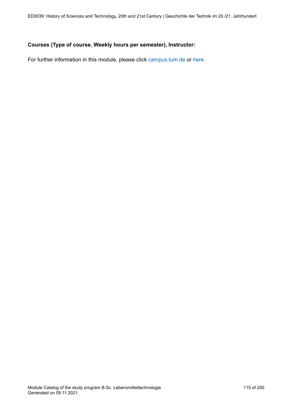#### **Courses (Type of course, Weekly hours per semester), Instructor:**

For further information in this module, please click<campus.tum.de> or [here.](https://campus.tum.de/tumonline/WBMODHB.wbShowMHBReadOnly?pKnotenNr=467937&pOrgNr=40661)

Module Catalog of the study program B.Sc. Lebensmitteltechnologie Generated on 09.11.2021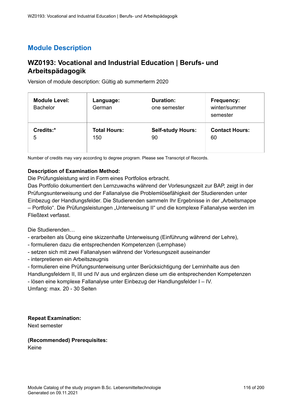# **WZ0193: Vocational and Industrial Education | Berufs- und Arbeitspädagogik**

Version of module description: Gültig ab summerterm 2020

| <b>Module Level:</b><br><b>Bachelor</b> | Language:<br>German | <b>Duration:</b><br>one semester | Frequency:<br>winter/summer<br>semester |
|-----------------------------------------|---------------------|----------------------------------|-----------------------------------------|
| Credits:*                               | <b>Total Hours:</b> | <b>Self-study Hours:</b>         | <b>Contact Hours:</b>                   |
| 5                                       | 150                 | 90                               | 60                                      |

Number of credits may vary according to degree program. Please see Transcript of Records.

#### **Description of Examination Method:**

Die Prüfungsleistung wird in Form eines Portfolios erbracht.

Das Portfolio dokumentiert den Lernzuwachs während der Vorlesungszeit zur BAP, zeigt in der Prüfungsunterweisung und der Fallanalyse die Problemlösefähigkeit der Studierenden unter Einbezug der Handlungsfelder. Die Studierenden sammeln Ihr Ergebnisse in der "Arbeitsmappe – Portfolio". Die Prüfungsleistungen "Unterweisung II" und die komplexe Fallanalyse werden im Fließtext verfasst.

Die Studierenden…

- erarbeiten als Übung eine skizzenhafte Unterweisung (Einführung während der Lehre),
- formulieren dazu die entsprechenden Kompetenzen (Lernphase)
- setzen sich mit zwei Fallanalysen während der Vorlesungszeit auseinander
- interpretieren ein Arbeitszeugnis

- formulieren eine Prüfungsunterweisung unter Berücksichtigung der Lerninhalte aus den Handlungsfeldern II, III und IV aus und ergänzen diese um die entsprechenden Kompetenzen - lösen eine komplexe Fallanalyse unter Einbezug der Handlungsfelder I – IV.

Umfang: max. 20 - 30 Seiten

**Repeat Examination:** Next semester

**(Recommended) Prerequisites:** Keine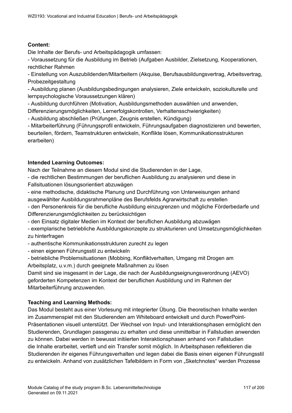## **Content:**

Die Inhalte der Berufs- und Arbeitspädagogik umfassen:

- Voraussetzung für die Ausbildung im Betrieb (Aufgaben Ausbilder, Zielsetzung, Kooperationen, rechtlicher Rahmen

- Einstellung von Auszubildenden/Mitarbeitern (Akquise, Berufsausbildungsvertrag, Arbeitsvertrag, **Probezeitgestaltung** 

- Ausbildung planen (Ausbildungsbedingungen analysieren, Ziele entwickeln, soziokulturelle und lernpsychologische Voraussetzungen klären)

- Ausbildung durchführen (Motivation, Ausbildungsmethoden auswählen und anwenden,

Differenzierungsmöglichkeiten, Lernerfolgskontrollen, Verhaltensschwierigkeiten)

- Ausbildung abschließen (Prüfungen, Zeugnis erstellen, Kündigung)

- Mitarbeiterführung (Führungsprofil entwickeln, Führungsaufgaben diagnostizieren und bewerten, beurteilen, fördern, Teamstrukturen entwickeln, Konflikte lösen, Kommunikationsstrukturen erarbeiten)

## **Intended Learning Outcomes:**

Nach der Teilnahme an diesem Modul sind die Studierenden in der Lage,

- die rechtlichen Bestimmungen der beruflichen Ausbildung zu analysieren und diese in Fallsituationen lösungsorientiert abzuwägen

- eine methodische, didaktische Planung und Durchführung von Unterweisungen anhand ausgewählter Ausbildungsrahmenpläne des Berufsfelds Agrarwirtschaft zu erstellen

- den Personenkreis für die berufliche Ausbildung einzugrenzen und mögliche Förderbedarfe und Differenzierungsmöglichkeiten zu berücksichtigen

- den Einsatz digitaler Medien im Kontext der beruflichen Ausbildung abzuwägen

- exemplarische betriebliche Ausbildungskonzepte zu strukturieren und Umsetzungsmöglichkeiten zu hinterfragen

- authentische Kommunikationsstrukturen zurecht zu legen

- einen eigenen Führungsstil zu entwickeln

- betriebliche Problemsituationen (Mobbing, Konfliktverhalten, Umgang mit Drogen am Arbeitsplatz, u.v.m.) durch geeignete Maßnahmen zu lösen

Damit sind sie insgesamt in der Lage, die nach der Ausbildungseignungsverordnung (AEVO) geforderten Kompetenzen im Kontext der beruflichen Ausbildung und im Rahmen der Mitarbeiterführung anzuwenden.

## **Teaching and Learning Methods:**

Das Modul besteht aus einer Vorlesung mit integrierter Übung. Die theoretischen Inhalte werden im Zusammenspiel mit den Studierenden am Whiteboard entwickelt und durch PowerPoint-Präsentationen visuell unterstützt. Der Wechsel von Input- und Interaktionsphasen ermöglicht den Studierenden, Grundlagen passgenau zu erhalten und diese unmittelbar in Fallstudien anwenden zu können. Dabei werden in bewusst initiierten Interaktionsphasen anhand von Fallstudien die Inhalte erarbeitet, vertieft und ein Transfer somit möglich. In Arbeitsphasen reflektieren die Studierenden ihr eigenes Führungsverhalten und legen dabei die Basis einen eigenen Führungsstil zu entwickeln. Anhand von zusätzlichen Tafelbildern in Form von "Sketchnotes" werden Prozesse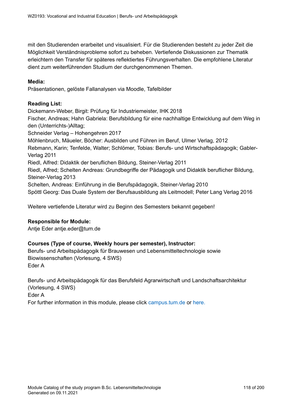mit den Studierenden erarbeitet und visualisiert. Für die Studierenden besteht zu jeder Zeit die Möglichkeit Verständnisprobleme sofort zu beheben. Vertiefende Diskussionen zur Thematik erleichtern den Transfer für späteres reflektiertes Führungsverhalten. Die empfohlene Literatur dient zum weiterführenden Studium der durchgenommenen Themen.

#### **Media:**

Präsentationen, gelöste Fallanalysen via Moodle, Tafelbilder

### **Reading List:**

Dickemann-Weber, Birgit: Prüfung für Industriemeister, IHK 2018 Fischer, Andreas; Hahn Gabriela: Berufsbildung für eine nachhaltige Entwicklung auf dem Weg in den (Unterrichts-)Alltag; Schneider Verlag – Hohengehren 2017 Möhlenbruch, Mäueler, Böcher: Ausbilden und Führen im Beruf, Ulmer Verlag, 2012 Rebmann, Karin; Tenfelde, Walter; Schlömer, Tobias: Berufs- und Wirtschaftspädagogik; Gabler-Verlag 2011 Riedl, Alfred: Didaktik der beruflichen Bildung, Steiner-Verlag 2011 Riedl, Alfred; Schelten Andreas: Grundbegriffe der Pädagogik und Didaktik beruflicher Bildung, Steiner-Verlag 2013 Schelten, Andreas: Einführung in die Berufspädagogik, Steiner-Verlag 2010 Spöttl Georg: Das Duale System der Berufsausbildung als Leitmodell; Peter Lang Verlag 2016

Weitere vertiefende Literatur wird zu Beginn des Semesters bekannt gegeben!

#### **Responsible for Module:**

Antje Eder antje.eder@tum.de

#### **Courses (Type of course, Weekly hours per semester), Instructor:**

Berufs- und Arbeitspädagogik für Brauwesen und Lebensmitteltechnologie sowie Biowissenschaften (Vorlesung, 4 SWS) Eder A

Berufs- und Arbeitspädagogik für das Berufsfeld Agrarwirtschaft und Landschaftsarchitektur (Vorlesung, 4 SWS) Eder A For further information in this module, please click<campus.tum.de> or [here.](https://campus.tum.de/tumonline/WBMODHB.wbShowMHBReadOnly?pKnotenNr=463406&pOrgNr=14190)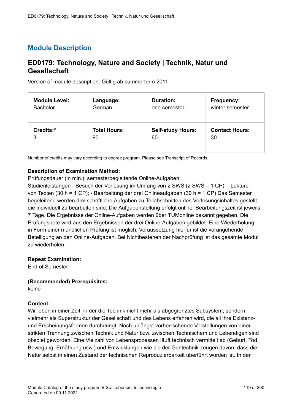# **ED0179: Technology, Nature and Society | Technik, Natur und Gesellschaft**

Version of module description: Gültig ab summerterm 2011

| <b>Module Level:</b> | Language:           | <b>Duration:</b>         | Frequency:            |
|----------------------|---------------------|--------------------------|-----------------------|
| <b>Bachelor</b>      | German              | one semester             | winter semester       |
| Credits:*            | <b>Total Hours:</b> | <b>Self-study Hours:</b> | <b>Contact Hours:</b> |
| 3                    | 90                  | 60                       | 30                    |

Number of credits may vary according to degree program. Please see Transcript of Records.

## **Description of Examination Method:**

Prüfungsdauer (in min.): semesterbegleitende Online-Aufgaben.

Studienleistungen - Besuch der Vorlesung im Umfang von 2 SWS (2 SWS = 1 CP); - Lektüre von Texten (30 h = 1 CP); - Bearbeitung der drei Onlineaufgaben (30 h = 1 CP) Das Semester begeleitend werden drei schriftliche Aufgaben zu Teilabschnitten des Vorlesungsinhaltes gestellt, die individuell zu bearbeiten sind. Die Aufgabenstellung erfolgt online. Bearbeitungszeit ist jeweils 7 Tage. Die Ergebnisse der Online-Aufgaben werden über TUMonline bekannt gegeben. Die Prüfungsnote wird aus den Ergebnissen der drei Online-Aufgaben gebildet. Eine Wiederholung in Form einer mündlichen Prüfung ist möglich; Voraussetzung hierfür ist die vorangehende Beteiligung an den Online-Aufgaben. Bei Nichtbestehen der Nachprüfung ist das gesamte Modul zu wiederholen.

#### **Repeat Examination:**

End of Semester

#### **(Recommended) Prerequisites:**

keine

## **Content:**

Wir leben in einer Zeit, in der die Technik nicht mehr als abgegrenztes Subsystem, sondern vielmehr als Superstruktur der Gesellschaft und des Lebens erfahren wird, die all ihre Existenzund Erscheinungsformen durchdringt. Noch unlängst vorherrschende Vorstellungen von einer strikten Trennung zwischen Technik und Natur bzw. zwischen Technischem und Lebendigen sind obsolet geworden. Eine Vielzahl von Lebensprozessen läuft technisch vermittelt ab (Geburt, Tod, Bewegung, Ernährung usw.) und Entwicklungen wie die der Gentechnik zeugen davon, dass die Natur selbst in einen Zustand der technischen Reproduzierbarkeit überführt worden ist. In der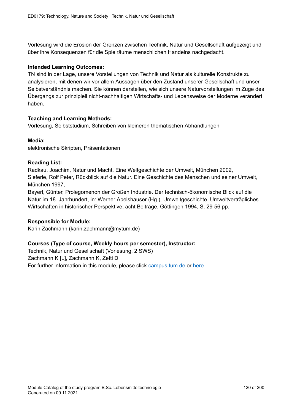Vorlesung wird die Erosion der Grenzen zwischen Technik, Natur und Gesellschaft aufgezeigt und über ihre Konsequenzen für die Spielräume menschlichen Handelns nachgedacht.

#### **Intended Learning Outcomes:**

TN sind in der Lage, unsere Vorstellungen von Technik und Natur als kulturelle Konstrukte zu analysieren, mit denen wir vor allem Aussagen über den Zustand unserer Gesellschaft und unser Selbstverständnis machen. Sie können darstellen, wie sich unsere Naturvorstellungen im Zuge des Übergangs zur prinzipiell nicht-nachhaltigen Wirtschafts- und Lebensweise der Moderne verändert haben.

#### **Teaching and Learning Methods:**

Vorlesung, Selbststudium, Schreiben von kleineren thematischen Abhandlungen

#### **Media:**

elektronische Skripten, Präsentationen

### **Reading List:**

Radkau, Joachim, Natur und Macht. Eine Weltgeschichte der Umwelt, München 2002, Sieferle, Rolf Peter, Rückblick auf die Natur. Eine Geschichte des Menschen und seiner Umwelt, München 1997,

Bayerl, Günter, Prolegomenon der Großen Industrie. Der technisch-ökonomische Blick auf die Natur im 18. Jahrhundert, in: Werner Abelshauser (Hg.), Umweltgeschichte. Umweltverträgliches Wirtschaften in historischer Perspektive; acht Beiträge, Göttingen 1994, S. 29-56 pp.

#### **Responsible for Module:**

Karin Zachmann (karin.zachmann@mytum.de)

## **Courses (Type of course, Weekly hours per semester), Instructor:**

Technik, Natur und Gesellschaft (Vorlesung, 2 SWS) Zachmann K [L], Zachmann K, Zetti D For further information in this module, please click<campus.tum.de> or [here.](https://campus.tum.de/tumonline/WBMODHB.wbShowMHBReadOnly?pKnotenNr=462989&pOrgNr=40661)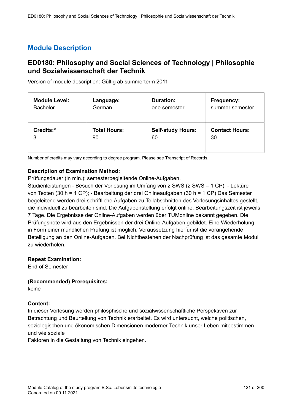# **ED0180: Philosophy and Social Sciences of Technology | Philosophie und Sozialwissenschaft der Technik**

Version of module description: Gültig ab summerterm 2011

| <b>Module Level:</b> | Language:           | <b>Duration:</b>         | <b>Frequency:</b>     |
|----------------------|---------------------|--------------------------|-----------------------|
| <b>Bachelor</b>      | German              | one semester             | summer semester       |
| Credits:*            | <b>Total Hours:</b> | <b>Self-study Hours:</b> | <b>Contact Hours:</b> |
| 3                    | 90                  | 60                       | 30                    |

Number of credits may vary according to degree program. Please see Transcript of Records.

#### **Description of Examination Method:**

Prüfungsdauer (in min.): semesterbegleitende Online-Aufgaben.

Studienleistungen - Besuch der Vorlesung im Umfang von 2 SWS (2 SWS = 1 CP); - Lektüre von Texten (30 h = 1 CP); - Bearbeitung der drei Onlineaufgaben (30 h = 1 CP) Das Semester begeleitend werden drei schriftliche Aufgaben zu Teilabschnitten des Vorlesungsinhaltes gestellt, die individuell zu bearbeiten sind. Die Aufgabenstellung erfolgt online. Bearbeitungszeit ist jeweils 7 Tage. Die Ergebnisse der Online-Aufgaben werden über TUMonline bekannt gegeben. Die Prüfungsnote wird aus den Ergebnissen der drei Online-Aufgaben gebildet. Eine Wiederholung in Form einer mündlichen Prüfung ist möglich; Voraussetzung hierfür ist die vorangehende Beteiligung an den Online-Aufgaben. Bei Nichtbestehen der Nachprüfung ist das gesamte Modul zu wiederholen.

#### **Repeat Examination:**

End of Semester

#### **(Recommended) Prerequisites:**

keine

#### **Content:**

In dieser Vorlesung werden philosphische und sozialwissenschaftliche Perspektiven zur Betrachtung und Beurteilung von Technik erarbeitet. Es wird untersucht, welche politischen, soziologischen und ökonomischen Dimensionen moderner Technik unser Leben mitbestimmen und wie soziale

Faktoren in die Gestaltung von Technik eingehen.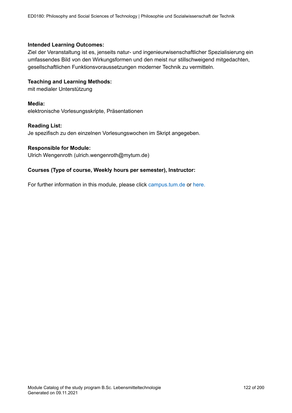#### **Intended Learning Outcomes:**

Ziel der Veranstaltung ist es, jenseits natur- und ingenieurwisenschaftlicher Spezialisierung ein umfassendes Bild von den Wirkungsformen und den meist nur stillschweigend mitgedachten, gesellschaftlichen Funktionsvoraussetzungen moderner Technik zu vermitteln.

#### **Teaching and Learning Methods:**

mit medialer Unterstützung

#### **Media:**

elektronische Vorlesungsskripte, Präsentationen

#### **Reading List:**

Je spezifisch zu den einzelnen Vorlesungswochen im Skript angegeben.

#### **Responsible for Module:**

Ulrich Wengenroth (ulrich.wengenroth@mytum.de)

### **Courses (Type of course, Weekly hours per semester), Instructor:**

For further information in this module, please click<campus.tum.de> or [here.](https://campus.tum.de/tumonline/WBMODHB.wbShowMHBReadOnly?pKnotenNr=462725&pOrgNr=40661)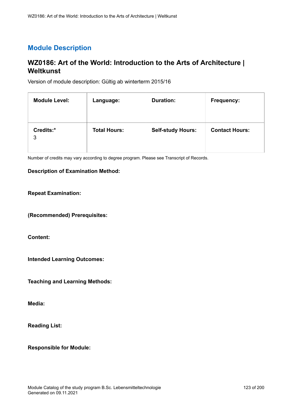# **WZ0186: Art of the World: Introduction to the Arts of Architecture | Weltkunst**

Version of module description: Gültig ab winterterm 2015/16

| <b>Module Level:</b> | Language:           | <b>Duration:</b>         | <b>Frequency:</b>     |
|----------------------|---------------------|--------------------------|-----------------------|
| Credits:*<br>3       | <b>Total Hours:</b> | <b>Self-study Hours:</b> | <b>Contact Hours:</b> |

Number of credits may vary according to degree program. Please see Transcript of Records.

#### **Description of Examination Method:**

#### **Repeat Examination:**

**(Recommended) Prerequisites:**

**Content:**

**Intended Learning Outcomes:**

**Teaching and Learning Methods:**

**Media:**

**Reading List:**

**Responsible for Module:**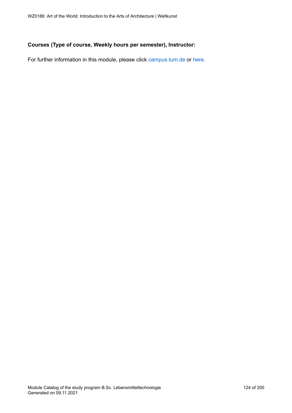#### **Courses (Type of course, Weekly hours per semester), Instructor:**

For further information in this module, please click<campus.tum.de> or [here.](https://campus.tum.de/tumonline/WBMODHB.wbShowMHBReadOnly?pKnotenNr=463182&pOrgNr=14190)

Module Catalog of the study program B.Sc. Lebensmitteltechnologie Generated on 09.11.2021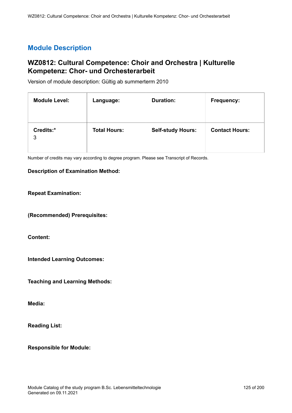## **WZ0812: Cultural Competence: Choir and Orchestra | Kulturelle Kompetenz: Chor- und Orchesterarbeit**

Version of module description: Gültig ab summerterm 2010

| <b>Module Level:</b> | Language:           | <b>Duration:</b>         | <b>Frequency:</b>     |
|----------------------|---------------------|--------------------------|-----------------------|
| Credits:*<br>3       | <b>Total Hours:</b> | <b>Self-study Hours:</b> | <b>Contact Hours:</b> |

Number of credits may vary according to degree program. Please see Transcript of Records.

#### **Description of Examination Method:**

#### **Repeat Examination:**

**(Recommended) Prerequisites:**

**Content:**

**Intended Learning Outcomes:**

**Teaching and Learning Methods:**

**Media:**

**Reading List:**

**Responsible for Module:**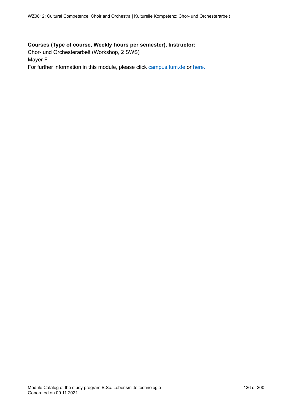### **Courses (Type of course, Weekly hours per semester), Instructor:**

Chor- und Orchesterarbeit (Workshop, 2 SWS) Mayer F For further information in this module, please click<campus.tum.de> or [here.](https://campus.tum.de/tumonline/WBMODHB.wbShowMHBReadOnly?pKnotenNr=463267&pOrgNr=14190)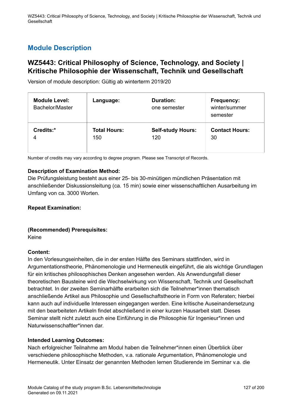WZ5443: Critical Philosophy of Science, Technology, and Society | Kritische Philosophie der Wissenschaft, Technik und **Gesellschaft** 

# **Module Description**

# **WZ5443: Critical Philosophy of Science, Technology, and Society | Kritische Philosophie der Wissenschaft, Technik und Gesellschaft**

Version of module description: Gültig ab winterterm 2019/20

| <b>Module Level:</b><br>Bachelor/Master | Language:           | <b>Duration:</b><br>one semester | Frequency:<br>winter/summer<br>semester |
|-----------------------------------------|---------------------|----------------------------------|-----------------------------------------|
| Credits:*                               | <b>Total Hours:</b> | <b>Self-study Hours:</b>         | <b>Contact Hours:</b>                   |
|                                         | 150                 | 120                              | 30                                      |

Number of credits may vary according to degree program. Please see Transcript of Records.

#### **Description of Examination Method:**

Die Prüfungsleistung besteht aus einer 25- bis 30-minütigen mündlichen Präsentation mit anschließender Diskussionsleitung (ca. 15 min) sowie einer wissenschaftlichen Ausarbeitung im Umfang von ca. 3000 Worten.

#### **Repeat Examination:**

#### **(Recommended) Prerequisites:**

Keine

#### **Content:**

In den Vorlesungseinheiten, die in der ersten Hälfte des Seminars stattfinden, wird in Argumentationstheorie, Phänomenologie und Hermeneutik eingeführt, die als wichtige Grundlagen für ein kritisches philosophisches Denken angesehen werden. Als Anwendungsfall dieser theoretischen Bausteine wird die Wechselwirkung von Wissenschaft, Technik und Gesellschaft betrachtet. In der zweiten Seminarhälfte erarbeiten sich die Teilnehmer\*innen thematisch anschließende Artikel aus Philosophie und Gesellschaftstheorie in Form von Referaten; hierbei kann auch auf individuelle Interessen eingegangen werden. Eine kritische Auseinandersetzung mit den bearbeiteten Artikeln findet abschließend in einer kurzen Hausarbeit statt. Dieses Seminar stellt nicht zuletzt auch eine Einführung in die Philosophie für Ingenieur\*innen und Naturwissenschaftler\*innen dar.

#### **Intended Learning Outcomes:**

Nach erfolgreicher Teilnahme am Modul haben die Teilnehmer\*innen einen Überblick über verschiedene philosophische Methoden, v.a. rationale Argumentation, Phänomenologie und Hermeneutik. Unter Einsatz der genannten Methoden lernen Studierende im Seminar v.a. die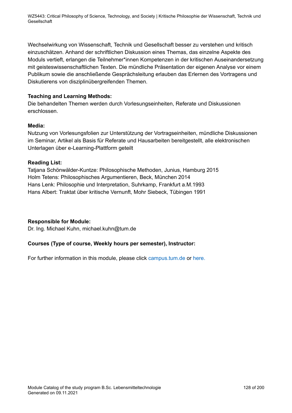WZ5443: Critical Philosophy of Science, Technology, and Society | Kritische Philosophie der Wissenschaft, Technik und **Gesellschaft** 

Wechselwirkung von Wissenschaft, Technik und Gesellschaft besser zu verstehen und kritisch einzuschätzen. Anhand der schriftlichen Diskussion eines Themas, das einzelne Aspekte des Moduls vertieft, erlangen die Teilnehmer\*innen Kompetenzen in der kritischen Auseinandersetzung mit geisteswissenschaftlichen Texten. Die mündliche Präsentation der eigenen Analyse vor einem Publikum sowie die anschließende Gesprächsleitung erlauben das Erlernen des Vortragens und Diskutierens von disziplinübergreifenden Themen.

### **Teaching and Learning Methods:**

Die behandelten Themen werden durch Vorlesungseinheiten, Referate und Diskussionen erschlossen.

#### **Media:**

Nutzung von Vorlesungsfolien zur Unterstützung der Vortragseinheiten, mündliche Diskussionen im Seminar, Artikel als Basis für Referate und Hausarbeiten bereitgestellt, alle elektronischen Unterlagen über e-Learning-Plattform geteilt

### **Reading List:**

Tatjana Schönwälder-Kuntze: Philosophische Methoden, Junius, Hamburg 2015 Holm Tetens: Philosophisches Argumentieren, Beck, München 2014 Hans Lenk: Philosophie und Interpretation, Suhrkamp, Frankfurt a.M.1993 Hans Albert: Traktat über kritische Vernunft, Mohr Siebeck, Tübingen 1991

#### **Responsible for Module:**

Dr. Ing. Michael Kuhn, michael.kuhn@tum.de

## **Courses (Type of course, Weekly hours per semester), Instructor:**

For further information in this module, please click<campus.tum.de> or [here.](https://campus.tum.de/tumonline/WBMODHB.wbShowMHBReadOnly?pKnotenNr=1750764&pOrgNr=15643)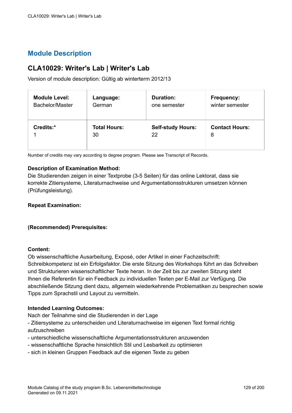# **CLA10029: Writer's Lab | Writer's Lab**

Version of module description: Gültig ab winterterm 2012/13

| <b>Module Level:</b> | Language:           | <b>Duration:</b>         | <b>Frequency:</b>     |
|----------------------|---------------------|--------------------------|-----------------------|
| Bachelor/Master      | German              | one semester             | winter semester       |
| Credits:*            | <b>Total Hours:</b> | <b>Self-study Hours:</b> | <b>Contact Hours:</b> |
|                      | 30                  | 22                       | 8                     |

Number of credits may vary according to degree program. Please see Transcript of Records.

#### **Description of Examination Method:**

Die Studierenden zeigen in einer Textprobe (3-5 Seiten) für das online Lektorat, dass sie korrekte Zitiersysteme, Literaturnachweise und Argumentationsstrukturen umsetzen können (Prüfungsleistung).

### **Repeat Examination:**

#### **(Recommended) Prerequisites:**

#### **Content:**

Ob wissenschaftliche Ausarbeitung, Exposé, oder Artikel in einer Fachzeitschrift: Schreibkompetenz ist ein Erfolgsfaktor. Die erste Sitzung des Workshops führt an das Schreiben und Strukturieren wissenschaftlicher Texte heran. In der Zeit bis zur zweiten Sitzung steht Ihnen die Referentin für ein Feedback zu individuellen Texten per E-Mail zur Verfügung. Die abschließende Sitzung dient dazu, allgemein wiederkehrende Problematiken zu besprechen sowie Tipps zum Sprachstil und Layout zu vermitteln.

#### **Intended Learning Outcomes:**

Nach der Teilnahme sind die Studierenden in der Lage

- Zitiersysteme zu unterscheiden und Literaturnachweise im eigenen Text formal richtig aufzuschreiben

- unterschiedliche wissenschaftliche Argumentationsstrukturen anzuwenden
- wissenschaftliche Sprache hinsichtlich Stil und Lesbarkeit zu optimieren
- sich in kleinen Gruppen Feedback auf die eigenen Texte zu geben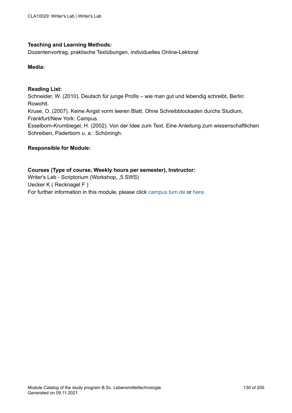## **Teaching and Learning Methods:**

Dozentenvortrag, praktische Textübungen, individuelles Online-Lektorat

#### **Media:**

#### **Reading List:**

Schneider, W. (2010). Deutsch für junge Profis – wie man gut und lebendig schreibt, Berlin: Rowohlt. Kruse, O. (2007). Keine Angst vorm leeren Blatt. Ohne Schreibblockaden durchs Studium, Frankfurt/New York: Campus. Esselborn-Krumbiegel, H. (2002). Von der Idee zum Text. Eine Anleitung zum wissenschaftlichen Schreiben, Paderborn u. a.: Schöningh.

#### **Responsible for Module:**

## **Courses (Type of course, Weekly hours per semester), Instructor:**

Writer's Lab - Scriptorium (Workshop, ,5 SWS) Uecker K ( Recknagel F ) For further information in this module, please click<campus.tum.de> or [here.](https://campus.tum.de/tumonline/WBMODHB.wbShowMHBReadOnly?pKnotenNr=679978&pOrgNr=19700)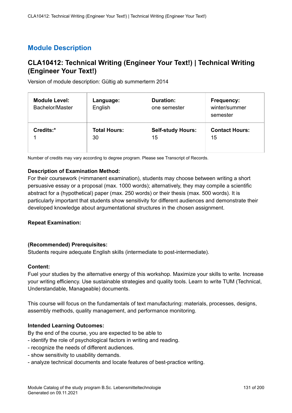# **CLA10412: Technical Writing (Engineer Your Text!) | Technical Writing (Engineer Your Text!)**

Version of module description: Gültig ab summerterm 2014

| <b>Module Level:</b><br>Bachelor/Master | Language:<br>English | <b>Duration:</b><br>one semester | <b>Frequency:</b><br>winter/summer<br>semester |
|-----------------------------------------|----------------------|----------------------------------|------------------------------------------------|
| Credits:*                               | <b>Total Hours:</b>  | <b>Self-study Hours:</b>         | <b>Contact Hours:</b>                          |
|                                         | 30                   | 15                               | 15                                             |

Number of credits may vary according to degree program. Please see Transcript of Records.

### **Description of Examination Method:**

For their coursework (=immanent examination), students may choose between writing a short persuasive essay or a proposal (max. 1000 words); alternatively, they may compile a scientific abstract for a (hypothetical) paper (max. 250 words) or their thesis (max. 500 words). It is particularly important that students show sensitivity for different audiences and demonstrate their developed knowledge about argumentational structures in the chosen assignment.

#### **Repeat Examination:**

#### **(Recommended) Prerequisites:**

Students require adequate English skills (intermediate to post-intermediate).

#### **Content:**

Fuel your studies by the alternative energy of this workshop. Maximize your skills to write. Increase your writing efficiency. Use sustainable strategies and quality tools. Learn to write TUM (Technical, Understandable, Manageable) documents.

This course will focus on the fundamentals of text manufacturing: materials, processes, designs, assembly methods, quality management, and performance monitoring.

#### **Intended Learning Outcomes:**

By the end of the course, you are expected to be able to

- identify the role of psychological factors in writing and reading.
- recognize the needs of different audiences.
- show sensitivity to usability demands.
- analyze technical documents and locate features of best-practice writing.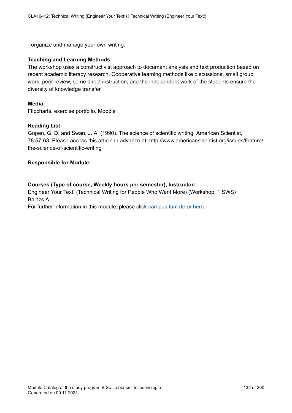- organize and manage your own writing.

#### **Teaching and Learning Methods:**

The workshop uses a constructivist approach to document analysis and text production based on recent academic literacy research. Cooperative learning methods like discussions, small group work, peer review, some direct instruction, and the independent work of the students ensure the diversity of knowledge transfer.

#### **Media:**

Flipcharts, exercise portfolio, Moodle

#### **Reading List:**

Gopen, G. D. and Swan, J. A. (1990). The science of scientific writing. American Scientist, 78:57-63. Please access this article in advance at: http://www.americanscientist.org/issues/feature/ the-science-of-scientific-writing

#### **Responsible for Module:**

#### **Courses (Type of course, Weekly hours per semester), Instructor:**

Engineer Your Text! (Technical Writing for People Who Want More) (Workshop, 1 SWS) Balazs A

For further information in this module, please click<campus.tum.de> or [here.](https://campus.tum.de/tumonline/WBMODHB.wbShowMHBReadOnly?pKnotenNr=675571&pOrgNr=19700)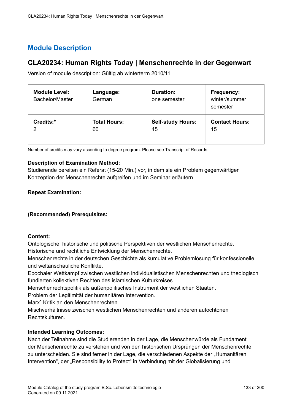# **CLA20234: Human Rights Today | Menschenrechte in der Gegenwart**

Version of module description: Gültig ab winterterm 2010/11

| <b>Module Level:</b><br>Bachelor/Master | Language:<br>German | <b>Duration:</b><br>one semester | <b>Frequency:</b><br>winter/summer<br>semester |
|-----------------------------------------|---------------------|----------------------------------|------------------------------------------------|
| Credits:*                               | <b>Total Hours:</b> | <b>Self-study Hours:</b>         | <b>Contact Hours:</b>                          |
| າ                                       | 60                  | 45                               | 15                                             |

Number of credits may vary according to degree program. Please see Transcript of Records.

#### **Description of Examination Method:**

Studierende bereiten ein Referat (15-20 Min.) vor, in dem sie ein Problem gegenwärtiger Konzeption der Menschenrechte aufgreifen und im Seminar erläutern.

#### **Repeat Examination:**

#### **(Recommended) Prerequisites:**

#### **Content:**

Ontologische, historische und politische Perspektiven der westlichen Menschenrechte.

Historische und rechtliche Entwicklung der Menschenrechte.

Menschenrechte in der deutschen Geschichte als kumulative Problemlösung für konfessionelle und weltanschauliche Konflikte.

Epochaler Wettkampf zwischen westlichen individualistischen Menschenrechten und theologisch fundierten kollektiven Rechten des islamischen Kulturkreises.

Menschenrechtspolitik als außenpolitisches Instrument der westlichen Staaten.

Problem der Legitimität der humanitären Intervention.

Marx` Kritik an den Menschenrechten.

Mischverhältnisse zwischen westlichen Menschenrechten und anderen autochtonen Rechtskulturen.

#### **Intended Learning Outcomes:**

Nach der Teilnahme sind die Studierenden in der Lage, die Menschenwürde als Fundament der Menschenrechte zu verstehen und von den historischen Ursprüngen der Menschenrechte zu unterscheiden. Sie sind ferner in der Lage, die verschiedenen Aspekte der "Humanitären Intervention", der "Responsibility to Protect" in Verbindung mit der Globalisierung und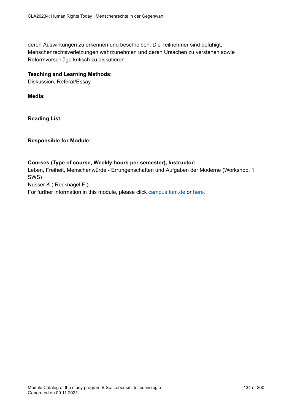deren Auswirkungen zu erkennen und beschreiben. Die Teilnehmer sind befähigt, Menschenrechtsverletzungen wahrzunehmen und deren Ursachen zu verstehen sowie Reformvorschläge kritisch zu diskutieren.

### **Teaching and Learning Methods:**

Diskussion, Referat/Essay

**Media:**

**Reading List:**

**Responsible for Module:**

#### **Courses (Type of course, Weekly hours per semester), Instructor:**

Leben, Freiheit, Menschenwürde - Errungenschaften und Aufgaben der Moderne (Workshop, 1 SWS)

Nusser K ( Recknagel F )

For further information in this module, please click<campus.tum.de> or [here.](https://campus.tum.de/tumonline/WBMODHB.wbShowMHBReadOnly?pKnotenNr=811971&pOrgNr=19700)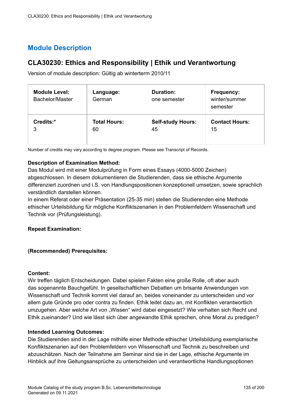# **CLA30230: Ethics and Responsibility | Ethik und Verantwortung**

Version of module description: Gültig ab winterterm 2010/11

| Module Level:<br>Bachelor/Master | Language:<br>German | <b>Duration:</b><br>one semester | Frequency:<br>winter/summer<br>semester |
|----------------------------------|---------------------|----------------------------------|-----------------------------------------|
| Credits:*                        | <b>Total Hours:</b> | <b>Self-study Hours:</b>         | <b>Contact Hours:</b>                   |
| 3                                | 60                  | 45                               | 15                                      |

Number of credits may vary according to degree program. Please see Transcript of Records.

### **Description of Examination Method:**

Das Modul wird mit einer Modulprüfung in Form eines Essays (4000-5000 Zeichen) abgeschlossen. In diesem dokumentieren die Studierenden, dass sie ethische Argumente differenziert zuordnen und i.S. von Handlungspositionen konzeptionell umsetzen, sowie sprachlich verständlich darstellen können.

In einem Referat oder einer Präsentation (25-35 min) stellen die Studierenden eine Methode ethischer Urteilsbildung für mögliche Konfliktszenarien in den Problemfeldern Wissenschaft und Technik vor (Prüfungsleistung).

#### **Repeat Examination:**

#### **(Recommended) Prerequisites:**

#### **Content:**

Wir treffen täglich Entscheidungen. Dabei spielen Fakten eine große Rolle, oft aber auch das sogenannte Bauchgefühl. In gesellschaftlichen Debatten um brisante Anwendungen von Wissenschaft und Technik kommt viel darauf an, beides voneinander zu unterscheiden und vor allem gute Gründe pro oder contra zu finden. Ethik leitet dazu an, mit Konflikten verantwortlich umzugehen. Aber welche Art von "Wissen" wird dabei eingesetzt? Wie verhalten sich Recht und Ethik zueinander? Und wie lässt sich über angewandte Ethik sprechen, ohne Moral zu predigen?

#### **Intended Learning Outcomes:**

Die Studierenden sind in der Lage mithilfe einer Methode ethischer Urteilsbildung exemplarische Konfliktszenarien auf den Problemfeldern von Wissenschaft und Technik zu beschreiben und abzuschätzen. Nach der Teilnahme am Seminar sind sie in der Lage, ethische Argumente im Hinblick auf ihre Geltungsansprüche zu unterscheiden und verantwortliche Handlungsoptionen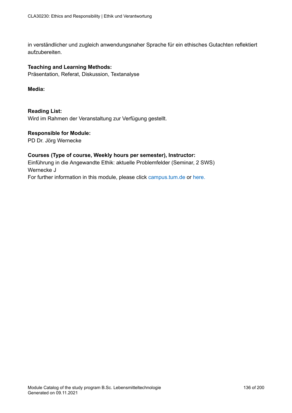in verständlicher und zugleich anwendungsnaher Sprache für ein ethisches Gutachten reflektiert aufzubereiten.

#### **Teaching and Learning Methods:**

Präsentation, Referat, Diskussion, Textanalyse

**Media:**

#### **Reading List:**

Wird im Rahmen der Veranstaltung zur Verfügung gestellt.

### **Responsible for Module:**

PD Dr. Jörg Wernecke

#### **Courses (Type of course, Weekly hours per semester), Instructor:**

Einführung in die Angewandte Ethik: aktuelle Problemfelder (Seminar, 2 SWS) Wernecke J

For further information in this module, please click<campus.tum.de> or [here.](https://campus.tum.de/tumonline/WBMODHB.wbShowMHBReadOnly?pKnotenNr=675590&pOrgNr=19700)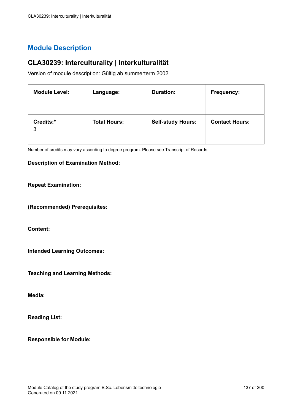# **CLA30239: Interculturality | Interkulturalität**

Version of module description: Gültig ab summerterm 2002

| <b>Module Level:</b> | Language:           | <b>Duration:</b>         | <b>Frequency:</b>     |
|----------------------|---------------------|--------------------------|-----------------------|
| Credits:*<br>3       | <b>Total Hours:</b> | <b>Self-study Hours:</b> | <b>Contact Hours:</b> |

Number of credits may vary according to degree program. Please see Transcript of Records.

#### **Description of Examination Method:**

#### **Repeat Examination:**

**(Recommended) Prerequisites:**

**Content:**

**Intended Learning Outcomes:**

**Teaching and Learning Methods:**

**Media:**

**Reading List:**

**Responsible for Module:**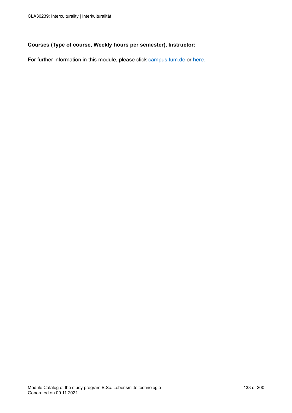## **Courses (Type of course, Weekly hours per semester), Instructor:**

For further information in this module, please click<campus.tum.de> or [here.](https://campus.tum.de/tumonline/WBMODHB.wbShowMHBReadOnly?pKnotenNr=675851&pOrgNr=19700)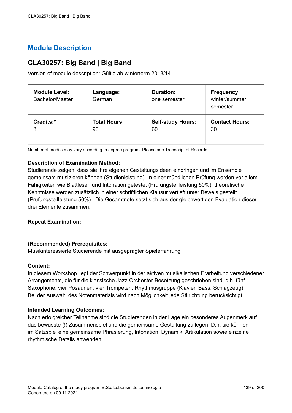# **CLA30257: Big Band | Big Band**

Version of module description: Gültig ab winterterm 2013/14

| <b>Module Level:</b><br>Bachelor/Master | Language:<br>German | <b>Duration:</b><br>one semester | <b>Frequency:</b><br>winter/summer<br>semester |
|-----------------------------------------|---------------------|----------------------------------|------------------------------------------------|
| Credits:*                               | <b>Total Hours:</b> | <b>Self-study Hours:</b>         | <b>Contact Hours:</b>                          |
| 3                                       | 90                  | 60                               | 30                                             |

Number of credits may vary according to degree program. Please see Transcript of Records.

### **Description of Examination Method:**

Studierende zeigen, dass sie ihre eigenen Gestaltungsideen einbringen und im Ensemble gemeinsam musizieren können (Studienleistung). In einer mündlichen Prüfung werden vor allem Fähigkeiten wie Blattlesen und Intonation getestet (Prüfungsteilleistung 50%), theoretische Kenntnisse werden zusätzlich in einer schriftlichen Klausur vertieft unter Beweis gestellt (Prüfungsteilleistung 50%). Die Gesamtnote setzt sich aus der gleichwertigen Evaluation dieser drei Elemente zusammen.

#### **Repeat Examination:**

#### **(Recommended) Prerequisites:**

Musikinteressierte Studierende mit ausgeprägter Spielerfahrung

#### **Content:**

In diesem Workshop liegt der Schwerpunkt in der aktiven musikalischen Erarbeitung verschiedener Arrangements, die für die klassische Jazz-Orchester-Besetzung geschrieben sind, d.h. fünf Saxophone, vier Posaunen, vier Trompeten, Rhythmusgruppe (Klavier, Bass, Schlagzeug). Bei der Auswahl des Notenmaterials wird nach Möglichkeit jede Stilrichtung berücksichtigt.

#### **Intended Learning Outcomes:**

Nach erfolgreicher Teilnahme sind die Studierenden in der Lage ein besonderes Augenmerk auf das bewusste (!) Zusammenspiel und die gemeinsame Gestaltung zu legen. D.h. sie können im Satzspiel eine gemeinsame Phrasierung, Intonation, Dynamik, Artikulation sowie einzelne rhythmische Details anwenden.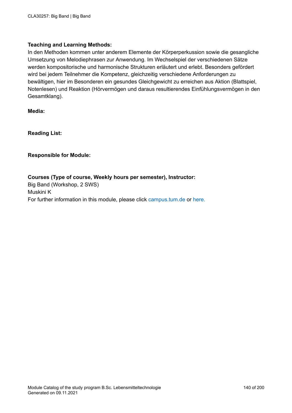## **Teaching and Learning Methods:**

In den Methoden kommen unter anderem Elemente der Körperperkussion sowie die gesangliche Umsetzung von Melodiephrasen zur Anwendung. Im Wechselspiel der verschiedenen Sätze werden kompositorische und harmonische Strukturen erläutert und erlebt. Besonders gefördert wird bei jedem Teilnehmer die Kompetenz, gleichzeitig verschiedene Anforderungen zu bewältigen, hier im Besonderen ein gesundes Gleichgewicht zu erreichen aus Aktion (Blattspiel, Notenlesen) und Reaktion (Hörvermögen und daraus resultierendes Einfühlungsvermögen in den Gesamtklang).

**Media:**

**Reading List:**

### **Responsible for Module:**

## **Courses (Type of course, Weekly hours per semester), Instructor:**

Big Band (Workshop, 2 SWS) Muskini K For further information in this module, please click<campus.tum.de> or [here.](https://campus.tum.de/tumonline/WBMODHB.wbShowMHBReadOnly?pKnotenNr=855941&pOrgNr=19700)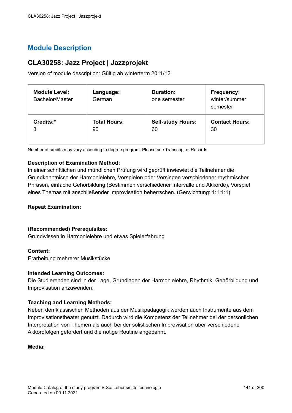# **CLA30258: Jazz Project | Jazzprojekt**

Version of module description: Gültig ab winterterm 2011/12

| Module Level:<br>Bachelor/Master | Language:<br>German | <b>Duration:</b><br>one semester | Frequency:<br>winter/summer<br>semester |
|----------------------------------|---------------------|----------------------------------|-----------------------------------------|
| Credits:*                        | <b>Total Hours:</b> | <b>Self-study Hours:</b>         | <b>Contact Hours:</b>                   |
| 3                                | 90                  | 60                               | 30                                      |

Number of credits may vary according to degree program. Please see Transcript of Records.

#### **Description of Examination Method:**

In einer schriftlichen und mündlichen Prüfung wird geprüft inwiewiet die Teilnehmer die Grundkenntnisse der Harmonielehre, Vorspielen oder Vorsingen verschiedener rhythmischer Phrasen, einfache Gehörbildung (Bestimmen verschiedener Intervalle und Akkorde), Vorspiel eines Themas mit anschließender Improvisation beherrschen. (Gerwichtung: 1:1:1:1)

#### **Repeat Examination:**

#### **(Recommended) Prerequisites:**

Grundwissen in Harmonielehre und etwas Spielerfahrung

#### **Content:**

Erarbeitung mehrerer Musikstücke

#### **Intended Learning Outcomes:**

Die Studierenden sind in der Lage, Grundlagen der Harmonielehre, Rhythmik, Gehörbildung und Improvisation anzuwenden.

#### **Teaching and Learning Methods:**

Neben den klassischen Methoden aus der Musikpädagogik werden auch Instrumente aus dem Improvisationstheater genutzt. Dadurch wird die Kompetenz der Teilnehmer bei der persönlichen Interpretation von Themen als auch bei der solistischen Improvisation über verschiedene Akkordfolgen gefördert und die nötige Routine angebahnt.

### **Media:**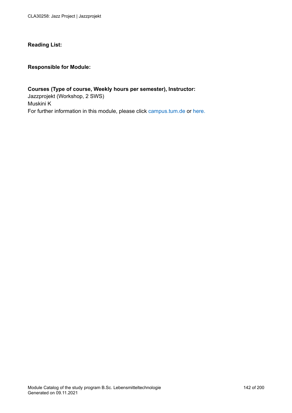## **Reading List:**

#### **Responsible for Module:**

**Courses (Type of course, Weekly hours per semester), Instructor:**  Jazzprojekt (Workshop, 2 SWS) Muskini K For further information in this module, please click<campus.tum.de> or [here.](https://campus.tum.de/tumonline/WBMODHB.wbShowMHBReadOnly?pKnotenNr=811995&pOrgNr=19700)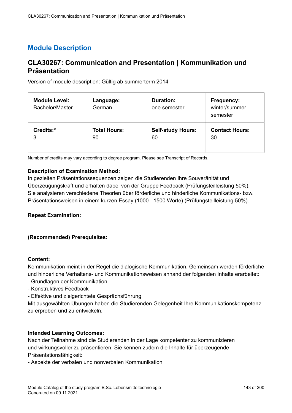# **CLA30267: Communication and Presentation | Kommunikation und Präsentation**

Version of module description: Gültig ab summerterm 2014

| <b>Module Level:</b><br>Bachelor/Master | Language:<br>German | <b>Duration:</b><br>one semester | <b>Frequency:</b><br>winter/summer<br>semester |
|-----------------------------------------|---------------------|----------------------------------|------------------------------------------------|
| Credits:*                               | <b>Total Hours:</b> | <b>Self-study Hours:</b>         | <b>Contact Hours:</b>                          |
| 3                                       | 90                  | 60                               | 30                                             |

Number of credits may vary according to degree program. Please see Transcript of Records.

#### **Description of Examination Method:**

In gezielten Präsentationssequenzen zeigen die Studierenden Ihre Souveränität und Überzeugungskraft und erhalten dabei von der Gruppe Feedback (Prüfungsteilleistung 50%). Sie analysieren verschiedene Theorien über förderliche und hinderliche Kommunikations- bzw. Präsentationsweisen in einem kurzen Essay (1000 - 1500 Worte) (Prüfungsteilleistung 50%).

#### **Repeat Examination:**

#### **(Recommended) Prerequisites:**

#### **Content:**

Kommunikation meint in der Regel die dialogische Kommunikation. Gemeinsam werden förderliche und hinderliche Verhaltens- und Kommunikationsweisen anhand der folgenden Inhalte erarbeitet:

- Grundlagen der Kommunikation
- Konstruktives Feedback
- Effektive und zielgerichtete Gesprächsführung

Mit ausgewählten Übungen haben die Studierenden Gelegenheit Ihre Kommunikationskompetenz zu erproben und zu entwickeln.

#### **Intended Learning Outcomes:**

Nach der Teilnahme sind die Studierenden in der Lage kompetenter zu kommunizieren und wirkungsvoller zu präsentieren. Sie kennen zudem die Inhalte für überzeugende Präsentationsfähigkeit:

- Aspekte der verbalen und nonverbalen Kommunikation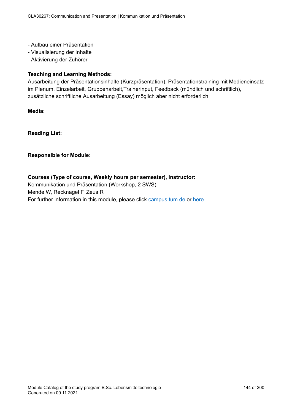- Aufbau einer Präsentation
- Visualisierung der Inhalte
- Aktivierung der Zuhörer

### **Teaching and Learning Methods:**

Ausarbeitung der Präsentationsinhalte (Kurzpräsentation), Präsentationstraining mit Medieneinsatz im Plenum, Einzelarbeit, Gruppenarbeit,Trainerinput, Feedback (mündlich und schriftlich), zusätzliche schriftliche Ausarbeitung (Essay) möglich aber nicht erforderlich.

**Media:**

**Reading List:**

#### **Responsible for Module:**

#### **Courses (Type of course, Weekly hours per semester), Instructor:**

Kommunikation und Präsentation (Workshop, 2 SWS) Mende W, Recknagel F, Zeus R For further information in this module, please click<campus.tum.de> or [here.](https://campus.tum.de/tumonline/WBMODHB.wbShowMHBReadOnly?pKnotenNr=676100&pOrgNr=19700)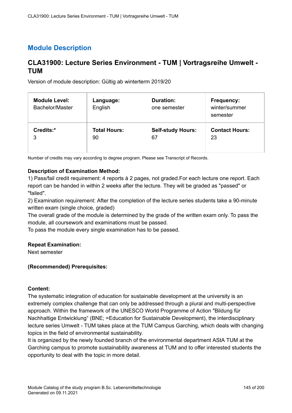## **CLA31900: Lecture Series Environment - TUM | Vortragsreihe Umwelt - TUM**

Version of module description: Gültig ab winterterm 2019/20

| <b>Module Level:</b><br>Bachelor/Master | Language:<br>English | <b>Duration:</b><br>one semester | <b>Frequency:</b><br>winter/summer<br>semester |
|-----------------------------------------|----------------------|----------------------------------|------------------------------------------------|
| Credits:*                               | <b>Total Hours:</b>  | <b>Self-study Hours:</b>         | <b>Contact Hours:</b>                          |
| 3                                       | 90                   | 67                               | 23                                             |

Number of credits may vary according to degree program. Please see Transcript of Records.

## **Description of Examination Method:**

1) Pass/fail credit requirement: 4 reports à 2 pages, not graded.For each lecture one report. Each report can be handed in within 2 weeks after the lecture. They will be graded as "passed" or "failed".

2) Examination requirement: After the completion of the lecture series students take a 90-minute written exam (single choice, graded)

The overall grade of the module is determined by the grade of the written exam only. To pass the module, all coursework and examinations must be passed.

To pass the module every single examination has to be passed.

### **Repeat Examination:**

Next semester

### **(Recommended) Prerequisites:**

### **Content:**

The systematic integration of education for sustainable development at the university is an extremely complex challenge that can only be addressed through a plural and multi-perspective approach. Within the framework of the UNESCO World Programme of Action "Bildung für Nachhaltige Entwicklung" (BNE; =Education for Sustainable Development), the interdisciplinary lecture series Umwelt - TUM takes place at the TUM Campus Garching, which deals with changing topics in the field of environmental sustainability.

It is organized by the newly founded branch of the environmental department AStA TUM at the Garching campus to promote sustainability awareness at TUM and to offer interested students the opportunity to deal with the topic in more detail.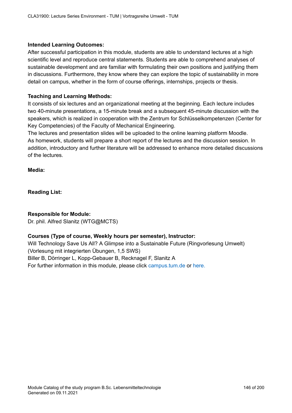After successful participation in this module, students are able to understand lectures at a high scientific level and reproduce central statements. Students are able to comprehend analyses of sustainable development and are familiar with formulating their own positions and justifying them in discussions. Furthermore, they know where they can explore the topic of sustainability in more detail on campus, whether in the form of course offerings, internships, projects or thesis.

## **Teaching and Learning Methods:**

It consists of six lectures and an organizational meeting at the beginning. Each lecture includes two 40-minute presentations, a 15-minute break and a subsequent 45-minute discussion with the speakers, which is realized in cooperation with the Zentrum for Schlüsselkompetenzen (Center for Key Competencies) of the Faculty of Mechanical Engineering.

The lectures and presentation slides will be uploaded to the online learning platform Moodle. As homework, students will prepare a short report of the lectures and the discussion session. In addition, introductory and further literature will be addressed to enhance more detailed discussions of the lectures.

**Media:**

**Reading List:**

## **Responsible for Module:**

Dr. phil. Alfred Slanitz (WTG@MCTS)

### **Courses (Type of course, Weekly hours per semester), Instructor:**

Will Technology Save Us All? A Glimpse into a Sustainable Future (Ringvorlesung Umwelt) (Vorlesung mit integrierten Übungen, 1,5 SWS) Biller B, Dörringer L, Kopp-Gebauer B, Recknagel F, Slanitz A For further information in this module, please click<campus.tum.de> or [here.](https://campus.tum.de/tumonline/WBMODHB.wbShowMHBReadOnly?pKnotenNr=1447894&pOrgNr=19700)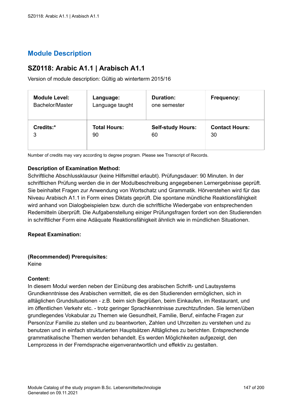## **SZ0118: Arabic A1.1 | Arabisch A1.1**

Version of module description: Gültig ab winterterm 2015/16

| <b>Module Level:</b> | Language:           | <b>Duration:</b>         | Frequency:            |
|----------------------|---------------------|--------------------------|-----------------------|
| Bachelor/Master      | Language taught     | one semester             |                       |
| Credits:*            | <b>Total Hours:</b> | <b>Self-study Hours:</b> | <b>Contact Hours:</b> |
| 3                    | 90                  | 60                       | 30                    |

Number of credits may vary according to degree program. Please see Transcript of Records.

### **Description of Examination Method:**

Schriftliche Abschlussklausur (keine Hilfsmittel erlaubt). Prüfungsdauer: 90 Minuten. In der schriftlichen Prüfung werden die in der Modulbeschreibung angegebenen Lernergebnisse geprüft. Sie beinhaltet Fragen zur Anwendung von Wortschatz und Grammatik. Hörverstehen wird für das Niveau Arabisch A1.1 in Form eines Diktats geprüft. Die spontane mündliche Reaktionsfähigkeit wird anhand von Dialogbeispielen bzw. durch die schriftliche Wiedergabe von entsprechenden Redemitteln überprüft. Die Aufgabenstellung einiger Prüfungsfragen fordert von den Studierenden in schriftlicher Form eine Adäquate Reaktionsfähigkeit ähnlich wie in mündlichen Situationen.

### **Repeat Examination:**

### **(Recommended) Prerequisites:**

Keine

### **Content:**

In diesem Modul werden neben der Einübung des arabischen Schrift- und Lautsystems Grundkenntnisse des Arabischen vermittelt, die es den Studierenden ermöglichen, sich in alltäglichen Grundsituationen - z.B. beim sich Begrüßen, beim Einkaufen, im Restaurant, und im öffentlichen Verkehr etc. - trotz geringer Sprachkenntnisse zurechtzufinden. Sie lernen/üben grundlegendes Vokabular zu Themen wie Gesundheit, Familie, Beruf, einfache Fragen zur Person/zur Familie zu stellen und zu beantworten, Zahlen und Uhrzeiten zu verstehen und zu benutzen und in einfach strukturierten Hauptsätzen Alltägliches zu berichten. Entsprechende grammatikalische Themen werden behandelt. Es werden Möglichkeiten aufgezeigt, den Lernprozess in der Fremdsprache eigenverantwortlich und effektiv zu gestalten.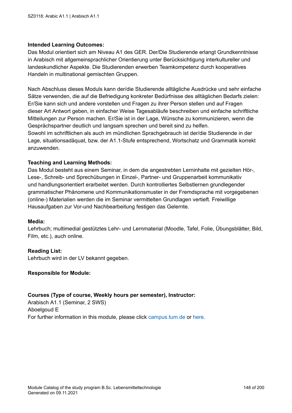Das Modul orientiert sich am Niveau A1 des GER. Der/Die Studierende erlangt Grundkenntnisse in Arabisch mit allgemeinsprachlicher Orientierung unter Berücksichtigung interkultureller und landeskundlicher Aspekte. Die Studierenden erwerben Teamkompetenz durch kooperatives Handeln in multinational gemischten Gruppen.

Nach Abschluss dieses Moduls kann der/die Studierende alltägliche Ausdrücke und sehr einfache Sätze verwenden, die auf die Befriedigung konkreter Bedürfnisse des alltäglichen Bedarfs zielen: Er/Sie kann sich und andere vorstellen und Fragen zu ihrer Person stellen und auf Fragen dieser Art Antwort geben, in einfacher Weise Tagesabläufe beschreiben und einfache schriftliche Mitteilungen zur Person machen. Er/Sie ist in der Lage, Wünsche zu kommunizieren, wenn die Gesprächspartner deutlich und langsam sprechen und bereit sind zu helfen.

Sowohl im schriftlichen als auch im mündlichen Sprachgebrauch ist der/die Studierende in der Lage, situationsadäquat, bzw. der A1.1-Stufe entsprechend, Wortschatz und Grammatik korrekt anzuwenden.

### **Teaching and Learning Methods:**

Das Modul besteht aus einem Seminar, in dem die angestrebten Lerninhalte mit gezielten Hör-, Lese-, Schreib- und Sprechübungen in Einzel-, Partner- und Gruppenarbeit kommunikativ und handlungsorientiert erarbeitet werden. Durch kontrolliertes Selbstlernen grundlegender grammatischer Phänomene und Kommunikationsmuster in der Fremdsprache mit vorgegebenen (online-) Materialien werden die im Seminar vermittelten Grundlagen vertieft. Freiwillige Hausaufgaben zur Vor-und Nachbearbeitung festigen das Gelernte.

### **Media:**

Lehrbuch; multimedial gestütztes Lehr- und Lernmaterial (Moodle, Tafel, Folie, Übungsblätter, Bild, Film, etc.), auch online.

### **Reading List:**

Lehrbuch wird in der LV bekannt gegeben.

### **Responsible for Module:**

### **Courses (Type of course, Weekly hours per semester), Instructor:**

Arabisch A1.1 (Seminar, 2 SWS) Aboelgoud E For further information in this module, please click<campus.tum.de> or [here.](https://campus.tum.de/tumonline/WBMODHB.wbShowMHBReadOnly?pKnotenNr=1176022&pOrgNr=26608)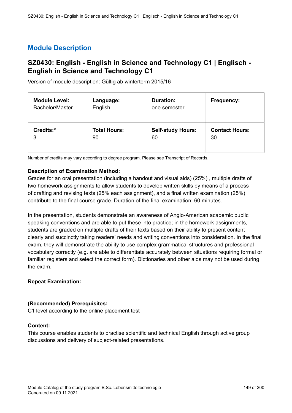## **SZ0430: English - English in Science and Technology C1 | Englisch - English in Science and Technology C1**

Version of module description: Gültig ab winterterm 2015/16

| <b>Module Level:</b> | Language:           | <b>Duration:</b>         | <b>Frequency:</b>     |
|----------------------|---------------------|--------------------------|-----------------------|
| Bachelor/Master      | English             | one semester             |                       |
| Credits:*            | <b>Total Hours:</b> | <b>Self-study Hours:</b> | <b>Contact Hours:</b> |
| 3                    | 90                  | 60                       | 30                    |

Number of credits may vary according to degree program. Please see Transcript of Records.

## **Description of Examination Method:**

Grades for an oral presentation (including a handout and visual aids) (25%) , multiple drafts of two homework assignments to allow students to develop written skills by means of a process of drafting and revising texts (25% each assignment), and a final written examination (25%) contribute to the final course grade. Duration of the final examination: 60 minutes.

In the presentation, students demonstrate an awareness of Anglo-American academic public speaking conventions and are able to put these into practice; in the homework assignments, students are graded on multiple drafts of their texts based on their ability to present content clearly and succinctly taking readers' needs and writing conventions into consideration. In the final exam, they will demonstrate the ability to use complex grammatical structures and professional vocabulary correctly (e.g. are able to differentiate accurately between situations requiring formal or familiar registers and select the correct form). Dictionaries and other aids may not be used during the exam.

## **Repeat Examination:**

### **(Recommended) Prerequisites:**

C1 level according to the online placement test

### **Content:**

This course enables students to practise scientific and technical English through active group discussions and delivery of subject-related presentations.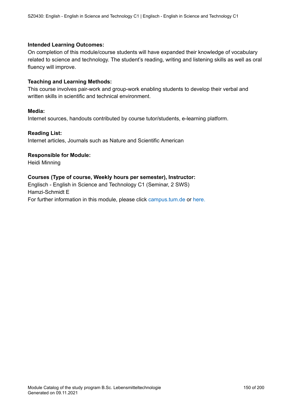On completion of this module/course students will have expanded their knowledge of vocabulary related to science and technology. The student's reading, writing and listening skills as well as oral fluency will improve.

#### **Teaching and Learning Methods:**

This course involves pair-work and group-work enabling students to develop their verbal and written skills in scientific and technical environment.

#### **Media:**

Internet sources, handouts contributed by course tutor/students, e-learning platform.

#### **Reading List:**

Internet articles, Journals such as Nature and Scientific American

#### **Responsible for Module:**

Heidi Minning

#### **Courses (Type of course, Weekly hours per semester), Instructor:**

Englisch - English in Science and Technology C1 (Seminar, 2 SWS) Hamzi-Schmidt E For further information in this module, please click<campus.tum.de> or [here.](https://campus.tum.de/tumonline/WBMODHB.wbShowMHBReadOnly?pKnotenNr=542709&pOrgNr=26608)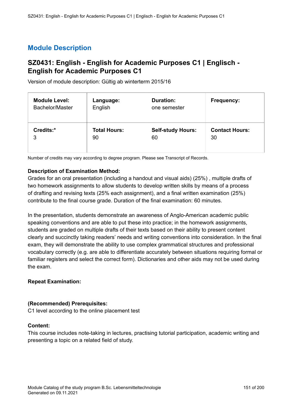## **SZ0431: English - English for Academic Purposes C1 | Englisch - English for Academic Purposes C1**

Version of module description: Gültig ab winterterm 2015/16

| <b>Module Level:</b> | Language:           | <b>Duration:</b>         | <b>Frequency:</b>     |
|----------------------|---------------------|--------------------------|-----------------------|
| Bachelor/Master      | English             | one semester             |                       |
| Credits:*            | <b>Total Hours:</b> | <b>Self-study Hours:</b> | <b>Contact Hours:</b> |
| 3                    | 90                  | 60                       | 30                    |

Number of credits may vary according to degree program. Please see Transcript of Records.

## **Description of Examination Method:**

Grades for an oral presentation (including a handout and visual aids) (25%) , multiple drafts of two homework assignments to allow students to develop written skills by means of a process of drafting and revising texts (25% each assignment), and a final written examination (25%) contribute to the final course grade. Duration of the final examination: 60 minutes.

In the presentation, students demonstrate an awareness of Anglo-American academic public speaking conventions and are able to put these into practice; in the homework assignments, students are graded on multiple drafts of their texts based on their ability to present content clearly and succinctly taking readers' needs and writing conventions into consideration. In the final exam, they will demonstrate the ability to use complex grammatical structures and professional vocabulary correctly (e.g. are able to differentiate accurately between situations requiring formal or familiar registers and select the correct form). Dictionaries and other aids may not be used during the exam.

## **Repeat Examination:**

### **(Recommended) Prerequisites:**

C1 level according to the online placement test

### **Content:**

This course includes note-taking in lectures, practising tutorial participation, academic writing and presenting a topic on a related field of study.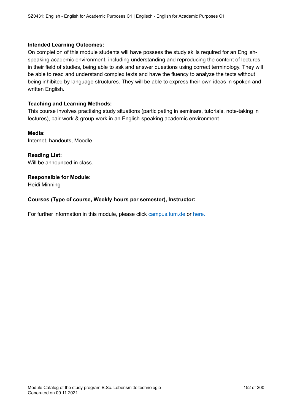On completion of this module students will have possess the study skills required for an Englishspeaking academic environment, including understanding and reproducing the content of lectures in their field of studies, being able to ask and answer questions using correct terminology. They will be able to read and understand complex texts and have the fluency to analyze the texts without being inhibited by language structures. They will be able to express their own ideas in spoken and written English.

#### **Teaching and Learning Methods:**

This course involves practising study situations (participating in seminars, tutorials, note-taking in lectures), pair-work & group-work in an English-speaking academic environment.

**Media:** Internet, handouts, Moodle

**Reading List:** Will be announced in class.

**Responsible for Module:**

Heidi Minning

#### **Courses (Type of course, Weekly hours per semester), Instructor:**

For further information in this module, please click<campus.tum.de> or [here.](https://campus.tum.de/tumonline/WBMODHB.wbShowMHBReadOnly?pKnotenNr=542712&pOrgNr=26608)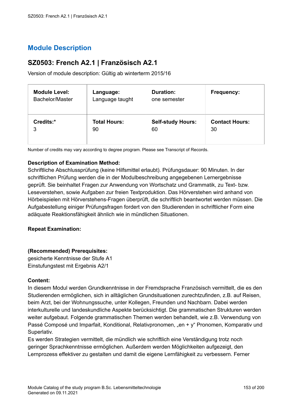## **SZ0503: French A2.1 | Französisch A2.1**

Version of module description: Gültig ab winterterm 2015/16

| <b>Module Level:</b> | Language:           | <b>Duration:</b>         | Frequency:            |
|----------------------|---------------------|--------------------------|-----------------------|
| Bachelor/Master      | Language taught     | one semester             |                       |
| Credits:*            | <b>Total Hours:</b> | <b>Self-study Hours:</b> | <b>Contact Hours:</b> |
| 3                    | 90                  | 60                       | 30                    |

Number of credits may vary according to degree program. Please see Transcript of Records.

## **Description of Examination Method:**

Schriftliche Abschlussprüfung (keine Hilfsmittel erlaubt). Prüfungsdauer: 90 Minuten. In der schriftlichen Prüfung werden die in der Modulbeschreibung angegebenen Lernergebnisse geprüft. Sie beinhaltet Fragen zur Anwendung von Wortschatz und Grammatik, zu Text- bzw. Leseverstehen, sowie Aufgaben zur freien Textproduktion. Das Hörverstehen wird anhand von Hörbeispielen mit Hörverstehens-Fragen überprüft, die schriftlich beantwortet werden müssen. Die Aufgabestellung einiger Prüfungsfragen fordert von den Studierenden in schriftlicher Form eine adäquate Reaktionsfähigkeit ähnlich wie in mündlichen Situationen.

### **Repeat Examination:**

### **(Recommended) Prerequisites:**

gesicherte Kenntnisse der Stufe A1 Einstufungstest mit Ergebnis A2/1

#### **Content:**

In diesem Modul werden Grundkenntnisse in der Fremdsprache Französisch vermittelt, die es den Studierenden ermöglichen, sich in alltäglichen Grundsituationen zurechtzufinden, z.B. auf Reisen, beim Arzt, bei der Wohnungssuche, unter Kollegen, Freunden und Nachbarn. Dabei werden interkulturelle und landeskundliche Aspekte berücksichtigt. Die grammatischen Strukturen werden weiter aufgebaut. Folgende grammatischen Themen werden behandelt, wie z.B. Verwendung von Passé Composé und Imparfait, Konditional, Relativpronomen, "en + y" Pronomen, Komparativ und Superlativ.

Es werden Strategien vermittelt, die mündlich wie schriftlich eine Verständigung trotz noch geringer Sprachkenntnisse ermöglichen. Außerdem werden Möglichkeiten aufgezeigt, den Lernprozess effektiver zu gestalten und damit die eigene Lernfähigkeit zu verbessern. Ferner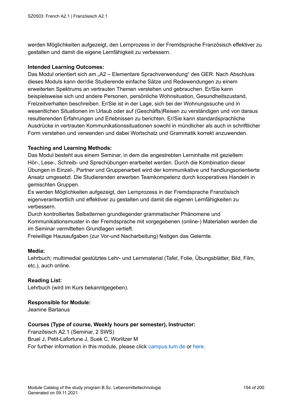werden Möglichkeiten aufgezeigt, den Lernprozess in der Fremdsprache Französisch effektiver zu gestalten und damit die eigene Lernfähigkeit zu verbessern.

### **Intended Learning Outcomes:**

Das Modul orientiert sich am "A2 – Elementare Sprachverwendung" des GER. Nach Abschluss dieses Moduls kann der/die Studierende einfache Sätze und Redewendungen zu einem erweiterten Spektrums an vertrauten Themen verstehen und gebrauchen. Er/Sie kann beispielsweise sich und andere Personen, persönliche Wohnsituation, Gesundheitszustand, Freizeitverhalten beschreiben. Er/Sie ist in der Lage, sich bei der Wohnungssuche und in wesentlichen Situationen im Urlaub oder auf (Geschäfts)Reisen zu verständigen und von daraus resultierenden Erfahrungen und Erlebnissen zu berichten. Er/Sie kann standardsprachliche Ausdrücke in vertrauten Kommunikationssituationen sowohl in mündlicher als auch in schriftlicher Form verstehen und verwenden und dabei Wortschatz und Grammatik korrekt anzuwenden.

### **Teaching and Learning Methods:**

Das Modul besteht aus einem Seminar, in dem die angestrebten Lerninhalte mit gezieltem Hör-, Lese-, Schreib- und Sprechübungen erarbeitet werden. Durch die Kombination dieser Übungen in Einzel-, Partner und Gruppenarbeit wird der kommunikative und handlungsorientierte Ansatz umgesetzt. Die Studierenden erwerben Teamkompetenz durch kooperatives Handeln in gemischten Gruppen.

Es werden Möglichkeiten aufgezeigt, den Lernprozess in der Fremdsprache Französisch eigenverantwortlich und effektiver zu gestalten und damit die eigenen Lernfähigkeiten zu verbessern.

Durch kontrolliertes Selbstlernen grundlegender grammatischer Phänomene und Kommunikationsmuster in der Fremdsprache mit vorgegebenen (online-) Materialien werden die im Seminar vermittelten Grundlagen vertieft.

Freiwillige Hausaufgaben (zur Vor-und Nacharbeitung) festigen das Gelernte.

### **Media:**

Lehrbuch; multimedial gestütztes Lehr- und Lernmaterial (Tafel, Folie, Übungsblätter, Bild, Film, etc.), auch online.

### **Reading List:**

Lehrbuch (wird im Kurs bekanntgegeben).

### **Responsible for Module:**

Jeanine Bartanus

### **Courses (Type of course, Weekly hours per semester), Instructor:**

Französisch A2.1 (Seminar, 2 SWS) Bruel J, Petit-Lafortune J, Suek C, Worlitzer M For further information in this module, please click<campus.tum.de> or [here.](https://campus.tum.de/tumonline/WBMODHB.wbShowMHBReadOnly?pKnotenNr=542724&pOrgNr=26608)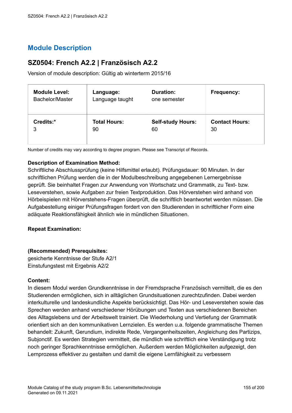## **SZ0504: French A2.2 | Französisch A2.2**

Version of module description: Gültig ab winterterm 2015/16

| <b>Module Level:</b> | Language:           | <b>Duration:</b>         | Frequency:            |
|----------------------|---------------------|--------------------------|-----------------------|
| Bachelor/Master      | Language taught     | one semester             |                       |
| Credits:*            | <b>Total Hours:</b> | <b>Self-study Hours:</b> | <b>Contact Hours:</b> |
| 3                    | 90                  | 60                       | 30                    |

Number of credits may vary according to degree program. Please see Transcript of Records.

## **Description of Examination Method:**

Schriftliche Abschlussprüfung (keine Hilfsmittel erlaubt). Prüfungsdauer: 90 Minuten. In der schriftlichen Prüfung werden die in der Modulbeschreibung angegebenen Lernergebnisse geprüft. Sie beinhaltet Fragen zur Anwendung von Wortschatz und Grammatik, zu Text- bzw. Leseverstehen, sowie Aufgaben zur freien Textproduktion. Das Hörverstehen wird anhand von Hörbeispielen mit Hörverstehens-Fragen überprüft, die schriftlich beantwortet werden müssen. Die Aufgabestellung einiger Prüfungsfragen fordert von den Studierenden in schriftlicher Form eine adäquate Reaktionsfähigkeit ähnlich wie in mündlichen Situationen.

### **Repeat Examination:**

### **(Recommended) Prerequisites:**

gesicherte Kenntnisse der Stufe A2/1 Einstufungstest mit Ergebnis A2/2

#### **Content:**

In diesem Modul werden Grundkenntnisse in der Fremdsprache Französisch vermittelt, die es den Studierenden ermöglichen, sich in alltäglichen Grundsituationen zurechtzufinden. Dabei werden interkulturelle und landeskundliche Aspekte berücksichtigt. Das Hör- und Leseverstehen sowie das Sprechen werden anhand verschiedener Hörübungen und Texten aus verschiedenen Bereichen des Alltagslebens und der Arbeitswelt trainiert. Die Wiederholung und Vertiefung der Grammatik orientiert sich an den kommunikativen Lernzielen. Es werden u.a. folgende grammatische Themen behandelt: Zukunft, Gerundium, indirekte Rede, Vergangenheitszeiten, Angleichung des Partizips, Subjonctif. Es werden Strategien vermittelt, die mündlich wie schriftlich eine Verständigung trotz noch geringer Sprachkenntnisse ermöglichen. Außerdem werden Möglichkeiten aufgezeigt, den Lernprozess effektiver zu gestalten und damit die eigene Lernfähigkeit zu verbessern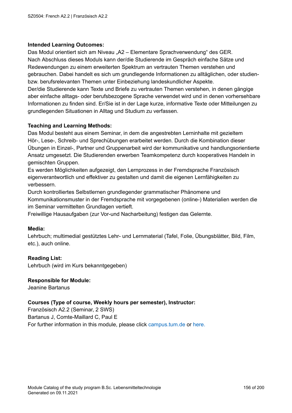Das Modul orientiert sich am Niveau "A2 – Elementare Sprachverwendung" des GER. Nach Abschluss dieses Moduls kann der/die Studierende im Gespräch einfache Sätze und Redewendungen zu einem erweiterten Spektrum an vertrauten Themen verstehen und gebrauchen. Dabei handelt es sich um grundlegende Informationen zu alltäglichen, oder studienbzw. berufsrelevanten Themen unter Einbeziehung landeskundlicher Aspekte.

Der/die Studierende kann Texte und Briefe zu vertrauten Themen verstehen, in denen gängige aber einfache alltags- oder berufsbezogene Sprache verwendet wird und in denen vorhersehbare Informationen zu finden sind. Er/Sie ist in der Lage kurze, informative Texte oder Mitteilungen zu grundlegenden Situationen in Alltag und Studium zu verfassen.

#### **Teaching and Learning Methods:**

Das Modul besteht aus einem Seminar, in dem die angestrebten Lerninhalte mit gezieltem Hör-, Lese-, Schreib- und Sprechübungen erarbeitet werden. Durch die Kombination dieser Übungen in Einzel-, Partner und Gruppenarbeit wird der kommunikative und handlungsorientierte Ansatz umgesetzt. Die Studierenden erwerben Teamkompetenz durch kooperatives Handeln in gemischten Gruppen.

Es werden Möglichkeiten aufgezeigt, den Lernprozess in der Fremdsprache Französisch eigenverantwortlich und effektiver zu gestalten und damit die eigenen Lernfähigkeiten zu verbessern.

Durch kontrolliertes Selbstlernen grundlegender grammatischer Phänomene und Kommunikationsmuster in der Fremdsprache mit vorgegebenen (online-) Materialien werden die im Seminar vermittelten Grundlagen vertieft.

Freiwillige Hausaufgaben (zur Vor-und Nacharbeitung) festigen das Gelernte.

#### **Media:**

Lehrbuch; multimedial gestütztes Lehr- und Lernmaterial (Tafel, Folie, Übungsblätter, Bild, Film, etc.), auch online.

#### **Reading List:**

Lehrbuch (wird im Kurs bekanntgegeben)

#### **Responsible for Module:**

Jeanine Bartanus

### **Courses (Type of course, Weekly hours per semester), Instructor:**

Französisch A2.2 (Seminar, 2 SWS) Bartanus J, Comte-Maillard C, Paul E For further information in this module, please click<campus.tum.de> or [here.](https://campus.tum.de/tumonline/WBMODHB.wbShowMHBReadOnly?pKnotenNr=542727&pOrgNr=26608)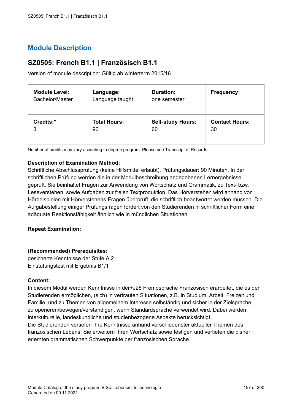## **SZ0505: French B1.1 | Französisch B1.1**

Version of module description: Gültig ab winterterm 2015/16

| <b>Module Level:</b> | Language:           | <b>Duration:</b>         | Frequency:            |
|----------------------|---------------------|--------------------------|-----------------------|
| Bachelor/Master      | Language taught     | one semester             |                       |
| Credits:*            | <b>Total Hours:</b> | <b>Self-study Hours:</b> | <b>Contact Hours:</b> |
| 3                    | 90                  | 60                       | 30                    |

Number of credits may vary according to degree program. Please see Transcript of Records.

## **Description of Examination Method:**

Schriftliche Abschlussprüfung (keine Hilfsmittel erlaubt). Prüfungsdauer: 90 Minuten. In der schriftlichen Prüfung werden die in der Modulbeschreibung angegebenen Lernergebnisse geprüft. Sie beinhaltet Fragen zur Anwendung von Wortschatz und Grammatik, zu Text- bzw. Leseverstehen, sowie Aufgaben zur freien Textproduktion. Das Hörverstehen wird anhand von Hörbeispielen mit Hörverstehens-Fragen überprüft, die schriftlich beantwortet werden müssen. Die Aufgabestellung einiger Prüfungsfragen fordert von den Studierenden in schriftlicher Form eine adäquate Reaktionsfähigkeit ähnlich wie in mündlichen Situationen.

### **Repeat Examination:**

### **(Recommended) Prerequisites:**

gesicherte Kenntnisse der Stufe A 2 Einstufungstest mit Ergebnis B1/1

### **Content:**

In diesem Modul werden Kenntnisse in der+J26 Fremdsprache Französisch erarbeitet, die es den Studierenden ermöglichen, (sich) in vertrauten Situationen, z.B. in Studium, Arbeit, Freizeit und Familie, und zu Themen von allgemeinem Interesse selbständig und sicher in der Zielsprache zu operieren/bewegen/verständigen, wenn Standardsprache verwendet wird. Dabei werden interkulturelle, landeskundliche und studienbezogene Aspekte berücksichtigt. Die Studierenden vertiefen Ihre Kenntnisse anhand verschiedenster aktueller Themen des französischen Lebens. Sie erweitern Ihren Wortschatz sowie festigen und vertiefen die bisher erlernten grammatischen Schwerpunkte der französischen Sprache.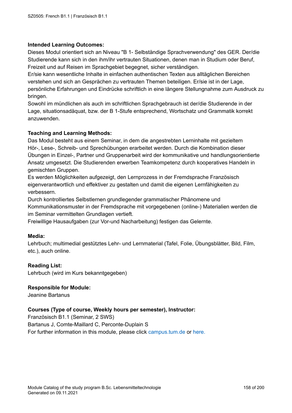Dieses Modul orientiert sich an Niveau "B 1- Selbständige Sprachverwendung" des GER. Der/die Studierende kann sich in den ihm/ihr vertrauten Situationen, denen man in Studium oder Beruf, Freizeit und auf Reisen im Sprachgebiet begegnet, sicher verständigen.

Er/sie kann wesentliche Inhalte in einfachen authentischen Texten aus alltäglichen Bereichen verstehen und sich an Gesprächen zu vertrauten Themen beteiligen. Er/sie ist in der Lage, persönliche Erfahrungen und Eindrücke schriftlich in eine längere Stellungnahme zum Ausdruck zu bringen.

Sowohl im mündlichen als auch im schriftlichen Sprachgebrauch ist der/die Studierende in der Lage, situationsadäquat, bzw. der B 1-Stufe entsprechend, Wortschatz und Grammatik korrekt anzuwenden.

### **Teaching and Learning Methods:**

Das Modul besteht aus einem Seminar, in dem die angestrebten Lerninhalte mit gezieltem Hör-, Lese-, Schreib- und Sprechübungen erarbeitet werden. Durch die Kombination dieser Übungen in Einzel-, Partner und Gruppenarbeit wird der kommunikative und handlungsorientierte Ansatz umgesetzt. Die Studierenden erwerben Teamkompetenz durch kooperatives Handeln in gemischten Gruppen.

Es werden Möglichkeiten aufgezeigt, den Lernprozess in der Fremdsprache Französisch eigenverantwortlich und effektiver zu gestalten und damit die eigenen Lernfähigkeiten zu verbessern.

Durch kontrolliertes Selbstlernen grundlegender grammatischer Phänomene und Kommunikationsmuster in der Fremdsprache mit vorgegebenen (online-) Materialien werden die im Seminar vermittelten Grundlagen vertieft.

Freiwillige Hausaufgaben (zur Vor-und Nacharbeitung) festigen das Gelernte.

### **Media:**

Lehrbuch; multimedial gestütztes Lehr- und Lernmaterial (Tafel, Folie, Übungsblätter, Bild, Film, etc.), auch online.

### **Reading List:**

Lehrbuch (wird im Kurs bekanntgegeben)

#### **Responsible for Module:**

Jeanine Bartanus

### **Courses (Type of course, Weekly hours per semester), Instructor:**

Französisch B1.1 (Seminar, 2 SWS) Bartanus J, Comte-Maillard C, Perconte-Duplain S For further information in this module, please click<campus.tum.de> or [here.](https://campus.tum.de/tumonline/WBMODHB.wbShowMHBReadOnly?pKnotenNr=542715&pOrgNr=26608)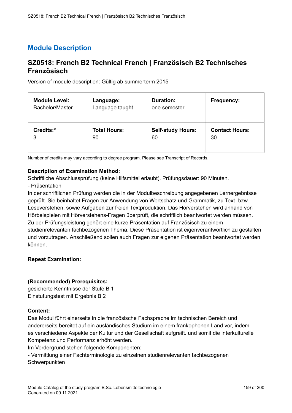## **SZ0518: French B2 Technical French | Französisch B2 Technisches Französisch**

Version of module description: Gültig ab summerterm 2015

| <b>Module Level:</b> | Language:           | <b>Duration:</b>         | <b>Frequency:</b>     |
|----------------------|---------------------|--------------------------|-----------------------|
| Bachelor/Master      | Language taught     | one semester             |                       |
| Credits:*            | <b>Total Hours:</b> | <b>Self-study Hours:</b> | <b>Contact Hours:</b> |
| 3                    | 90                  | 60                       | 30                    |

Number of credits may vary according to degree program. Please see Transcript of Records.

## **Description of Examination Method:**

Schriftliche Abschlussprüfung (keine Hilfsmittel erlaubt). Prüfungsdauer: 90 Minuten.

- Präsentation

In der schriftlichen Prüfung werden die in der Modulbeschreibung angegebenen Lernergebnisse geprüft. Sie beinhaltet Fragen zur Anwendung von Wortschatz und Grammatik, zu Text- bzw. Leseverstehen, sowie Aufgaben zur freien Textproduktion. Das Hörverstehen wird anhand von Hörbeispielen mit Hörverstehens-Fragen überprüft, die schriftlich beantwortet werden müssen. Zu der Prüfungsleistung gehört eine kurze Präsentation auf Französisch zu einem studienrelevanten fachbezogenen Thema. Diese Präsentation ist eigenverantwortlich zu gestalten und vorzutragen. Anschließend sollen auch Fragen zur eigenen Präsentation beantwortet werden

## **Repeat Examination:**

### **(Recommended) Prerequisites:**

gesicherte Kenntnisse der Stufe B 1 Einstufungstest mit Ergebnis B 2

### **Content:**

können.

Das Modul führt einerseits in die französische Fachsprache im technischen Bereich und andererseits bereitet auf ein ausländisches Studium im einem frankophonen Land vor, indem es verschiedene Aspekte der Kultur und der Gesellschaft aufgreift. und somit die interkulturelle Kompetenz und Performanz erhöht werden.

Im Vordergrund stehen folgende Komponenten:

- Vermittlung einer Fachterminologie zu einzelnen studienrelevanten fachbezogenen **Schwerpunkten**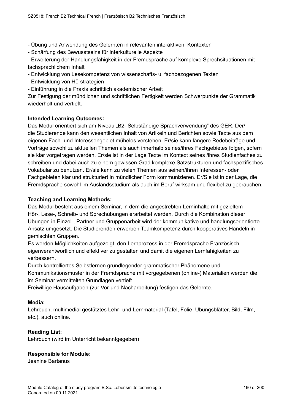- Übung und Anwendung des Gelernten in relevanten interaktiven Kontexten

- Schärfung des Bewusstseins für interkulturelle Aspekte

- Erweiterung der Handlungsfähigkeit in der Fremdsprache auf komplexe Sprechsituationen mit fachsprachlichem Inhalt

- Entwicklung von Lesekompetenz von wissenschafts- u. fachbezogenen Texten
- Entwicklung von Hörstrategien
- Einführung in die Praxis schriftlich akademischer Arbeit

Zur Festigung der mündlichen und schriftlichen Fertigkeit werden Schwerpunkte der Grammatik wiederholt und vertieft.

## **Intended Learning Outcomes:**

Das Modul orientiert sich am Niveau "B2- Selbständige Sprachverwendung" des GER. Der/ die Studierende kann den wesentlichen Inhalt von Artikeln und Berichten sowie Texte aus dem eigenen Fach- und Interessengebiet mühelos verstehen. Er/sie kann längere Redebeiträge und Vorträge sowohl zu aktuellen Themen als auch innerhalb seines/ihres Fachgebietes folgen, sofern sie klar vorgetragen werden. Er/sie ist in der Lage Texte im Kontext seines /ihres Studienfaches zu schreiben und dabei auch zu einem gewissen Grad komplexe Satzstrukturen und fachspezifisches Vokabular zu benutzen. Er/sie kann zu vielen Themen aus seinen/ihren Interessen- oder Fachgebieten klar und strukturiert in mündlicher Form kommunizieren. Er/Sie ist in der Lage, die Fremdsprache sowohl im Auslandsstudium als auch im Beruf wirksam und flexibel zu gebrauchen.

## **Teaching and Learning Methods:**

Das Modul besteht aus einem Seminar, in dem die angestrebten Lerninhalte mit gezieltem Hör-, Lese-, Schreib- und Sprechübungen erarbeitet werden. Durch die Kombination dieser Übungen in Einzel-, Partner und Gruppenarbeit wird der kommunikative und handlungsorientierte Ansatz umgesetzt. Die Studierenden erwerben Teamkompetenz durch kooperatives Handeln in gemischten Gruppen.

Es werden Möglichkeiten aufgezeigt, den Lernprozess in der Fremdsprache Französisch eigenverantwortlich und effektiver zu gestalten und damit die eigenen Lernfähigkeiten zu verbessern.

Durch kontrolliertes Selbstlernen grundlegender grammatischer Phänomene und Kommunikationsmuster in der Fremdsprache mit vorgegebenen (online-) Materialien werden die im Seminar vermittelten Grundlagen vertieft.

Freiwillige Hausaufgaben (zur Vor-und Nacharbeitung) festigen das Gelernte.

### **Media:**

Lehrbuch; multimedial gestütztes Lehr- und Lernmaterial (Tafel, Folie, Übungsblätter, Bild, Film, etc.), auch online.

### **Reading List:**

Lehrbuch (wird im Unterricht bekanntgegeben)

### **Responsible for Module:**

Jeanine Bartanus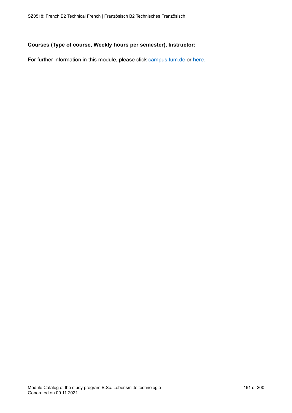### **Courses (Type of course, Weekly hours per semester), Instructor:**

For further information in this module, please click<campus.tum.de> or [here.](https://campus.tum.de/tumonline/WBMODHB.wbShowMHBReadOnly?pKnotenNr=1107334&pOrgNr=26608)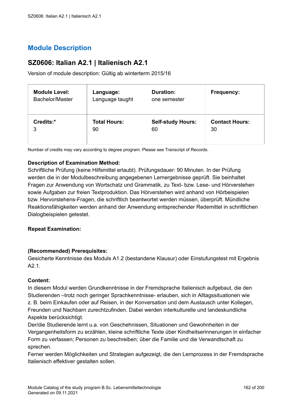## **SZ0606: Italian A2.1 | Italienisch A2.1**

Version of module description: Gültig ab winterterm 2015/16

| <b>Module Level:</b> | Language:           | <b>Duration:</b>         | <b>Frequency:</b>     |
|----------------------|---------------------|--------------------------|-----------------------|
| Bachelor/Master      | Language taught     | one semester             |                       |
| Credits:*            | <b>Total Hours:</b> | <b>Self-study Hours:</b> | <b>Contact Hours:</b> |
| 3                    | 90                  | 60                       | 30                    |

Number of credits may vary according to degree program. Please see Transcript of Records.

## **Description of Examination Method:**

Schriftliche Prüfung (keine Hilfsmittel erlaubt). Prüfungsdauer: 90 Minuten. In der Prüfung werden die in der Modulbeschreibung angegebenen Lernergebnisse geprüft. Sie beinhaltet Fragen zur Anwendung von Wortschatz und Grammatik, zu Text- bzw. Lese- und Hörverstehen sowie Aufgaben zur freien Textproduktion. Das Hörverstehen wird anhand von Hörbeispielen bzw. Hervorstehens-Fragen, die schriftlich beantwortet werden müssen, überprüft. Mündliche Reaktionsfähigkeiten werden anhand der Anwendung entsprechender Redemittel in schriftlichen Dialogbeispielen getestet.

### **Repeat Examination:**

### **(Recommended) Prerequisites:**

Gesicherte Kenntnisse des Moduls A1.2 (bestandene Klausur) oder Einstufungstest mit Ergebnis A2.1.

#### **Content:**

In diesem Modul werden Grundkenntnisse in der Fremdsprache Italienisch aufgebaut, die den Studierenden –trotz noch geringer Sprachkenntnisse- erlauben, sich in Alltagssituationen wie z. B. beim Einkaufen oder auf Reisen, in der Konversation und dem Austausch unter Kollegen, Freunden und Nachbarn zurechtzufinden. Dabei werden interkulturelle und landeskundliche Aspekte berücksichtigt.

Der/die Studierende lernt u.a. von Geschehnissen, Situationen und Gewohnheiten in der Vergangenheitsform zu erzählen, kleine schriftliche Texte über Kindheitserinnerungen in einfacher Form zu verfassen; Personen zu beschreiben; über die Familie und die Verwandtschaft zu sprechen.

Ferner werden Möglichkeiten und Strategien aufgezeigt, die den Lernprozess in der Fremdsprache Italienisch effektiver gestalten sollen.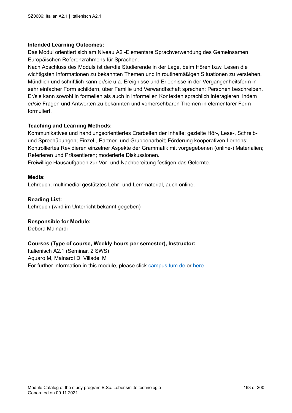Das Modul orientiert sich am Niveau A2 -Elementare Sprachverwendung des Gemeinsamen Europäischen Referenzrahmens für Sprachen.

Nach Abschluss des Moduls ist der/die Studierende in der Lage, beim Hören bzw. Lesen die wichtigsten Informationen zu bekannten Themen und in routinemäßigen Situationen zu verstehen. Mündlich und schriftlich kann er/sie u.a. Ereignisse und Erlebnisse in der Vergangenheitsform in sehr einfacher Form schildern, über Familie und Verwandtschaft sprechen; Personen beschreiben. Er/sie kann sowohl in formellen als auch in informellen Kontexten sprachlich interagieren, indem er/sie Fragen und Antworten zu bekannten und vorhersehbaren Themen in elementarer Form formuliert.

## **Teaching and Learning Methods:**

Kommunikatives und handlungsorientiertes Erarbeiten der Inhalte; gezielte Hör-, Lese-, Schreibund Sprechübungen; Einzel-, Partner- und Gruppenarbeit; Förderung kooperativen Lernens; Kontrolliertes Revidieren einzelner Aspekte der Grammatik mit vorgegebenen (online-) Materialien; Referieren und Präsentieren; moderierte Diskussionen.

Freiwillige Hausaufgaben zur Vor- und Nachbereitung festigen das Gelernte.

### **Media:**

Lehrbuch; multimedial gestütztes Lehr- und Lernmaterial, auch online.

**Reading List:**

Lehrbuch (wird im Unterricht bekannt gegeben)

### **Responsible for Module:**

Debora Mainardi

### **Courses (Type of course, Weekly hours per semester), Instructor:**

Italienisch A2.1 (Seminar, 2 SWS) Aquaro M, Mainardi D, Villadei M For further information in this module, please click<campus.tum.de> or [here.](https://campus.tum.de/tumonline/WBMODHB.wbShowMHBReadOnly?pKnotenNr=543243&pOrgNr=26608)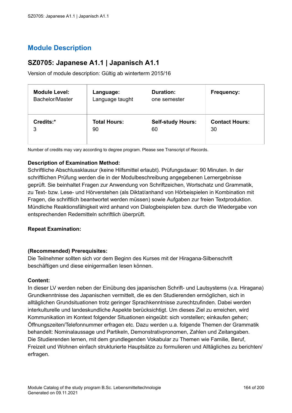## **SZ0705: Japanese A1.1 | Japanisch A1.1**

Version of module description: Gültig ab winterterm 2015/16

| <b>Module Level:</b> | Language:           | <b>Duration:</b>         | <b>Frequency:</b>     |
|----------------------|---------------------|--------------------------|-----------------------|
| Bachelor/Master      | Language taught     | one semester             |                       |
| Credits:*            | <b>Total Hours:</b> | <b>Self-study Hours:</b> | <b>Contact Hours:</b> |
| 3                    | 90                  | 60                       | 30                    |

Number of credits may vary according to degree program. Please see Transcript of Records.

## **Description of Examination Method:**

Schriftliche Abschlussklausur (keine Hilfsmittel erlaubt). Prüfungsdauer: 90 Minuten. In der schriftlichen Prüfung werden die in der Modulbeschreibung angegebenen Lernergebnisse geprüft. Sie beinhaltet Fragen zur Anwendung von Schriftzeichen, Wortschatz und Grammatik, zu Text- bzw. Lese- und Hörverstehen (als Diktat/anhand von Hörbeispielen in Kombination mit Fragen, die schriftlich beantwortet werden müssen) sowie Aufgaben zur freien Textproduktion. Mündliche Reaktionsfähigkeit wird anhand von Dialogbeispielen bzw. durch die Wiedergabe von entsprechenden Redemitteln schriftlich überprüft.

### **Repeat Examination:**

### **(Recommended) Prerequisites:**

Die Teilnehmer sollten sich vor dem Beginn des Kurses mit der Hiragana-Silbenschrift beschäftigen und diese einigermaßen lesen können.

#### **Content:**

In dieser LV werden neben der Einübung des japanischen Schrift- und Lautsystems (v.a. Hiragana) Grundkenntnisse des Japanischen vermittelt, die es den Studierenden ermöglichen, sich in alltäglichen Grundsituationen trotz geringer Sprachkenntnisse zurechtzufinden. Dabei werden interkulturelle und landeskundliche Aspekte berücksichtigt. Um dieses Ziel zu erreichen, wird Kommunikation im Kontext folgender Situationen eingeübt: sich vorstellen; einkaufen gehen; Öffnungszeiten/Telefonnummer erfragen etc. Dazu werden u.a. folgende Themen der Grammatik behandelt: Nominalaussage und Partikeln, Demonstrativpronomen, Zahlen und Zeitangaben. Die Studierenden lernen, mit dem grundlegenden Vokabular zu Themen wie Familie, Beruf, Freizeit und Wohnen einfach strukturierte Hauptsätze zu formulieren und Alltägliches zu berichten/ erfragen.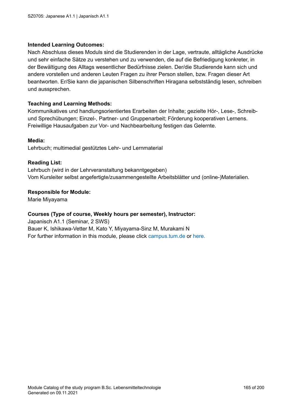Nach Abschluss dieses Moduls sind die Studierenden in der Lage, vertraute, alltägliche Ausdrücke und sehr einfache Sätze zu verstehen und zu verwenden, die auf die Befriedigung konkreter, in der Bewältigung des Alltags wesentlicher Bedürfnisse zielen. Der/die Studierende kann sich und andere vorstellen und anderen Leuten Fragen zu ihrer Person stellen, bzw. Fragen dieser Art beantworten. Er/Sie kann die japanischen Silbenschriften Hiragana selbstständig lesen, schreiben und aussprechen.

#### **Teaching and Learning Methods:**

Kommunikatives und handlungsorientiertes Erarbeiten der Inhalte; gezielte Hör-, Lese-, Schreibund Sprechübungen; Einzel-, Partner- und Gruppenarbeit; Förderung kooperativen Lernens. Freiwillige Hausaufgaben zur Vor- und Nachbearbeitung festigen das Gelernte.

#### **Media:**

Lehrbuch; multimedial gestütztes Lehr- und Lernmaterial

#### **Reading List:**

Lehrbuch (wird in der Lehrveranstaltung bekanntgegeben) Vom Kursleiter selbst angefertigte/zusammengestellte Arbeitsblätter und (online-)Materialien.

#### **Responsible for Module:**

Marie Miyayama

#### **Courses (Type of course, Weekly hours per semester), Instructor:**

Japanisch A1.1 (Seminar, 2 SWS) Bauer K, Ishikawa-Vetter M, Kato Y, Miyayama-Sinz M, Murakami N For further information in this module, please click<campus.tum.de> or [here.](https://campus.tum.de/tumonline/WBMODHB.wbShowMHBReadOnly?pKnotenNr=941379&pOrgNr=26608)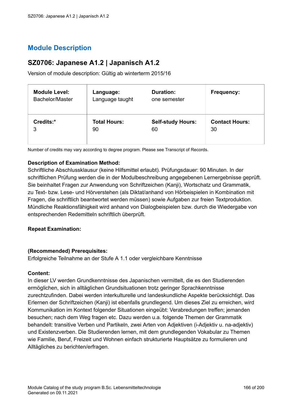## **SZ0706: Japanese A1.2 | Japanisch A1.2**

Version of module description: Gültig ab winterterm 2015/16

| <b>Module Level:</b> | Language:           | <b>Duration:</b>         | Frequency:            |
|----------------------|---------------------|--------------------------|-----------------------|
| Bachelor/Master      | Language taught     | one semester             |                       |
| Credits:*            | <b>Total Hours:</b> | <b>Self-study Hours:</b> | <b>Contact Hours:</b> |
| 3                    | 90                  | 60                       | 30                    |

Number of credits may vary according to degree program. Please see Transcript of Records.

## **Description of Examination Method:**

Schriftliche Abschlussklausur (keine Hilfsmittel erlaubt). Prüfungsdauer: 90 Minuten. In der schriftlichen Prüfung werden die in der Modulbeschreibung angegebenen Lernergebnisse geprüft. Sie beinhaltet Fragen zur Anwendung von Schriftzeichen (Kanji), Wortschatz und Grammatik, zu Text- bzw. Lese- und Hörverstehen (als Diktat/anhand von Hörbeispielen in Kombination mit Fragen, die schriftlich beantwortet werden müssen) sowie Aufgaben zur freien Textproduktion. Mündliche Reaktionsfähigkeit wird anhand von Dialogbeispielen bzw. durch die Wiedergabe von entsprechenden Redemitteln schriftlich überprüft.

### **Repeat Examination:**

### **(Recommended) Prerequisites:**

Erfolgreiche Teilnahme an der Stufe A 1.1 oder vergleichbare Kenntnisse

#### **Content:**

In dieser LV werden Grundkenntnisse des Japanischen vermittelt, die es den Studierenden ermöglichen, sich in alltäglichen Grundsituationen trotz geringer Sprachkenntnisse zurechtzufinden. Dabei werden interkulturelle und landeskundliche Aspekte berücksichtigt. Das Erlernen der Schriftzeichen (Kanji) ist ebenfalls grundlegend. Um dieses Ziel zu erreichen, wird Kommunikation im Kontext folgender Situationen eingeübt: Verabredungen treffen; jemanden besuchen; nach dem Weg fragen etc. Dazu werden u.a. folgende Themen der Grammatik behandelt: transitive Verben und Partikeln, zwei Arten von Adjektiven (i-Adjektiv u. na-adjektiv) und Existenzverben. Die Studierenden lernen, mit dem grundlegenden Vokabular zu Themen wie Familie, Beruf, Freizeit und Wohnen einfach strukturierte Hauptsätze zu formulieren und Alltägliches zu berichten/erfragen.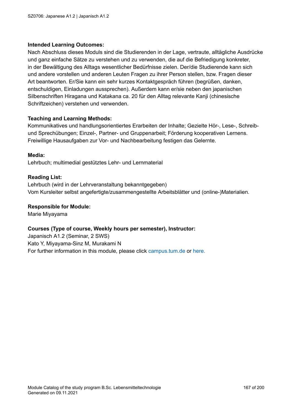Nach Abschluss dieses Moduls sind die Studierenden in der Lage, vertraute, alltägliche Ausdrücke und ganz einfache Sätze zu verstehen und zu verwenden, die auf die Befriedigung konkreter, in der Bewältigung des Alltags wesentlicher Bedürfnisse zielen. Der/die Studierende kann sich und andere vorstellen und anderen Leuten Fragen zu ihrer Person stellen, bzw. Fragen dieser Art beantworten. Er/Sie kann ein sehr kurzes Kontaktgespräch führen (begrüßen, danken, entschuldigen, Einladungen aussprechen). Außerdem kann er/sie neben den japanischen Silbenschriften Hiragana und Katakana ca. 20 für den Alltag relevante Kanji (chinesische Schriftzeichen) verstehen und verwenden.

#### **Teaching and Learning Methods:**

Kommunikatives und handlungsorientiertes Erarbeiten der Inhalte; Gezielte Hör-, Lese-, Schreibund Sprechübungen; Einzel-, Partner- und Gruppenarbeit; Förderung kooperativen Lernens. Freiwillige Hausaufgaben zur Vor- und Nachbearbeitung festigen das Gelernte.

#### **Media:**

Lehrbuch; multimedial gestütztes Lehr- und Lernmaterial

#### **Reading List:**

Lehrbuch (wird in der Lehrveranstaltung bekanntgegeben) Vom Kursleiter selbst angefertigte/zusammengestellte Arbeitsblätter und (online-)Materialien.

#### **Responsible for Module:**

Marie Miyayama

#### **Courses (Type of course, Weekly hours per semester), Instructor:**

Japanisch A1.2 (Seminar, 2 SWS) Kato Y, Miyayama-Sinz M, Murakami N For further information in this module, please click<campus.tum.de> or [here.](https://campus.tum.de/tumonline/WBMODHB.wbShowMHBReadOnly?pKnotenNr=941388&pOrgNr=26608)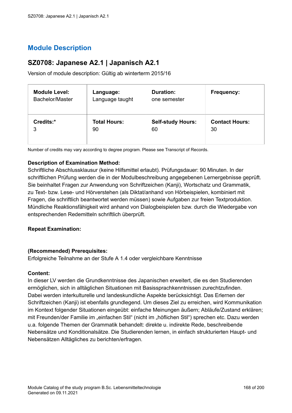## **SZ0708: Japanese A2.1 | Japanisch A2.1**

Version of module description: Gültig ab winterterm 2015/16

| <b>Module Level:</b> | Language:           | <b>Duration:</b>         | Frequency:            |
|----------------------|---------------------|--------------------------|-----------------------|
| Bachelor/Master      | Language taught     | one semester             |                       |
| Credits:*            | <b>Total Hours:</b> | <b>Self-study Hours:</b> | <b>Contact Hours:</b> |
| 3                    | 90                  | 60                       | 30                    |

Number of credits may vary according to degree program. Please see Transcript of Records.

## **Description of Examination Method:**

Schriftliche Abschlussklausur (keine Hilfsmittel erlaubt). Prüfungsdauer: 90 Minuten. In der schriftlichen Prüfung werden die in der Modulbeschreibung angegebenen Lernergebnisse geprüft. Sie beinhaltet Fragen zur Anwendung von Schriftzeichen (Kanji), Wortschatz und Grammatik, zu Text- bzw. Lese- und Hörverstehen (als Diktat/anhand von Hörbeispielen, kombiniert mit Fragen, die schriftlich beantwortet werden müssen) sowie Aufgaben zur freien Textproduktion. Mündliche Reaktionsfähigkeit wird anhand von Dialogbeispielen bzw. durch die Wiedergabe von entsprechenden Redemitteln schriftlich überprüft.

### **Repeat Examination:**

### **(Recommended) Prerequisites:**

Erfolgreiche Teilnahme an der Stufe A 1.4 oder vergleichbare Kenntnisse

#### **Content:**

In dieser LV werden die Grundkenntnisse des Japanischen erweitert, die es den Studierenden ermöglichen, sich in alltäglichen Situationen mit Basissprachkenntnissen zurechtzufinden. Dabei werden interkulturelle und landeskundliche Aspekte berücksichtigt. Das Erlernen der Schriftzeichen (Kanji) ist ebenfalls grundlegend. Um dieses Ziel zu erreichen, wird Kommunikation im Kontext folgender Situationen eingeübt: einfache Meinungen äußern; Abläufe/Zustand erklären; mit Freunden/der Familie im "einfachen Stil" (nicht im "höflichen Stil") sprechen etc. Dazu werden u.a. folgende Themen der Grammatik behandelt: direkte u. indirekte Rede, beschreibende Nebensätze und Konditionalsätze. Die Studierenden lernen, in einfach strukturierten Haupt- und Nebensätzen Alltägliches zu berichten/erfragen.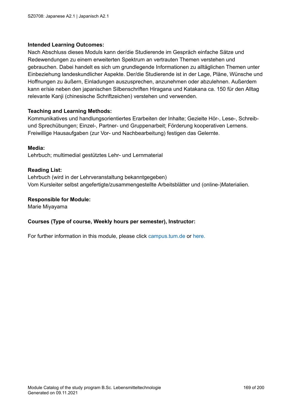Nach Abschluss dieses Moduls kann der/die Studierende im Gespräch einfache Sätze und Redewendungen zu einem erweiterten Spektrum an vertrauten Themen verstehen und gebrauchen. Dabei handelt es sich um grundlegende Informationen zu alltäglichen Themen unter Einbeziehung landeskundlicher Aspekte. Der/die Studierende ist in der Lage, Pläne, Wünsche und Hoffnungen zu äußern, Einladungen auszusprechen, anzunehmen oder abzulehnen. Außerdem kann er/sie neben den japanischen Silbenschriften Hiragana und Katakana ca. 150 für den Alltag relevante Kanji (chinesische Schriftzeichen) verstehen und verwenden.

### **Teaching and Learning Methods:**

Kommunikatives und handlungsorientiertes Erarbeiten der Inhalte; Gezielte Hör-, Lese-, Schreibund Sprechübungen; Einzel-, Partner- und Gruppenarbeit; Förderung kooperativen Lernens. Freiwillige Hausaufgaben (zur Vor- und Nachbearbeitung) festigen das Gelernte.

#### **Media:**

Lehrbuch; multimedial gestütztes Lehr- und Lernmaterial

#### **Reading List:**

Lehrbuch (wird in der Lehrveranstaltung bekanntgegeben) Vom Kursleiter selbst angefertigte/zusammengestellte Arbeitsblätter und (online-)Materialien.

#### **Responsible for Module:**

Marie Miyayama

### **Courses (Type of course, Weekly hours per semester), Instructor:**

For further information in this module, please click<campus.tum.de> or [here.](https://campus.tum.de/tumonline/WBMODHB.wbShowMHBReadOnly?pKnotenNr=941604&pOrgNr=26608)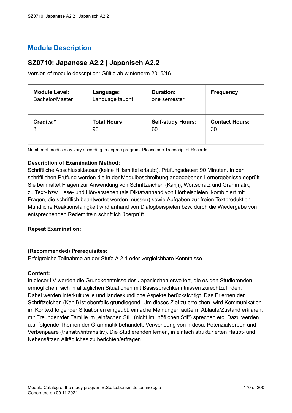## **SZ0710: Japanese A2.2 | Japanisch A2.2**

Version of module description: Gültig ab winterterm 2015/16

| <b>Module Level:</b> | Language:           | <b>Duration:</b>         | Frequency:            |
|----------------------|---------------------|--------------------------|-----------------------|
| Bachelor/Master      | Language taught     | one semester             |                       |
| Credits:*            | <b>Total Hours:</b> | <b>Self-study Hours:</b> | <b>Contact Hours:</b> |
| 3                    | 90                  | 60                       | 30                    |

Number of credits may vary according to degree program. Please see Transcript of Records.

## **Description of Examination Method:**

Schriftliche Abschlussklausur (keine Hilfsmittel erlaubt). Prüfungsdauer: 90 Minuten. In der schriftlichen Prüfung werden die in der Modulbeschreibung angegebenen Lernergebnisse geprüft. Sie beinhaltet Fragen zur Anwendung von Schriftzeichen (Kanji), Wortschatz und Grammatik, zu Text- bzw. Lese- und Hörverstehen (als Diktat/anhand von Hörbeispielen, kombiniert mit Fragen, die schriftlich beantwortet werden müssen) sowie Aufgaben zur freien Textproduktion. Mündliche Reaktionsfähigkeit wird anhand von Dialogbeispielen bzw. durch die Wiedergabe von entsprechenden Redemitteln schriftlich überprüft.

### **Repeat Examination:**

### **(Recommended) Prerequisites:**

Erfolgreiche Teilnahme an der Stufe A 2.1 oder vergleichbare Kenntnisse

### **Content:**

In dieser LV werden die Grundkenntnisse des Japanischen erweitert, die es den Studierenden ermöglichen, sich in alltäglichen Situationen mit Basissprachkenntnissen zurechtzufinden. Dabei werden interkulturelle und landeskundliche Aspekte berücksichtigt. Das Erlernen der Schriftzeichen (Kanji) ist ebenfalls grundlegend. Um dieses Ziel zu erreichen, wird Kommunikation im Kontext folgender Situationen eingeübt: einfache Meinungen äußern; Abläufe/Zustand erklären; mit Freunden/der Familie im "einfachen Stil" (nicht im "höflichen Stil") sprechen etc. Dazu werden u.a. folgende Themen der Grammatik behandelt: Verwendung von n-desu, Potenzialverben und Verbenpaare (transitiv/intransitiv). Die Studierenden lernen, in einfach strukturierten Haupt- und Nebensätzen Alltägliches zu berichten/erfragen.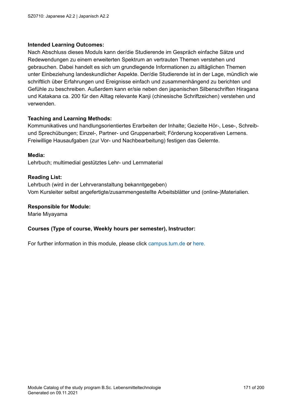Nach Abschluss dieses Moduls kann der/die Studierende im Gespräch einfache Sätze und Redewendungen zu einem erweiterten Spektrum an vertrauten Themen verstehen und gebrauchen. Dabei handelt es sich um grundlegende Informationen zu alltäglichen Themen unter Einbeziehung landeskundlicher Aspekte. Der/die Studierende ist in der Lage, mündlich wie schriftlich über Erfahrungen und Ereignisse einfach und zusammenhängend zu berichten und Gefühle zu beschreiben. Außerdem kann er/sie neben den japanischen Silbenschriften Hiragana und Katakana ca. 200 für den Alltag relevante Kanji (chinesische Schriftzeichen) verstehen und verwenden.

### **Teaching and Learning Methods:**

Kommunikatives und handlungsorientiertes Erarbeiten der Inhalte; Gezielte Hör-, Lese-, Schreibund Sprechübungen; Einzel-, Partner- und Gruppenarbeit; Förderung kooperativen Lernens. Freiwillige Hausaufgaben (zur Vor- und Nachbearbeitung) festigen das Gelernte.

#### **Media:**

Lehrbuch; multimedial gestütztes Lehr- und Lernmaterial

#### **Reading List:**

Lehrbuch (wird in der Lehrveranstaltung bekanntgegeben) Vom Kursleiter selbst angefertigte/zusammengestellte Arbeitsblätter und (online-)Materialien.

#### **Responsible for Module:**

Marie Miyayama

#### **Courses (Type of course, Weekly hours per semester), Instructor:**

For further information in this module, please click<campus.tum.de> or [here.](https://campus.tum.de/tumonline/WBMODHB.wbShowMHBReadOnly?pKnotenNr=1106156&pOrgNr=26608)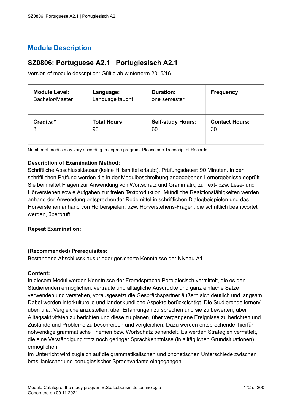# **SZ0806: Portuguese A2.1 | Portugiesisch A2.1**

Version of module description: Gültig ab winterterm 2015/16

| <b>Module Level:</b> | Language:           | <b>Duration:</b>         | Frequency:            |
|----------------------|---------------------|--------------------------|-----------------------|
| Bachelor/Master      | Language taught     | one semester             |                       |
| Credits:*            | <b>Total Hours:</b> | <b>Self-study Hours:</b> | <b>Contact Hours:</b> |
| 3                    | 90                  | 60                       | 30                    |

Number of credits may vary according to degree program. Please see Transcript of Records.

## **Description of Examination Method:**

Schriftliche Abschlussklausur (keine Hilfsmittel erlaubt). Prüfungsdauer: 90 Minuten. In der schriftlichen Prüfung werden die in der Modulbeschreibung angegebenen Lernergebnisse geprüft. Sie beinhaltet Fragen zur Anwendung von Wortschatz und Grammatik, zu Text- bzw. Lese- und Hörverstehen sowie Aufgaben zur freien Textproduktion. Mündliche Reaktionsfähigkeiten werden anhand der Anwendung entsprechender Redemittel in schriftlichen Dialogbeispielen und das Hörverstehen anhand von Hörbeispielen, bzw. Hörverstehens-Fragen, die schriftlich beantwortet werden, überprüft.

### **Repeat Examination:**

### **(Recommended) Prerequisites:**

Bestandene Abschlussklausur oder gesicherte Kenntnisse der Niveau A1.

### **Content:**

In diesem Modul werden Kenntnisse der Fremdsprache Portugiesisch vermittelt, die es den Studierenden ermöglichen, vertraute und alltägliche Ausdrücke und ganz einfache Sätze verwenden und verstehen, vorausgesetzt die Gesprächspartner äußern sich deutlich und langsam. Dabei werden interkulturelle und landeskundliche Aspekte berücksichtigt. Die Studierende lernen/ üben u.a.: Vergleiche anzustellen, über Erfahrungen zu sprechen und sie zu bewerten, über Alltagsaktivitäten zu berichten und diese zu planen, über vergangene Ereignisse zu berichten und Zustände und Probleme zu beschreiben und vergleichen. Dazu werden entsprechende, hierfür notwendige grammatische Themen bzw. Wortschatz behandelt. Es werden Strategien vermittelt, die eine Verständigung trotz noch geringer Sprachkenntnisse (in alltäglichen Grundsituationen) ermöglichen.

Im Unterricht wird zugleich auf die grammatikalischen und phonetischen Unterschiede zwischen brasilianischer und portugiesischer Sprachvariante eingegangen.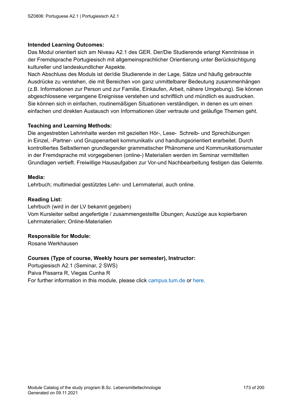Das Modul orientiert sich am Niveau A2.1 des GER. Der/Die Studierende erlangt Kenntnisse in der Fremdsprache Portugiesisch mit allgemeinsprachlicher Orientierung unter Berücksichtigung kultureller und landeskundlicher Aspekte.

Nach Abschluss des Moduls ist der/die Studierende in der Lage, Sätze und häufig gebrauchte Ausdrücke zu verstehen, die mit Bereichen von ganz unmittelbarer Bedeutung zusammenhängen (z.B. Informationen zur Person und zur Familie, Einkaufen, Arbeit, nähere Umgebung). Sie können abgeschlossene vergangene Ereignisse verstehen und schriftlich und mündlich es ausdrucken. Sie können sich in einfachen, routinemäßigen Situationen verständigen, in denen es um einen einfachen und direkten Austausch von Informationen über vertraute und geläufige Themen geht.

## **Teaching and Learning Methods:**

Die angestrebten Lehrinhalte werden mit gezielten Hör-, Lese- Schreib- und Sprechübungen in Einzel, -Partner- und Gruppenarbeit kommunikativ und handlungsorientiert erarbeitet. Durch kontrolliertes Selbstlernen grundlegender grammatischer Phänomene und Kommunikationsmuster in der Fremdsprache mit vorgegebenen (online-) Materialien werden im Seminar vermittelten Grundlagen vertieft. Freiwillige Hausaufgaben zur Vor-und Nachbearbeitung festigen das Gelernte.

### **Media:**

Lehrbuch; multimedial gestütztes Lehr- und Lernmaterial, auch online.

## **Reading List:**

Lehrbuch (wird in der LV bekannt gegeben) Vom Kursleiter selbst angefertigte / zusammengestellte Übungen; Auszüge aus kopierbaren Lehrmaterialien; Online-Materialien

### **Responsible for Module:**

Rosane Werkhausen

### **Courses (Type of course, Weekly hours per semester), Instructor:**

Portugiesisch A2.1 (Seminar, 2 SWS) Paiva Pissarra R, Viegas Cunha R For further information in this module, please click<campus.tum.de> or [here.](https://campus.tum.de/tumonline/WBMODHB.wbShowMHBReadOnly?pKnotenNr=757964&pOrgNr=26608)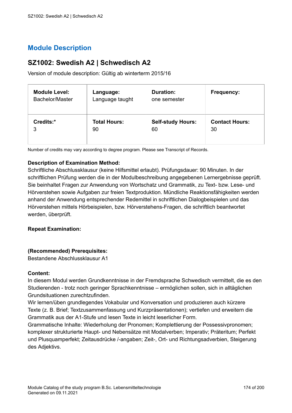## **SZ1002: Swedish A2 | Schwedisch A2**

Version of module description: Gültig ab winterterm 2015/16

| <b>Module Level:</b> | Language:           | <b>Duration:</b>         | Frequency:            |
|----------------------|---------------------|--------------------------|-----------------------|
| Bachelor/Master      | Language taught     | one semester             |                       |
| Credits:*            | <b>Total Hours:</b> | <b>Self-study Hours:</b> | <b>Contact Hours:</b> |
| 3                    | 90                  | 60                       | 30                    |

Number of credits may vary according to degree program. Please see Transcript of Records.

## **Description of Examination Method:**

Schriftliche Abschlussklausur (keine Hilfsmittel erlaubt). Prüfungsdauer: 90 Minuten. In der schriftlichen Prüfung werden die in der Modulbeschreibung angegebenen Lernergebnisse geprüft. Sie beinhaltet Fragen zur Anwendung von Wortschatz und Grammatik, zu Text- bzw. Lese- und Hörverstehen sowie Aufgaben zur freien Textproduktion. Mündliche Reaktionsfähigkeiten werden anhand der Anwendung entsprechender Redemittel in schriftlichen Dialogbeispielen und das Hörverstehen mittels Hörbeispielen, bzw. Hörverstehens-Fragen, die schriftlich beantwortet werden, überprüft.

### **Repeat Examination:**

### **(Recommended) Prerequisites:**

Bestandene Abschlussklausur A1

### **Content:**

In diesem Modul werden Grundkenntnisse in der Fremdsprache Schwedisch vermittelt, die es den Studierenden - trotz noch geringer Sprachkenntnisse – ermöglichen sollen, sich in alltäglichen Grundsituationen zurechtzufinden.

Wir lernen/üben grundlegendes Vokabular und Konversation und produzieren auch kürzere Texte (z. B. Brief; Textzusammenfassung und Kurzpräsentationen); vertiefen und erweitern die Grammatik aus der A1-Stufe und lesen Texte in leicht leserlicher Form.

Grammatische Inhalte: Wiederholung der Pronomen; Komplettierung der Possessivpronomen; komplexer strukturierte Haupt- und Nebensätze mit Modalverben; Imperativ; Präteritum; Perfekt und Plusquamperfekt; Zeitausdrücke /-angaben; Zeit-, Ort- und Richtungsadverbien, Steigerung des Adjektivs.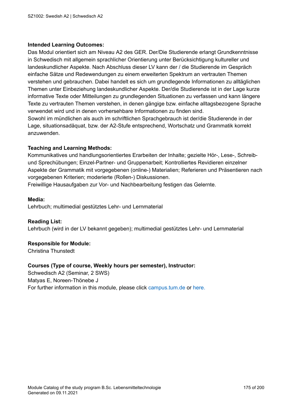Das Modul orientiert sich am Niveau A2 des GER. Der/Die Studierende erlangt Grundkenntnisse in Schwedisch mit allgemein sprachlicher Orientierung unter Berücksichtigung kultureller und landeskundlicher Aspekte. Nach Abschluss dieser LV kann der / die Studierende im Gespräch einfache Sätze und Redewendungen zu einem erweiterten Spektrum an vertrauten Themen verstehen und gebrauchen. Dabei handelt es sich um grundlegende Informationen zu alltäglichen Themen unter Einbeziehung landeskundlicher Aspekte. Der/die Studierende ist in der Lage kurze informative Texte oder Mitteilungen zu grundlegenden Situationen zu verfassen und kann längere Texte zu vertrauten Themen verstehen, in denen gängige bzw. einfache alltagsbezogene Sprache verwendet wird und in denen vorhersehbare Informationen zu finden sind.

Sowohl im mündlichen als auch im schriftlichen Sprachgebrauch ist der/die Studierende in der Lage, situationsadäquat, bzw. der A2-Stufe entsprechend, Wortschatz und Grammatik korrekt anzuwenden.

#### **Teaching and Learning Methods:**

Kommunikatives und handlungsorientiertes Erarbeiten der Inhalte; gezielte Hör-, Lese-, Schreibund Sprechübungen; Einzel-Partner- und Gruppenarbeit; Kontrolliertes Revidieren einzelner Aspekte der Grammatik mit vorgegebenen (online-) Materialien; Referieren und Präsentieren nach vorgegebenen Kriterien; moderierte (Rollen-) Diskussionen.

Freiwillige Hausaufgaben zur Vor- und Nachbearbeitung festigen das Gelernte.

#### **Media:**

Lehrbuch; multimedial gestütztes Lehr- und Lernmaterial

**Reading List:** Lehrbuch (wird in der LV bekannt gegeben); multimedial gestütztes Lehr- und Lernmaterial

### **Responsible for Module:**

Christina Thunstedt

### **Courses (Type of course, Weekly hours per semester), Instructor:**

Schwedisch A2 (Seminar, 2 SWS) Matyas E, Noreen-Thönebe J For further information in this module, please click<campus.tum.de> or [here.](https://campus.tum.de/tumonline/WBMODHB.wbShowMHBReadOnly?pKnotenNr=585480&pOrgNr=26608)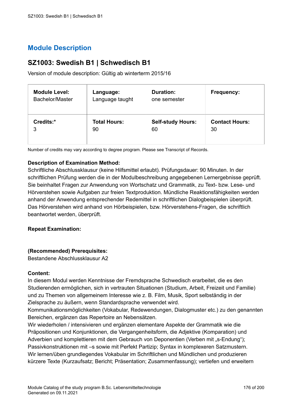## **SZ1003: Swedish B1 | Schwedisch B1**

Version of module description: Gültig ab winterterm 2015/16

| <b>Module Level:</b> | Language:           | <b>Duration:</b>         | Frequency:            |
|----------------------|---------------------|--------------------------|-----------------------|
| Bachelor/Master      | Language taught     | one semester             |                       |
| Credits:*            | <b>Total Hours:</b> | <b>Self-study Hours:</b> | <b>Contact Hours:</b> |
| 3                    | 90                  | 60                       | 30                    |

Number of credits may vary according to degree program. Please see Transcript of Records.

## **Description of Examination Method:**

Schriftliche Abschlussklausur (keine Hilfsmittel erlaubt). Prüfungsdauer: 90 Minuten. In der schriftlichen Prüfung werden die in der Modulbeschreibung angegebenen Lernergebnisse geprüft. Sie beinhaltet Fragen zur Anwendung von Wortschatz und Grammatik, zu Text- bzw. Lese- und Hörverstehen sowie Aufgaben zur freien Textproduktion. Mündliche Reaktionsfähigkeiten werden anhand der Anwendung entsprechender Redemittel in schriftlichen Dialogbeispielen überprüft. Das Hörverstehen wird anhand von Hörbeispielen, bzw. Hörverstehens-Fragen, die schriftlich beantwortet werden, überprüft.

### **Repeat Examination:**

### **(Recommended) Prerequisites:**

Bestandene Abschlussklausur A2

### **Content:**

In diesem Modul werden Kenntnisse der Fremdsprache Schwedisch erarbeitet, die es den Studierenden ermöglichen, sich in vertrauten Situationen (Studium, Arbeit, Freizeit und Familie) und zu Themen von allgemeinem Interesse wie z. B. Film, Musik, Sport selbständig in der Zielsprache zu äußern, wenn Standardsprache verwendet wird.

Kommunikationsmöglichkeiten (Vokabular, Redewendungen, Dialogmuster etc.) zu den genannten Bereichen, ergänzen das Repertoire an Nebensätzen.

Wir wiederholen / intensivieren und ergänzen elementare Aspekte der Grammatik wie die Präpositionen und Konjunktionen, die Vergangenheitsform, die Adjektive (Komparation) und Adverbien und komplettieren mit dem Gebrauch von Deponentien (Verben mit "s-Endung"); Passivkonstruktionen mit –s sowie mit Perfekt Partizip; Syntax in komplexeren Satzmustern. Wir lernen/üben grundlegendes Vokabular im Schriftlichen und Mündlichen und produzieren kürzere Texte (Kurzaufsatz; Bericht; Präsentation; Zusammenfassung); vertiefen und erweitern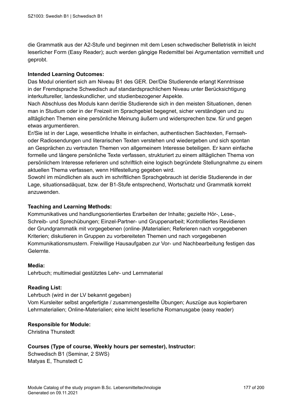die Grammatik aus der A2-Stufe und beginnen mit dem Lesen schwedischer Belletristik in leicht leserlicher Form (Easy Reader); auch werden gängige Redemittel bei Argumentation vermittelt und geprobt.

### **Intended Learning Outcomes:**

Das Modul orientiert sich am Niveau B1 des GER. Der/Die Studierende erlangt Kenntnisse in der Fremdsprache Schwedisch auf standardsprachlichem Niveau unter Berücksichtigung interkultureller, landeskundlicher, und studienbezogener Aspekte.

Nach Abschluss des Moduls kann der/die Studierende sich in den meisten Situationen, denen man in Studium oder in der Freizeit im Sprachgebiet begegnet, sicher verständigen und zu alltäglichen Themen eine persönliche Meinung äußern und widersprechen bzw. für und gegen etwas argumentieren.

Er/Sie ist in der Lage, wesentliche Inhalte in einfachen, authentischen Sachtexten, Fernsehoder Radiosendungen und literarischen Texten verstehen und wiedergeben und sich spontan an Gesprächen zu vertrauten Themen von allgemeinem Interesse beteiligen. Er kann einfache formelle und längere persönliche Texte verfassen, strukturiert zu einem alltäglichen Thema von persönlichem Interesse referieren und schriftlich eine logisch begründete Stellungnahme zu einem aktuellen Thema verfassen, wenn Hilfestellung gegeben wird.

Sowohl im mündlichen als auch im schriftlichen Sprachgebrauch ist der/die Studierende in der Lage, situationsadäquat, bzw. der B1-Stufe entsprechend, Wortschatz und Grammatik korrekt anzuwenden.

### **Teaching and Learning Methods:**

Kommunikatives und handlungsorientiertes Erarbeiten der Inhalte; gezielte Hör-, Lese-, Schreib- und Sprechübungen; Einzel-Partner- und Gruppenarbeit; Kontrolliertes Revidieren der Grundgrammatik mit vorgegebenen (online-)Materialien; Referieren nach vorgegebenen Kriterien; diskutieren in Gruppen zu vorbereiteten Themen und nach vorgegebenen Kommunikationsmustern. Freiwillige Hausaufgaben zur Vor- und Nachbearbeitung festigen das Gelernte.

### **Media:**

Lehrbuch; multimedial gestütztes Lehr- und Lernmaterial

### **Reading List:**

Lehrbuch (wird in der LV bekannt gegeben) Vom Kursleiter selbst angefertigte / zusammengestellte Übungen; Auszüge aus kopierbaren Lehrmaterialien; Online-Materialien; eine leicht leserliche Romanusgabe (easy reader)

### **Responsible for Module:**

Christina Thunstedt

### **Courses (Type of course, Weekly hours per semester), Instructor:**

Schwedisch B1 (Seminar, 2 SWS) Matyas E, Thunstedt C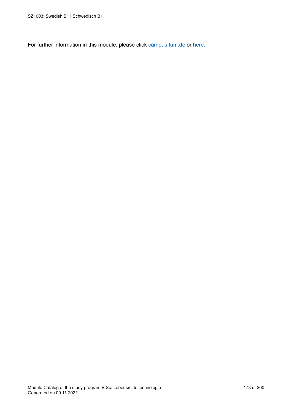For further information in this module, please click<campus.tum.de> or [here.](https://campus.tum.de/tumonline/WBMODHB.wbShowMHBReadOnly?pKnotenNr=585486&pOrgNr=26608)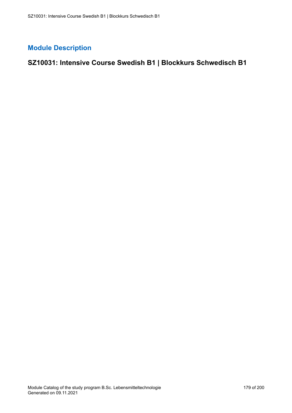## **SZ10031: Intensive Course Swedish B1 | Blockkurs Schwedisch B1**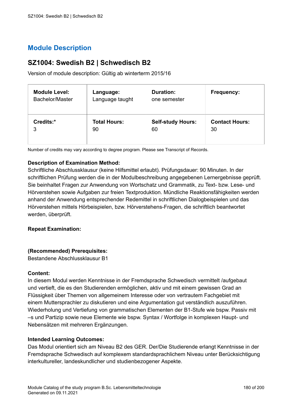## **SZ1004: Swedish B2 | Schwedisch B2**

Version of module description: Gültig ab winterterm 2015/16

| <b>Module Level:</b>   | Language:           | <b>Duration:</b>         | Frequency:            |
|------------------------|---------------------|--------------------------|-----------------------|
| <b>Bachelor/Master</b> | Language taught     | one semester             |                       |
| Credits:*              | <b>Total Hours:</b> | <b>Self-study Hours:</b> | <b>Contact Hours:</b> |
| 3                      | 90                  | 60                       | 30                    |

Number of credits may vary according to degree program. Please see Transcript of Records.

## **Description of Examination Method:**

Schriftliche Abschlussklausur (keine Hilfsmittel erlaubt). Prüfungsdauer: 90 Minuten. In der schriftlichen Prüfung werden die in der Modulbeschreibung angegebenen Lernergebnisse geprüft. Sie beinhaltet Fragen zur Anwendung von Wortschatz und Grammatik, zu Text- bzw. Lese- und Hörverstehen sowie Aufgaben zur freien Textproduktion. Mündliche Reaktionsfähigkeiten werden anhand der Anwendung entsprechender Redemittel in schriftlichen Dialogbeispielen und das Hörverstehen mittels Hörbeispielen, bzw. Hörverstehens-Fragen, die schriftlich beantwortet werden, überprüft.

### **Repeat Examination:**

### **(Recommended) Prerequisites:**

Bestandene Abschlussklausur B1

### **Content:**

In diesem Modul werden Kenntnisse in der Fremdsprache Schwedisch vermittelt /aufgebaut und vertieft, die es den Studierenden ermöglichen, aktiv und mit einem gewissen Grad an Flüssigkeit über Themen von allgemeinem Interesse oder von vertrautem Fachgebiet mit einem Muttersprachler zu diskutieren und eine Argumentation gut verständlich auszuführen. Wiederholung und Vertiefung von grammatischen Elementen der B1-Stufe wie bspw. Passiv mit –s und Partizip sowie neue Elemente wie bspw. Syntax / Wortfolge in komplexen Haupt- und Nebensätzen mit mehreren Ergänzungen.

### **Intended Learning Outcomes:**

Das Modul orientiert sich am Niveau B2 des GER. Der/Die Studierende erlangt Kenntnisse in der Fremdsprache Schwedisch auf komplexem standardsprachlichem Niveau unter Berücksichtigung interkultureller, landeskundlicher und studienbezogener Aspekte.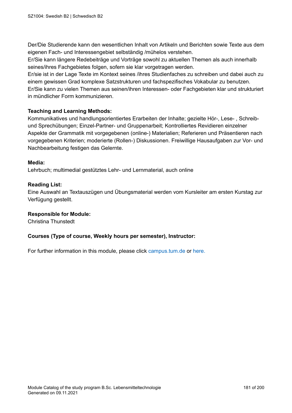Der/Die Studierende kann den wesentlichen Inhalt von Artikeln und Berichten sowie Texte aus dem eigenen Fach- und Interessengebiet selbständig /mühelos verstehen.

Er/Sie kann längere Redebeiträge und Vorträge sowohl zu aktuellen Themen als auch innerhalb seines/ihres Fachgebietes folgen, sofern sie klar vorgetragen werden.

Er/sie ist in der Lage Texte im Kontext seines /ihres Studienfaches zu schreiben und dabei auch zu einem gewissen Grad komplexe Satzstrukturen und fachspezifisches Vokabular zu benutzen. Er/Sie kann zu vielen Themen aus seinen/ihren Interessen- oder Fachgebieten klar und strukturiert in mündlicher Form kommunizieren.

#### **Teaching and Learning Methods:**

Kommunikatives und handlungsorientiertes Erarbeiten der Inhalte; gezielte Hör-, Lese- , Schreibund Sprechübungen; Einzel-Partner- und Gruppenarbeit; Kontrolliertes Revidieren einzelner Aspekte der Grammatik mit vorgegebenen (online-) Materialien; Referieren und Präsentieren nach vorgegebenen Kriterien; moderierte (Rollen-) Diskussionen. Freiwillige Hausaufgaben zur Vor- und Nachbearbeitung festigen das Gelernte.

#### **Media:**

Lehrbuch; multimedial gestütztes Lehr- und Lernmaterial, auch online

#### **Reading List:**

Eine Auswahl an Textauszügen und Übungsmaterial werden vom Kursleiter am ersten Kurstag zur Verfügung gestellt.

#### **Responsible for Module:**

Christina Thunstedt

#### **Courses (Type of course, Weekly hours per semester), Instructor:**

For further information in this module, please click<campus.tum.de> or [here.](https://campus.tum.de/tumonline/WBMODHB.wbShowMHBReadOnly?pKnotenNr=585489&pOrgNr=26608)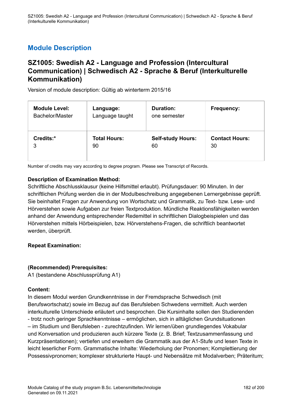### <span id="page-181-0"></span>**SZ1005: Swedish A2 - Language and Profession (Intercultural Communication) | Schwedisch A2 - Sprache & Beruf (Interkulturelle Kommunikation)**

Version of module description: Gültig ab winterterm 2015/16

| <b>Module Level:</b> | Language:           | <b>Duration:</b>         | Frequency:            |
|----------------------|---------------------|--------------------------|-----------------------|
| Bachelor/Master      | Language taught     | one semester             |                       |
| Credits:*            | <b>Total Hours:</b> | <b>Self-study Hours:</b> | <b>Contact Hours:</b> |
| 3                    | 90                  | 60                       | 30                    |

Number of credits may vary according to degree program. Please see Transcript of Records.

#### **Description of Examination Method:**

Schriftliche Abschlussklausur (keine Hilfsmittel erlaubt). Prüfungsdauer: 90 Minuten. In der schriftlichen Prüfung werden die in der Modulbeschreibung angegebenen Lernergebnisse geprüft. Sie beinhaltet Fragen zur Anwendung von Wortschatz und Grammatik, zu Text- bzw. Lese- und Hörverstehen sowie Aufgaben zur freien Textproduktion. Mündliche Reaktionsfähigkeiten werden anhand der Anwendung entsprechender Redemittel in schriftlichen Dialogbeispielen und das Hörverstehen mittels Hörbeispielen, bzw. Hörverstehens-Fragen, die schriftlich beantwortet werden, überprüft.

#### **Repeat Examination:**

#### **(Recommended) Prerequisites:**

A1 (bestandene Abschlussprüfung A1)

#### **Content:**

In diesem Modul werden Grundkenntnisse in der Fremdsprache Schwedisch (mit Berufswortschatz) sowie im Bezug auf das Berufsleben Schwedens vermittelt. Auch werden interkulturelle Unterschiede erläutert und besprochen. Die Kursinhalte sollen den Studierenden - trotz noch geringer Sprachkenntnisse – ermöglichen, sich in alltäglichen Grundsituationen – im Studium und Berufsleben - zurechtzufinden. Wir lernen/üben grundlegendes Vokabular und Konversation und produzieren auch kürzere Texte (z. B. Brief; Textzusammenfassung und Kurzpräsentationen); vertiefen und erweitern die Grammatik aus der A1-Stufe und lesen Texte in leicht leserlicher Form. Grammatische Inhalte: Wiederholung der Pronomen; Komplettierung der Possessivpronomen; komplexer strukturierte Haupt- und Nebensätze mit Modalverben; Präteritum;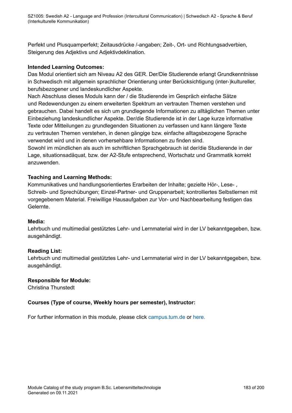Perfekt und Plusquamperfekt; Zeitausdrücke /-angaben; Zeit-, Ort- und Richtungsadverbien, Steigerung des Adjektivs und Adjektivdeklination.

#### **Intended Learning Outcomes:**

Das Modul orientiert sich am Niveau A2 des GER. Der/Die Studierende erlangt Grundkenntnisse in Schwedisch mit allgemein sprachlicher Orientierung unter Berücksichtigung (inter-)kultureller, berufsbezogener und landeskundlicher Aspekte.

Nach Abschluss dieses Moduls kann der / die Studierende im Gespräch einfache Sätze und Redewendungen zu einem erweiterten Spektrum an vertrauten Themen verstehen und gebrauchen. Dabei handelt es sich um grundlegende Informationen zu alltäglichen Themen unter Einbeziehung landeskundlicher Aspekte. Der/die Studierende ist in der Lage kurze informative Texte oder Mitteilungen zu grundlegenden Situationen zu verfassen und kann längere Texte zu vertrauten Themen verstehen, in denen gängige bzw. einfache alltagsbezogene Sprache verwendet wird und in denen vorhersehbare Informationen zu finden sind.

Sowohl im mündlichen als auch im schriftlichen Sprachgebrauch ist der/die Studierende in der Lage, situationsadäquat, bzw. der A2-Stufe entsprechend, Wortschatz und Grammatik korrekt anzuwenden.

#### **Teaching and Learning Methods:**

Kommunikatives und handlungsorientiertes Erarbeiten der Inhalte; gezielte Hör-, Lese- , Schreib- und Sprechübungen; Einzel-Partner- und Gruppenarbeit; kontrolliertes Selbstlernen mit vorgegebenem Material. Freiwillige Hausaufgaben zur Vor- und Nachbearbeitung festigen das Gelernte.

#### **Media:**

Lehrbuch und multimedial gestütztes Lehr- und Lernmaterial wird in der LV bekanntgegeben, bzw. ausgehändigt.

#### **Reading List:**

Lehrbuch und multimedial gestütztes Lehr- und Lernmaterial wird in der LV bekanntgegeben, bzw. ausgehändigt.

#### **Responsible for Module:**

Christina Thunstedt

#### **Courses (Type of course, Weekly hours per semester), Instructor:**

For further information in this module, please click<campus.tum.de> or [here.](https://campus.tum.de/tumonline/WBMODHB.wbShowMHBReadOnly?pKnotenNr=663788&pOrgNr=26608)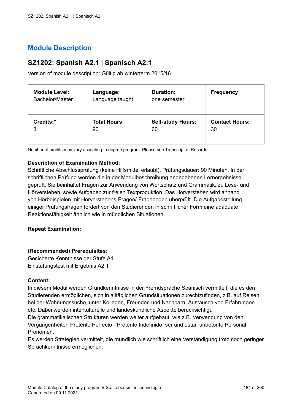## <span id="page-183-0"></span>**SZ1202: Spanish A2.1 | Spanisch A2.1**

Version of module description: Gültig ab winterterm 2015/16

| <b>Module Level:</b> | Language:           | Duration:                | <b>Frequency:</b>     |
|----------------------|---------------------|--------------------------|-----------------------|
| Bachelor/Master      | Language taught     | one semester             |                       |
| Credits:*            | <b>Total Hours:</b> | <b>Self-study Hours:</b> | <b>Contact Hours:</b> |
| 3                    | 90                  | 60                       | 30                    |

Number of credits may vary according to degree program. Please see Transcript of Records.

#### **Description of Examination Method:**

Schriftliche Abschlussprüfung (keine Hilfsmittel erlaubt). Prüfungsdauer: 90 Minuten. In der schriftlichen Prüfung werden die in der Modulbeschreibung angegebenen Lernergebnisse geprüft. Sie beinhaltet Fragen zur Anwendung von Wortschatz und Grammatik, zu Lese- und Hörverstehen, sowie Aufgaben zur freien Textproduktion. Das Hörverstehen wird anhand von Hörbeispielen mit Hörverstehens-Fragen/-Fragebogen überprüft. Die Aufgabestellung einiger Prüfungsfragen fordert von den Studierenden in schriftlicher Form eine adäquate Reaktionsfähigkeit ähnlich wie in mündlichen Situationen.

#### **Repeat Examination:**

#### **(Recommended) Prerequisites:**

Gesicherte Kenntnisse der Stufe A1 Einstufungstest mit Ergebnis A2.1

#### **Content:**

In diesem Modul werden Grundkenntnisse in der Fremdsprache Spanisch vermittelt, die es den Studierenden ermöglichen, sich in alltäglichen Grundsituationen zurechtzufinden, z.B. auf Reisen, bei der Wohnungssuche, unter Kollegen, Freunden und Nachbarn, Austausch von Erfahrungen etc. Dabei werden interkulturelle und landeskundliche Aspekte berücksichtigt.

Die grammatikalischen Strukturen werden weiter aufgebaut, wie z.B. Verwendung von den Vergangenheiten Pretérito Perfecto - Pretérito Indefinido, ser und estar, unbetonte Personal Pronomen.

Es werden Strategien vermittelt, die mündlich wie schriftlich eine Verständigung trotz noch geringer Sprachkenntnisse ermöglichen.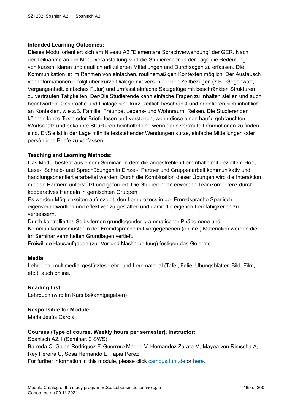#### **Intended Learning Outcomes:**

Dieses Modul orientiert sich am Niveau A2 "Elementare Sprachverwendung" der GER. Nach der Teilnahme an der Modulveranstaltung sind die Studierenden in der Lage die Bedeutung von kurzen, klaren und deutlich artikulierten Mitteilungen und Durchsagen zu erfassen. Die Kommunikation ist im Rahmen von einfachen, routinemäßigen Kontexten möglich. Der Austausch von Informationen erfolgt über kurze Dialoge mit verschiedenen Zeitbezügen (z.B.: Gegenwart, Vergangenheit, einfaches Futur) und umfasst einfache Satzgefüge mit beschränkten Strukturen zu vertrauten Tätigkeiten. Der/Die Studierende kann einfache Fragen zu Inhalten stellen und auch beantworten. Gespräche und Dialoge sind kurz, zeitlich beschränkt und orientieren sich inhaltlich an Kontexten, wie z.B. Familie, Freunde, Lebens- und Wohnraum, Reisen. Die Studierenden können kurze Texte oder Briefe lesen und verstehen, wenn diese einen häufig gebrauchten Wortschatz und bekannte Strukturen beinhaltet und wenn darin vertraute Informationen zu finden sind. Er/Sie ist in der Lage mithilfe feststehender Wendungen kurze, einfache Mitteilungen oder persönliche Briefe zu verfassen.

#### **Teaching and Learning Methods:**

Das Modul besteht aus einem Seminar, in dem die angestrebten Lerninhalte mit gezieltem Hör-, Lese-, Schreib- und Sprechübungen in Einzel-, Partner und Gruppenarbeit kommunikativ und handlungsorientiert erarbeitet werden. Durch die Kombination dieser Übungen wird die Interaktion mit den Partnern unterstützt und gefordert. Die Studierenden erwerben Teamkompetenz durch kooperatives Handeln in gemischten Gruppen.

Es werden Möglichkeiten aufgezeigt, den Lernprozess in der Fremdsprache Spanisch eigenverantwortlich und effektiver zu gestalten und damit die eigenen Lernfähigkeiten zu verbessern.

Durch kontrolliertes Selbstlernen grundlegender grammatischer Phänomene und Kommunikationsmuster in der Fremdsprache mit vorgegebenen (online-) Materialien werden die im Seminar vermittelten Grundlagen vertieft.

Freiwillige Hausaufgaben (zur Vor-und Nacharbeitung) festigen das Gelernte.

#### **Media:**

Lehrbuch; multimedial gestütztes Lehr- und Lernmaterial (Tafel, Folie, Übungsblätter, Bild, Film, etc.), auch online.

#### **Reading List:**

Lehrbuch (wird im Kurs bekanntgegeben)

#### **Responsible for Module:**

Maria Jesús García

#### **Courses (Type of course, Weekly hours per semester), Instructor:**

Spanisch A2.1 (Seminar, 2 SWS) Barreda C, Galan Rodriguez F, Guerrero Madrid V, Hernandez Zarate M, Mayea von Rimscha A, Rey Pereira C, Sosa Hernando E, Tapia Perez T For further information in this module, please click<campus.tum.de> or [here.](https://campus.tum.de/tumonline/WBMODHB.wbShowMHBReadOnly?pKnotenNr=542972&pOrgNr=26608)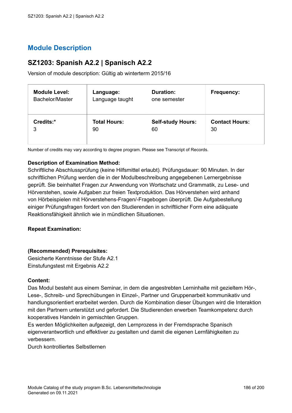## <span id="page-185-0"></span>**SZ1203: Spanish A2.2 | Spanisch A2.2**

Version of module description: Gültig ab winterterm 2015/16

| <b>Module Level:</b> | Language:           | <b>Duration:</b>         | Frequency:            |
|----------------------|---------------------|--------------------------|-----------------------|
| Bachelor/Master      | Language taught     | one semester             |                       |
| Credits:*            | <b>Total Hours:</b> | <b>Self-study Hours:</b> | <b>Contact Hours:</b> |
| 3                    | 90                  | 60                       | 30                    |

Number of credits may vary according to degree program. Please see Transcript of Records.

#### **Description of Examination Method:**

Schriftliche Abschlussprüfung (keine Hilfsmittel erlaubt). Prüfungsdauer: 90 Minuten. In der schriftlichen Prüfung werden die in der Modulbeschreibung angegebenen Lernergebnisse geprüft. Sie beinhaltet Fragen zur Anwendung von Wortschatz und Grammatik, zu Lese- und Hörverstehen, sowie Aufgaben zur freien Textproduktion. Das Hörverstehen wird anhand von Hörbeispielen mit Hörverstehens-Fragen/-Fragebogen überprüft. Die Aufgabestellung einiger Prüfungsfragen fordert von den Studierenden in schriftlicher Form eine adäquate Reaktionsfähigkeit ähnlich wie in mündlichen Situationen.

#### **Repeat Examination:**

#### **(Recommended) Prerequisites:**

Gesicherte Kenntnisse der Stufe A2.1 Einstufungstest mit Ergebnis A2.2

#### **Content:**

Das Modul besteht aus einem Seminar, in dem die angestrebten Lerninhalte mit gezieltem Hör-, Lese-, Schreib- und Sprechübungen in Einzel-, Partner und Gruppenarbeit kommunikativ und handlungsorientiert erarbeitet werden. Durch die Kombination dieser Übungen wird die Interaktion mit den Partnern unterstützt und gefordert. Die Studierenden erwerben Teamkompetenz durch kooperatives Handeln in gemischten Gruppen.

Es werden Möglichkeiten aufgezeigt, den Lernprozess in der Fremdsprache Spanisch eigenverantwortlich und effektiver zu gestalten und damit die eigenen Lernfähigkeiten zu verbessern.

Durch kontrolliertes Selbstlernen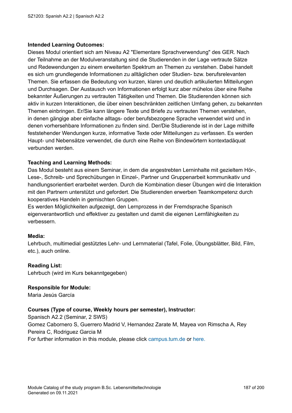#### **Intended Learning Outcomes:**

Dieses Modul orientiert sich am Niveau A2 "Elementare Sprachverwendung" des GER. Nach der Teilnahme an der Modulveranstaltung sind die Studierenden in der Lage vertraute Sätze und Redewendungen zu einem erweiterten Spektrum an Themen zu verstehen. Dabei handelt es sich um grundlegende Informationen zu alltäglichen oder Studien- bzw. berufsrelevanten Themen. Sie erfassen die Bedeutung von kurzen, klaren und deutlich artikulierten Mitteilungen und Durchsagen. Der Austausch von Informationen erfolgt kurz aber mühelos über eine Reihe bekannter Äußerungen zu vertrauten Tätigkeiten und Themen. Die Studierenden können sich aktiv in kurzen Interaktionen, die über einen beschränkten zeitlichen Umfang gehen, zu bekannten Themen einbringen. Er/Sie kann längere Texte und Briefe zu vertrauten Themen verstehen, in denen gängige aber einfache alltags- oder berufsbezogene Sprache verwendet wird und in denen vorhersehbare Informationen zu finden sind. Der/Die Studierende ist in der Lage mithilfe feststehender Wendungen kurze, informative Texte oder Mitteilungen zu verfassen. Es werden Haupt- und Nebensätze verwendet, die durch eine Reihe von Bindewörtern kontextadäquat verbunden werden.

#### **Teaching and Learning Methods:**

Das Modul besteht aus einem Seminar, in dem die angestrebten Lerninhalte mit gezieltem Hör-, Lese-, Schreib- und Sprechübungen in Einzel-, Partner und Gruppenarbeit kommunikativ und handlungsorientiert erarbeitet werden. Durch die Kombination dieser Übungen wird die Interaktion mit den Partnern unterstützt und gefordert. Die Studierenden erwerben Teamkompetenz durch kooperatives Handeln in gemischten Gruppen.

Es werden Möglichkeiten aufgezeigt, den Lernprozess in der Fremdsprache Spanisch eigenverantwortlich und effektiver zu gestalten und damit die eigenen Lernfähigkeiten zu verbessern.

#### **Media:**

Lehrbuch, multimedial gestütztes Lehr- und Lernmaterial (Tafel, Folie, Übungsblätter, Bild, Film, etc.), auch online.

#### **Reading List:**

Lehrbuch (wird im Kurs bekanntgegeben)

#### **Responsible for Module:**

Maria Jesús García

#### **Courses (Type of course, Weekly hours per semester), Instructor:**

Spanisch A2.2 (Seminar, 2 SWS) Gomez Cabornero S, Guerrero Madrid V, Hernandez Zarate M, Mayea von Rimscha A, Rey Pereira C, Rodriguez Garcia M For further information in this module, please click<campus.tum.de> or [here.](https://campus.tum.de/tumonline/WBMODHB.wbShowMHBReadOnly?pKnotenNr=542986&pOrgNr=26608)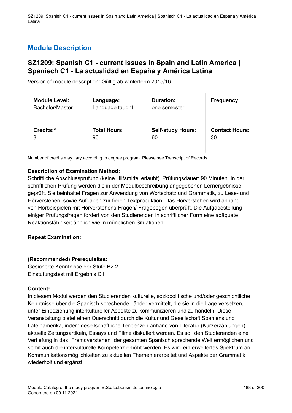### <span id="page-187-0"></span>**SZ1209: Spanish C1 - current issues in Spain and Latin America | Spanisch C1 - La actualidad en España y América Latina**

Version of module description: Gültig ab winterterm 2015/16

| <b>Module Level:</b> | Language:           | <b>Duration:</b>         | <b>Frequency:</b>     |
|----------------------|---------------------|--------------------------|-----------------------|
| Bachelor/Master      | Language taught     | one semester             |                       |
| Credits:*            | <b>Total Hours:</b> | <b>Self-study Hours:</b> | <b>Contact Hours:</b> |
| 3                    | 90                  | 60                       | 30                    |

Number of credits may vary according to degree program. Please see Transcript of Records.

#### **Description of Examination Method:**

Schriftliche Abschlussprüfung (keine Hilfsmittel erlaubt). Prüfungsdauer: 90 Minuten. In der schriftlichen Prüfung werden die in der Modulbeschreibung angegebenen Lernergebnisse geprüft. Sie beinhaltet Fragen zur Anwendung von Wortschatz und Grammatik, zu Lese- und Hörverstehen, sowie Aufgaben zur freien Textproduktion. Das Hörverstehen wird anhand von Hörbeispielen mit Hörverstehens-Fragen/-Fragebogen überprüft. Die Aufgabestellung einiger Prüfungsfragen fordert von den Studierenden in schriftlicher Form eine adäquate Reaktionsfähigkeit ähnlich wie in mündlichen Situationen.

#### **Repeat Examination:**

#### **(Recommended) Prerequisites:**

Gesicherte Kenntnisse der Stufe B2.2 Einstufungstest mit Ergebnis C1

#### **Content:**

In diesem Modul werden den Studierenden kulturelle, soziopolitische und/oder geschichtliche Kenntnisse über die Spanisch sprechende Länder vermittelt, die sie in die Lage versetzen, unter Einbeziehung interkultureller Aspekte zu kommunizieren und zu handeln. Diese Veranstaltung bietet einen Querschnitt durch die Kultur und Gesellschaft Spaniens und Lateinamerika, indem gesellschaftliche Tendenzen anhand von Literatur (Kurzerzählungen), aktuelle Zeitungsartikeln, Essays und Filme diskutiert werden. Es soll den Studierenden eine Vertiefung in das "Fremdverstehen" der gesamten Spanisch sprechende Welt ermöglichen und somit auch die interkulturelle Kompetenz erhöht werden. Es wird ein erweitertes Spektrum an Kommunikationsmöglichkeiten zu aktuellen Themen erarbeitet und Aspekte der Grammatik wiederholt und ergänzt.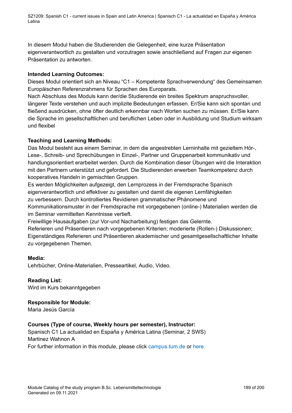SZ1209: Spanish C1 - current issues in Spain and Latin America | Spanisch C1 - La actualidad en España y América Latina

In diesem Modul haben die Studierenden die Gelegenheit, eine kurze Präsentation eigenverantwortlich zu gestalten und vorzutragen sowie anschließend auf Fragen zur eigenen Präsentation zu antworten.

#### **Intended Learning Outcomes:**

Dieses Modul orientiert sich an Niveau "C1 – Kompetente Sprachverwendung" des Gemeinsamen Europäischen Referenzrahmens für Sprachen des Europarats.

Nach Abschluss des Moduls kann der/die Studierende ein breites Spektrum anspruchsvoller, längerer Texte verstehen und auch implizite Bedeutungen erfassen. Er/Sie kann sich spontan und fließend ausdrücken, ohne öfter deutlich erkennbar nach Worten suchen zu müssen. Er/Sie kann die Sprache im gesellschaftlichen und beruflichen Leben oder in Ausbildung und Studium wirksam und flexibel

#### **Teaching and Learning Methods:**

Das Modul besteht aus einem Seminar, in dem die angestrebten Lerninhalte mit gezieltem Hör-, Lese-, Schreib- und Sprechübungen in Einzel-, Partner und Gruppenarbeit kommunikativ und handlungsorientiert erarbeitet werden. Durch die Kombination dieser Übungen wird die Interaktion mit den Partnern unterstützt und gefordert. Die Studierenden erwerben Teamkompetenz durch kooperatives Handeln in gemischten Gruppen.

Es werden Möglichkeiten aufgezeigt, den Lernprozess in der Fremdsprache Spanisch eigenverantwortlich und effektiver zu gestalten und damit die eigenen Lernfähigkeiten zu verbessern. Durch kontrolliertes Revidieren grammatischer Phänomene und Kommunikationsmuster in der Fremdsprache mit vorgegebenen (online-) Materialien werden die im Seminar vermittelten Kenntnisse vertieft.

Freiwillige Hausaufgaben (zur Vor-und Nacharbeitung) festigen das Gelernte. Referieren und Präsentieren nach vorgegebenen Kriterien; moderierte (Rollen-) Diskussionen;

Eigenständiges Referieren und Präsentieren akademischer und gesamtgesellschaftlicher Inhalte zu vorgegebenen Themen.

#### **Media:**

Lehrbücher, Online-Materialien, Presseartikel, Audio, Video.

**Reading List:** Wird im Kurs bekanntgegeben

#### **Responsible for Module:**

Maria Jesús García

#### **Courses (Type of course, Weekly hours per semester), Instructor:**

Spanisch C1 La actualidad en España y América Latina (Seminar, 2 SWS) Martinez Wahnon A For further information in this module, please click<campus.tum.de> or [here.](https://campus.tum.de/tumonline/WBMODHB.wbShowMHBReadOnly?pKnotenNr=543025&pOrgNr=26608)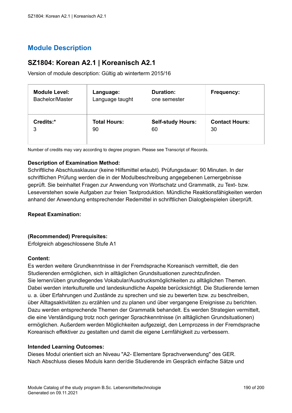### <span id="page-189-0"></span>**SZ1804: Korean A2.1 | Koreanisch A2.1**

Version of module description: Gültig ab winterterm 2015/16

| <b>Module Level:</b> | Language:           | <b>Duration:</b>         | Frequency:            |
|----------------------|---------------------|--------------------------|-----------------------|
| Bachelor/Master      | Language taught     | one semester             |                       |
| Credits:*            | <b>Total Hours:</b> | <b>Self-study Hours:</b> | <b>Contact Hours:</b> |
| 3                    | 90                  | 60                       | 30                    |

Number of credits may vary according to degree program. Please see Transcript of Records.

#### **Description of Examination Method:**

Schriftliche Abschlussklausur (keine Hilfsmittel erlaubt). Prüfungsdauer: 90 Minuten. In der schriftlichen Prüfung werden die in der Modulbeschreibung angegebenen Lernergebnisse geprüft. Sie beinhaltet Fragen zur Anwendung von Wortschatz und Grammatik, zu Text- bzw. Leseverstehen sowie Aufgaben zur freien Textproduktion. Mündliche Reaktionsfähigkeiten werden anhand der Anwendung entsprechender Redemittel in schriftlichen Dialogbeispielen überprüft.

#### **Repeat Examination:**

#### **(Recommended) Prerequisites:**

Erfolgreich abgeschlossene Stufe A1

#### **Content:**

Es werden weitere Grundkenntnisse in der Fremdsprache Koreanisch vermittelt, die den Studierenden ermöglichen, sich in alltäglichen Grundsituationen zurechtzufinden. Sie lernen/üben grundlegendes Vokabular/Ausdrucksmöglichkeiten zu alltäglichen Themen. Dabei werden interkulturelle und landeskundliche Aspekte berücksichtigt. Die Studierende lernen u. a. über Erfahrungen und Zustände zu sprechen und sie zu bewerten bzw. zu beschreiben, über Alltagsaktivitäten zu erzählen und zu planen und über vergangene Ereignisse zu berichten. Dazu werden entsprechende Themen der Grammatik behandelt. Es werden Strategien vermittelt, die eine Verständigung trotz noch geringer Sprachkenntnisse (in alltäglichen Grundsituationen) ermöglichen. Außerdem werden Möglichkeiten aufgezeigt, den Lernprozess in der Fremdsprache Koreanisch effektiver zu gestalten und damit die eigene Lernfähigkeit zu verbessern.

#### **Intended Learning Outcomes:**

Dieses Modul orientiert sich an Niveau "A2- Elementare Sprachverwendung" des GER. Nach Abschluss dieses Moduls kann der/die Studierende im Gespräch einfache Sätze und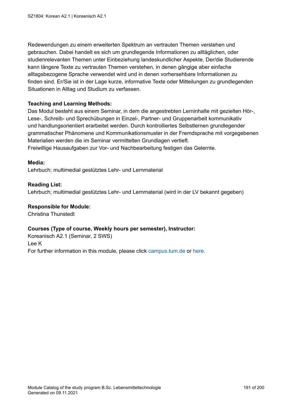Redewendungen zu einem erweiterten Spektrum an vertrauten Themen verstehen und gebrauchen. Dabei handelt es sich um grundlegende Informationen zu alltäglichen, oder studienrelevanten Themen unter Einbeziehung landeskundlicher Aspekte. Der/die Studierende kann längere Texte zu vertrauten Themen verstehen, in denen gängige aber einfache alltagsbezogene Sprache verwendet wird und in denen vorhersehbare Informationen zu finden sind. Er/Sie ist in der Lage kurze, informative Texte oder Mitteilungen zu grundlegenden Situationen in Alltag und Studium zu verfassen.

#### **Teaching and Learning Methods:**

Das Modul besteht aus einem Seminar, in dem die angestrebten Lerninhalte mit gezielten Hör-, Lese-, Schreib- und Sprechübungen in Einzel-, Partner- und Gruppenarbeit kommunikativ und handlungsorientiert erarbeitet werden. Durch kontrolliertes Selbstlernen grundlegender grammatischer Phänomene und Kommunikationsmuster in der Fremdsprache mit vorgegebenen Materialien werden die im Seminar vermittelten Grundlagen vertieft.

Freiwillige Hausaufgaben zur Vor- und Nachbearbeitung festigen das Gelernte.

#### **Media:**

Lehrbuch; multimedial gestütztes Lehr- und Lernmaterial

#### **Reading List:**

Lehrbuch; multimedial gestütztes Lehr- und Lernmaterial (wird in der LV bekannt gegeben)

#### **Responsible for Module:**

Christina Thunstedt

#### **Courses (Type of course, Weekly hours per semester), Instructor:**

Koreanisch A2.1 (Seminar, 2 SWS) Lee K For further information in this module, please click<campus.tum.de> or [here.](https://campus.tum.de/tumonline/WBMODHB.wbShowMHBReadOnly?pKnotenNr=977988&pOrgNr=26608)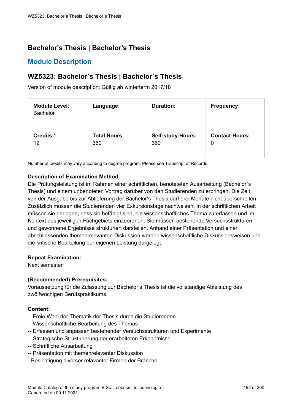## <span id="page-191-1"></span>**Bachelor's Thesis | Bachelor's Thesis**

### <span id="page-191-0"></span>**Module Description**

### **WZ5323: Bachelor´s Thesis | Bachelor´s Thesis**

Version of module description: Gültig ab winterterm 2017/18

| <b>Module Level:</b><br><b>Bachelor</b> | Language:           | <b>Duration:</b>         | Frequency:            |
|-----------------------------------------|---------------------|--------------------------|-----------------------|
| Credits:*                               | <b>Total Hours:</b> | <b>Self-study Hours:</b> | <b>Contact Hours:</b> |
| 12                                      | 360                 | 360                      | 0                     |

Number of credits may vary according to degree program. Please see Transcript of Records.

#### **Description of Examination Method:**

Die Prüfungsleistung ist im Rahmen einer schriftlichen, benoteteten Ausarbeitung (Bachelor´s Thesis) und einem unbenoteten Vortrag darüber von den Studierenden zu erbringen. Die Zeit von der Ausgabe bis zur Ablieferung der Bachelor's Thesis darf drei Monate nicht überschreiten. Zusätzlich müssen die Studierenden vier Exkursionstage nachweisen. In der schriftlichen Arbeit müssen sie darlegen, dass sie befähigt sind, ein wissenschaftliches Thema zu erfassen und im Kontext des jeweiligen Fachgebiets einzuordnen. Sie müssen bestehende Versuchsstrukturen und gewonnene Ergebnisse strukturiert darstellen. Anhand einer Präsentation und einer abschliessenden themenrelevanten Diskussion werden wissenschaftliche Diskussionsweisen und die kritische Beurteilung der eigenen Leistung dargelegt.

#### **Repeat Examination:**

Next semester

#### **(Recommended) Prerequisites:**

Voraussetzung für die Zulassung zur Bachelor's Thesis ist die vollständige Ableistung des zwölfwöchigen Berufspraktikums.

#### **Content:**

- -- Freie Wahl der Thematik der Thesis durch die Studierenden
- -- Wissenschaftliche Bearbeitung des Themas
- -- Erfassen und anpassen bestehender Versuchsstrukturen und Experimente
- -- Strategische Strukturierung der erarbeiteten Erkenntnisse
- -- Schriftliche Ausarbeitung
- -- Präsentation mit themenrelevanter Diskussion
- Besichtigung diverser relavanter Firmen der Branche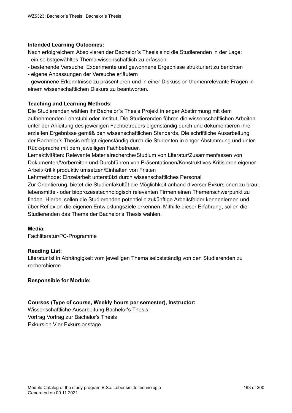#### **Intended Learning Outcomes:**

Nach erfolgreichem Absolvieren der Bachelor´s Thesis sind die Studierenden in der Lage: - ein selbstgewähltes Thema wissenschaftlich zu erfassen

- bestehende Versuche, Experimente und gewonnene Ergebnisse strukturiert zu berichten
- eigene Anpassungen der Versuche erläutern

- gewonnene Erkenntnisse zu präsentieren und in einer Diskussion themenrelevante Fragen in einem wissenschaftlichen Diskurs zu beantworten.

#### **Teaching and Learning Methods:**

Die Studierenden wählen ihr Bachelor`s Thesis Projekt in enger Abstimmung mit dem aufnehmenden Lehrstuhl oder Institut. Die Studierenden führen die wissenschaftlichen Arbeiten unter der Anleitung des jeweiligen Fachbetreuers eigenständig durch und dokumentieren ihre erzielten Ergebnisse gemäß den wissenschaftlichen Standards. Die schriftliche Ausarbeitung der Bachelor's Thesis erfolgt eigenständig durch die Studenten in enger Abstimmung und unter Rücksprache mit dem jeweiligen Fachbetreuer.

Lernaktivitäten: Relevante Materialrecherche/Studium von Literatur/Zusammenfassen von Dokumenten/Vorbereiten und Durchführen von Präsentationen/Konstruktives Kritisieren eigener Arbeit/Kritik produktiv umsetzen/Einhalten von Fristen

Lehrmethode: Einzelarbeit unterstützt durch wissenschaftliches Personal

Zur Orientierung, bietet die Studienfakultät die Möglichkeit anhand diverser Exkursionen zu brau-, lebensmittel- oder bioprozesstechnologisch relevanten Firmen einen Themenschwerpunkt zu finden. Hierbei sollen die Studierenden potentielle zukünftige Arbeitsfelder kennenlernen und über Reflexion die eigenen Entwicklungsziele erkennen. Mithilfe dieser Erfahrung, sollen die Studierenden das Thema der Bachelor's Thesis wählen.

#### **Media:**

Fachliteratur/PC-Programme

#### **Reading List:**

Literatur ist in Abhängigkeit vom jeweiligen Thema selbstständig von den Studierenden zu recherchieren.

#### **Responsible for Module:**

#### **Courses (Type of course, Weekly hours per semester), Instructor:**

Wissenschaftliche Ausarbeitung Bachelor's Thesis Vortrag Vortrag zur Bachelor's Thesis Exkursion Vier Exkursionstage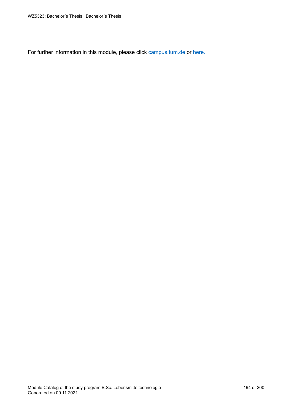For further information in this module, please click<campus.tum.de> or [here.](https://campus.tum.de/tumonline/WBMODHB.wbShowMHBReadOnly?pKnotenNr=1020649&pOrgNr=51258)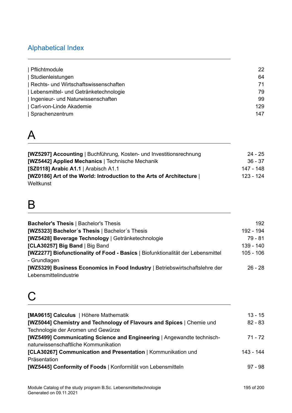## Alphabetical Index

| 22  |
|-----|
| 64  |
| 71  |
| 79  |
| 99  |
| 129 |
| 147 |
|     |

# A

| <b>[WZ5297] Accounting</b>   Buchführung, Kosten- und Investitionsrechnung | $24 - 25$ |
|----------------------------------------------------------------------------|-----------|
| <b>[WZ5442] Applied Mechanics</b>   Technische Mechanik                    | $36 - 37$ |
| [SZ0118] Arabic A1.1   Arabisch A1.1                                       | 147 - 148 |
| [WZ0186] Art of the World: Introduction to the Arts of Architecture        | 123 - 124 |
| Weltkunst                                                                  |           |

# B

| <b>Bachelor's Thesis   Bachelor's Thesis</b>                                    | 192         |
|---------------------------------------------------------------------------------|-------------|
| [WZ5323] Bachelor's Thesis   Bachelor's Thesis                                  | 192 - 194   |
| [WZ5428] Beverage Technology   Getränketechnologie                              | 79 - 81     |
| [CLA30257] Big Band   Big Band                                                  | 139 - 140   |
| [WZ2277] Biofunctionality of Food - Basics   Biofunktionalität der Lebensmittel | $105 - 106$ |
| - Grundlagen                                                                    |             |
| [WZ5329] Business Economics in Food Industry   Betriebswirtschaftslehre der     | $26 - 28$   |
| Lebensmittelindustrie                                                           |             |

# C

| [MA9615] Calculus   Höhere Mathematik                                         | $13 - 15$ |
|-------------------------------------------------------------------------------|-----------|
| <b>[WZ5044] Chemistry and Technology of Flavours and Spices</b>   Chemie und  | $82 - 83$ |
| Technologie der Aromen und Gewürze                                            |           |
| <b>[WZ5499] Communicating Science and Engineering   Angewandte technisch-</b> | 71 - 72   |
| naturwissenschaftliche Kommunikation                                          |           |
| [CLA30267] Communication and Presentation   Kommunikation und                 | 143 - 144 |
| Präsentation                                                                  |           |
| [WZ5445] Conformity of Foods   Konformität von Lebensmitteln                  | $97 - 98$ |
|                                                                               |           |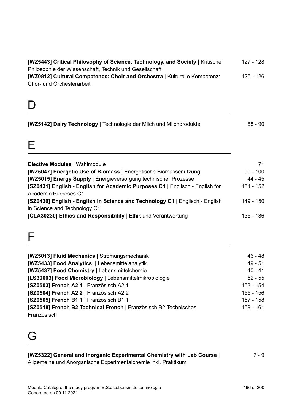| [WZ5443] Critical Philosophy of Science, Technology, and Society   Kritische<br>Philosophie der Wissenschaft, Technik und Gesellschaft | 127 - 128  |
|----------------------------------------------------------------------------------------------------------------------------------------|------------|
| [WZ0812] Cultural Competence: Choir and Orchestra   Kulturelle Kompetenz:<br>Chor- und Orchesterarbeit                                 | 125 - 126  |
|                                                                                                                                        |            |
| [WZ5142] Dairy Technology   Technologie der Milch und Milchprodukte                                                                    | $88 - 90$  |
| E                                                                                                                                      |            |
| Elective Modules   Wahlmodule                                                                                                          | 71         |
| [WZ5047] Energetic Use of Biomass   Energetische Biomassenutzung                                                                       | $99 - 100$ |
| [WZ5015] Energy Supply   Energieversorgung technischer Prozesse                                                                        | 44 - 45    |
| [SZ0431] English - English for Academic Purposes C1   Englisch - English for<br>Academic Purposes C1                                   | 151 - 152  |
| [SZ0430] English - English in Science and Technology C1   Englisch - English<br>in Science and Technology C1                           | 149 - 150  |
| [CLA30230] Ethics and Responsibility   Ethik und Verantwortung                                                                         | 135 - 136  |
| ⊢                                                                                                                                      |            |
| [WZ5013] Fluid Mechanics   Strömungsmechanik                                                                                           | $46 - 48$  |
| [WZ5433] Food Analytics   Lebensmittelanalytik                                                                                         | $49 - 51$  |
| [WZ5437] Food Chemistry   Lebensmittelchemie                                                                                           | $40 - 41$  |
| [LS30003] Food Microbiology   Lebensmittelmikrobiologie                                                                                | $52 - 55$  |
| [SZ0503] French A2.1   Französisch A2.1                                                                                                | 153 - 154  |
| [SZ0504] French A2.2   Französisch A2.2                                                                                                | 155 - 156  |
| [SZ0505] French B1.1   Französisch B1.1                                                                                                | 157 - 158  |
| [SZ0518] French B2 Technical French   Französisch B2 Technisches<br>Französisch                                                        | 159 - 161  |
|                                                                                                                                        |            |

#### **[\[WZ5322\] General and Inorganic Experimental Chemistry with Lab Course](#page-6-0)** | [Allgemeine und Anorganische Experimentalchemie inkl. Praktikum](#page-6-0)

[7 - 9](#page-6-0)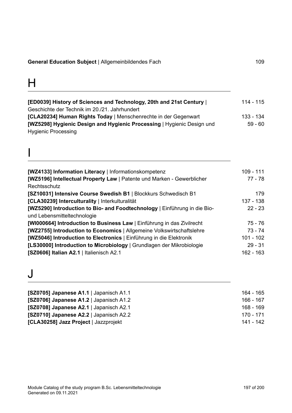#### [General Education Subject](#page-108-1) | Allgemeinbildendes Fach [109](#page-108-1)

<u> 1989 - Johann Stoff, fransk politik (d. 1989)</u>

# $H$

| [ED0039] History of Sciences and Technology, 20th and 21st Century            | 114 - 115 |
|-------------------------------------------------------------------------------|-----------|
| Geschichte der Technik im 20./21. Jahrhundert                                 |           |
| <b>[CLA20234] Human Rights Today</b>   Menschenrechte in der Gegenwart        | 133 - 134 |
| <b>[WZ5298] Hygienic Design and Hygienic Processing   Hygienic Design und</b> | $59 - 60$ |
| <b>Hygienic Processing</b>                                                    |           |

# I

| [WZ4133] Information Literacy   Informationskompetenz<br>[WZ5196] Intellectual Property Law   Patente und Marken - Gewerblicher<br>Rechtsschutz | $109 - 111$<br>$77 - 78$ |
|-------------------------------------------------------------------------------------------------------------------------------------------------|--------------------------|
| [SZ10031] Intensive Course Swedish B1   Blockkurs Schwedisch B1                                                                                 | 179                      |
| [CLA30239] Interculturality   Interkulturalität                                                                                                 | 137 - 138                |
| [WZ5290] Introduction to Bio- and Foodtechnology   Einführung in die Bio-                                                                       | $22 - 23$                |
| und Lebensmitteltechnologie                                                                                                                     |                          |
| [WI000664] Introduction to Business Law   Einführung in das Zivilrecht                                                                          | $75 - 76$                |
| [WZ2755] Introduction to Economics   Allgemeine Volkswirtschaftslehre                                                                           | $73 - 74$                |
| [WZ5046] Introduction to Electronics   Einführung in die Elektronik                                                                             | $101 - 102$              |
| [LS30000] Introduction to Microbiology   Grundlagen der Mikrobiologie                                                                           | $29 - 31$                |
| [SZ0606] Italian A2.1   Italienisch A2.1                                                                                                        | $162 - 163$              |

# J

| <b>[SZ0705] Japanese A1.1</b>   Japanisch A1.1 | 164 - 165 |
|------------------------------------------------|-----------|
| <b>[SZ0706] Japanese A1.2</b>   Japanisch A1.2 | 166 - 167 |
| <b>[SZ0708] Japanese A2.1</b>   Japanisch A2.1 | 168 - 169 |
| <b>[SZ0710] Japanese A2.2</b>   Japanisch A2.2 | 170 - 171 |
| <b>[CLA30258] Jazz Project   Jazzprojekt</b>   | 141 - 142 |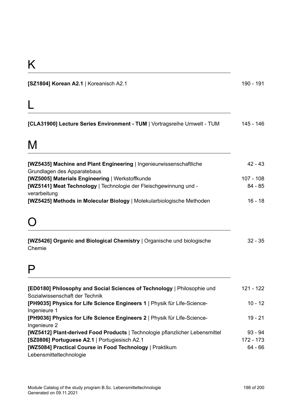| [SZ1804] Korean A2.1   Koreanisch A2.1                                                                    | 190 - 191   |
|-----------------------------------------------------------------------------------------------------------|-------------|
|                                                                                                           |             |
| [CLA31900] Lecture Series Environment - TUM   Vortragsreihe Umwelt - TUM                                  | 145 - 146   |
| M                                                                                                         |             |
| [WZ5435] Machine and Plant Engineering   Ingenieurwissenschaftliche<br>Grundlagen des Apparatebaus        | $42 - 43$   |
| [WZ5005] Materials Engineering   Werkstoffkunde                                                           | $107 - 108$ |
| [WZ5141] Meat Technology   Technologie der Fleischgewinnung und -<br>verarbeitung                         | 84 - 85     |
| [WZ5425] Methods in Molecular Biology   Molekularbiologische Methoden                                     | $16 - 18$   |
|                                                                                                           |             |
| [WZ5426] Organic and Biological Chemistry   Organische und biologische<br>Chemie                          | $32 - 35$   |
|                                                                                                           |             |
| [ED0180] Philosophy and Social Sciences of Technology   Philosophie und<br>Sozialwissenschaft der Technik | 121 - 122   |
| [PH9035] Physics for Life Science Engineers 1   Physik für Life-Science-<br>Ingenieure 1                  | $10 - 12$   |
| [PH9036] Physics for Life Science Engineers 2   Physik für Life-Science-<br>Ingenieure 2                  | $19 - 21$   |
| [WZ5412] Plant-derived Food Products   Technologie pflanzlicher Lebensmittel                              | $93 - 94$   |
| [SZ0806] Portuguese A2.1   Portugiesisch A2.1                                                             | 172 - 173   |
| [WZ5084] Practical Course in Food Technology   Praktikum<br>Lebensmitteltechnologie                       | 64 - 66     |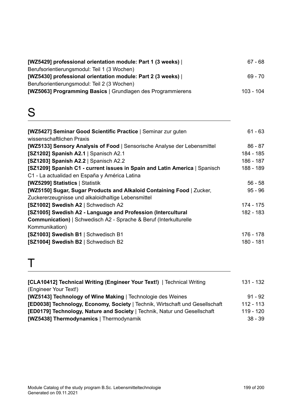| [WZ5429] professional orientation module: Part 1 (3 weeks)  | 67 - 68   |
|-------------------------------------------------------------|-----------|
| Berufsorientierungsmodul: Teil 1 (3 Wochen)                 |           |
| [WZ5430] professional orientation module: Part 2 (3 weeks)  | 69 - 70   |
| Berufsorientierungsmodul: Teil 2 (3 Wochen)                 |           |
| [WZ5063] Programming Basics   Grundlagen des Programmierens | 103 - 104 |

# S

| [WZ5427] Seminar Good Scientific Practice   Seminar zur guten<br>wissenschaftlichen Praxis | 61 - 63   |
|--------------------------------------------------------------------------------------------|-----------|
| [WZ5133] Sensory Analysis of Food   Sensorische Analyse der Lebensmittel                   | $86 - 87$ |
| [SZ1202] Spanish A2.1   Spanisch A2.1                                                      | 184 - 185 |
| [SZ1203] Spanish A2.2   Spanisch A2.2                                                      | 186 - 187 |
| [SZ1209] Spanish C1 - current issues in Spain and Latin America   Spanisch                 | 188 - 189 |
| C1 - La actualidad en España y América Latina                                              |           |
| [WZ5299] Statistics   Statistik                                                            | $56 - 58$ |
| [WZ5150] Sugar, Sugar Products and Alkaloid Containing Food   Zucker,                      | $95 - 96$ |
| Zuckererzeugnisse und alkaloidhaltige Lebensmittel                                         |           |
| [SZ1002] Swedish A2   Schwedisch A2                                                        | 174 - 175 |
| [SZ1005] Swedish A2 - Language and Profession (Intercultural                               | 182 - 183 |
| <b>Communication)</b>   Schwedisch A2 - Sprache & Beruf (Interkulturelle                   |           |
| Kommunikation)                                                                             |           |
| [SZ1003] Swedish B1   Schwedisch B1                                                        | 176 - 178 |
| [SZ1004] Swedish B2   Schwedisch B2                                                        | 180 - 181 |

# T

| [CLA10412] Technical Writing (Engineer Your Text!)   Technical Writing           | 131 - 132   |
|----------------------------------------------------------------------------------|-------------|
| (Engineer Your Text!)                                                            |             |
| <b>[WZ5143] Technology of Wine Making   Technologie des Weines</b>               | $91 - 92$   |
| [ED0038] Technology, Economy, Society   Technik, Wirtschaft und Gesellschaft     | $112 - 113$ |
| <b>[ED0179] Technology, Nature and Society</b>   Technik, Natur und Gesellschaft | $119 - 120$ |
| <b>[WZ5438] Thermodynamics</b>   Thermodynamik                                   | $38 - 39$   |